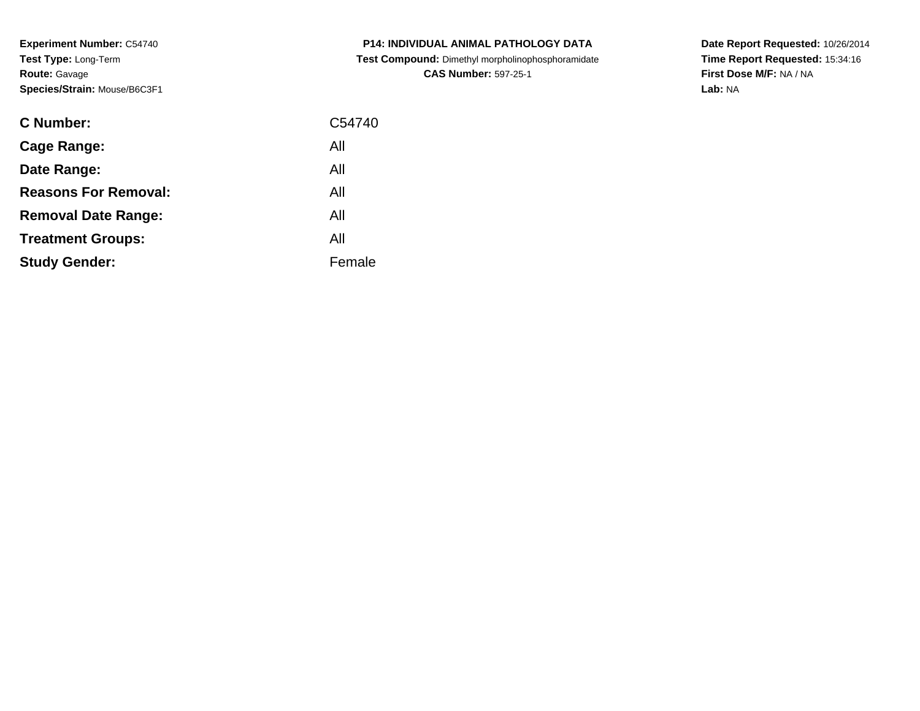**Experiment Number:** C54740**Test Type:** Long-Term**Route:** Gavage**Species/Strain:** Mouse/B6C3F1

| <b>C Number:</b>            | C54740 |
|-----------------------------|--------|
| <b>Cage Range:</b>          | All    |
| Date Range:                 | All    |
| <b>Reasons For Removal:</b> | All    |
| <b>Removal Date Range:</b>  | All    |
| <b>Treatment Groups:</b>    | All    |
| <b>Study Gender:</b>        | Female |
|                             |        |

**P14: INDIVIDUAL ANIMAL PATHOLOGY DATA Test Compound:** Dimethyl morpholinophosphoramidate**CAS Number:** 597-25-1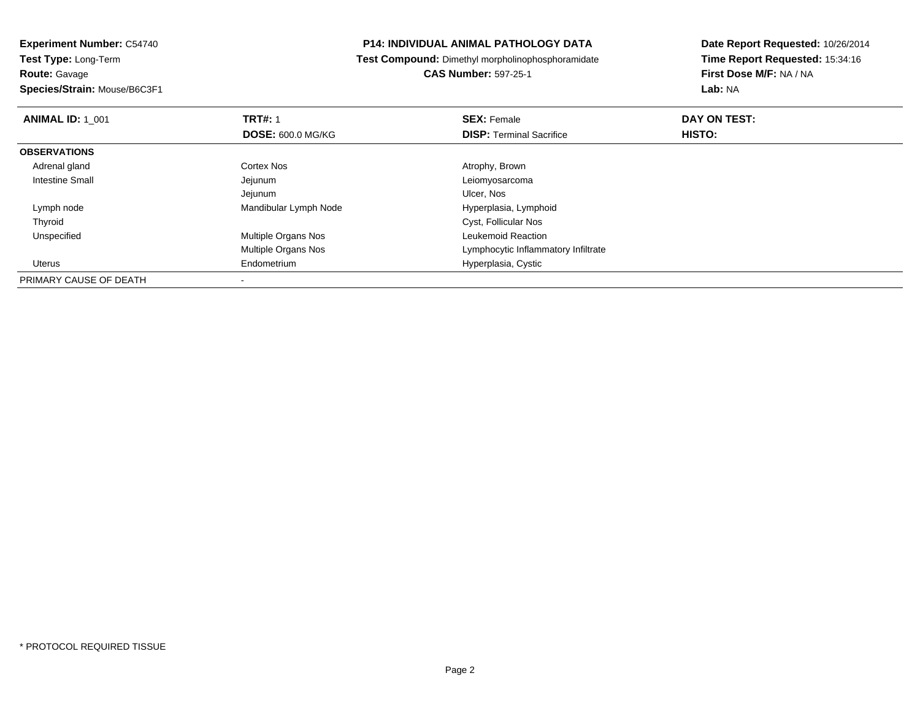**Species/Strain:** Mouse/B6C3F1

### **P14: INDIVIDUAL ANIMAL PATHOLOGY DATA**

**Test Compound:** Dimethyl morpholinophosphoramidate

**CAS Number:** 597-25-1

| <b>ANIMAL ID: 1 001</b> | <b>TRT#: 1</b>             | <b>SEX: Female</b>                  | DAY ON TEST:  |  |
|-------------------------|----------------------------|-------------------------------------|---------------|--|
|                         | <b>DOSE: 600.0 MG/KG</b>   | <b>DISP:</b> Terminal Sacrifice     | <b>HISTO:</b> |  |
| <b>OBSERVATIONS</b>     |                            |                                     |               |  |
| Adrenal gland           | Cortex Nos                 | Atrophy, Brown                      |               |  |
| <b>Intestine Small</b>  | Jejunum                    | Leiomyosarcoma                      |               |  |
|                         | Jejunum                    | Ulcer, Nos                          |               |  |
| Lymph node              | Mandibular Lymph Node      | Hyperplasia, Lymphoid               |               |  |
| Thyroid                 |                            | Cyst, Follicular Nos                |               |  |
| Unspecified             | Multiple Organs Nos        | Leukemoid Reaction                  |               |  |
|                         | <b>Multiple Organs Nos</b> | Lymphocytic Inflammatory Infiltrate |               |  |
| Uterus                  | Endometrium                | Hyperplasia, Cystic                 |               |  |
| PRIMARY CAUSE OF DEATH  |                            |                                     |               |  |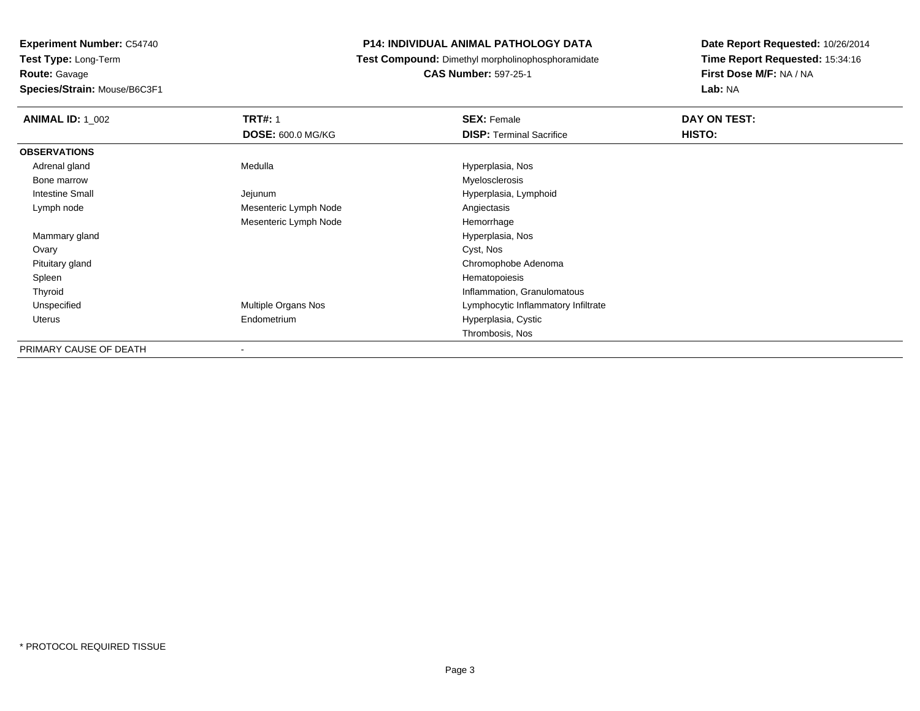**Species/Strain:** Mouse/B6C3F1

### **P14: INDIVIDUAL ANIMAL PATHOLOGY DATA**

**Test Compound:** Dimethyl morpholinophosphoramidate

**CAS Number:** 597-25-1

| <b>ANIMAL ID: 1_002</b> | <b>TRT#: 1</b>           | <b>SEX: Female</b>                  | DAY ON TEST: |
|-------------------------|--------------------------|-------------------------------------|--------------|
|                         | <b>DOSE: 600.0 MG/KG</b> | <b>DISP:</b> Terminal Sacrifice     | HISTO:       |
| <b>OBSERVATIONS</b>     |                          |                                     |              |
| Adrenal gland           | Medulla                  | Hyperplasia, Nos                    |              |
| Bone marrow             |                          | Myelosclerosis                      |              |
| Intestine Small         | Jejunum                  | Hyperplasia, Lymphoid               |              |
| Lymph node              | Mesenteric Lymph Node    | Angiectasis                         |              |
|                         | Mesenteric Lymph Node    | Hemorrhage                          |              |
| Mammary gland           |                          | Hyperplasia, Nos                    |              |
| Ovary                   |                          | Cyst, Nos                           |              |
| Pituitary gland         |                          | Chromophobe Adenoma                 |              |
| Spleen                  |                          | Hematopoiesis                       |              |
| Thyroid                 |                          | Inflammation, Granulomatous         |              |
| Unspecified             | Multiple Organs Nos      | Lymphocytic Inflammatory Infiltrate |              |
| Uterus                  | Endometrium              | Hyperplasia, Cystic                 |              |
|                         |                          | Thrombosis, Nos                     |              |
| PRIMARY CAUSE OF DEATH  |                          |                                     |              |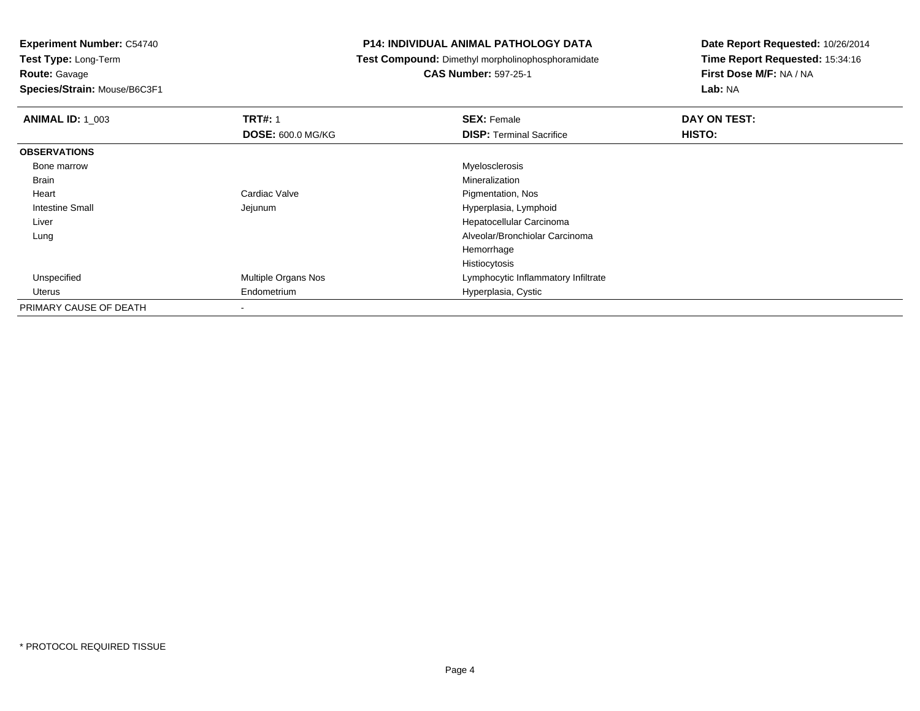**Route:** Gavage

**Species/Strain:** Mouse/B6C3F1

### **P14: INDIVIDUAL ANIMAL PATHOLOGY DATA**

**Test Compound:** Dimethyl morpholinophosphoramidate

**CAS Number:** 597-25-1

| <b>ANIMAL ID: 1 003</b> | <b>TRT#: 1</b>           | <b>SEX: Female</b>                  | DAY ON TEST:  |  |
|-------------------------|--------------------------|-------------------------------------|---------------|--|
|                         | <b>DOSE: 600.0 MG/KG</b> | <b>DISP: Terminal Sacrifice</b>     | <b>HISTO:</b> |  |
| <b>OBSERVATIONS</b>     |                          |                                     |               |  |
| Bone marrow             |                          | Myelosclerosis                      |               |  |
| <b>Brain</b>            |                          | Mineralization                      |               |  |
| Heart                   | Cardiac Valve            | Pigmentation, Nos                   |               |  |
| Intestine Small         | Jejunum                  | Hyperplasia, Lymphoid               |               |  |
| Liver                   |                          | Hepatocellular Carcinoma            |               |  |
| Lung                    |                          | Alveolar/Bronchiolar Carcinoma      |               |  |
|                         |                          | Hemorrhage                          |               |  |
|                         |                          | Histiocytosis                       |               |  |
| Unspecified             | Multiple Organs Nos      | Lymphocytic Inflammatory Infiltrate |               |  |
| Uterus                  | Endometrium              | Hyperplasia, Cystic                 |               |  |
| PRIMARY CAUSE OF DEATH  |                          |                                     |               |  |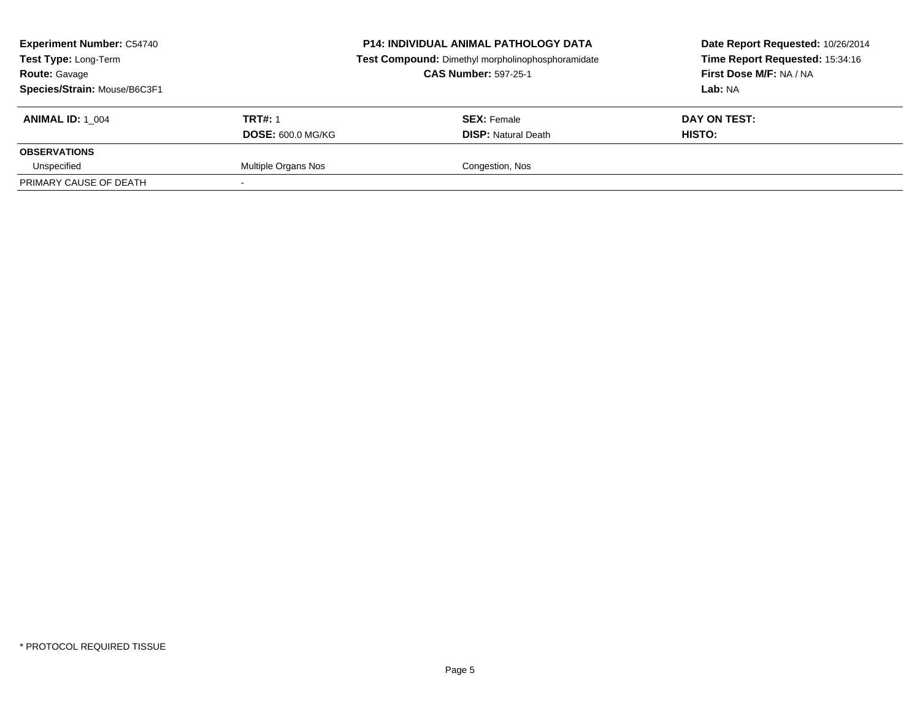| <b>Experiment Number: C54740</b><br><b>Test Type: Long-Term</b><br><b>Route: Gavage</b><br>Species/Strain: Mouse/B6C3F1 |                          | <b>P14: INDIVIDUAL ANIMAL PATHOLOGY DATA</b><br>Test Compound: Dimethyl morpholinophosphoramidate<br><b>CAS Number: 597-25-1</b> | Date Report Requested: 10/26/2014<br>Time Report Requested: 15:34:16<br>First Dose M/F: NA / NA<br>Lab: NA |
|-------------------------------------------------------------------------------------------------------------------------|--------------------------|----------------------------------------------------------------------------------------------------------------------------------|------------------------------------------------------------------------------------------------------------|
| <b>ANIMAL ID:</b> 1 004                                                                                                 | <b>TRT#: 1</b>           | <b>SEX: Female</b>                                                                                                               | DAY ON TEST:                                                                                               |
|                                                                                                                         | <b>DOSE: 600.0 MG/KG</b> | <b>DISP:</b> Natural Death                                                                                                       | HISTO:                                                                                                     |
| <b>OBSERVATIONS</b>                                                                                                     |                          |                                                                                                                                  |                                                                                                            |
| Unspecified                                                                                                             | Multiple Organs Nos      | Congestion, Nos                                                                                                                  |                                                                                                            |
| PRIMARY CAUSE OF DEATH                                                                                                  |                          |                                                                                                                                  |                                                                                                            |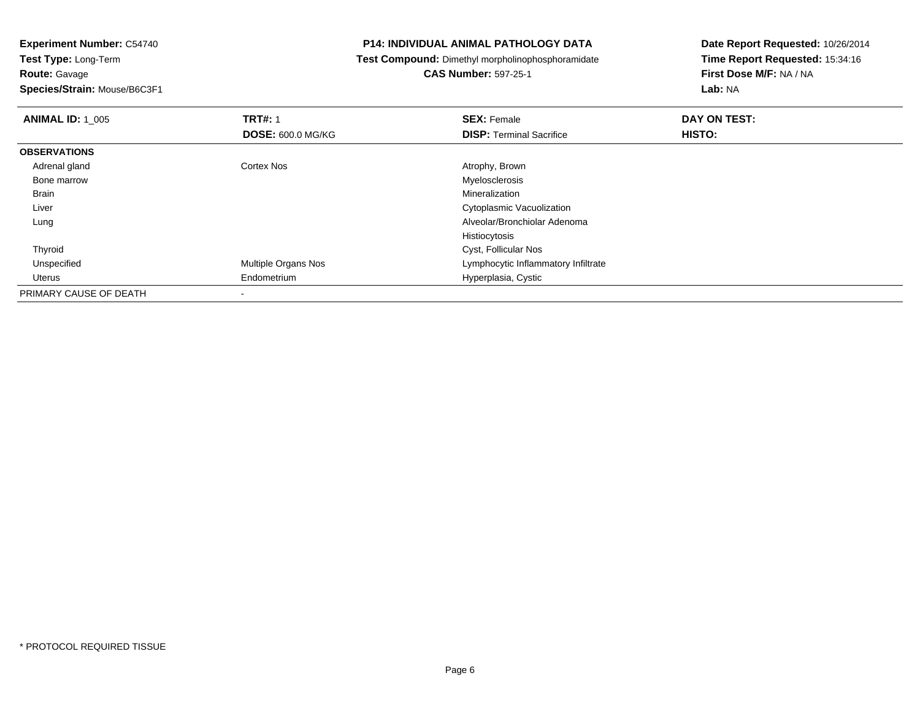**Species/Strain:** Mouse/B6C3F1

### **P14: INDIVIDUAL ANIMAL PATHOLOGY DATA**

**Test Compound:** Dimethyl morpholinophosphoramidate

# **CAS Number:** 597-25-1

| <b>ANIMAL ID: 1_005</b> | <b>TRT#: 1</b>             | <b>SEX: Female</b>                  | DAY ON TEST: |
|-------------------------|----------------------------|-------------------------------------|--------------|
|                         | <b>DOSE: 600.0 MG/KG</b>   | <b>DISP: Terminal Sacrifice</b>     | HISTO:       |
| <b>OBSERVATIONS</b>     |                            |                                     |              |
| Adrenal gland           | Cortex Nos                 | Atrophy, Brown                      |              |
| Bone marrow             |                            | Myelosclerosis                      |              |
| <b>Brain</b>            |                            | Mineralization                      |              |
| Liver                   |                            | Cytoplasmic Vacuolization           |              |
| Lung                    |                            | Alveolar/Bronchiolar Adenoma        |              |
|                         |                            | Histiocytosis                       |              |
| Thyroid                 |                            | Cyst, Follicular Nos                |              |
| Unspecified             | <b>Multiple Organs Nos</b> | Lymphocytic Inflammatory Infiltrate |              |
| Uterus                  | Endometrium                | Hyperplasia, Cystic                 |              |
| PRIMARY CAUSE OF DEATH  |                            |                                     |              |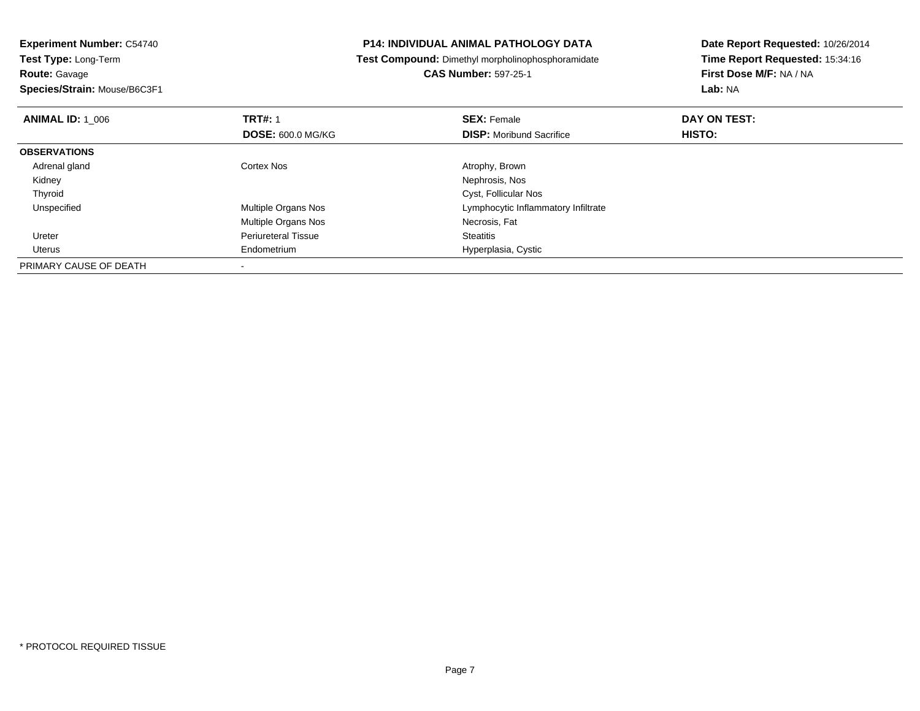**Experiment Number:** C54740**Test Type:** Long-Term**Route:** Gavage **Species/Strain:** Mouse/B6C3F1**P14: INDIVIDUAL ANIMAL PATHOLOGY DATA Test Compound:** Dimethyl morpholinophosphoramidate**CAS Number:** 597-25-1**Date Report Requested:** 10/26/2014**Time Report Requested:** 15:34:16**First Dose M/F:** NA / NA**Lab:** NA**ANIMAL ID: 1\_006 6 DAY ON TEST:** 1 **SEX:** Female **SEX: Female DAY ON TEST: DOSE:** 600.0 MG/KG**DISP:** Moribund Sacrifice **HISTO: OBSERVATIONS** Adrenal glandCortex Nos **Atrophy, Brown**  Kidney Nephrosis, Nos ThyroidCyst, Follicular Nos<br>Multiple Organs Nos<br>Lymphocytic Inflamr UnspecifiedLymphocytic Inflammatory Infiltrate Multiple Organs Nos Necrosis, Fat Ureter Periureteral Tissue**Steatitis**  Uterus Endometrium Hyperplasia, Cystic PRIMARY CAUSE OF DEATH-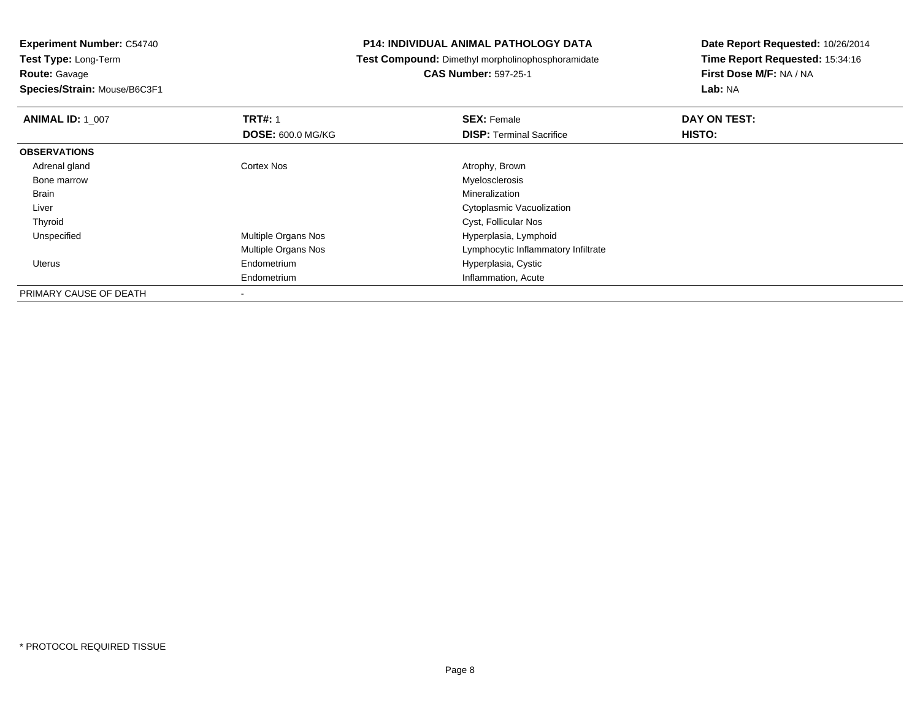**Species/Strain:** Mouse/B6C3F1

### **P14: INDIVIDUAL ANIMAL PATHOLOGY DATA**

**Test Compound:** Dimethyl morpholinophosphoramidate

**CAS Number:** 597-25-1

| <b>ANIMAL ID: 1 007</b> | <b>TRT#: 1</b>             | <b>SEX: Female</b>                  | DAY ON TEST: |  |
|-------------------------|----------------------------|-------------------------------------|--------------|--|
|                         | <b>DOSE: 600.0 MG/KG</b>   | <b>DISP: Terminal Sacrifice</b>     | HISTO:       |  |
| <b>OBSERVATIONS</b>     |                            |                                     |              |  |
| Adrenal gland           | Cortex Nos                 | Atrophy, Brown                      |              |  |
| Bone marrow             |                            | Myelosclerosis                      |              |  |
| Brain                   |                            | Mineralization                      |              |  |
| Liver                   |                            | Cytoplasmic Vacuolization           |              |  |
| Thyroid                 |                            | Cyst, Follicular Nos                |              |  |
| Unspecified             | <b>Multiple Organs Nos</b> | Hyperplasia, Lymphoid               |              |  |
|                         | <b>Multiple Organs Nos</b> | Lymphocytic Inflammatory Infiltrate |              |  |
| Uterus                  | Endometrium                | Hyperplasia, Cystic                 |              |  |
|                         | Endometrium                | Inflammation, Acute                 |              |  |
| PRIMARY CAUSE OF DEATH  |                            |                                     |              |  |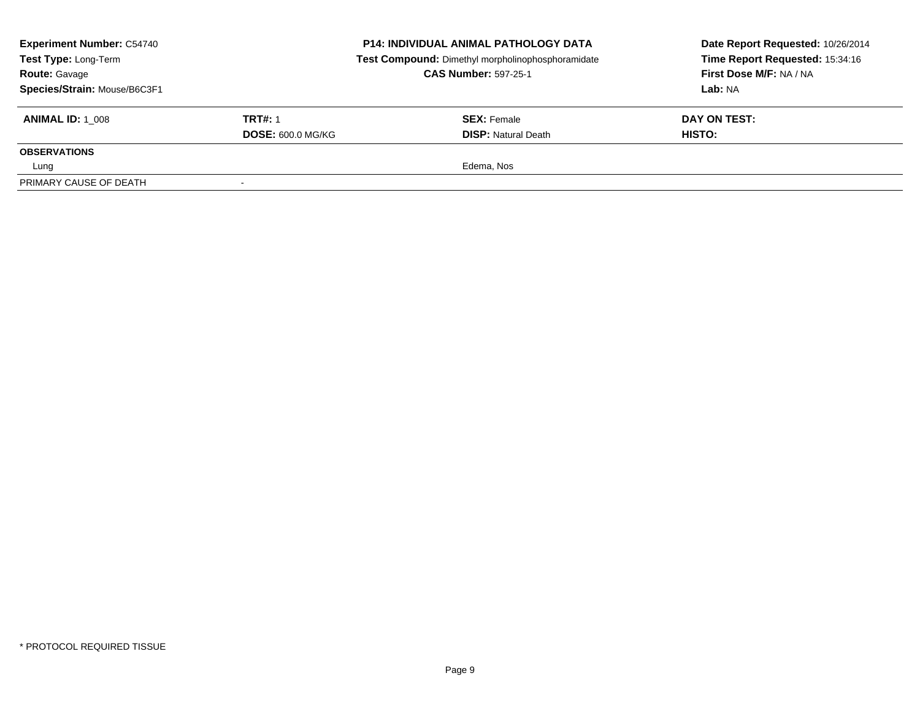| <b>Experiment Number: C54740</b><br>Test Type: Long-Term<br><b>Route: Gavage</b><br>Species/Strain: Mouse/B6C3F1 |                          | <b>P14: INDIVIDUAL ANIMAL PATHOLOGY DATA</b><br>Test Compound: Dimethyl morpholinophosphoramidate<br><b>CAS Number: 597-25-1</b> | Date Report Requested: 10/26/2014<br>Time Report Requested: 15:34:16<br>First Dose M/F: NA / NA<br>Lab: NA |
|------------------------------------------------------------------------------------------------------------------|--------------------------|----------------------------------------------------------------------------------------------------------------------------------|------------------------------------------------------------------------------------------------------------|
| <b>ANIMAL ID: 1 008</b>                                                                                          | <b>TRT#: 1</b>           | <b>SEX:</b> Female                                                                                                               | DAY ON TEST:                                                                                               |
|                                                                                                                  | <b>DOSE: 600.0 MG/KG</b> | <b>DISP:</b> Natural Death                                                                                                       | HISTO:                                                                                                     |
| <b>OBSERVATIONS</b>                                                                                              |                          |                                                                                                                                  |                                                                                                            |
| Lung                                                                                                             |                          | Edema, Nos                                                                                                                       |                                                                                                            |
| PRIMARY CAUSE OF DEATH                                                                                           |                          |                                                                                                                                  |                                                                                                            |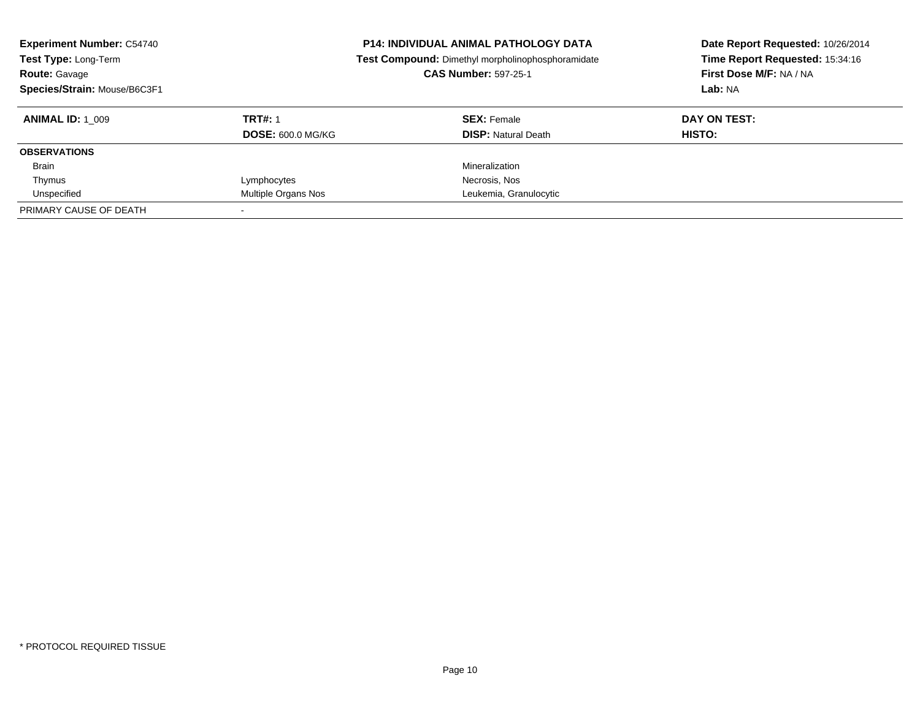| <b>Experiment Number: C54740</b><br><b>P14: INDIVIDUAL ANIMAL PATHOLOGY DATA</b><br>Test Compound: Dimethyl morpholinophosphoramidate<br>Test Type: Long-Term<br><b>CAS Number: 597-25-1</b><br><b>Route: Gavage</b><br>Species/Strain: Mouse/B6C3F1 |                          |                            | Date Report Requested: 10/26/2014<br>Time Report Requested: 15:34:16<br>First Dose M/F: NA / NA<br>Lab: NA |
|------------------------------------------------------------------------------------------------------------------------------------------------------------------------------------------------------------------------------------------------------|--------------------------|----------------------------|------------------------------------------------------------------------------------------------------------|
| <b>ANIMAL ID:</b> 1 009                                                                                                                                                                                                                              | <b>TRT#: 1</b>           | <b>SEX: Female</b>         | DAY ON TEST:                                                                                               |
|                                                                                                                                                                                                                                                      | <b>DOSE: 600.0 MG/KG</b> | <b>DISP:</b> Natural Death | <b>HISTO:</b>                                                                                              |
| <b>OBSERVATIONS</b>                                                                                                                                                                                                                                  |                          |                            |                                                                                                            |
| <b>Brain</b>                                                                                                                                                                                                                                         |                          | Mineralization             |                                                                                                            |
| Thymus                                                                                                                                                                                                                                               | Lymphocytes              | Necrosis, Nos              |                                                                                                            |
| Unspecified                                                                                                                                                                                                                                          | Multiple Organs Nos      | Leukemia, Granulocytic     |                                                                                                            |
| PRIMARY CAUSE OF DEATH                                                                                                                                                                                                                               |                          |                            |                                                                                                            |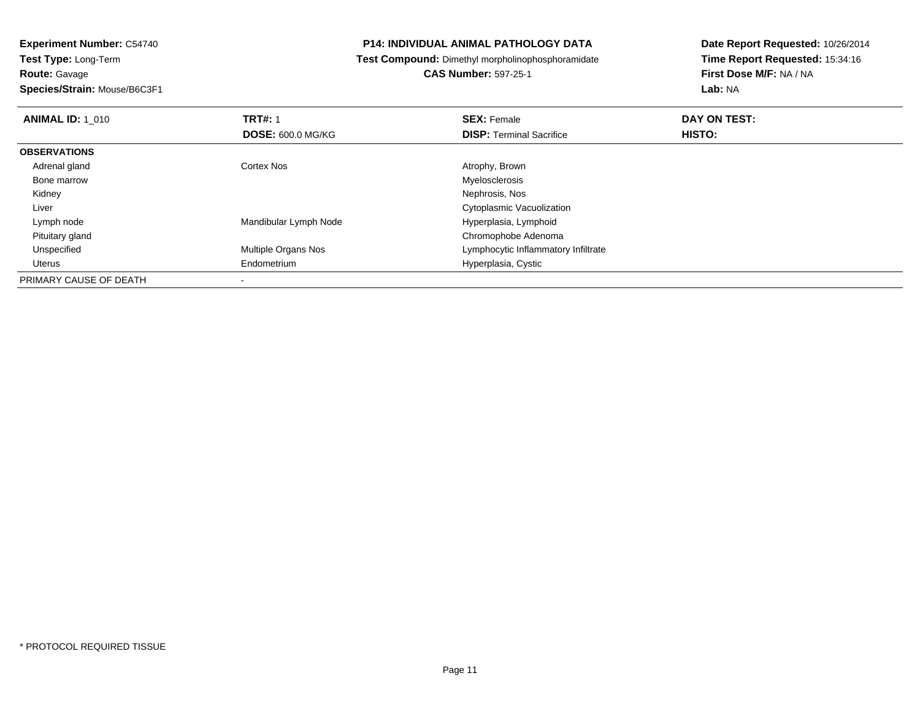**Species/Strain:** Mouse/B6C3F1

### **P14: INDIVIDUAL ANIMAL PATHOLOGY DATA**

**Test Compound:** Dimethyl morpholinophosphoramidate

**CAS Number:** 597-25-1

| <b>ANIMAL ID: 1 010</b> | <b>TRT#: 1</b>             | <b>SEX: Female</b>                  | DAY ON TEST:  |  |
|-------------------------|----------------------------|-------------------------------------|---------------|--|
|                         | <b>DOSE: 600.0 MG/KG</b>   | <b>DISP:</b> Terminal Sacrifice     | <b>HISTO:</b> |  |
| <b>OBSERVATIONS</b>     |                            |                                     |               |  |
| Adrenal gland           | Cortex Nos                 | Atrophy, Brown                      |               |  |
| Bone marrow             |                            | Myelosclerosis                      |               |  |
| Kidney                  |                            | Nephrosis, Nos                      |               |  |
| Liver                   |                            | Cytoplasmic Vacuolization           |               |  |
| Lymph node              | Mandibular Lymph Node      | Hyperplasia, Lymphoid               |               |  |
| Pituitary gland         |                            | Chromophobe Adenoma                 |               |  |
| Unspecified             | <b>Multiple Organs Nos</b> | Lymphocytic Inflammatory Infiltrate |               |  |
| Uterus                  | Endometrium                | Hyperplasia, Cystic                 |               |  |
| PRIMARY CAUSE OF DEATH  |                            |                                     |               |  |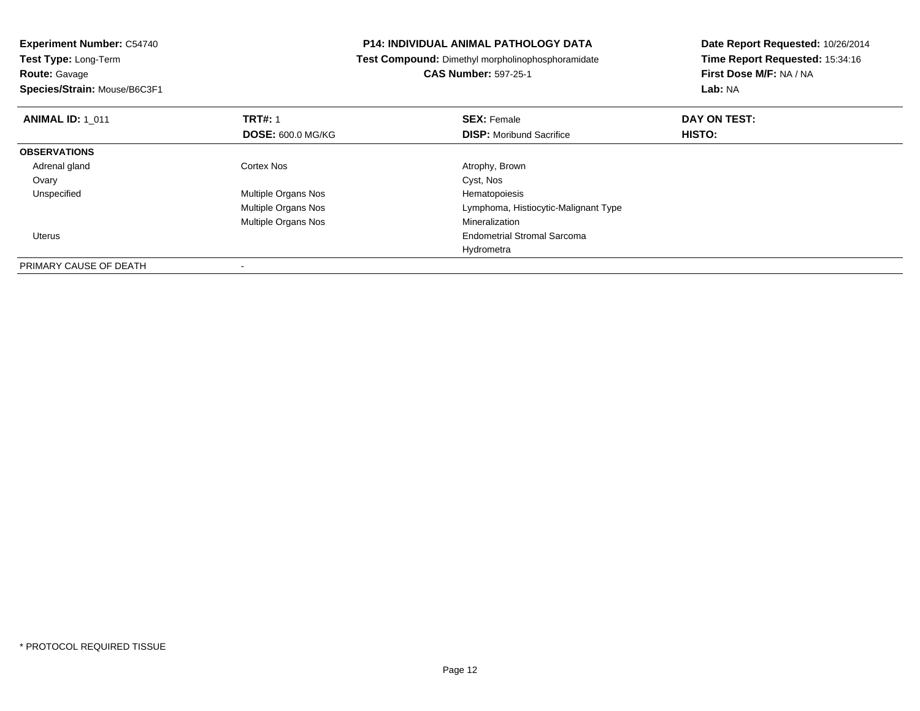**Species/Strain:** Mouse/B6C3F1

### **P14: INDIVIDUAL ANIMAL PATHOLOGY DATA**

**Test Compound:** Dimethyl morpholinophosphoramidate

**CAS Number:** 597-25-1

| <b>ANIMAL ID: 1 011</b> | <b>TRT#: 1</b>           | <b>SEX: Female</b>                   | DAY ON TEST: |  |
|-------------------------|--------------------------|--------------------------------------|--------------|--|
|                         | <b>DOSE: 600.0 MG/KG</b> | <b>DISP:</b> Moribund Sacrifice      | HISTO:       |  |
| <b>OBSERVATIONS</b>     |                          |                                      |              |  |
| Adrenal gland           | <b>Cortex Nos</b>        | Atrophy, Brown                       |              |  |
| Ovary                   |                          | Cyst, Nos                            |              |  |
| Unspecified             | Multiple Organs Nos      | Hematopoiesis                        |              |  |
|                         | Multiple Organs Nos      | Lymphoma, Histiocytic-Malignant Type |              |  |
|                         | Multiple Organs Nos      | Mineralization                       |              |  |
| Uterus                  |                          | <b>Endometrial Stromal Sarcoma</b>   |              |  |
|                         |                          | Hydrometra                           |              |  |
| PRIMARY CAUSE OF DEATH  |                          |                                      |              |  |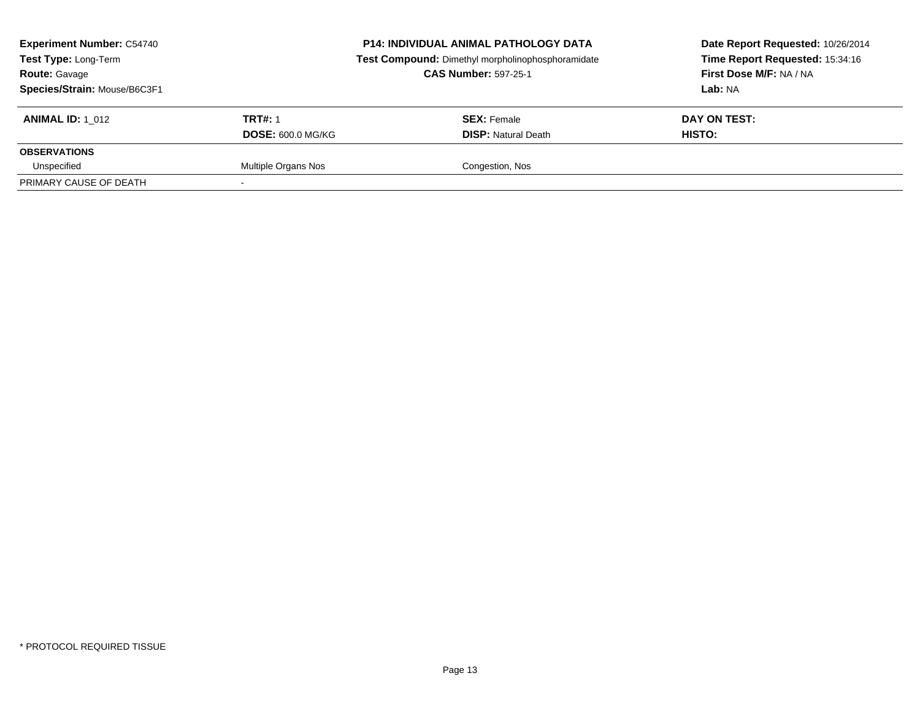| <b>Experiment Number: C54740</b><br><b>Test Type: Long-Term</b><br><b>Route: Gavage</b><br>Species/Strain: Mouse/B6C3F1 |                          | <b>P14: INDIVIDUAL ANIMAL PATHOLOGY DATA</b><br>Test Compound: Dimethyl morpholinophosphoramidate<br><b>CAS Number: 597-25-1</b> | Date Report Requested: 10/26/2014<br>Time Report Requested: 15:34:16<br>First Dose M/F: NA / NA<br>Lab: NA |
|-------------------------------------------------------------------------------------------------------------------------|--------------------------|----------------------------------------------------------------------------------------------------------------------------------|------------------------------------------------------------------------------------------------------------|
| <b>ANIMAL ID: 1 012</b>                                                                                                 | <b>TRT#: 1</b>           | <b>SEX: Female</b>                                                                                                               | DAY ON TEST:                                                                                               |
|                                                                                                                         | <b>DOSE: 600.0 MG/KG</b> | <b>DISP:</b> Natural Death                                                                                                       | HISTO:                                                                                                     |
| <b>OBSERVATIONS</b>                                                                                                     |                          |                                                                                                                                  |                                                                                                            |
| Unspecified                                                                                                             | Multiple Organs Nos      | Congestion, Nos                                                                                                                  |                                                                                                            |
| PRIMARY CAUSE OF DEATH                                                                                                  |                          |                                                                                                                                  |                                                                                                            |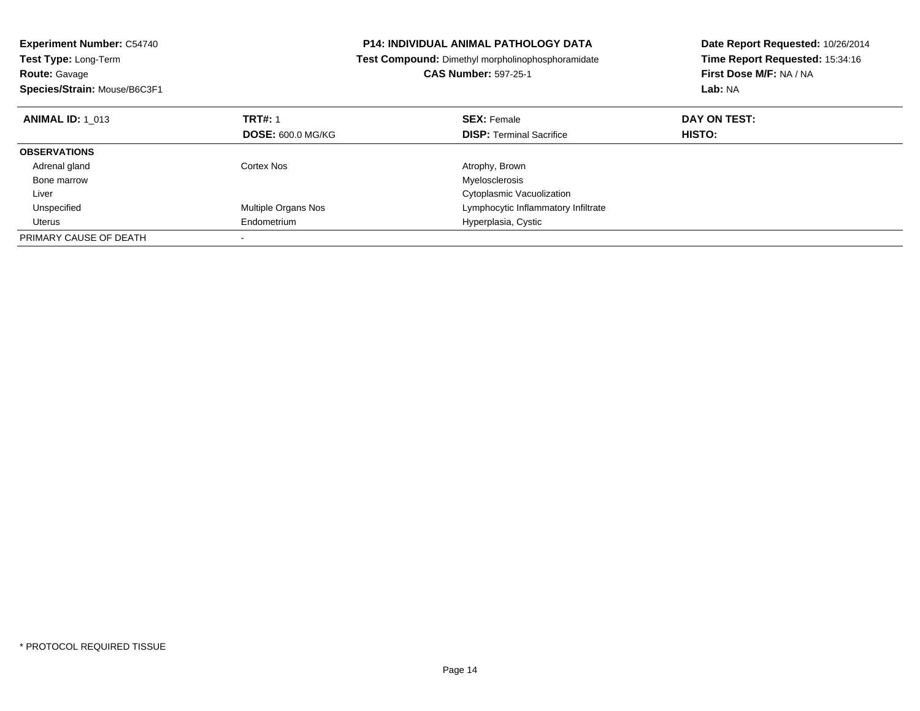| <b>Experiment Number: C54740</b> |                          | <b>P14: INDIVIDUAL ANIMAL PATHOLOGY DATA</b>      | Date Report Requested: 10/26/2014 |  |
|----------------------------------|--------------------------|---------------------------------------------------|-----------------------------------|--|
| <b>Test Type: Long-Term</b>      |                          | Test Compound: Dimethyl morpholinophosphoramidate | Time Report Requested: 15:34:16   |  |
| <b>Route: Gavage</b>             |                          | <b>CAS Number: 597-25-1</b>                       | First Dose M/F: NA / NA           |  |
| Species/Strain: Mouse/B6C3F1     |                          |                                                   | Lab: NA                           |  |
| <b>ANIMAL ID: 1 013</b>          | <b>TRT#: 1</b>           | <b>SEX: Female</b>                                | DAY ON TEST:                      |  |
|                                  | <b>DOSE: 600.0 MG/KG</b> | <b>DISP:</b> Terminal Sacrifice                   | <b>HISTO:</b>                     |  |
| <b>OBSERVATIONS</b>              |                          |                                                   |                                   |  |
| Adrenal gland                    | Cortex Nos               | Atrophy, Brown                                    |                                   |  |
| Bone marrow                      |                          | Myelosclerosis                                    |                                   |  |
| Liver                            |                          | Cytoplasmic Vacuolization                         |                                   |  |
| Unspecified                      | Multiple Organs Nos      | Lymphocytic Inflammatory Infiltrate               |                                   |  |
| Uterus                           | Endometrium              | Hyperplasia, Cystic                               |                                   |  |
| PRIMARY CAUSE OF DEATH           |                          |                                                   |                                   |  |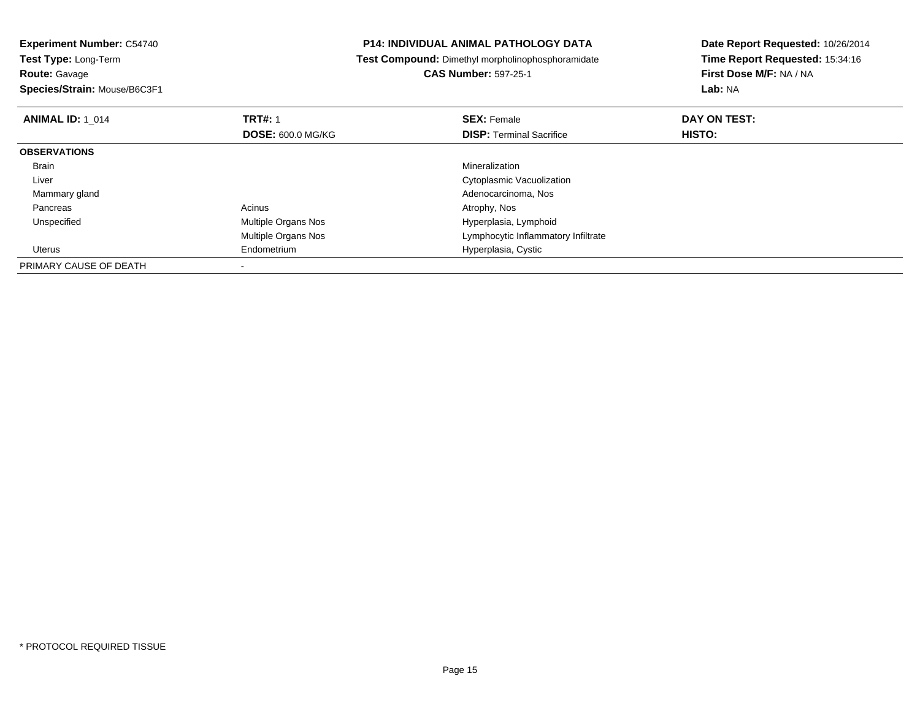**Experiment Number:** C54740**Test Type:** Long-Term**Route:** Gavage **Species/Strain:** Mouse/B6C3F1**P14: INDIVIDUAL ANIMAL PATHOLOGY DATA Test Compound:** Dimethyl morpholinophosphoramidate**CAS Number:** 597-25-1**Date Report Requested:** 10/26/2014**Time Report Requested:** 15:34:16**First Dose M/F:** NA / NA**Lab:** NA**ANIMAL ID: 1\_014 TRT#:** 1 **SEX:** Female **DAY ON TEST: DOSE:** 600.0 MG/KG**DISP:** Terminal Sacrifice **HISTO: OBSERVATIONS** Brainn and the control of the control of the control of the control of the control of the control of the control of the control of the control of the control of the control of the control of the control of the control of the co Liver Cytoplasmic Vacuolization Mammary gland Adenocarcinoma, Nos Pancreass and the contract of the contract of the contract of the contract of the contract  $\mathsf{A}$  at  $\mathsf{A}$  and  $\mathsf{A}$  and  $\mathsf{A}$  and  $\mathsf{A}$  and  $\mathsf{A}$  are contract of  $\mathsf{A}$  and  $\mathsf{A}$  and  $\mathsf{A}$  are contract of UnspecifiedMultiple Organs Nos **Hyperplasia, Lymphoid** Multiple Organs Nos Lymphocytic Inflammatory Infiltrate Uterus Endometrium Hyperplasia, Cystic PRIMARY CAUSE OF DEATH-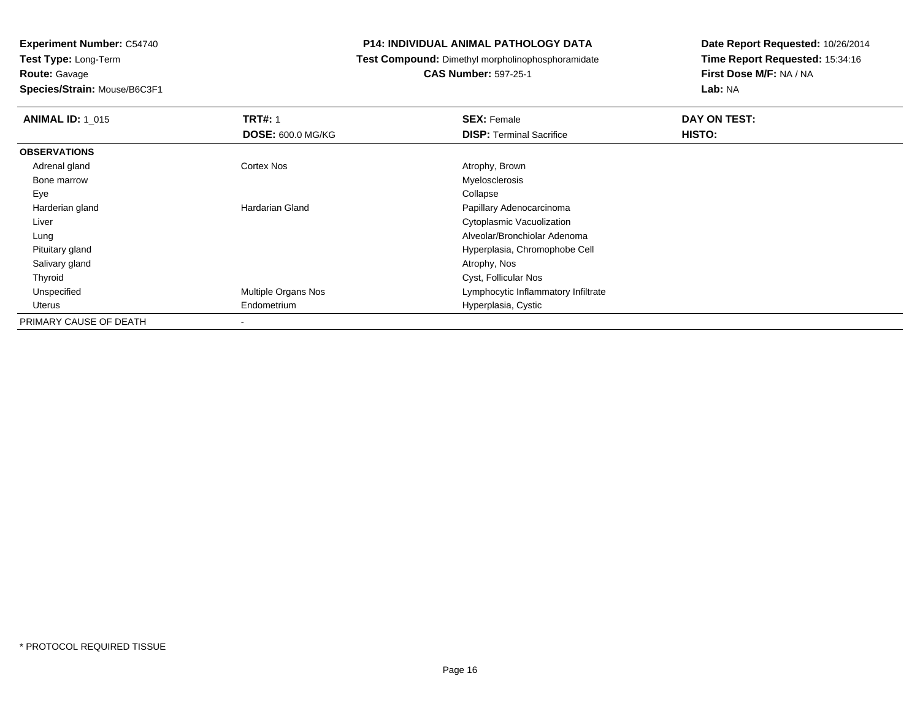**Species/Strain:** Mouse/B6C3F1

### **P14: INDIVIDUAL ANIMAL PATHOLOGY DATA**

**Test Compound:** Dimethyl morpholinophosphoramidate

**CAS Number:** 597-25-1

| <b>ANIMAL ID: 1 015</b> | <b>TRT#: 1</b>           | <b>SEX: Female</b>                  | DAY ON TEST: |  |
|-------------------------|--------------------------|-------------------------------------|--------------|--|
|                         | <b>DOSE: 600.0 MG/KG</b> | <b>DISP: Terminal Sacrifice</b>     | HISTO:       |  |
| <b>OBSERVATIONS</b>     |                          |                                     |              |  |
| Adrenal gland           | <b>Cortex Nos</b>        | Atrophy, Brown                      |              |  |
| Bone marrow             |                          | Myelosclerosis                      |              |  |
| Eye                     |                          | Collapse                            |              |  |
| Harderian gland         | <b>Hardarian Gland</b>   | Papillary Adenocarcinoma            |              |  |
| Liver                   |                          | Cytoplasmic Vacuolization           |              |  |
| Lung                    |                          | Alveolar/Bronchiolar Adenoma        |              |  |
| Pituitary gland         |                          | Hyperplasia, Chromophobe Cell       |              |  |
| Salivary gland          |                          | Atrophy, Nos                        |              |  |
| Thyroid                 |                          | Cyst, Follicular Nos                |              |  |
| Unspecified             | Multiple Organs Nos      | Lymphocytic Inflammatory Infiltrate |              |  |
| Uterus                  | Endometrium              | Hyperplasia, Cystic                 |              |  |
| PRIMARY CAUSE OF DEATH  | $\,$                     |                                     |              |  |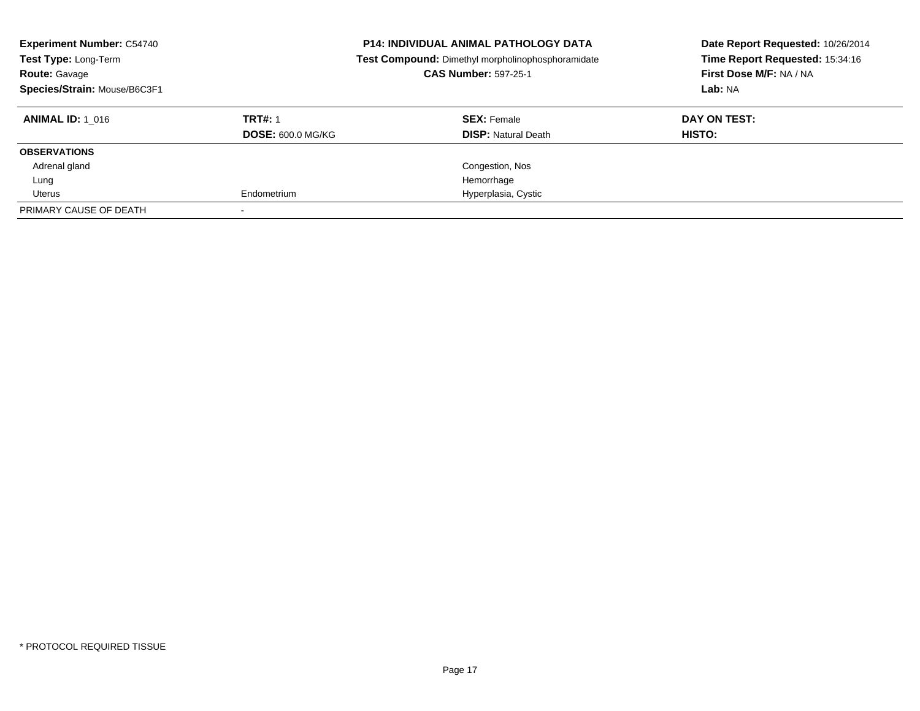| <b>Experiment Number: C54740</b><br>Test Type: Long-Term<br><b>Route: Gavage</b><br>Species/Strain: Mouse/B6C3F1 |                          | <b>P14: INDIVIDUAL ANIMAL PATHOLOGY DATA</b><br>Test Compound: Dimethyl morpholinophosphoramidate<br><b>CAS Number: 597-25-1</b> | Date Report Requested: 10/26/2014<br>Time Report Requested: 15:34:16<br>First Dose M/F: NA / NA<br>Lab: NA |  |
|------------------------------------------------------------------------------------------------------------------|--------------------------|----------------------------------------------------------------------------------------------------------------------------------|------------------------------------------------------------------------------------------------------------|--|
| <b>ANIMAL ID: 1 016</b>                                                                                          | <b>TRT#: 1</b>           | <b>SEX: Female</b>                                                                                                               | DAY ON TEST:                                                                                               |  |
|                                                                                                                  | <b>DOSE: 600.0 MG/KG</b> | <b>DISP: Natural Death</b>                                                                                                       | <b>HISTO:</b>                                                                                              |  |
| <b>OBSERVATIONS</b>                                                                                              |                          |                                                                                                                                  |                                                                                                            |  |
| Adrenal gland                                                                                                    |                          | Congestion, Nos                                                                                                                  |                                                                                                            |  |
| Lung                                                                                                             |                          | Hemorrhage                                                                                                                       |                                                                                                            |  |
| Uterus                                                                                                           | Endometrium              | Hyperplasia, Cystic                                                                                                              |                                                                                                            |  |
| PRIMARY CAUSE OF DEATH                                                                                           |                          |                                                                                                                                  |                                                                                                            |  |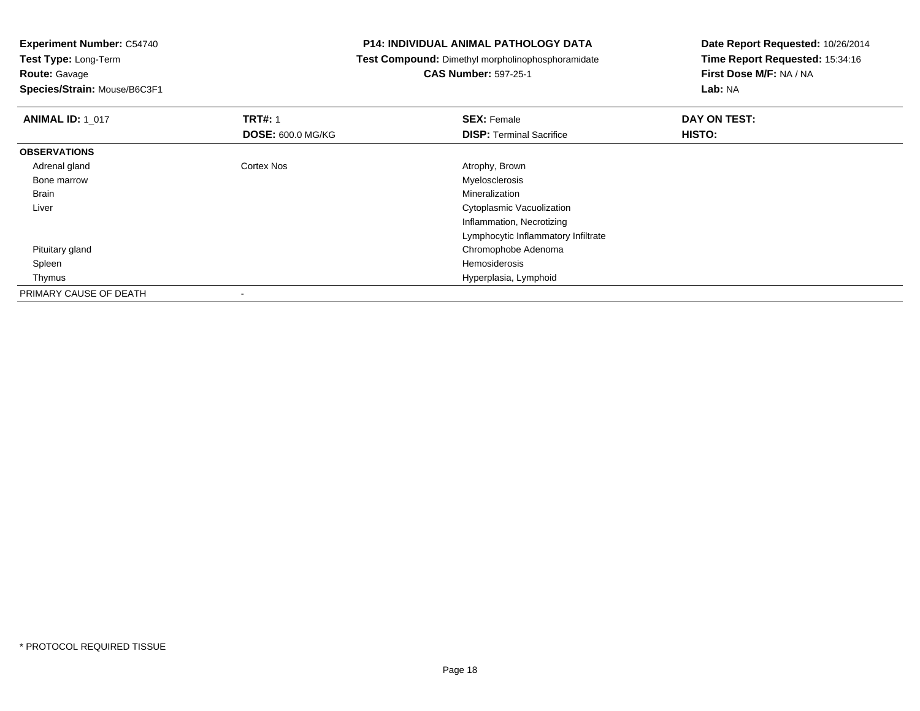**Route:** Gavage

**Species/Strain:** Mouse/B6C3F1

### **P14: INDIVIDUAL ANIMAL PATHOLOGY DATA**

**Test Compound:** Dimethyl morpholinophosphoramidate

**CAS Number:** 597-25-1

| <b>ANIMAL ID: 1 017</b> | <b>TRT#: 1</b>           | <b>SEX: Female</b>                  | DAY ON TEST: |  |
|-------------------------|--------------------------|-------------------------------------|--------------|--|
|                         | <b>DOSE: 600.0 MG/KG</b> | <b>DISP: Terminal Sacrifice</b>     | HISTO:       |  |
| <b>OBSERVATIONS</b>     |                          |                                     |              |  |
| Adrenal gland           | <b>Cortex Nos</b>        | Atrophy, Brown                      |              |  |
| Bone marrow             |                          | Myelosclerosis                      |              |  |
| <b>Brain</b>            |                          | Mineralization                      |              |  |
| Liver                   |                          | Cytoplasmic Vacuolization           |              |  |
|                         |                          | Inflammation, Necrotizing           |              |  |
|                         |                          | Lymphocytic Inflammatory Infiltrate |              |  |
| Pituitary gland         |                          | Chromophobe Adenoma                 |              |  |
| Spleen                  |                          | Hemosiderosis                       |              |  |
| Thymus                  |                          | Hyperplasia, Lymphoid               |              |  |
| PRIMARY CAUSE OF DEATH  |                          |                                     |              |  |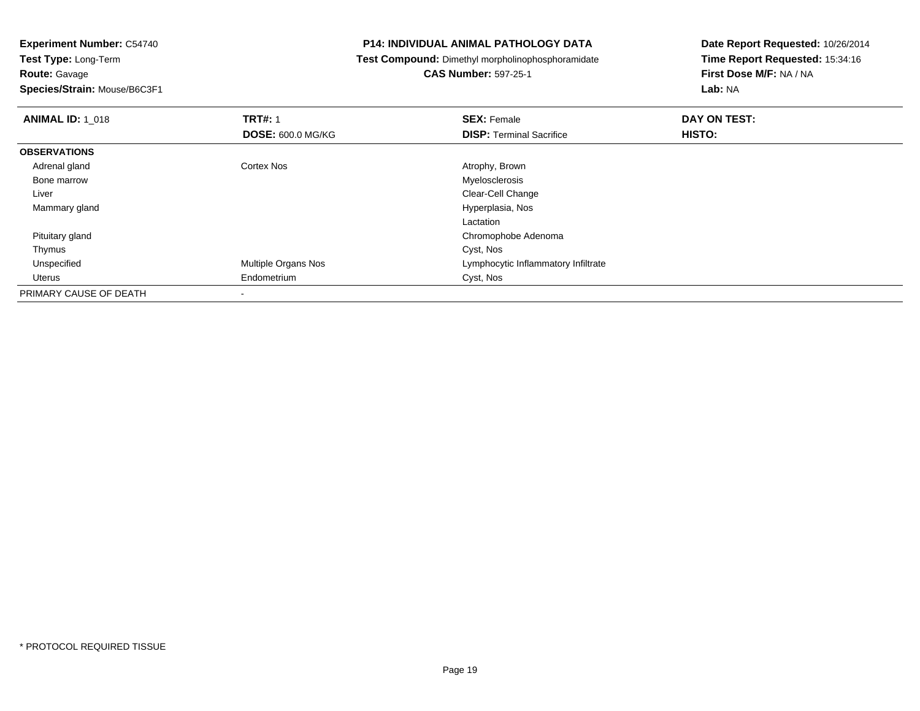**Route:** Gavage

**Species/Strain:** Mouse/B6C3F1

### **P14: INDIVIDUAL ANIMAL PATHOLOGY DATA**

**Test Compound:** Dimethyl morpholinophosphoramidate

# **CAS Number:** 597-25-1

| <b>ANIMAL ID: 1 018</b> | <b>TRT#: 1</b>             | <b>SEX: Female</b>                  | DAY ON TEST: |  |
|-------------------------|----------------------------|-------------------------------------|--------------|--|
|                         | <b>DOSE: 600.0 MG/KG</b>   | <b>DISP: Terminal Sacrifice</b>     | HISTO:       |  |
| <b>OBSERVATIONS</b>     |                            |                                     |              |  |
| Adrenal gland           | <b>Cortex Nos</b>          | Atrophy, Brown                      |              |  |
| Bone marrow             |                            | Myelosclerosis                      |              |  |
| Liver                   |                            | Clear-Cell Change                   |              |  |
| Mammary gland           |                            | Hyperplasia, Nos                    |              |  |
|                         |                            | Lactation                           |              |  |
| Pituitary gland         |                            | Chromophobe Adenoma                 |              |  |
| Thymus                  |                            | Cyst, Nos                           |              |  |
| Unspecified             | <b>Multiple Organs Nos</b> | Lymphocytic Inflammatory Infiltrate |              |  |
| Uterus                  | Endometrium                | Cyst, Nos                           |              |  |
| PRIMARY CAUSE OF DEATH  |                            |                                     |              |  |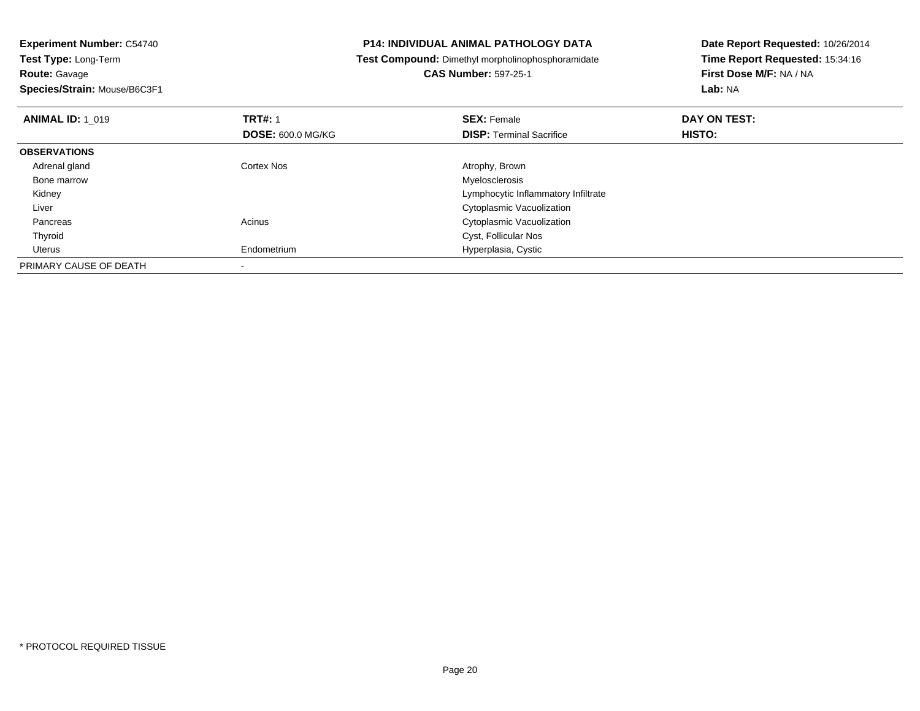**Species/Strain:** Mouse/B6C3F1

### **P14: INDIVIDUAL ANIMAL PATHOLOGY DATA**

**Test Compound:** Dimethyl morpholinophosphoramidate

**CAS Number:** 597-25-1

| <b>ANIMAL ID: 1 019</b> | <b>TRT#: 1</b><br><b>DOSE: 600.0 MG/KG</b> | <b>SEX: Female</b><br><b>DISP: Terminal Sacrifice</b> | DAY ON TEST:<br>HISTO: |  |
|-------------------------|--------------------------------------------|-------------------------------------------------------|------------------------|--|
| <b>OBSERVATIONS</b>     |                                            |                                                       |                        |  |
| Adrenal gland           | <b>Cortex Nos</b>                          | Atrophy, Brown                                        |                        |  |
| Bone marrow             |                                            | Myelosclerosis                                        |                        |  |
| Kidney                  |                                            | Lymphocytic Inflammatory Infiltrate                   |                        |  |
| Liver                   |                                            | Cytoplasmic Vacuolization                             |                        |  |
| Pancreas                | Acinus                                     | Cytoplasmic Vacuolization                             |                        |  |
| Thyroid                 |                                            | Cyst, Follicular Nos                                  |                        |  |
| Uterus                  | Endometrium                                | Hyperplasia, Cystic                                   |                        |  |
| PRIMARY CAUSE OF DEATH  |                                            |                                                       |                        |  |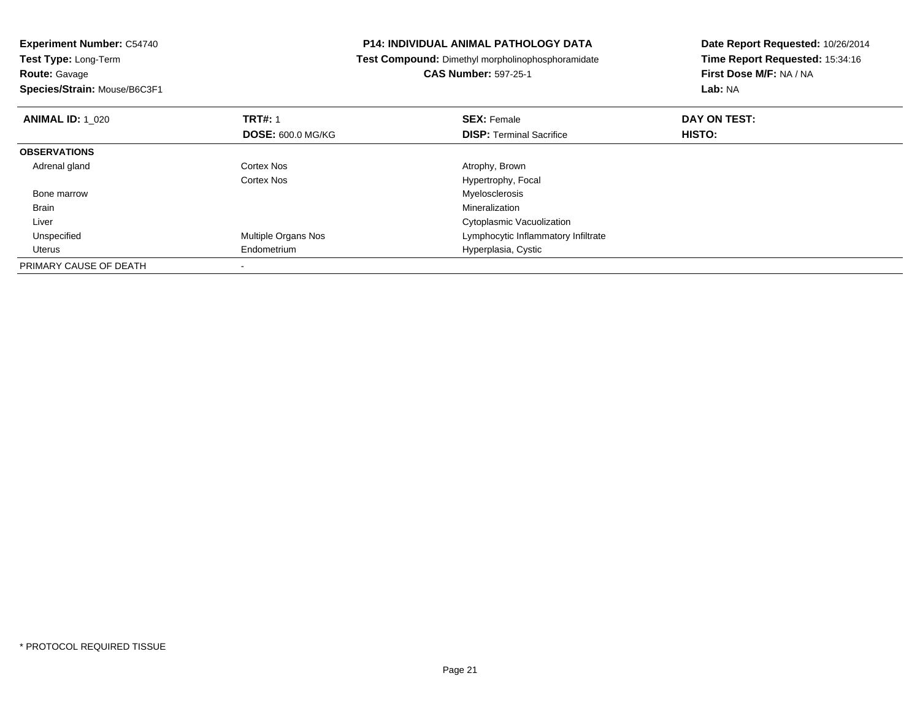| <b>Experiment Number: C54740</b>          | <b>P14: INDIVIDUAL ANIMAL PATHOLOGY DATA</b>             | Date Report Requested: 10/26/2014 |  |
|-------------------------------------------|----------------------------------------------------------|-----------------------------------|--|
| Test Type: Long-Term                      | <b>Test Compound:</b> Dimethyl morpholinophosphoramidate | Time Report Requested: 15:34:16   |  |
| Route: Gavage                             | <b>CAS Number: 597-25-1</b>                              | First Dose M/F: NA / NA           |  |
| Species/Strain: Mouse/B6C3F1              |                                                          | Lab: NA                           |  |
| <b>TRT#: 1</b><br><b>ANIMAL ID: 1 020</b> | <b>SEX: Female</b>                                       | DAY ON TEST:                      |  |
| <b>DOSE: 600.0 MG/KG</b>                  | <b>DISP:</b> Terminal Sacrifice                          | <b>HISTO:</b>                     |  |
| <b>OBSERVATIONS</b>                       |                                                          |                                   |  |
| Adrenal gland<br>Cortex Nos               | Atrophy, Brown                                           |                                   |  |
| Cortex Nos                                | Hypertrophy, Focal                                       |                                   |  |
| Bone marrow                               | Myelosclerosis                                           |                                   |  |
| Brain                                     | Mineralization                                           |                                   |  |
| Liver                                     | Cytoplasmic Vacuolization                                |                                   |  |
| Multiple Organs Nos<br>Unspecified        | Lymphocytic Inflammatory Infiltrate                      |                                   |  |
| Endometrium<br>Uterus                     | Hyperplasia, Cystic                                      |                                   |  |
| PRIMARY CAUSE OF DEATH                    |                                                          |                                   |  |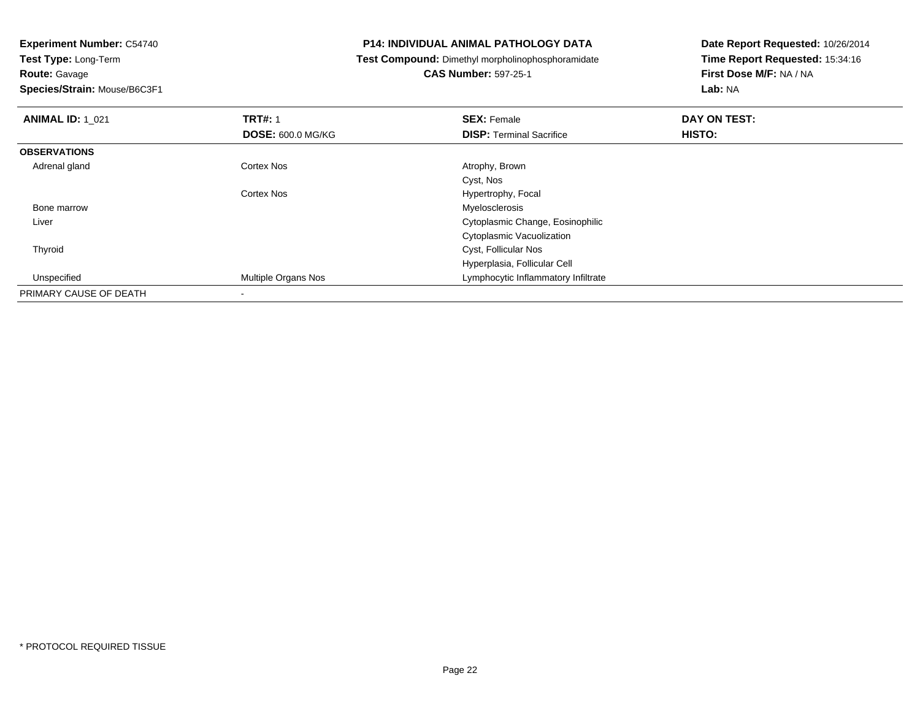**Route:** Gavage

**Species/Strain:** Mouse/B6C3F1

### **P14: INDIVIDUAL ANIMAL PATHOLOGY DATA**

**Test Compound:** Dimethyl morpholinophosphoramidate

**CAS Number:** 597-25-1

| <b>ANIMAL ID: 1 021</b> | <b>TRT#: 1</b>           | <b>SEX: Female</b>                  | DAY ON TEST: |
|-------------------------|--------------------------|-------------------------------------|--------------|
|                         | <b>DOSE: 600.0 MG/KG</b> | <b>DISP: Terminal Sacrifice</b>     | HISTO:       |
| <b>OBSERVATIONS</b>     |                          |                                     |              |
| Adrenal gland           | Cortex Nos               | Atrophy, Brown                      |              |
|                         |                          | Cyst, Nos                           |              |
|                         | <b>Cortex Nos</b>        | Hypertrophy, Focal                  |              |
| Bone marrow             |                          | Myelosclerosis                      |              |
| Liver                   |                          | Cytoplasmic Change, Eosinophilic    |              |
|                         |                          | Cytoplasmic Vacuolization           |              |
| Thyroid                 |                          | Cyst, Follicular Nos                |              |
|                         |                          | Hyperplasia, Follicular Cell        |              |
| Unspecified             | Multiple Organs Nos      | Lymphocytic Inflammatory Infiltrate |              |
| PRIMARY CAUSE OF DEATH  | $\overline{\phantom{a}}$ |                                     |              |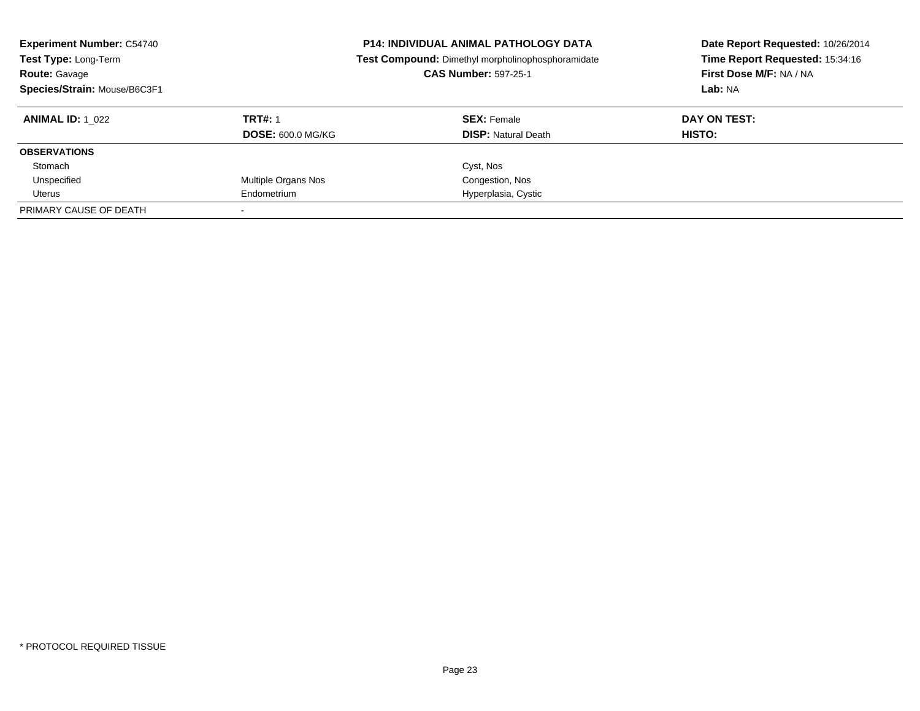| <b>Experiment Number: C54740</b><br>Test Type: Long-Term<br><b>Route: Gavage</b><br>Species/Strain: Mouse/B6C3F1 |                          | <b>P14: INDIVIDUAL ANIMAL PATHOLOGY DATA</b><br>Test Compound: Dimethyl morpholinophosphoramidate<br><b>CAS Number: 597-25-1</b> | Date Report Requested: 10/26/2014<br>Time Report Requested: 15:34:16<br>First Dose M/F: NA / NA<br>Lab: NA |
|------------------------------------------------------------------------------------------------------------------|--------------------------|----------------------------------------------------------------------------------------------------------------------------------|------------------------------------------------------------------------------------------------------------|
| <b>ANIMAL ID: 1 022</b>                                                                                          | <b>TRT#: 1</b>           | <b>SEX: Female</b>                                                                                                               | DAY ON TEST:                                                                                               |
|                                                                                                                  | <b>DOSE: 600.0 MG/KG</b> | <b>DISP:</b> Natural Death                                                                                                       | <b>HISTO:</b>                                                                                              |
| <b>OBSERVATIONS</b>                                                                                              |                          |                                                                                                                                  |                                                                                                            |
| Stomach                                                                                                          |                          | Cyst, Nos                                                                                                                        |                                                                                                            |
| Unspecified                                                                                                      | Multiple Organs Nos      | Congestion, Nos                                                                                                                  |                                                                                                            |
| Uterus                                                                                                           | Endometrium              | Hyperplasia, Cystic                                                                                                              |                                                                                                            |
| PRIMARY CAUSE OF DEATH                                                                                           |                          |                                                                                                                                  |                                                                                                            |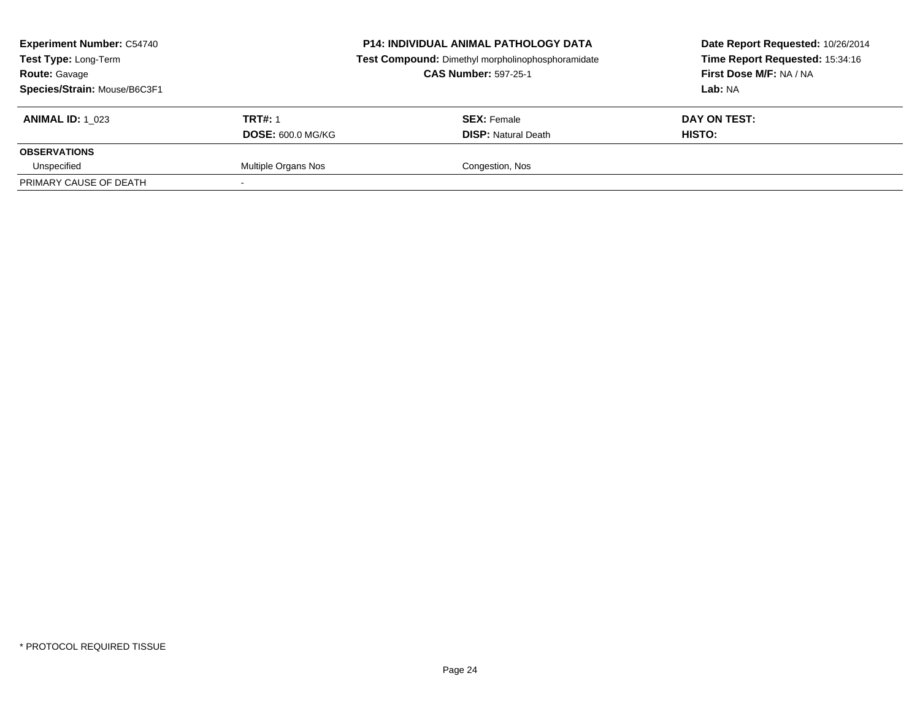| <b>Experiment Number: C54740</b><br><b>Test Type: Long-Term</b><br><b>Route: Gavage</b><br>Species/Strain: Mouse/B6C3F1 |                          | <b>P14: INDIVIDUAL ANIMAL PATHOLOGY DATA</b><br>Test Compound: Dimethyl morpholinophosphoramidate<br><b>CAS Number: 597-25-1</b> | Date Report Requested: 10/26/2014<br>Time Report Requested: 15:34:16<br>First Dose M/F: NA / NA<br>Lab: NA |
|-------------------------------------------------------------------------------------------------------------------------|--------------------------|----------------------------------------------------------------------------------------------------------------------------------|------------------------------------------------------------------------------------------------------------|
| <b>ANIMAL ID: 1 023</b>                                                                                                 | <b>TRT#: 1</b>           | <b>SEX: Female</b>                                                                                                               | DAY ON TEST:                                                                                               |
|                                                                                                                         | <b>DOSE: 600.0 MG/KG</b> | <b>DISP:</b> Natural Death                                                                                                       | HISTO:                                                                                                     |
| <b>OBSERVATIONS</b>                                                                                                     |                          |                                                                                                                                  |                                                                                                            |
| Unspecified                                                                                                             | Multiple Organs Nos      | Congestion, Nos                                                                                                                  |                                                                                                            |
| PRIMARY CAUSE OF DEATH                                                                                                  |                          |                                                                                                                                  |                                                                                                            |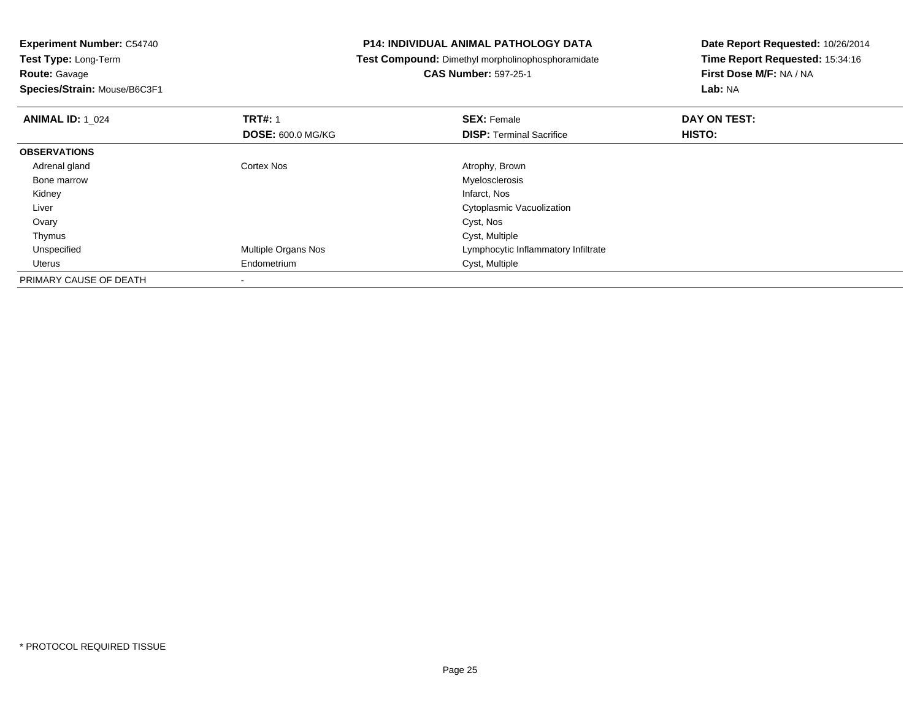**Species/Strain:** Mouse/B6C3F1

### **P14: INDIVIDUAL ANIMAL PATHOLOGY DATA**

**Test Compound:** Dimethyl morpholinophosphoramidate

**CAS Number:** 597-25-1

| <b>ANIMAL ID: 1_024</b> | <b>TRT#: 1</b>             | <b>SEX: Female</b>                  | DAY ON TEST: |  |
|-------------------------|----------------------------|-------------------------------------|--------------|--|
|                         | <b>DOSE: 600.0 MG/KG</b>   | <b>DISP: Terminal Sacrifice</b>     | HISTO:       |  |
| <b>OBSERVATIONS</b>     |                            |                                     |              |  |
| Adrenal gland           | Cortex Nos                 | Atrophy, Brown                      |              |  |
| Bone marrow             |                            | Myelosclerosis                      |              |  |
| Kidney                  |                            | Infarct, Nos                        |              |  |
| Liver                   |                            | Cytoplasmic Vacuolization           |              |  |
| Ovary                   |                            | Cyst, Nos                           |              |  |
| Thymus                  |                            | Cyst, Multiple                      |              |  |
| Unspecified             | <b>Multiple Organs Nos</b> | Lymphocytic Inflammatory Infiltrate |              |  |
| Uterus                  | Endometrium                | Cyst, Multiple                      |              |  |
| PRIMARY CAUSE OF DEATH  |                            |                                     |              |  |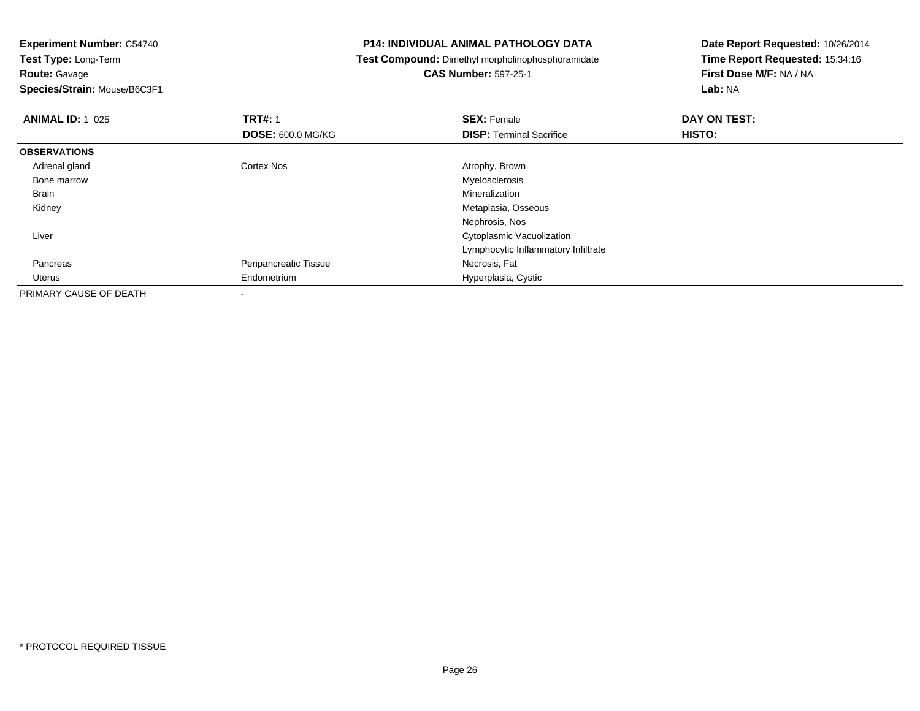# **Route:** Gavage

**Species/Strain:** Mouse/B6C3F1

### **P14: INDIVIDUAL ANIMAL PATHOLOGY DATA**

**Test Compound:** Dimethyl morpholinophosphoramidate

# **CAS Number:** 597-25-1

| <b>ANIMAL ID: 1 025</b> | <b>TRT#: 1</b>           | <b>SEX: Female</b>                  | DAY ON TEST: |
|-------------------------|--------------------------|-------------------------------------|--------------|
|                         | <b>DOSE: 600.0 MG/KG</b> | <b>DISP: Terminal Sacrifice</b>     | HISTO:       |
| <b>OBSERVATIONS</b>     |                          |                                     |              |
| Adrenal gland           | <b>Cortex Nos</b>        | Atrophy, Brown                      |              |
| Bone marrow             |                          | Myelosclerosis                      |              |
| <b>Brain</b>            |                          | Mineralization                      |              |
| Kidney                  |                          | Metaplasia, Osseous                 |              |
|                         |                          | Nephrosis, Nos                      |              |
| Liver                   |                          | Cytoplasmic Vacuolization           |              |
|                         |                          | Lymphocytic Inflammatory Infiltrate |              |
| Pancreas                | Peripancreatic Tissue    | Necrosis, Fat                       |              |
| Uterus                  | Endometrium              | Hyperplasia, Cystic                 |              |
| PRIMARY CAUSE OF DEATH  |                          |                                     |              |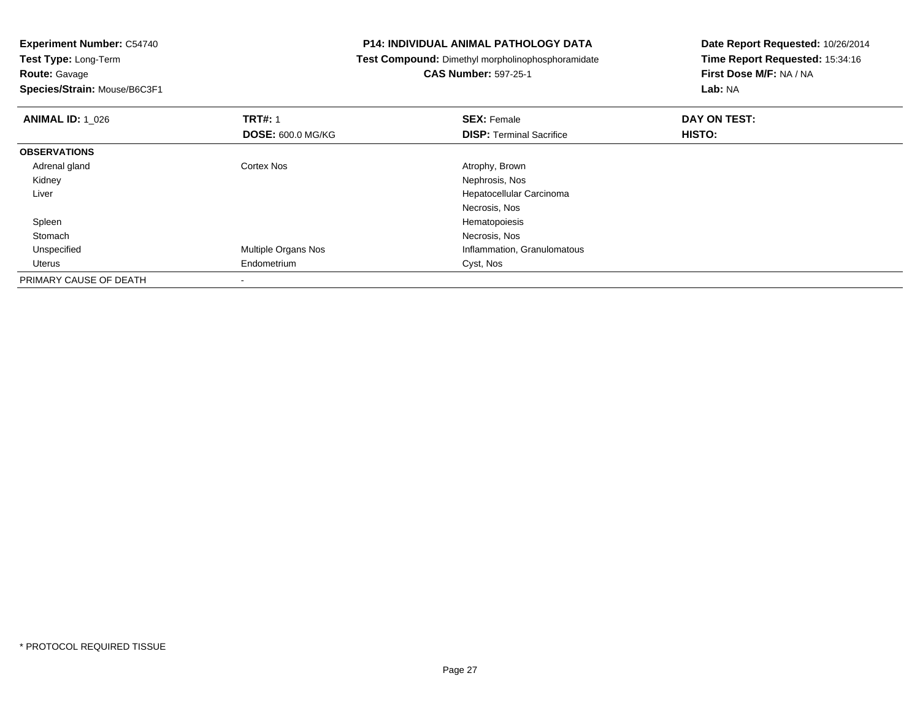**Route:** Gavage

**Species/Strain:** Mouse/B6C3F1

### **P14: INDIVIDUAL ANIMAL PATHOLOGY DATA**

**Test Compound:** Dimethyl morpholinophosphoramidate

**CAS Number:** 597-25-1

| <b>ANIMAL ID: 1 026</b> | <b>TRT#: 1</b>             | <b>SEX: Female</b>              | DAY ON TEST: |  |
|-------------------------|----------------------------|---------------------------------|--------------|--|
|                         | <b>DOSE: 600.0 MG/KG</b>   | <b>DISP: Terminal Sacrifice</b> | HISTO:       |  |
| <b>OBSERVATIONS</b>     |                            |                                 |              |  |
| Adrenal gland           | <b>Cortex Nos</b>          | Atrophy, Brown                  |              |  |
| Kidney                  |                            | Nephrosis, Nos                  |              |  |
| Liver                   |                            | Hepatocellular Carcinoma        |              |  |
|                         |                            | Necrosis, Nos                   |              |  |
| Spleen                  |                            | Hematopoiesis                   |              |  |
| Stomach                 |                            | Necrosis, Nos                   |              |  |
| Unspecified             | <b>Multiple Organs Nos</b> | Inflammation, Granulomatous     |              |  |
| Uterus                  | Endometrium                | Cyst, Nos                       |              |  |
| PRIMARY CAUSE OF DEATH  |                            |                                 |              |  |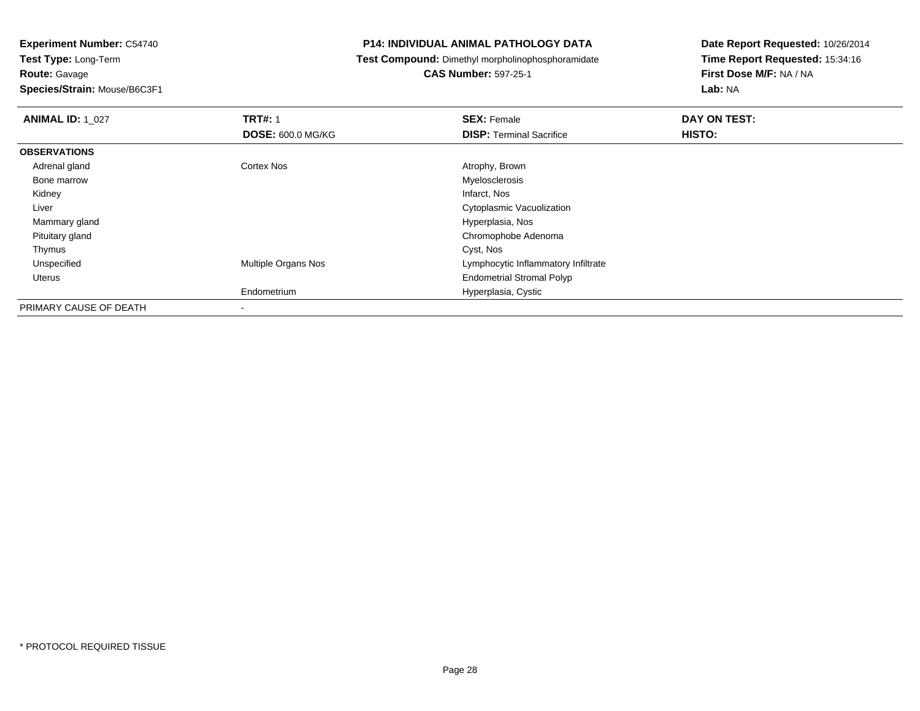**Species/Strain:** Mouse/B6C3F1

### **P14: INDIVIDUAL ANIMAL PATHOLOGY DATA**

**Test Compound:** Dimethyl morpholinophosphoramidate

### **CAS Number:** 597-25-1

| <b>ANIMAL ID: 1 027</b> | <b>TRT#: 1</b>           | <b>SEX: Female</b>                  | DAY ON TEST: |
|-------------------------|--------------------------|-------------------------------------|--------------|
|                         | <b>DOSE: 600.0 MG/KG</b> | <b>DISP: Terminal Sacrifice</b>     | HISTO:       |
| <b>OBSERVATIONS</b>     |                          |                                     |              |
| Adrenal gland           | Cortex Nos               | Atrophy, Brown                      |              |
| Bone marrow             |                          | Myelosclerosis                      |              |
| Kidney                  |                          | Infarct, Nos                        |              |
| Liver                   |                          | Cytoplasmic Vacuolization           |              |
| Mammary gland           |                          | Hyperplasia, Nos                    |              |
| Pituitary gland         |                          | Chromophobe Adenoma                 |              |
| Thymus                  |                          | Cyst, Nos                           |              |
| Unspecified             | Multiple Organs Nos      | Lymphocytic Inflammatory Infiltrate |              |
| Uterus                  |                          | <b>Endometrial Stromal Polyp</b>    |              |
|                         | Endometrium              | Hyperplasia, Cystic                 |              |
| PRIMARY CAUSE OF DEATH  | $\,$                     |                                     |              |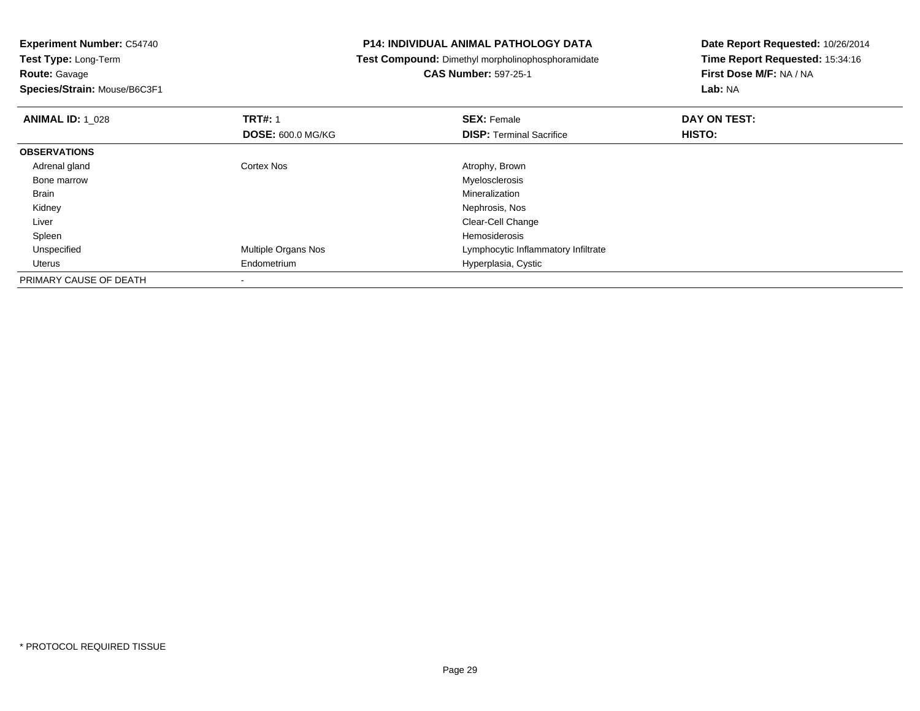**Species/Strain:** Mouse/B6C3F1

### **P14: INDIVIDUAL ANIMAL PATHOLOGY DATA**

**Test Compound:** Dimethyl morpholinophosphoramidate

**CAS Number:** 597-25-1

| <b>ANIMAL ID: 1 028</b> | <b>TRT#: 1</b>             | <b>SEX: Female</b>                  | DAY ON TEST: |  |
|-------------------------|----------------------------|-------------------------------------|--------------|--|
|                         | <b>DOSE: 600.0 MG/KG</b>   | <b>DISP:</b> Terminal Sacrifice     | HISTO:       |  |
| <b>OBSERVATIONS</b>     |                            |                                     |              |  |
| Adrenal gland           | Cortex Nos                 | Atrophy, Brown                      |              |  |
| Bone marrow             |                            | Myelosclerosis                      |              |  |
| Brain                   |                            | Mineralization                      |              |  |
| Kidney                  |                            | Nephrosis, Nos                      |              |  |
| Liver                   |                            | Clear-Cell Change                   |              |  |
| Spleen                  |                            | Hemosiderosis                       |              |  |
| Unspecified             | <b>Multiple Organs Nos</b> | Lymphocytic Inflammatory Infiltrate |              |  |
| Uterus                  | Endometrium                | Hyperplasia, Cystic                 |              |  |
| PRIMARY CAUSE OF DEATH  |                            |                                     |              |  |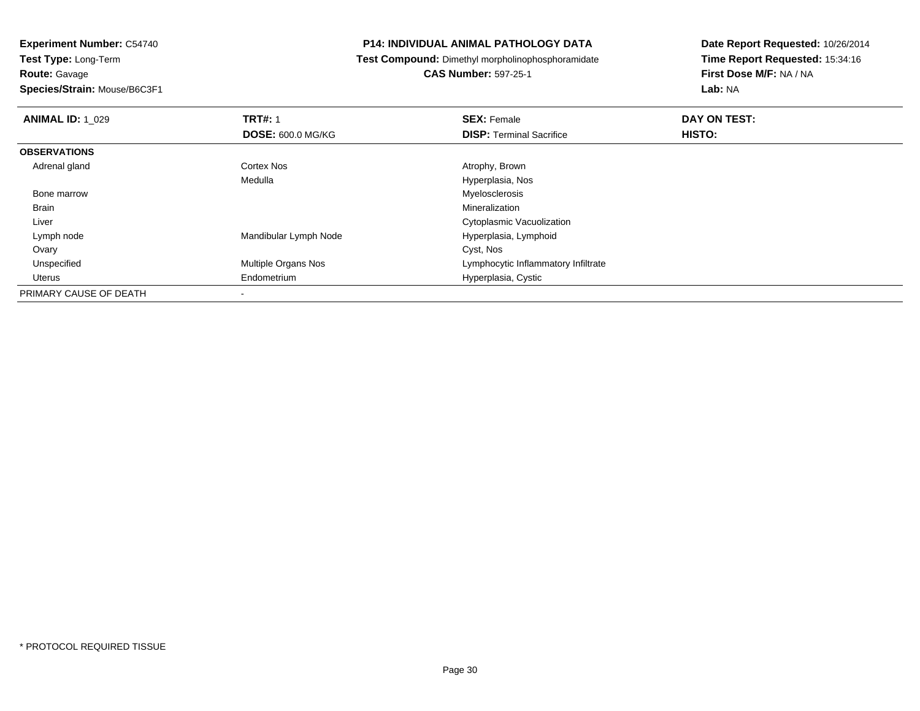**Species/Strain:** Mouse/B6C3F1

### **P14: INDIVIDUAL ANIMAL PATHOLOGY DATA**

**Test Compound:** Dimethyl morpholinophosphoramidate

**CAS Number:** 597-25-1

| <b>ANIMAL ID: 1 029</b> | <b>TRT#: 1</b>           | <b>SEX: Female</b>                  | DAY ON TEST: |  |
|-------------------------|--------------------------|-------------------------------------|--------------|--|
|                         | <b>DOSE: 600.0 MG/KG</b> | <b>DISP: Terminal Sacrifice</b>     | HISTO:       |  |
| <b>OBSERVATIONS</b>     |                          |                                     |              |  |
| Adrenal gland           | <b>Cortex Nos</b>        | Atrophy, Brown                      |              |  |
|                         | Medulla                  | Hyperplasia, Nos                    |              |  |
| Bone marrow             |                          | Myelosclerosis                      |              |  |
| <b>Brain</b>            |                          | Mineralization                      |              |  |
| Liver                   |                          | Cytoplasmic Vacuolization           |              |  |
| Lymph node              | Mandibular Lymph Node    | Hyperplasia, Lymphoid               |              |  |
| Ovary                   |                          | Cyst, Nos                           |              |  |
| Unspecified             | Multiple Organs Nos      | Lymphocytic Inflammatory Infiltrate |              |  |
| Uterus                  | Endometrium              | Hyperplasia, Cystic                 |              |  |
| PRIMARY CAUSE OF DEATH  |                          |                                     |              |  |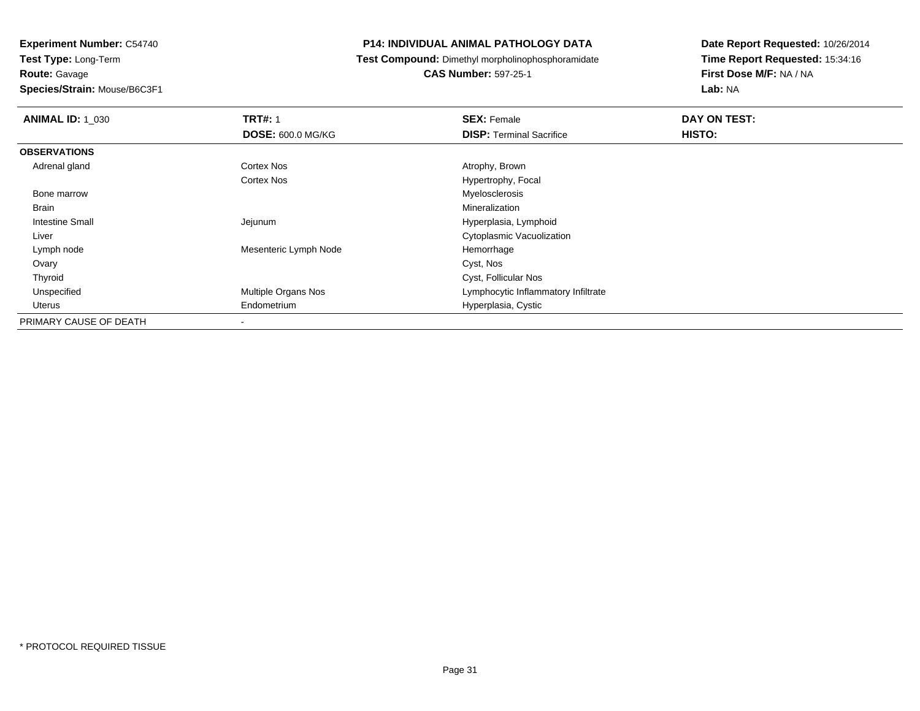### **Species/Strain:** Mouse/B6C3F1

### **P14: INDIVIDUAL ANIMAL PATHOLOGY DATA**

**Test Compound:** Dimethyl morpholinophosphoramidate

### **CAS Number:** 597-25-1

| <b>ANIMAL ID: 1 030</b> | <b>TRT#: 1</b>           | <b>SEX: Female</b>                  | DAY ON TEST: |  |
|-------------------------|--------------------------|-------------------------------------|--------------|--|
|                         | <b>DOSE: 600.0 MG/KG</b> | <b>DISP: Terminal Sacrifice</b>     | HISTO:       |  |
| <b>OBSERVATIONS</b>     |                          |                                     |              |  |
| Adrenal gland           | Cortex Nos               | Atrophy, Brown                      |              |  |
|                         | <b>Cortex Nos</b>        | Hypertrophy, Focal                  |              |  |
| Bone marrow             |                          | Myelosclerosis                      |              |  |
| Brain                   |                          | Mineralization                      |              |  |
| Intestine Small         | Jejunum                  | Hyperplasia, Lymphoid               |              |  |
| Liver                   |                          | Cytoplasmic Vacuolization           |              |  |
| Lymph node              | Mesenteric Lymph Node    | Hemorrhage                          |              |  |
| Ovary                   |                          | Cyst, Nos                           |              |  |
| Thyroid                 |                          | Cyst, Follicular Nos                |              |  |
| Unspecified             | Multiple Organs Nos      | Lymphocytic Inflammatory Infiltrate |              |  |
| Uterus                  | Endometrium              | Hyperplasia, Cystic                 |              |  |
| PRIMARY CAUSE OF DEATH  | $\overline{\phantom{a}}$ |                                     |              |  |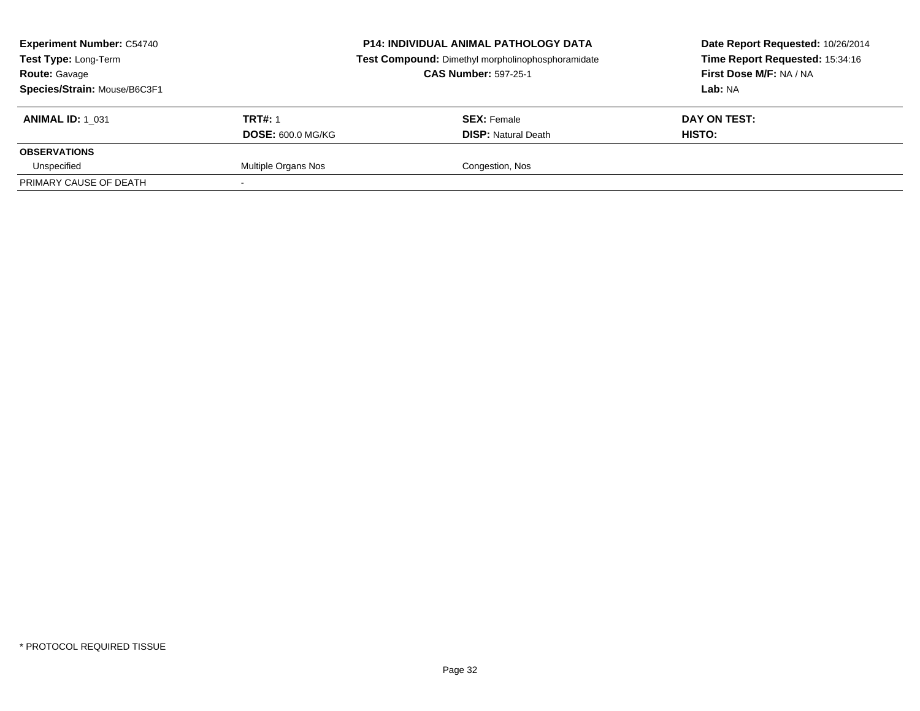| <b>Experiment Number: C54740</b><br><b>Test Type: Long-Term</b><br><b>Route: Gavage</b><br>Species/Strain: Mouse/B6C3F1 |                          | <b>P14: INDIVIDUAL ANIMAL PATHOLOGY DATA</b><br>Test Compound: Dimethyl morpholinophosphoramidate<br><b>CAS Number: 597-25-1</b> | Date Report Requested: 10/26/2014<br>Time Report Requested: 15:34:16<br>First Dose M/F: NA / NA<br>Lab: NA |
|-------------------------------------------------------------------------------------------------------------------------|--------------------------|----------------------------------------------------------------------------------------------------------------------------------|------------------------------------------------------------------------------------------------------------|
| <b>ANIMAL ID: 1 031</b>                                                                                                 | <b>TRT#: 1</b>           | <b>SEX: Female</b>                                                                                                               | DAY ON TEST:                                                                                               |
|                                                                                                                         | <b>DOSE: 600.0 MG/KG</b> | <b>DISP:</b> Natural Death                                                                                                       | HISTO:                                                                                                     |
| <b>OBSERVATIONS</b>                                                                                                     |                          |                                                                                                                                  |                                                                                                            |
| Unspecified                                                                                                             | Multiple Organs Nos      | Congestion, Nos                                                                                                                  |                                                                                                            |
| PRIMARY CAUSE OF DEATH                                                                                                  |                          |                                                                                                                                  |                                                                                                            |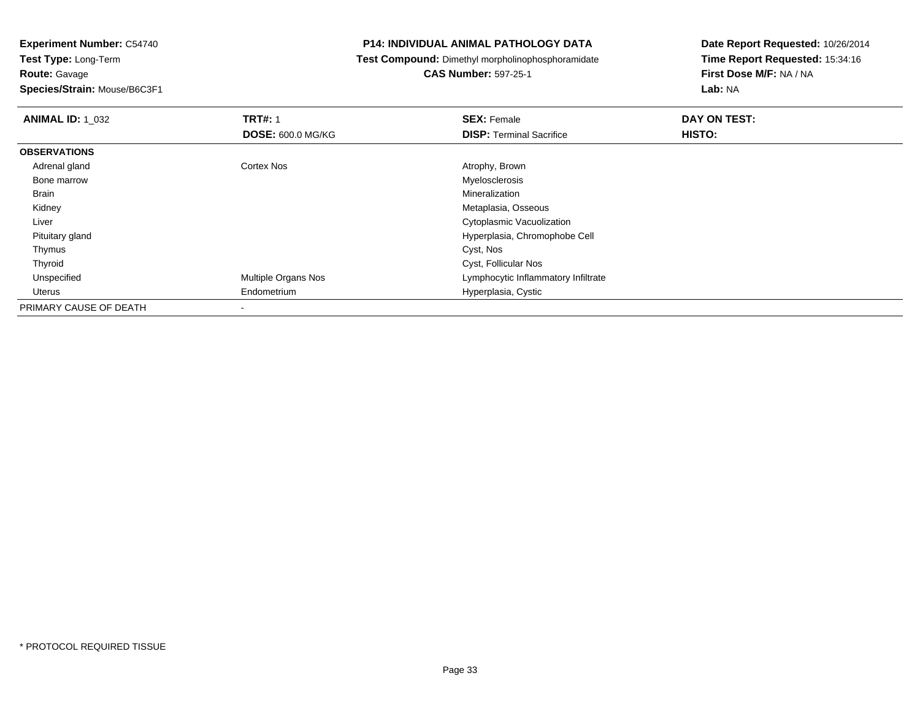**Species/Strain:** Mouse/B6C3F1

### **P14: INDIVIDUAL ANIMAL PATHOLOGY DATA**

**Test Compound:** Dimethyl morpholinophosphoramidate

**CAS Number:** 597-25-1

| <b>ANIMAL ID: 1 032</b> | <b>TRT#: 1</b>           | <b>SEX: Female</b>                  | DAY ON TEST: |
|-------------------------|--------------------------|-------------------------------------|--------------|
|                         | <b>DOSE: 600.0 MG/KG</b> | <b>DISP: Terminal Sacrifice</b>     | HISTO:       |
| <b>OBSERVATIONS</b>     |                          |                                     |              |
| Adrenal gland           | <b>Cortex Nos</b>        | Atrophy, Brown                      |              |
| Bone marrow             |                          | Myelosclerosis                      |              |
| Brain                   |                          | Mineralization                      |              |
| Kidney                  |                          | Metaplasia, Osseous                 |              |
| Liver                   |                          | Cytoplasmic Vacuolization           |              |
| Pituitary gland         |                          | Hyperplasia, Chromophobe Cell       |              |
| Thymus                  |                          | Cyst, Nos                           |              |
| Thyroid                 |                          | Cyst, Follicular Nos                |              |
| Unspecified             | Multiple Organs Nos      | Lymphocytic Inflammatory Infiltrate |              |
| Uterus                  | Endometrium              | Hyperplasia, Cystic                 |              |
| PRIMARY CAUSE OF DEATH  |                          |                                     |              |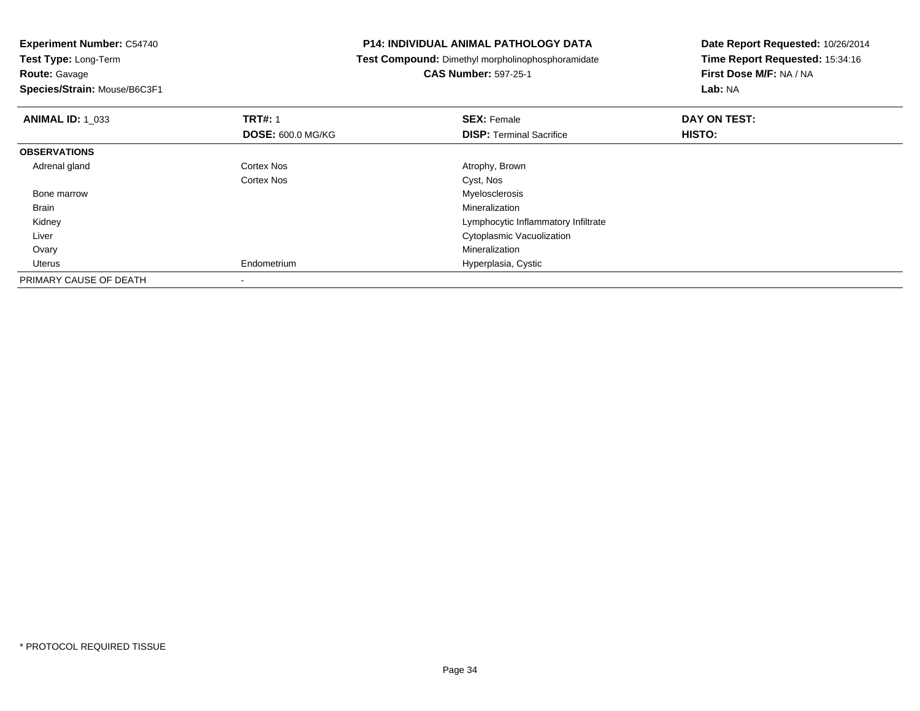### **Route:** Gavage

**Species/Strain:** Mouse/B6C3F1

### **P14: INDIVIDUAL ANIMAL PATHOLOGY DATA**

**Test Compound:** Dimethyl morpholinophosphoramidate

# **CAS Number:** 597-25-1

| <b>ANIMAL ID: 1_033</b> | <b>TRT#: 1</b>           | <b>SEX: Female</b>                  | DAY ON TEST: |  |
|-------------------------|--------------------------|-------------------------------------|--------------|--|
|                         | <b>DOSE: 600.0 MG/KG</b> | <b>DISP: Terminal Sacrifice</b>     | HISTO:       |  |
| <b>OBSERVATIONS</b>     |                          |                                     |              |  |
| Adrenal gland           | <b>Cortex Nos</b>        | Atrophy, Brown                      |              |  |
|                         | <b>Cortex Nos</b>        | Cyst, Nos                           |              |  |
| Bone marrow             |                          | Myelosclerosis                      |              |  |
| Brain                   |                          | Mineralization                      |              |  |
| Kidney                  |                          | Lymphocytic Inflammatory Infiltrate |              |  |
| Liver                   |                          | Cytoplasmic Vacuolization           |              |  |
| Ovary                   |                          | Mineralization                      |              |  |
| Uterus                  | Endometrium              | Hyperplasia, Cystic                 |              |  |
| PRIMARY CAUSE OF DEATH  |                          |                                     |              |  |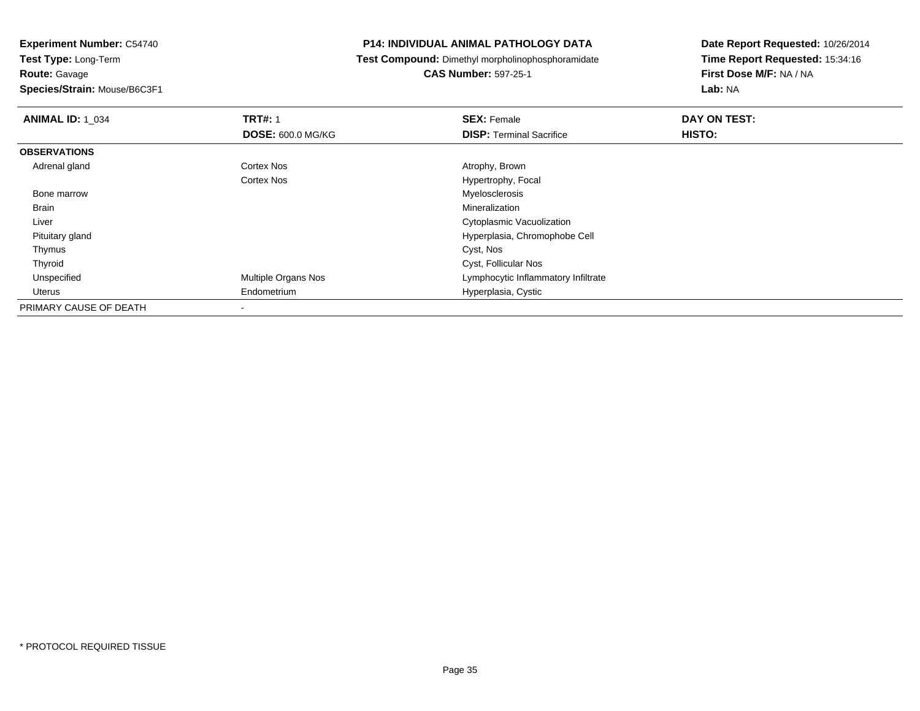**Species/Strain:** Mouse/B6C3F1

### **P14: INDIVIDUAL ANIMAL PATHOLOGY DATA**

**Test Compound:** Dimethyl morpholinophosphoramidate

# **CAS Number:** 597-25-1

| <b>ANIMAL ID: 1_034</b> | <b>TRT#: 1</b><br><b>DOSE: 600.0 MG/KG</b> | <b>SEX: Female</b><br><b>DISP: Terminal Sacrifice</b> | DAY ON TEST:<br>HISTO: |
|-------------------------|--------------------------------------------|-------------------------------------------------------|------------------------|
|                         |                                            |                                                       |                        |
| <b>OBSERVATIONS</b>     |                                            |                                                       |                        |
| Adrenal gland           | Cortex Nos                                 | Atrophy, Brown                                        |                        |
|                         | Cortex Nos                                 | Hypertrophy, Focal                                    |                        |
| Bone marrow             |                                            | Myelosclerosis                                        |                        |
| <b>Brain</b>            |                                            | Mineralization                                        |                        |
| Liver                   |                                            | Cytoplasmic Vacuolization                             |                        |
| Pituitary gland         |                                            | Hyperplasia, Chromophobe Cell                         |                        |
| Thymus                  |                                            | Cyst, Nos                                             |                        |
| Thyroid                 |                                            | Cyst, Follicular Nos                                  |                        |
| Unspecified             | Multiple Organs Nos                        | Lymphocytic Inflammatory Infiltrate                   |                        |
| Uterus                  | Endometrium                                | Hyperplasia, Cystic                                   |                        |
| PRIMARY CAUSE OF DEATH  |                                            |                                                       |                        |
|                         |                                            |                                                       |                        |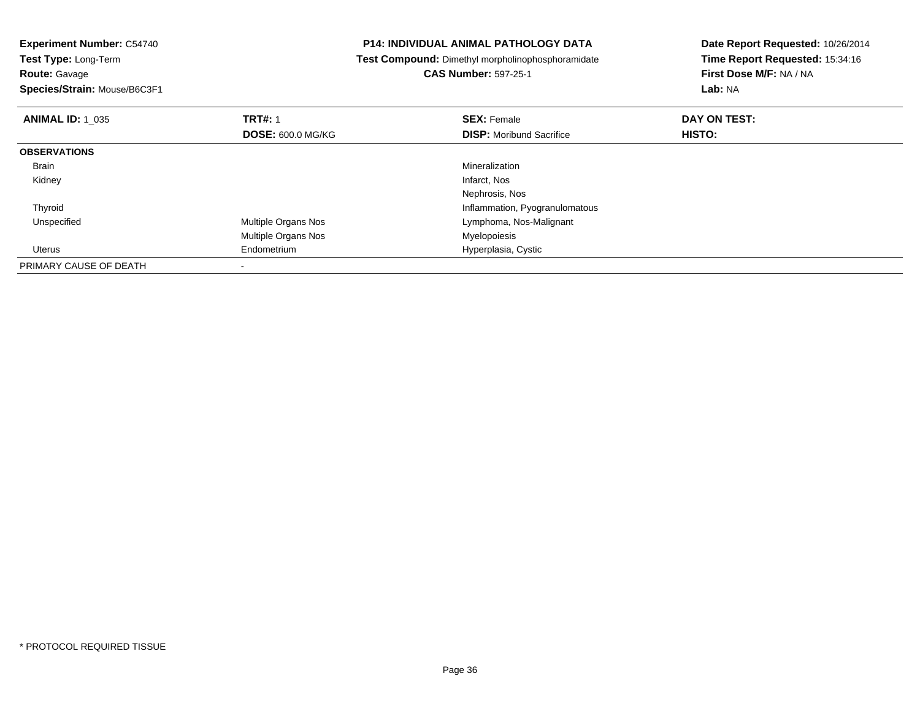| <b>Experiment Number: C54740</b><br>Test Type: Long-Term |                          | <b>P14: INDIVIDUAL ANIMAL PATHOLOGY DATA</b>      | Date Report Requested: 10/26/2014<br>Time Report Requested: 15:34:16 |  |
|----------------------------------------------------------|--------------------------|---------------------------------------------------|----------------------------------------------------------------------|--|
|                                                          |                          | Test Compound: Dimethyl morpholinophosphoramidate |                                                                      |  |
| <b>Route: Gavage</b>                                     |                          | <b>CAS Number: 597-25-1</b>                       | First Dose M/F: NA / NA                                              |  |
| Species/Strain: Mouse/B6C3F1                             |                          |                                                   | Lab: NA                                                              |  |
| <b>ANIMAL ID: 1 035</b>                                  | <b>TRT#: 1</b>           | <b>SEX: Female</b>                                | DAY ON TEST:                                                         |  |
|                                                          | <b>DOSE: 600.0 MG/KG</b> | <b>DISP:</b> Moribund Sacrifice                   | HISTO:                                                               |  |
| <b>OBSERVATIONS</b>                                      |                          |                                                   |                                                                      |  |
| Brain                                                    |                          | Mineralization                                    |                                                                      |  |
| Kidney                                                   |                          | Infarct, Nos                                      |                                                                      |  |
|                                                          |                          | Nephrosis, Nos                                    |                                                                      |  |
| Thyroid                                                  |                          | Inflammation, Pyogranulomatous                    |                                                                      |  |
| Unspecified                                              | Multiple Organs Nos      | Lymphoma, Nos-Malignant                           |                                                                      |  |
|                                                          | Multiple Organs Nos      | Myelopoiesis                                      |                                                                      |  |
| Uterus                                                   | Endometrium              | Hyperplasia, Cystic                               |                                                                      |  |
| PRIMARY CAUSE OF DEATH                                   |                          |                                                   |                                                                      |  |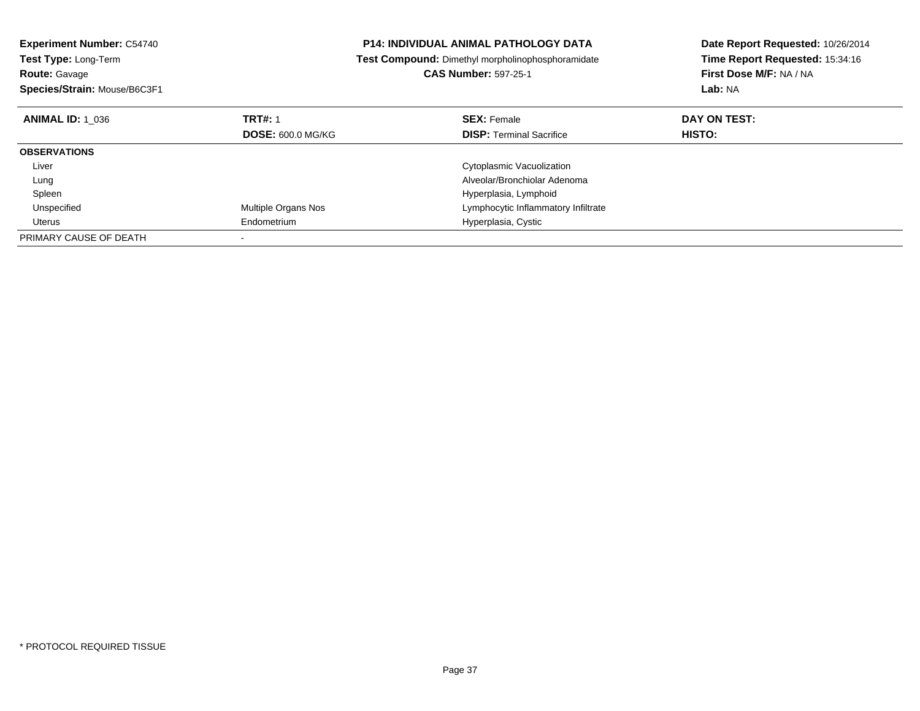| <b>Experiment Number: C54740</b><br><b>Test Type: Long-Term</b><br><b>Route: Gavage</b> |                          | <b>P14: INDIVIDUAL ANIMAL PATHOLOGY DATA</b><br>Test Compound: Dimethyl morpholinophosphoramidate<br><b>CAS Number: 597-25-1</b> | Date Report Requested: 10/26/2014<br>Time Report Requested: 15:34:16<br>First Dose M/F: NA / NA |
|-----------------------------------------------------------------------------------------|--------------------------|----------------------------------------------------------------------------------------------------------------------------------|-------------------------------------------------------------------------------------------------|
| Species/Strain: Mouse/B6C3F1                                                            |                          |                                                                                                                                  | Lab: NA                                                                                         |
| <b>ANIMAL ID: 1 036</b>                                                                 | <b>TRT#: 1</b>           | <b>SEX: Female</b>                                                                                                               | DAY ON TEST:                                                                                    |
|                                                                                         | <b>DOSE: 600.0 MG/KG</b> | <b>DISP: Terminal Sacrifice</b>                                                                                                  | <b>HISTO:</b>                                                                                   |
| <b>OBSERVATIONS</b>                                                                     |                          |                                                                                                                                  |                                                                                                 |
| Liver                                                                                   |                          | Cytoplasmic Vacuolization                                                                                                        |                                                                                                 |
| Lung                                                                                    |                          | Alveolar/Bronchiolar Adenoma                                                                                                     |                                                                                                 |
| Spleen                                                                                  |                          | Hyperplasia, Lymphoid                                                                                                            |                                                                                                 |
| Unspecified                                                                             | Multiple Organs Nos      | Lymphocytic Inflammatory Infiltrate                                                                                              |                                                                                                 |
| Uterus                                                                                  | Endometrium              | Hyperplasia, Cystic                                                                                                              |                                                                                                 |
| PRIMARY CAUSE OF DEATH                                                                  |                          |                                                                                                                                  |                                                                                                 |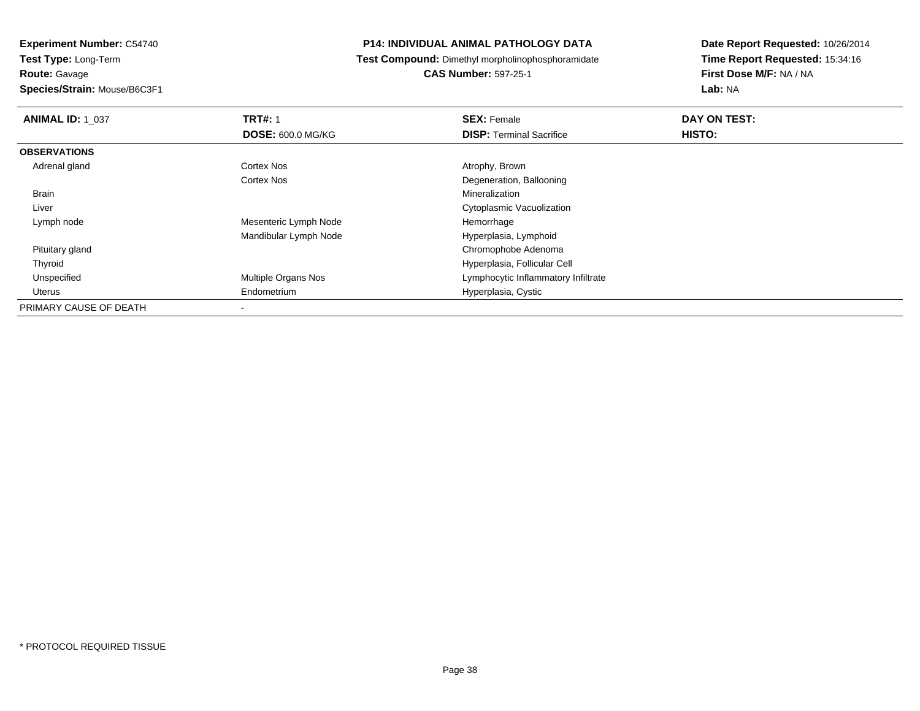**Species/Strain:** Mouse/B6C3F1

## **P14: INDIVIDUAL ANIMAL PATHOLOGY DATA**

**Test Compound:** Dimethyl morpholinophosphoramidate

**CAS Number:** 597-25-1

| <b>ANIMAL ID: 1 037</b> | <b>TRT#: 1</b>           | <b>SEX: Female</b>                  | DAY ON TEST:  |  |
|-------------------------|--------------------------|-------------------------------------|---------------|--|
|                         | <b>DOSE: 600.0 MG/KG</b> | <b>DISP: Terminal Sacrifice</b>     | <b>HISTO:</b> |  |
| <b>OBSERVATIONS</b>     |                          |                                     |               |  |
| Adrenal gland           | <b>Cortex Nos</b>        | Atrophy, Brown                      |               |  |
|                         | Cortex Nos               | Degeneration, Ballooning            |               |  |
| Brain                   |                          | Mineralization                      |               |  |
| Liver                   |                          | Cytoplasmic Vacuolization           |               |  |
| Lymph node              | Mesenteric Lymph Node    | Hemorrhage                          |               |  |
|                         | Mandibular Lymph Node    | Hyperplasia, Lymphoid               |               |  |
| Pituitary gland         |                          | Chromophobe Adenoma                 |               |  |
| Thyroid                 |                          | Hyperplasia, Follicular Cell        |               |  |
| Unspecified             | Multiple Organs Nos      | Lymphocytic Inflammatory Infiltrate |               |  |
| Uterus                  | Endometrium              | Hyperplasia, Cystic                 |               |  |
| PRIMARY CAUSE OF DEATH  | $\overline{\phantom{a}}$ |                                     |               |  |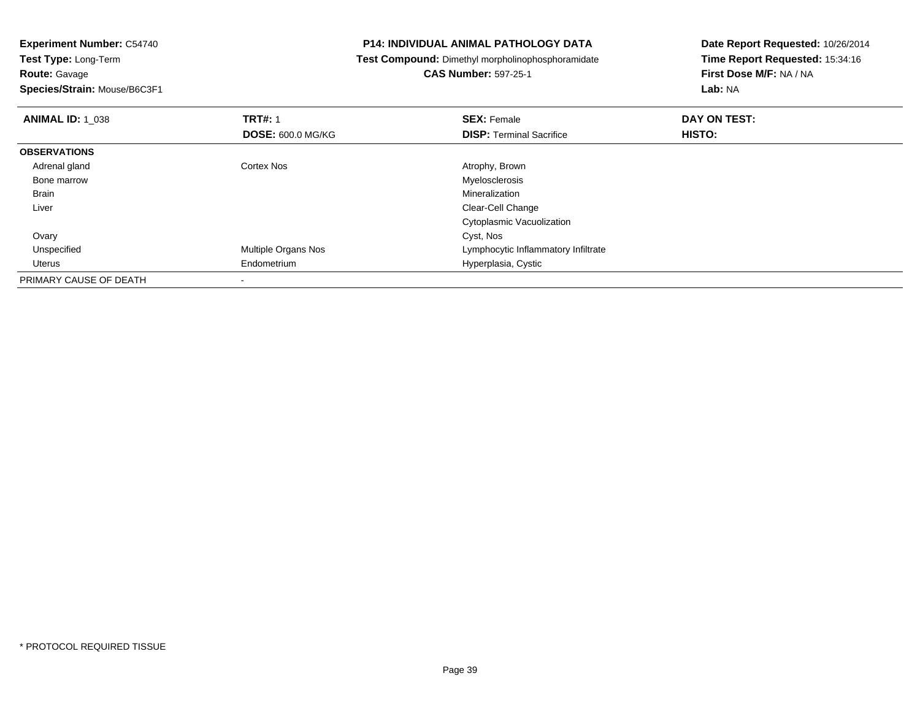# **Route:** Gavage

**Species/Strain:** Mouse/B6C3F1

## **P14: INDIVIDUAL ANIMAL PATHOLOGY DATA**

**Test Compound:** Dimethyl morpholinophosphoramidate

# **CAS Number:** 597-25-1

| <b>ANIMAL ID: 1_038</b> | <b>TRT#: 1</b>           | <b>SEX: Female</b>                  | DAY ON TEST: |  |
|-------------------------|--------------------------|-------------------------------------|--------------|--|
|                         | <b>DOSE: 600.0 MG/KG</b> | <b>DISP: Terminal Sacrifice</b>     | HISTO:       |  |
| <b>OBSERVATIONS</b>     |                          |                                     |              |  |
| Adrenal gland           | <b>Cortex Nos</b>        | Atrophy, Brown                      |              |  |
| Bone marrow             |                          | Myelosclerosis                      |              |  |
| Brain                   |                          | Mineralization                      |              |  |
| Liver                   |                          | Clear-Cell Change                   |              |  |
|                         |                          | Cytoplasmic Vacuolization           |              |  |
| Ovary                   |                          | Cyst, Nos                           |              |  |
| Unspecified             | Multiple Organs Nos      | Lymphocytic Inflammatory Infiltrate |              |  |
| Uterus                  | Endometrium              | Hyperplasia, Cystic                 |              |  |
| PRIMARY CAUSE OF DEATH  |                          |                                     |              |  |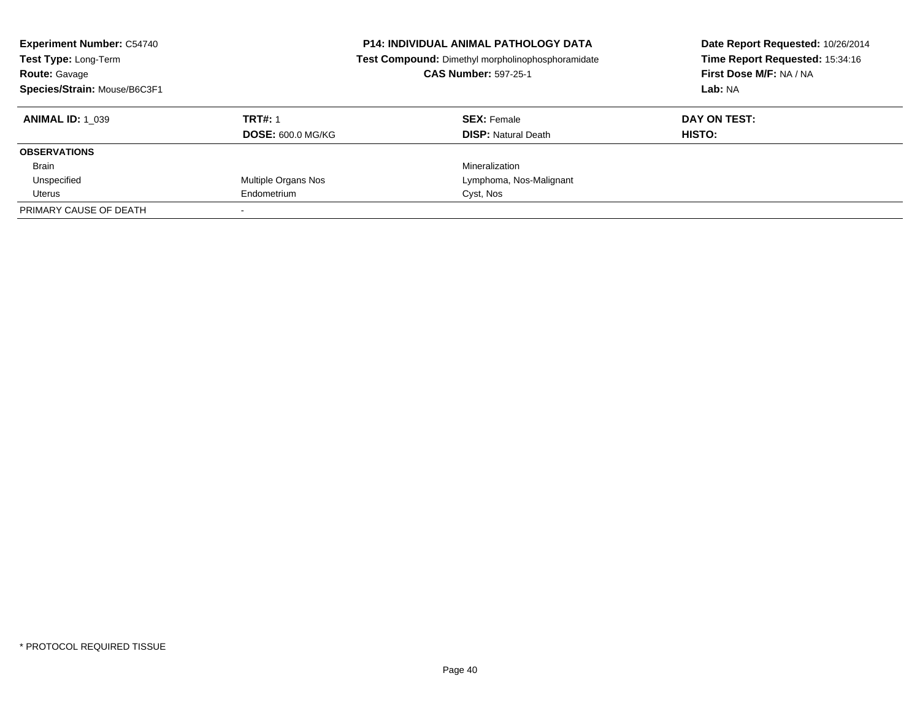| <b>Experiment Number: C54740</b><br><b>P14: INDIVIDUAL ANIMAL PATHOLOGY DATA</b><br>Test Type: Long-Term<br>Test Compound: Dimethyl morpholinophosphoramidate<br><b>CAS Number: 597-25-1</b><br><b>Route: Gavage</b><br>Species/Strain: Mouse/B6C3F1 |                          | Date Report Requested: 10/26/2014<br>Time Report Requested: 15:34:16<br>First Dose M/F: NA / NA<br>Lab: NA |               |
|------------------------------------------------------------------------------------------------------------------------------------------------------------------------------------------------------------------------------------------------------|--------------------------|------------------------------------------------------------------------------------------------------------|---------------|
| <b>ANIMAL ID: 1 039</b>                                                                                                                                                                                                                              | <b>TRT#: 1</b>           | <b>SEX: Female</b>                                                                                         | DAY ON TEST:  |
|                                                                                                                                                                                                                                                      | <b>DOSE: 600.0 MG/KG</b> | <b>DISP: Natural Death</b>                                                                                 | <b>HISTO:</b> |
| <b>OBSERVATIONS</b>                                                                                                                                                                                                                                  |                          |                                                                                                            |               |
| <b>Brain</b>                                                                                                                                                                                                                                         |                          | Mineralization                                                                                             |               |
| Unspecified                                                                                                                                                                                                                                          | Multiple Organs Nos      | Lymphoma, Nos-Malignant                                                                                    |               |
| Uterus                                                                                                                                                                                                                                               | Endometrium              | Cyst, Nos                                                                                                  |               |
| PRIMARY CAUSE OF DEATH                                                                                                                                                                                                                               |                          |                                                                                                            |               |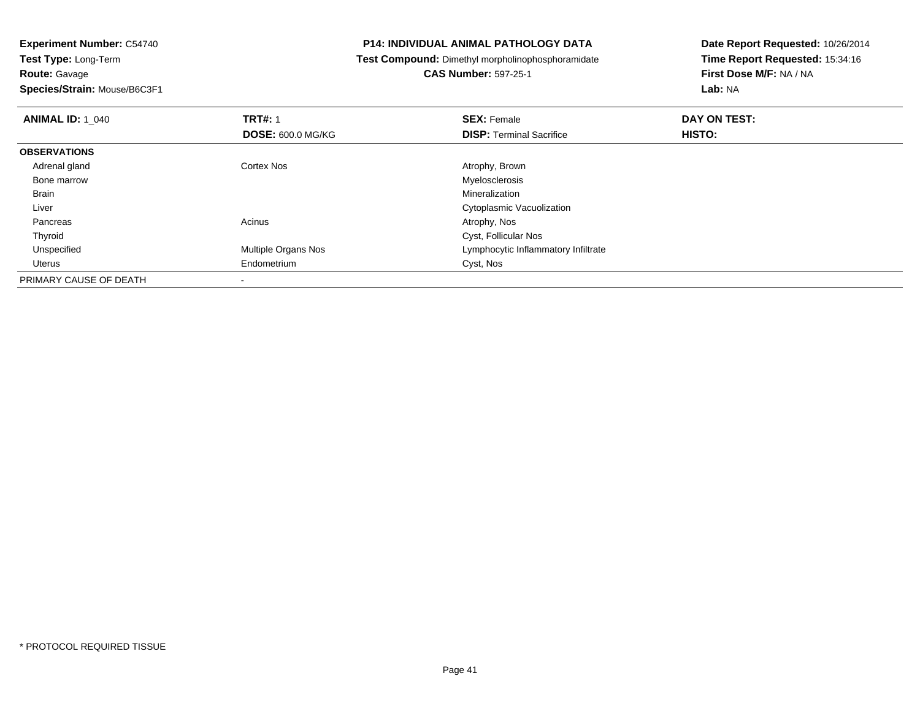**Species/Strain:** Mouse/B6C3F1

## **P14: INDIVIDUAL ANIMAL PATHOLOGY DATA**

**Test Compound:** Dimethyl morpholinophosphoramidate

**CAS Number:** 597-25-1

| <b>ANIMAL ID: 1 040</b> | <b>TRT#: 1</b>             | <b>SEX: Female</b>                  | DAY ON TEST: |  |
|-------------------------|----------------------------|-------------------------------------|--------------|--|
|                         | <b>DOSE: 600.0 MG/KG</b>   | <b>DISP:</b> Terminal Sacrifice     | HISTO:       |  |
| <b>OBSERVATIONS</b>     |                            |                                     |              |  |
| Adrenal gland           | Cortex Nos                 | Atrophy, Brown                      |              |  |
| Bone marrow             |                            | Myelosclerosis                      |              |  |
| Brain                   |                            | Mineralization                      |              |  |
| Liver                   |                            | Cytoplasmic Vacuolization           |              |  |
| Pancreas                | Acinus                     | Atrophy, Nos                        |              |  |
| Thyroid                 |                            | Cyst, Follicular Nos                |              |  |
| Unspecified             | <b>Multiple Organs Nos</b> | Lymphocytic Inflammatory Infiltrate |              |  |
| Uterus                  | Endometrium                | Cyst, Nos                           |              |  |
| PRIMARY CAUSE OF DEATH  |                            |                                     |              |  |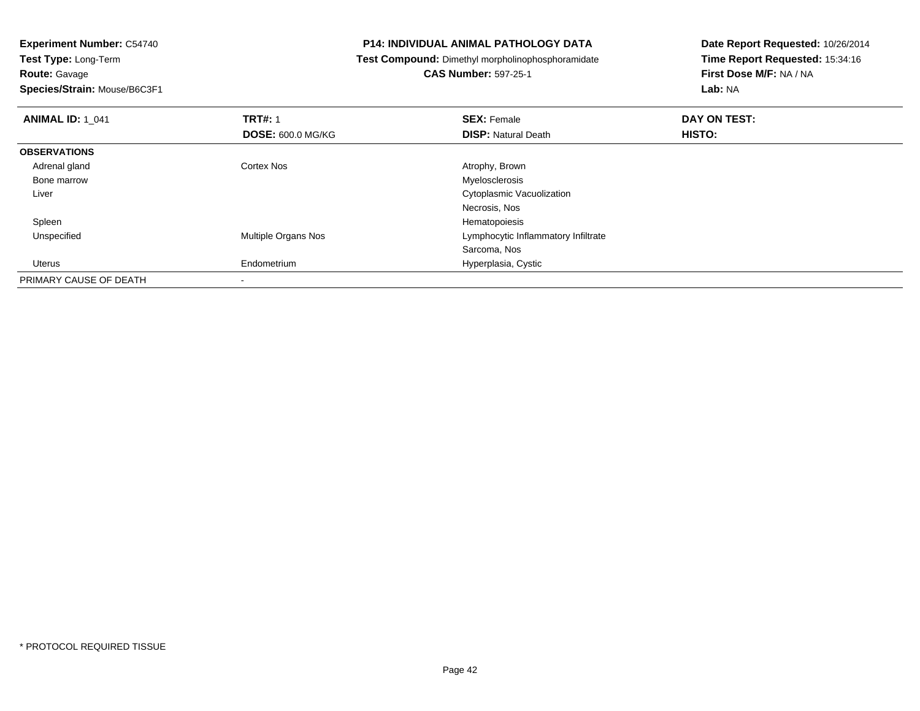**Route:** Gavage

**Species/Strain:** Mouse/B6C3F1

## **P14: INDIVIDUAL ANIMAL PATHOLOGY DATA**

**Test Compound:** Dimethyl morpholinophosphoramidate

**CAS Number:** 597-25-1

| <b>ANIMAL ID: 1 041</b> | <b>TRT#: 1</b>           | <b>SEX: Female</b>                  | DAY ON TEST: |  |
|-------------------------|--------------------------|-------------------------------------|--------------|--|
|                         | <b>DOSE: 600.0 MG/KG</b> | <b>DISP: Natural Death</b>          | HISTO:       |  |
| <b>OBSERVATIONS</b>     |                          |                                     |              |  |
| Adrenal gland           | Cortex Nos               | Atrophy, Brown                      |              |  |
| Bone marrow             |                          | Myelosclerosis                      |              |  |
| Liver                   |                          | <b>Cytoplasmic Vacuolization</b>    |              |  |
|                         |                          | Necrosis, Nos                       |              |  |
| Spleen                  |                          | Hematopoiesis                       |              |  |
| Unspecified             | Multiple Organs Nos      | Lymphocytic Inflammatory Infiltrate |              |  |
|                         |                          | Sarcoma, Nos                        |              |  |
| Uterus                  | Endometrium              | Hyperplasia, Cystic                 |              |  |
| PRIMARY CAUSE OF DEATH  |                          |                                     |              |  |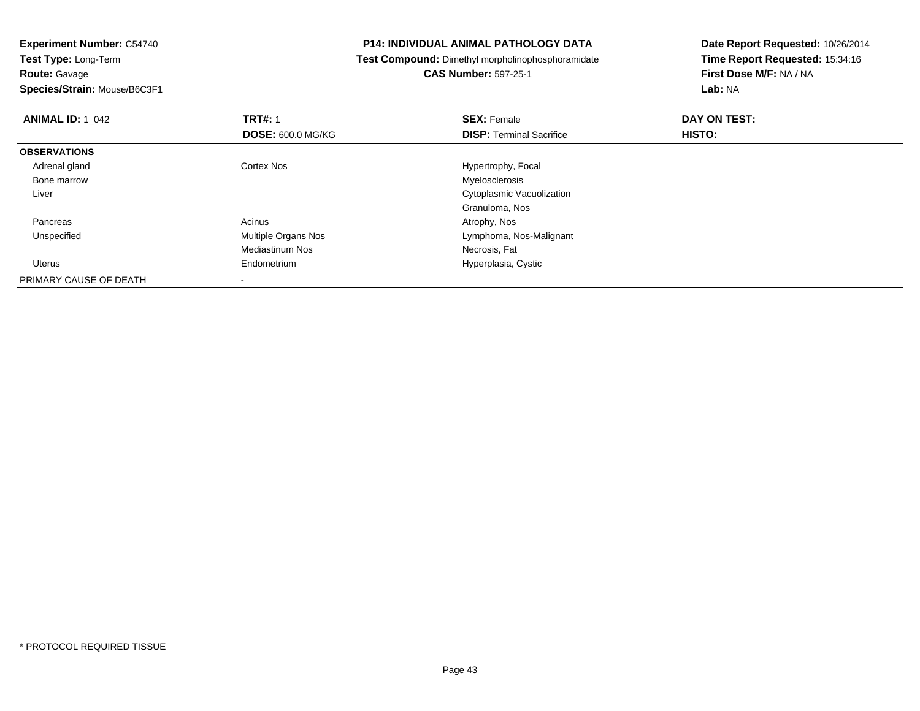**Route:** Gavage

**Species/Strain:** Mouse/B6C3F1

## **P14: INDIVIDUAL ANIMAL PATHOLOGY DATA**

**Test Compound:** Dimethyl morpholinophosphoramidate

**CAS Number:** 597-25-1

| <b>ANIMAL ID: 1 042</b> | <b>TRT#: 1</b>           | <b>SEX: Female</b>              | DAY ON TEST: |  |
|-------------------------|--------------------------|---------------------------------|--------------|--|
|                         | <b>DOSE: 600.0 MG/KG</b> | <b>DISP: Terminal Sacrifice</b> | HISTO:       |  |
| <b>OBSERVATIONS</b>     |                          |                                 |              |  |
| Adrenal gland           | <b>Cortex Nos</b>        | Hypertrophy, Focal              |              |  |
| Bone marrow             |                          | Myelosclerosis                  |              |  |
| Liver                   |                          | Cytoplasmic Vacuolization       |              |  |
|                         |                          | Granuloma, Nos                  |              |  |
| Pancreas                | Acinus                   | Atrophy, Nos                    |              |  |
| Unspecified             | Multiple Organs Nos      | Lymphoma, Nos-Malignant         |              |  |
|                         | <b>Mediastinum Nos</b>   | Necrosis, Fat                   |              |  |
| Uterus                  | Endometrium              | Hyperplasia, Cystic             |              |  |
| PRIMARY CAUSE OF DEATH  |                          |                                 |              |  |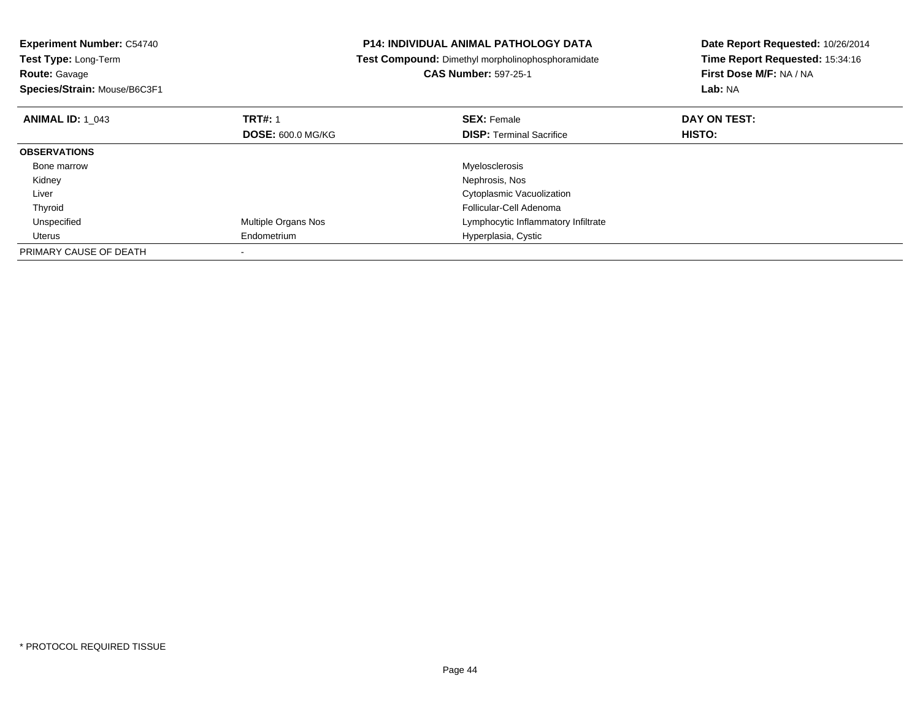| <b>Experiment Number: C54740</b> | <b>P14: INDIVIDUAL ANIMAL PATHOLOGY DATA</b> |                                                          | Date Report Requested: 10/26/2014 |
|----------------------------------|----------------------------------------------|----------------------------------------------------------|-----------------------------------|
| Test Type: Long-Term             |                                              | <b>Test Compound:</b> Dimethyl morpholinophosphoramidate | Time Report Requested: 15:34:16   |
| <b>Route: Gavage</b>             |                                              | <b>CAS Number: 597-25-1</b>                              | First Dose M/F: NA / NA           |
| Species/Strain: Mouse/B6C3F1     |                                              |                                                          | <b>Lab: NA</b>                    |
| <b>ANIMAL ID: 1 043</b>          | <b>TRT#: 1</b>                               | <b>SEX: Female</b>                                       | DAY ON TEST:                      |
|                                  | <b>DOSE: 600.0 MG/KG</b>                     | <b>DISP: Terminal Sacrifice</b>                          | HISTO:                            |
| <b>OBSERVATIONS</b>              |                                              |                                                          |                                   |
| Bone marrow                      |                                              | Myelosclerosis                                           |                                   |
| Kidney                           |                                              | Nephrosis, Nos                                           |                                   |
| Liver                            |                                              | Cytoplasmic Vacuolization                                |                                   |
| Thyroid                          |                                              | Follicular-Cell Adenoma                                  |                                   |
| Unspecified                      | Multiple Organs Nos                          | Lymphocytic Inflammatory Infiltrate                      |                                   |
| Uterus                           | Endometrium                                  | Hyperplasia, Cystic                                      |                                   |
| PRIMARY CAUSE OF DEATH           |                                              |                                                          |                                   |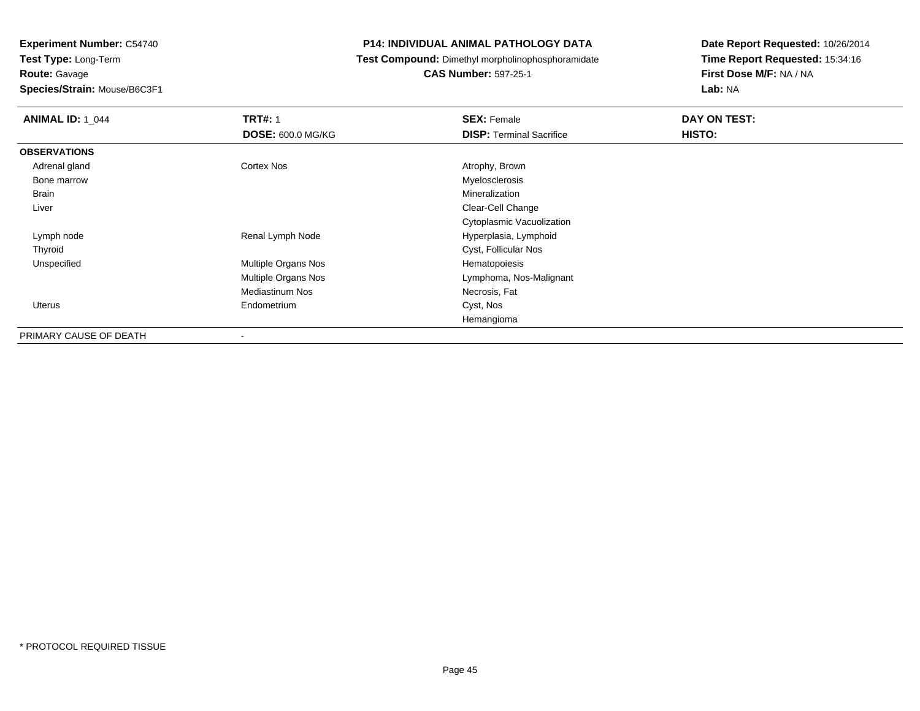**Species/Strain:** Mouse/B6C3F1

## **P14: INDIVIDUAL ANIMAL PATHOLOGY DATA**

**Test Compound:** Dimethyl morpholinophosphoramidate

**CAS Number:** 597-25-1

| <b>ANIMAL ID: 1 044</b> | <b>TRT#: 1</b>           | <b>SEX: Female</b>              | DAY ON TEST: |
|-------------------------|--------------------------|---------------------------------|--------------|
|                         | <b>DOSE: 600.0 MG/KG</b> | <b>DISP: Terminal Sacrifice</b> | HISTO:       |
| <b>OBSERVATIONS</b>     |                          |                                 |              |
| Adrenal gland           | Cortex Nos               | Atrophy, Brown                  |              |
| Bone marrow             |                          | Myelosclerosis                  |              |
| Brain                   |                          | Mineralization                  |              |
| Liver                   |                          | Clear-Cell Change               |              |
|                         |                          | Cytoplasmic Vacuolization       |              |
| Lymph node              | Renal Lymph Node         | Hyperplasia, Lymphoid           |              |
| Thyroid                 |                          | Cyst, Follicular Nos            |              |
| Unspecified             | Multiple Organs Nos      | Hematopoiesis                   |              |
|                         | Multiple Organs Nos      | Lymphoma, Nos-Malignant         |              |
|                         | <b>Mediastinum Nos</b>   | Necrosis, Fat                   |              |
| Uterus                  | Endometrium              | Cyst, Nos                       |              |
|                         |                          | Hemangioma                      |              |
| PRIMARY CAUSE OF DEATH  |                          |                                 |              |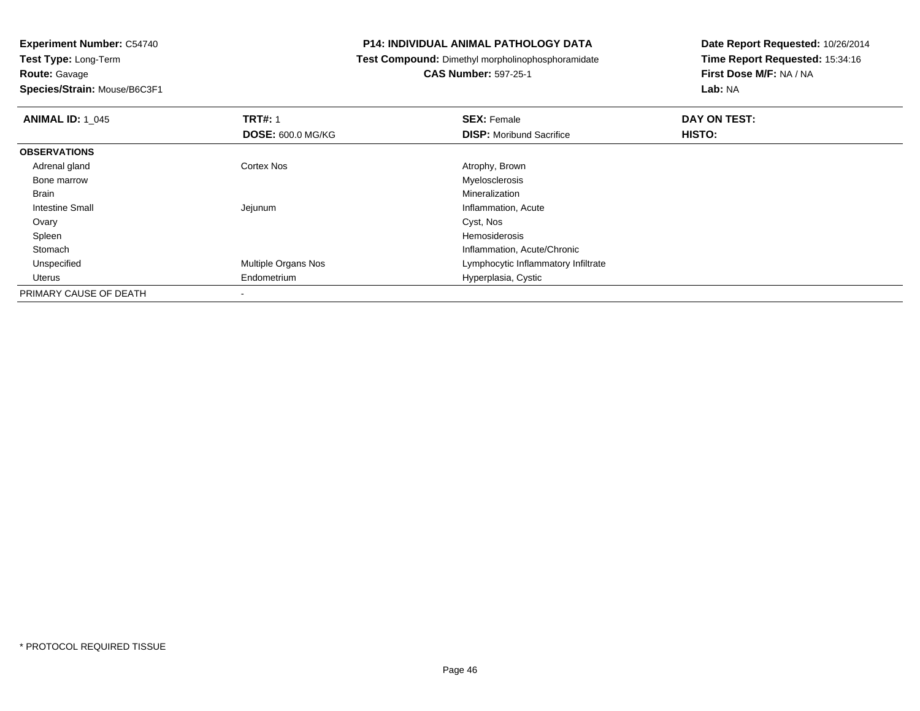**Species/Strain:** Mouse/B6C3F1

## **P14: INDIVIDUAL ANIMAL PATHOLOGY DATA**

**Test Compound:** Dimethyl morpholinophosphoramidate

**CAS Number:** 597-25-1

| <b>ANIMAL ID: 1 045</b> | <b>TRT#: 1</b>           | <b>SEX: Female</b>                  | DAY ON TEST: |  |
|-------------------------|--------------------------|-------------------------------------|--------------|--|
|                         | <b>DOSE: 600.0 MG/KG</b> | <b>DISP:</b> Moribund Sacrifice     | HISTO:       |  |
| <b>OBSERVATIONS</b>     |                          |                                     |              |  |
| Adrenal gland           | <b>Cortex Nos</b>        | Atrophy, Brown                      |              |  |
| Bone marrow             |                          | Myelosclerosis                      |              |  |
| <b>Brain</b>            |                          | Mineralization                      |              |  |
| Intestine Small         | Jejunum                  | Inflammation, Acute                 |              |  |
| Ovary                   |                          | Cyst, Nos                           |              |  |
| Spleen                  |                          | Hemosiderosis                       |              |  |
| Stomach                 |                          | Inflammation, Acute/Chronic         |              |  |
| Unspecified             | Multiple Organs Nos      | Lymphocytic Inflammatory Infiltrate |              |  |
| Uterus                  | Endometrium              | Hyperplasia, Cystic                 |              |  |
| PRIMARY CAUSE OF DEATH  |                          |                                     |              |  |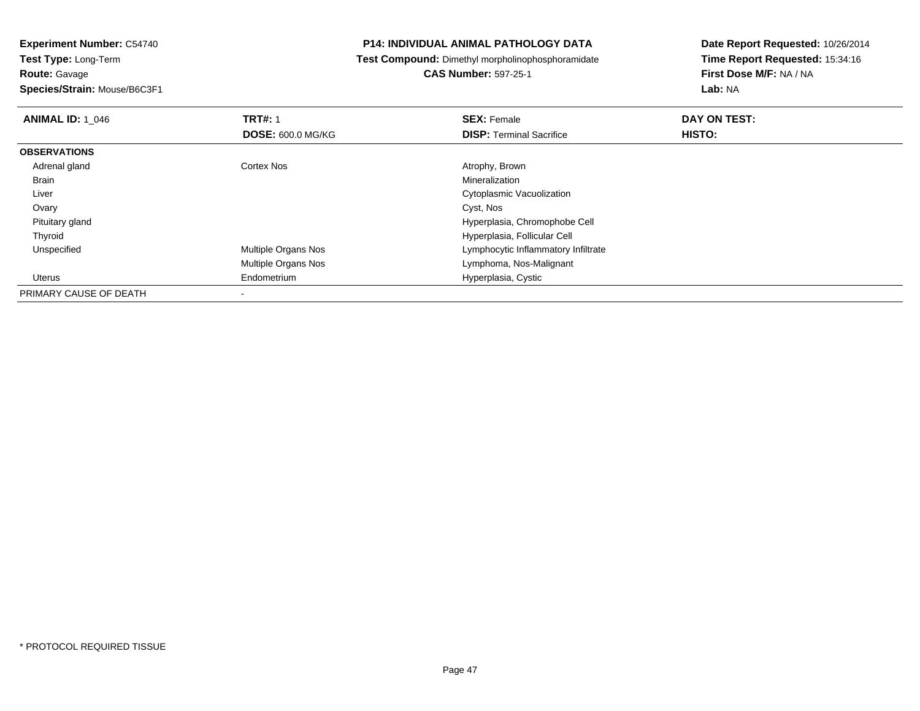**Species/Strain:** Mouse/B6C3F1

## **P14: INDIVIDUAL ANIMAL PATHOLOGY DATA**

**Test Compound:** Dimethyl morpholinophosphoramidate

**CAS Number:** 597-25-1

| <b>ANIMAL ID: 1 046</b> | <b>TRT#: 1</b>           | <b>SEX: Female</b>                  | DAY ON TEST: |  |
|-------------------------|--------------------------|-------------------------------------|--------------|--|
|                         | <b>DOSE: 600.0 MG/KG</b> | <b>DISP: Terminal Sacrifice</b>     | HISTO:       |  |
| <b>OBSERVATIONS</b>     |                          |                                     |              |  |
| Adrenal gland           | Cortex Nos               | Atrophy, Brown                      |              |  |
| <b>Brain</b>            |                          | Mineralization                      |              |  |
| Liver                   |                          | Cytoplasmic Vacuolization           |              |  |
| Ovary                   |                          | Cyst, Nos                           |              |  |
| Pituitary gland         |                          | Hyperplasia, Chromophobe Cell       |              |  |
| Thyroid                 |                          | Hyperplasia, Follicular Cell        |              |  |
| Unspecified             | Multiple Organs Nos      | Lymphocytic Inflammatory Infiltrate |              |  |
|                         | Multiple Organs Nos      | Lymphoma, Nos-Malignant             |              |  |
| Uterus                  | Endometrium              | Hyperplasia, Cystic                 |              |  |
| PRIMARY CAUSE OF DEATH  |                          |                                     |              |  |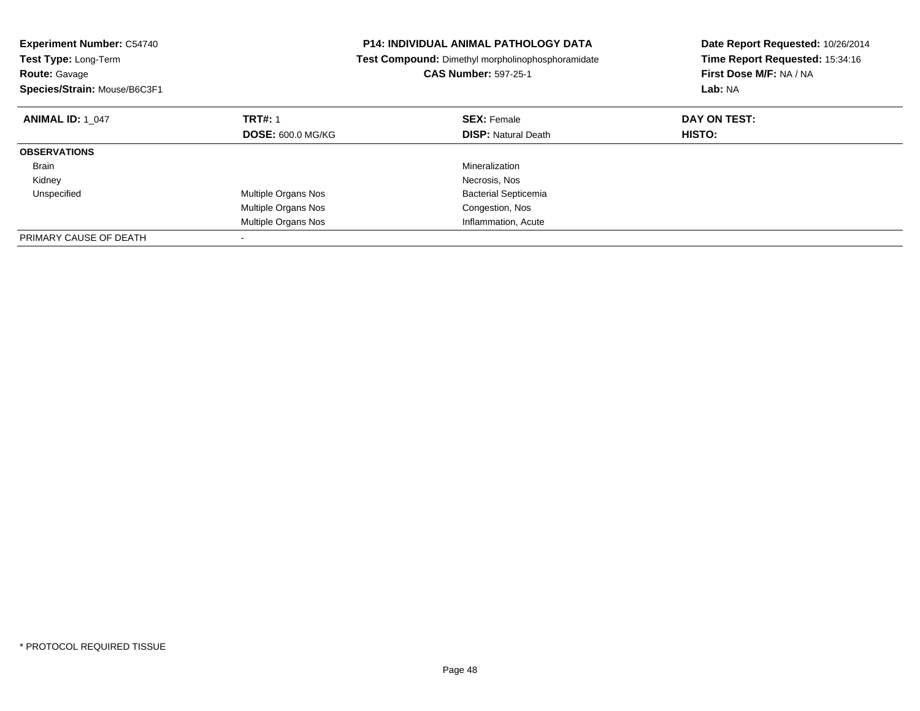| <b>Experiment Number: C54740</b><br><b>Test Type: Long-Term</b><br><b>Route: Gavage</b><br>Species/Strain: Mouse/B6C3F1 |                          | <b>P14: INDIVIDUAL ANIMAL PATHOLOGY DATA</b><br>Test Compound: Dimethyl morpholinophosphoramidate<br><b>CAS Number: 597-25-1</b> | Date Report Requested: 10/26/2014<br>Time Report Requested: 15:34:16<br>First Dose M/F: NA / NA<br>Lab: NA |
|-------------------------------------------------------------------------------------------------------------------------|--------------------------|----------------------------------------------------------------------------------------------------------------------------------|------------------------------------------------------------------------------------------------------------|
| <b>ANIMAL ID: 1 047</b>                                                                                                 | <b>TRT#: 1</b>           | <b>SEX: Female</b>                                                                                                               | DAY ON TEST:                                                                                               |
|                                                                                                                         | <b>DOSE: 600.0 MG/KG</b> | <b>DISP: Natural Death</b>                                                                                                       | <b>HISTO:</b>                                                                                              |
| <b>OBSERVATIONS</b>                                                                                                     |                          |                                                                                                                                  |                                                                                                            |
| Brain                                                                                                                   |                          | <b>Mineralization</b>                                                                                                            |                                                                                                            |
| Kidney                                                                                                                  |                          | Necrosis, Nos                                                                                                                    |                                                                                                            |
| Unspecified                                                                                                             | Multiple Organs Nos      | <b>Bacterial Septicemia</b>                                                                                                      |                                                                                                            |
|                                                                                                                         | Multiple Organs Nos      | Congestion, Nos                                                                                                                  |                                                                                                            |
|                                                                                                                         | Multiple Organs Nos      | Inflammation, Acute                                                                                                              |                                                                                                            |
| PRIMARY CAUSE OF DEATH                                                                                                  |                          |                                                                                                                                  |                                                                                                            |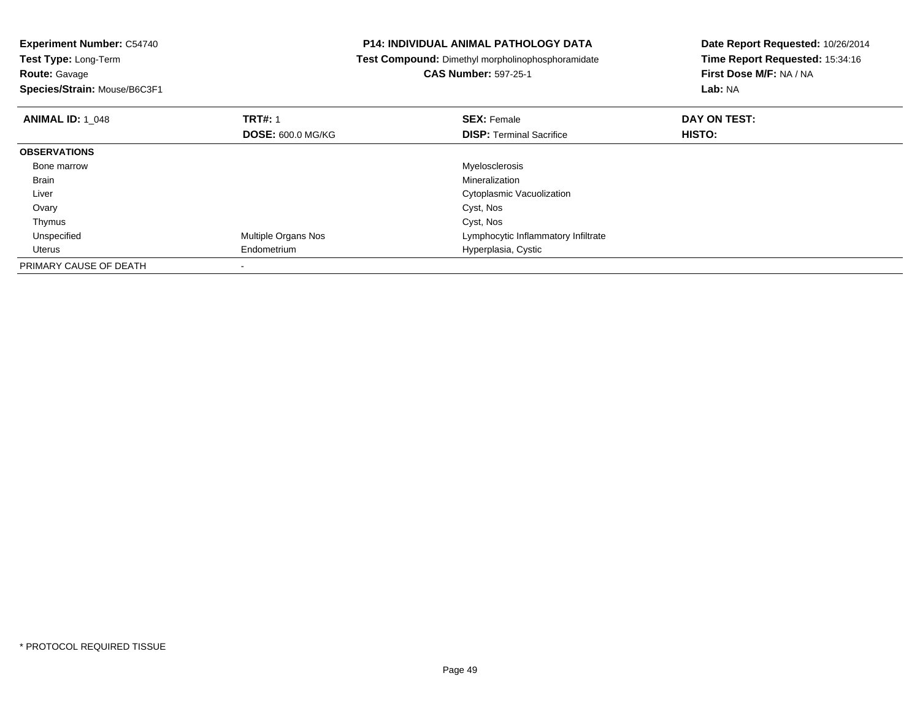| <b>Experiment Number: C54740</b>          | <b>P14: INDIVIDUAL ANIMAL PATHOLOGY DATA</b>      | Date Report Requested: 10/26/2014 |
|-------------------------------------------|---------------------------------------------------|-----------------------------------|
| Test Type: Long-Term                      | Test Compound: Dimethyl morpholinophosphoramidate | Time Report Requested: 15:34:16   |
| Route: Gavage                             | <b>CAS Number: 597-25-1</b>                       | First Dose M/F: NA / NA           |
| Species/Strain: Mouse/B6C3F1              |                                                   | Lab: NA                           |
| <b>TRT#: 1</b><br><b>ANIMAL ID: 1 048</b> | <b>SEX: Female</b>                                | DAY ON TEST:                      |
| <b>DOSE: 600.0 MG/KG</b>                  | <b>DISP:</b> Terminal Sacrifice                   | <b>HISTO:</b>                     |
| <b>OBSERVATIONS</b>                       |                                                   |                                   |
| Bone marrow                               | Myelosclerosis                                    |                                   |
| Brain                                     | Mineralization                                    |                                   |
| Liver                                     | Cytoplasmic Vacuolization                         |                                   |
| Ovary                                     | Cyst, Nos                                         |                                   |
| Thymus                                    | Cyst, Nos                                         |                                   |
| Multiple Organs Nos<br>Unspecified        | Lymphocytic Inflammatory Infiltrate               |                                   |
| Endometrium<br>Uterus                     | Hyperplasia, Cystic                               |                                   |
| PRIMARY CAUSE OF DEATH                    |                                                   |                                   |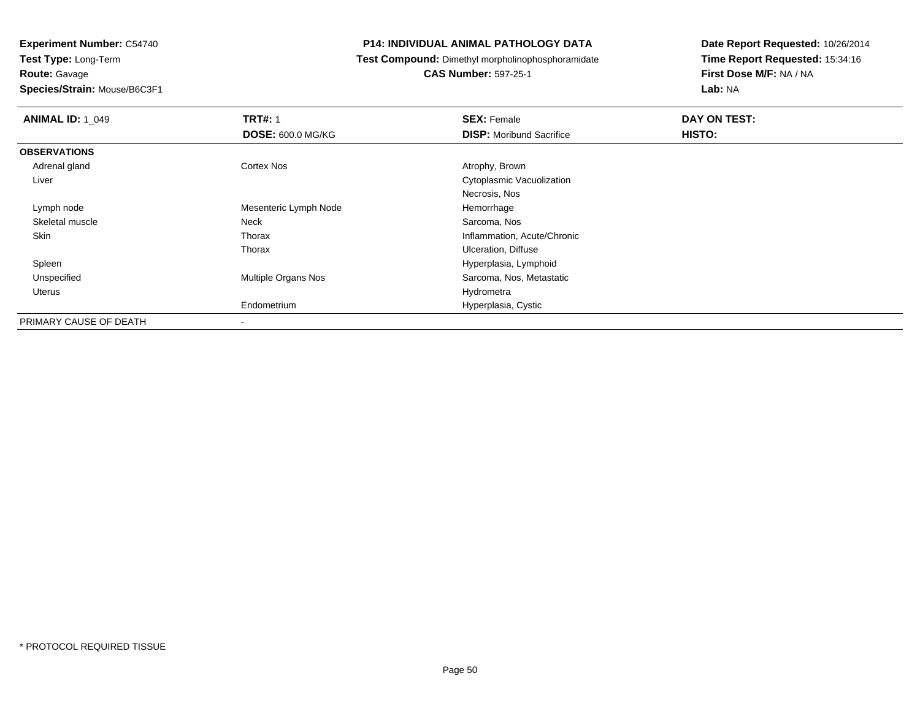# **Route:** Gavage

**Species/Strain:** Mouse/B6C3F1

## **P14: INDIVIDUAL ANIMAL PATHOLOGY DATA**

## **Test Compound:** Dimethyl morpholinophosphoramidate

## **CAS Number:** 597-25-1

| <b>ANIMAL ID: 1_049</b> | <b>TRT#: 1</b>           | <b>SEX: Female</b>              | DAY ON TEST: |  |
|-------------------------|--------------------------|---------------------------------|--------------|--|
|                         | <b>DOSE: 600.0 MG/KG</b> | <b>DISP:</b> Moribund Sacrifice | HISTO:       |  |
| <b>OBSERVATIONS</b>     |                          |                                 |              |  |
| Adrenal gland           | Cortex Nos               | Atrophy, Brown                  |              |  |
| Liver                   |                          | Cytoplasmic Vacuolization       |              |  |
|                         |                          | Necrosis, Nos                   |              |  |
| Lymph node              | Mesenteric Lymph Node    | Hemorrhage                      |              |  |
| Skeletal muscle         | Neck                     | Sarcoma, Nos                    |              |  |
| Skin                    | Thorax                   | Inflammation, Acute/Chronic     |              |  |
|                         | Thorax                   | <b>Ulceration, Diffuse</b>      |              |  |
| Spleen                  |                          | Hyperplasia, Lymphoid           |              |  |
| Unspecified             | Multiple Organs Nos      | Sarcoma, Nos, Metastatic        |              |  |
| Uterus                  |                          | Hydrometra                      |              |  |
|                         | Endometrium              | Hyperplasia, Cystic             |              |  |
| PRIMARY CAUSE OF DEATH  | $\blacksquare$           |                                 |              |  |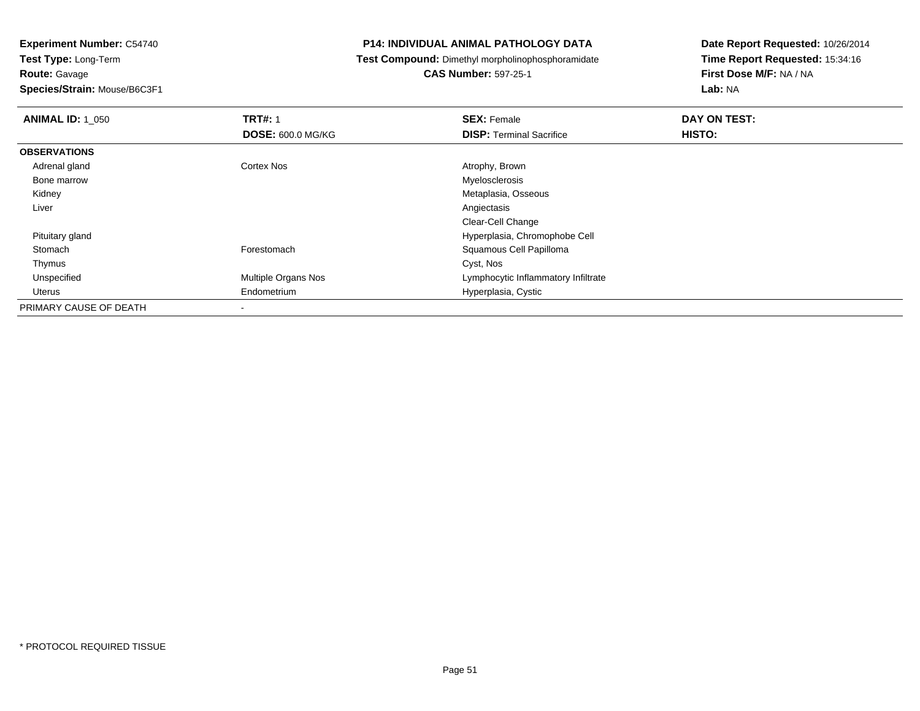**Route:** Gavage

**Species/Strain:** Mouse/B6C3F1

## **P14: INDIVIDUAL ANIMAL PATHOLOGY DATA**

**Test Compound:** Dimethyl morpholinophosphoramidate

# **CAS Number:** 597-25-1

| <b>ANIMAL ID: 1 050</b> | <b>TRT#: 1</b>           | <b>SEX: Female</b>                  | DAY ON TEST: |  |
|-------------------------|--------------------------|-------------------------------------|--------------|--|
|                         | <b>DOSE: 600.0 MG/KG</b> | <b>DISP: Terminal Sacrifice</b>     | HISTO:       |  |
| <b>OBSERVATIONS</b>     |                          |                                     |              |  |
| Adrenal gland           | Cortex Nos               | Atrophy, Brown                      |              |  |
| Bone marrow             |                          | Myelosclerosis                      |              |  |
| Kidney                  |                          | Metaplasia, Osseous                 |              |  |
| Liver                   |                          | Angiectasis                         |              |  |
|                         |                          | Clear-Cell Change                   |              |  |
| Pituitary gland         |                          | Hyperplasia, Chromophobe Cell       |              |  |
| Stomach                 | Forestomach              | Squamous Cell Papilloma             |              |  |
| Thymus                  |                          | Cyst, Nos                           |              |  |
| Unspecified             | Multiple Organs Nos      | Lymphocytic Inflammatory Infiltrate |              |  |
| Uterus                  | Endometrium              | Hyperplasia, Cystic                 |              |  |
| PRIMARY CAUSE OF DEATH  | $\blacksquare$           |                                     |              |  |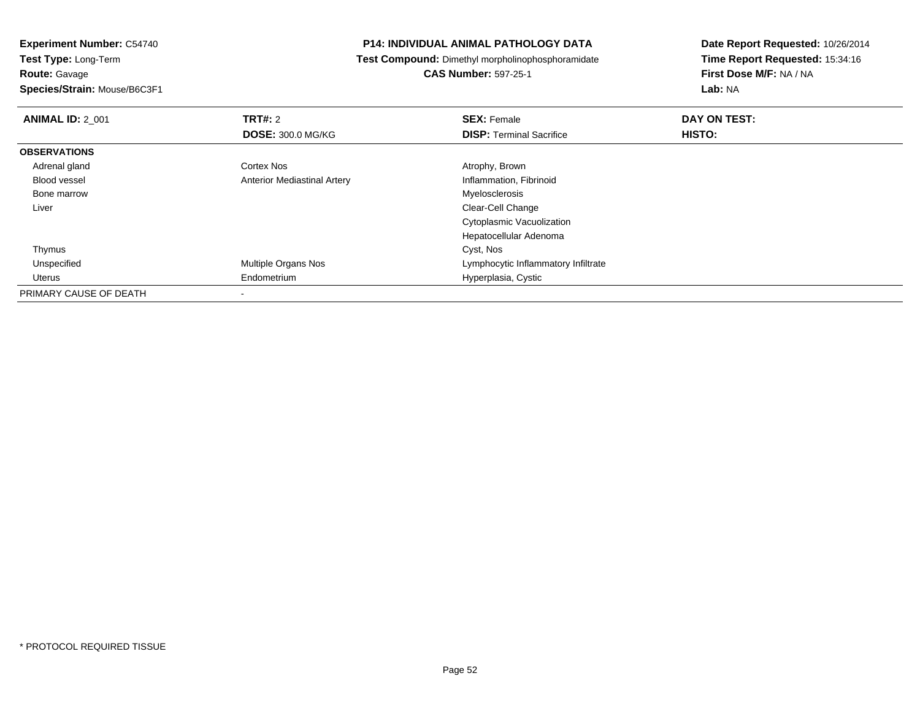**Route:** Gavage

**Species/Strain:** Mouse/B6C3F1

## **P14: INDIVIDUAL ANIMAL PATHOLOGY DATA**

**Test Compound:** Dimethyl morpholinophosphoramidate

**CAS Number:** 597-25-1

| <b>ANIMAL ID: 2 001</b> | TRT#: 2                            | <b>SEX: Female</b>                  | DAY ON TEST: |  |
|-------------------------|------------------------------------|-------------------------------------|--------------|--|
|                         | <b>DOSE: 300.0 MG/KG</b>           | <b>DISP: Terminal Sacrifice</b>     | HISTO:       |  |
| <b>OBSERVATIONS</b>     |                                    |                                     |              |  |
| Adrenal gland           | Cortex Nos                         | Atrophy, Brown                      |              |  |
| <b>Blood vessel</b>     | <b>Anterior Mediastinal Artery</b> | Inflammation, Fibrinoid             |              |  |
| Bone marrow             |                                    | Myelosclerosis                      |              |  |
| Liver                   |                                    | Clear-Cell Change                   |              |  |
|                         |                                    | Cytoplasmic Vacuolization           |              |  |
|                         |                                    | Hepatocellular Adenoma              |              |  |
| Thymus                  |                                    | Cyst, Nos                           |              |  |
| Unspecified             | <b>Multiple Organs Nos</b>         | Lymphocytic Inflammatory Infiltrate |              |  |
| Uterus                  | Endometrium                        | Hyperplasia, Cystic                 |              |  |
| PRIMARY CAUSE OF DEATH  |                                    |                                     |              |  |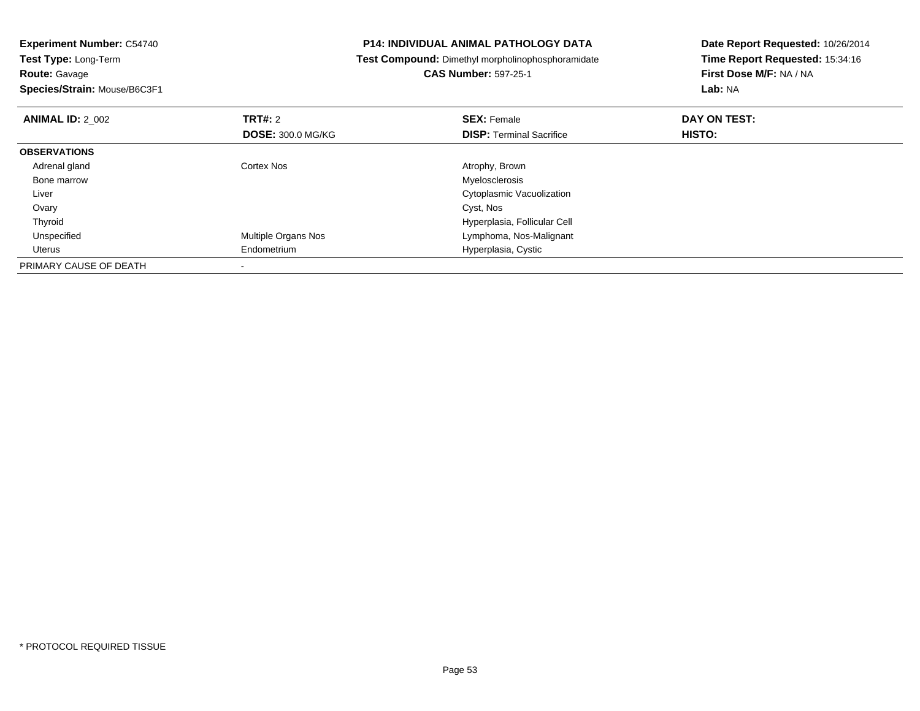| <b>Experiment Number: C54740</b>          | <b>P14: INDIVIDUAL ANIMAL PATHOLOGY DATA</b>      | Date Report Requested: 10/26/2014 |
|-------------------------------------------|---------------------------------------------------|-----------------------------------|
| <b>Test Type: Long-Term</b>               | Test Compound: Dimethyl morpholinophosphoramidate | Time Report Requested: 15:34:16   |
| <b>Route: Gavage</b>                      | <b>CAS Number: 597-25-1</b>                       | First Dose M/F: NA / NA           |
| Species/Strain: Mouse/B6C3F1              |                                                   | <b>Lab: NA</b>                    |
| <b>TRT#:</b> 2<br><b>ANIMAL ID: 2 002</b> | <b>SEX: Female</b>                                | DAY ON TEST:                      |
| <b>DOSE: 300.0 MG/KG</b>                  | <b>DISP: Terminal Sacrifice</b>                   | HISTO:                            |
| <b>OBSERVATIONS</b>                       |                                                   |                                   |
| Adrenal gland<br>Cortex Nos               | Atrophy, Brown                                    |                                   |
| Bone marrow                               | Myelosclerosis                                    |                                   |
| Liver                                     | Cytoplasmic Vacuolization                         |                                   |
| Ovary                                     | Cyst, Nos                                         |                                   |
| Thyroid                                   | Hyperplasia, Follicular Cell                      |                                   |
| Multiple Organs Nos<br>Unspecified        | Lymphoma, Nos-Malignant                           |                                   |
| Uterus<br>Endometrium                     | Hyperplasia, Cystic                               |                                   |
| PRIMARY CAUSE OF DEATH                    |                                                   |                                   |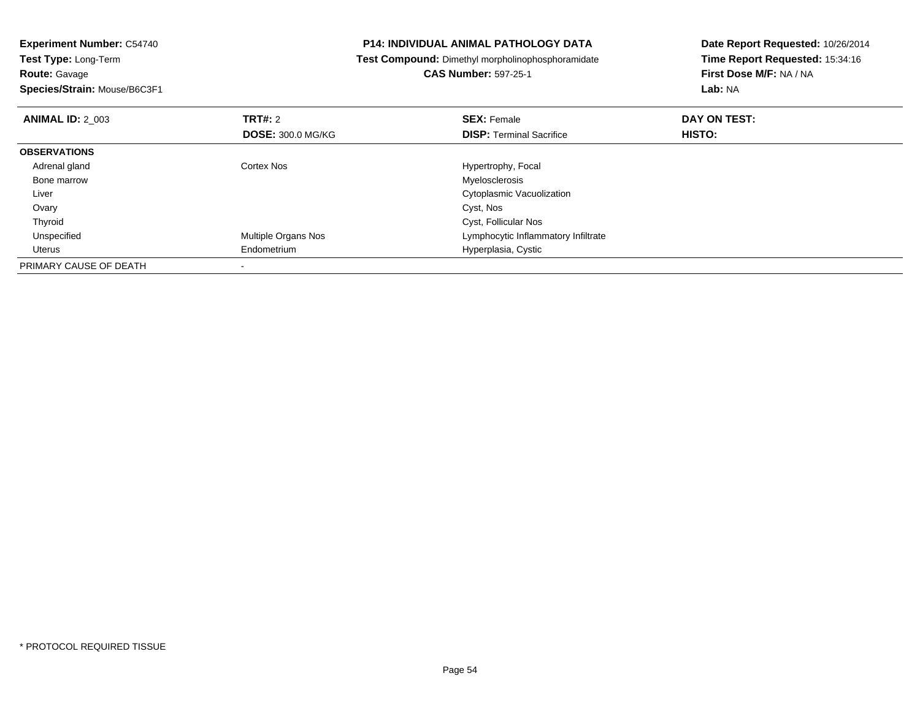| <b>P14: INDIVIDUAL ANIMAL PATHOLOGY DATA</b>             | Date Report Requested: 10/26/2014<br>Time Report Requested: 15:34:16 |  |
|----------------------------------------------------------|----------------------------------------------------------------------|--|
| <b>Test Compound:</b> Dimethyl morpholinophosphoramidate |                                                                      |  |
| <b>CAS Number: 597-25-1</b>                              | First Dose M/F: NA / NA                                              |  |
|                                                          | Lab: NA                                                              |  |
| <b>SEX: Female</b>                                       | DAY ON TEST:                                                         |  |
| <b>DISP: Terminal Sacrifice</b>                          | <b>HISTO:</b>                                                        |  |
|                                                          |                                                                      |  |
| Hypertrophy, Focal                                       |                                                                      |  |
| Myelosclerosis                                           |                                                                      |  |
| Cytoplasmic Vacuolization                                |                                                                      |  |
| Cyst, Nos                                                |                                                                      |  |
| Cyst, Follicular Nos                                     |                                                                      |  |
| Lymphocytic Inflammatory Infiltrate                      |                                                                      |  |
| Hyperplasia, Cystic                                      |                                                                      |  |
|                                                          |                                                                      |  |
|                                                          | <b>DOSE: 300.0 MG/KG</b>                                             |  |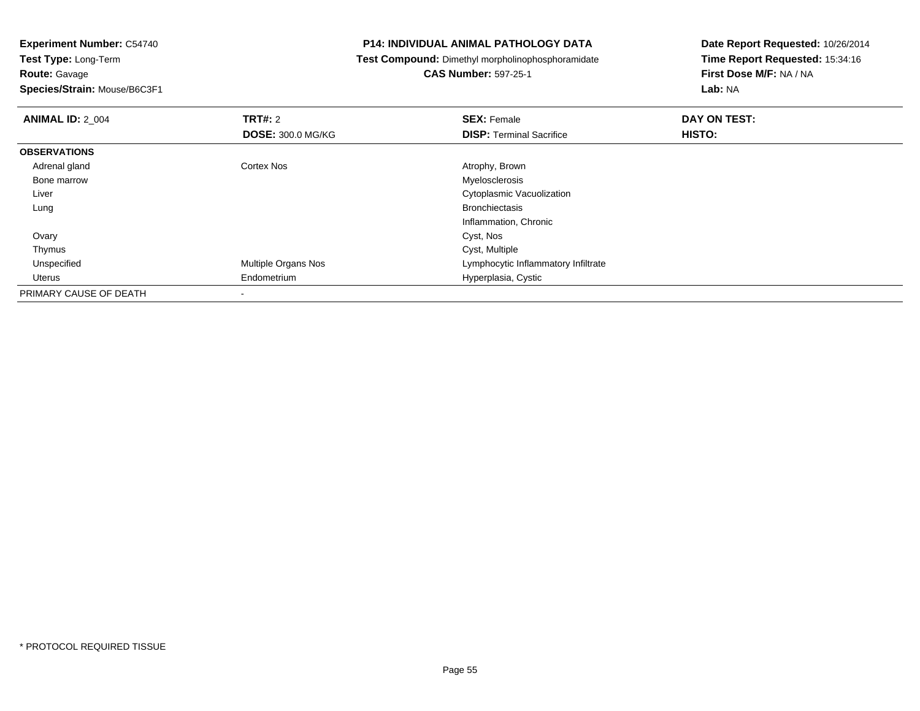**Route:** Gavage

**Species/Strain:** Mouse/B6C3F1

## **P14: INDIVIDUAL ANIMAL PATHOLOGY DATA**

**Test Compound:** Dimethyl morpholinophosphoramidate

**CAS Number:** 597-25-1

| <b>ANIMAL ID: 2 004</b> | TRT#: 2                  | <b>SEX: Female</b>                  | DAY ON TEST: |  |
|-------------------------|--------------------------|-------------------------------------|--------------|--|
|                         | <b>DOSE: 300.0 MG/KG</b> | <b>DISP: Terminal Sacrifice</b>     | HISTO:       |  |
| <b>OBSERVATIONS</b>     |                          |                                     |              |  |
| Adrenal gland           | <b>Cortex Nos</b>        | Atrophy, Brown                      |              |  |
| Bone marrow             |                          | Myelosclerosis                      |              |  |
| Liver                   |                          | Cytoplasmic Vacuolization           |              |  |
| Lung                    |                          | <b>Bronchiectasis</b>               |              |  |
|                         |                          | Inflammation, Chronic               |              |  |
| Ovary                   |                          | Cyst, Nos                           |              |  |
| Thymus                  |                          | Cyst, Multiple                      |              |  |
| Unspecified             | Multiple Organs Nos      | Lymphocytic Inflammatory Infiltrate |              |  |
| Uterus                  | Endometrium              | Hyperplasia, Cystic                 |              |  |
| PRIMARY CAUSE OF DEATH  |                          |                                     |              |  |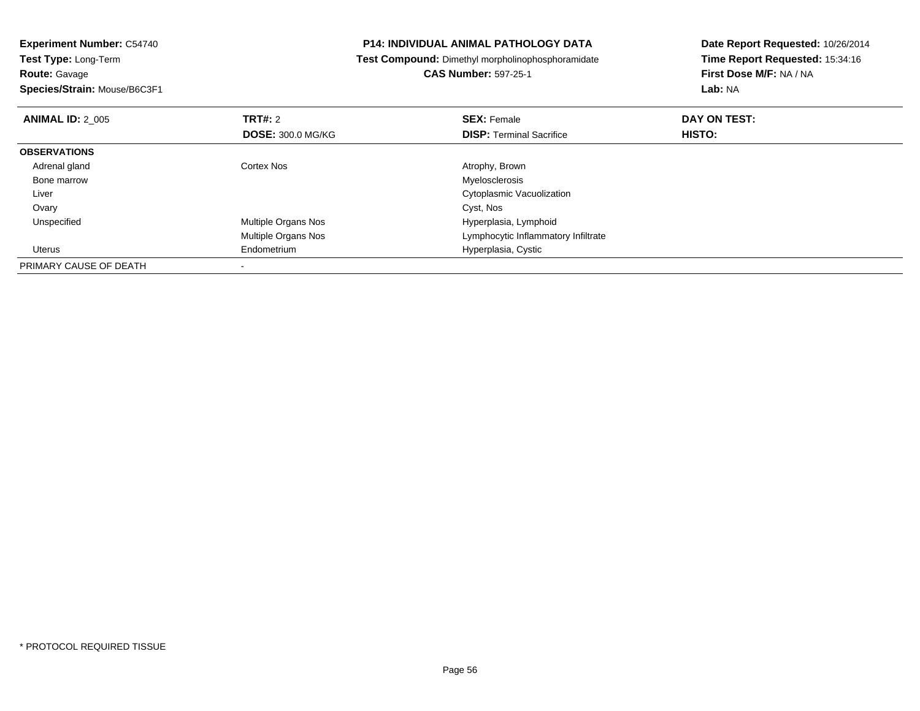| <b>P14: INDIVIDUAL ANIMAL PATHOLOGY DATA</b>      | Date Report Requested: 10/26/2014                                      |  |
|---------------------------------------------------|------------------------------------------------------------------------|--|
| Test Compound: Dimethyl morpholinophosphoramidate | Time Report Requested: 15:34:16                                        |  |
| <b>CAS Number: 597-25-1</b>                       | First Dose M/F: NA / NA                                                |  |
|                                                   | Lab: NA                                                                |  |
| <b>SEX: Female</b>                                | DAY ON TEST:                                                           |  |
| <b>DISP:</b> Terminal Sacrifice                   | <b>HISTO:</b>                                                          |  |
|                                                   |                                                                        |  |
| Atrophy, Brown                                    |                                                                        |  |
| Myelosclerosis                                    |                                                                        |  |
| Cytoplasmic Vacuolization                         |                                                                        |  |
| Cyst, Nos                                         |                                                                        |  |
| Hyperplasia, Lymphoid                             |                                                                        |  |
| Lymphocytic Inflammatory Infiltrate               |                                                                        |  |
| Hyperplasia, Cystic                               |                                                                        |  |
|                                                   |                                                                        |  |
|                                                   | <b>DOSE: 300.0 MG/KG</b><br>Multiple Organs Nos<br>Multiple Organs Nos |  |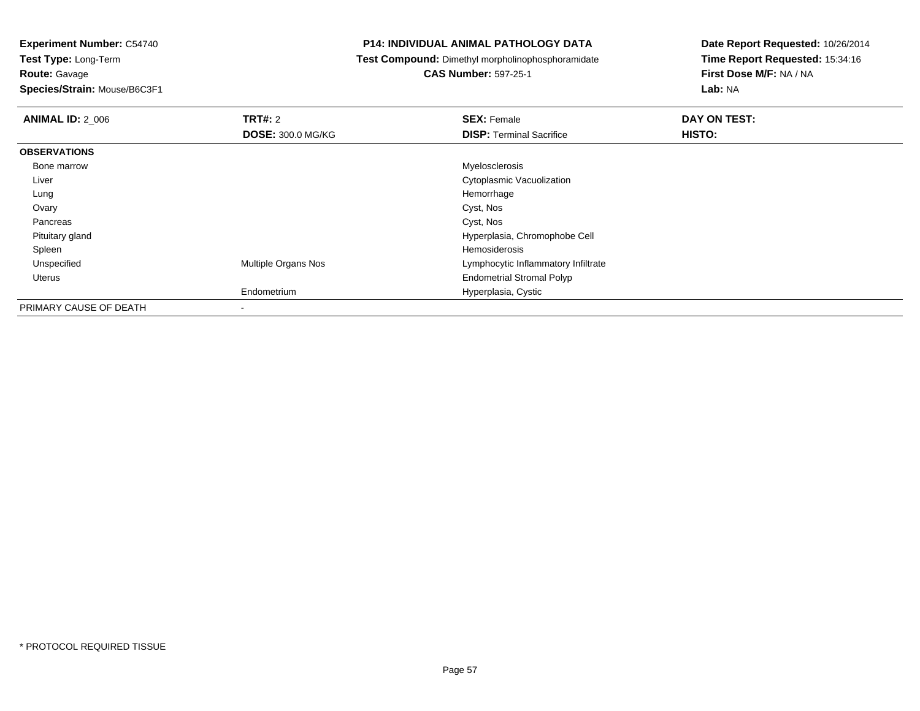# **Route:** Gavage

**Species/Strain:** Mouse/B6C3F1

## **P14: INDIVIDUAL ANIMAL PATHOLOGY DATA**

## **Test Compound:** Dimethyl morpholinophosphoramidate

**CAS Number:** 597-25-1

| <b>ANIMAL ID: 2 006</b> | TRT#: 2                  | <b>SEX: Female</b>                  | DAY ON TEST: |
|-------------------------|--------------------------|-------------------------------------|--------------|
|                         | <b>DOSE: 300.0 MG/KG</b> | <b>DISP: Terminal Sacrifice</b>     | HISTO:       |
| <b>OBSERVATIONS</b>     |                          |                                     |              |
| Bone marrow             |                          | Myelosclerosis                      |              |
| Liver                   |                          | Cytoplasmic Vacuolization           |              |
| Lung                    |                          | Hemorrhage                          |              |
| Ovary                   |                          | Cyst, Nos                           |              |
| Pancreas                |                          | Cyst, Nos                           |              |
| Pituitary gland         |                          | Hyperplasia, Chromophobe Cell       |              |
| Spleen                  |                          | Hemosiderosis                       |              |
| Unspecified             | Multiple Organs Nos      | Lymphocytic Inflammatory Infiltrate |              |
| Uterus                  |                          | <b>Endometrial Stromal Polyp</b>    |              |
|                         | Endometrium              | Hyperplasia, Cystic                 |              |
| PRIMARY CAUSE OF DEATH  | ٠                        |                                     |              |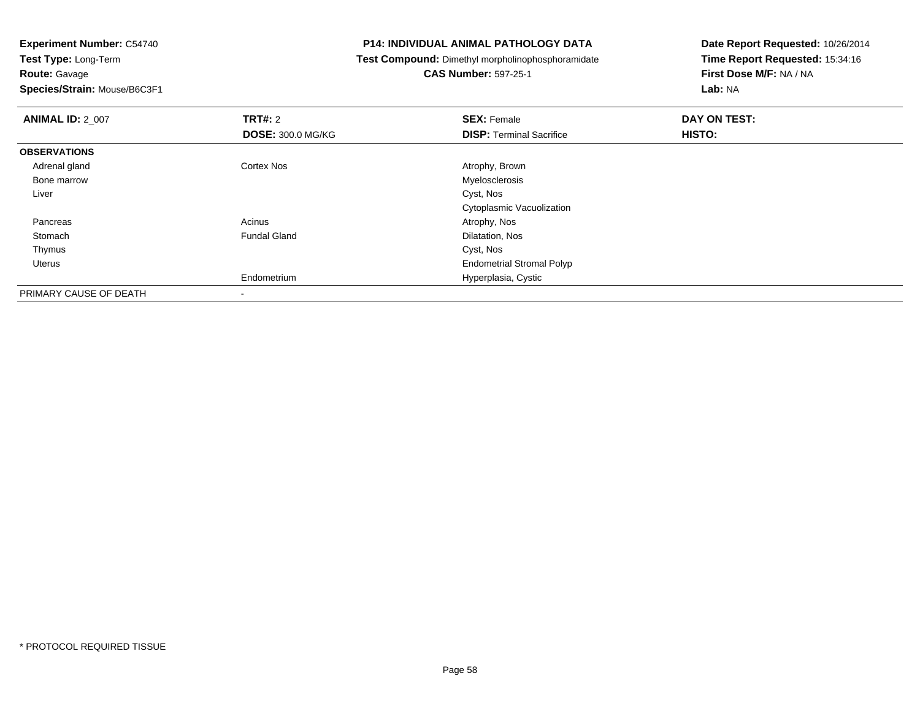**Route:** Gavage

**Species/Strain:** Mouse/B6C3F1

## **P14: INDIVIDUAL ANIMAL PATHOLOGY DATA**

**Test Compound:** Dimethyl morpholinophosphoramidate

**CAS Number:** 597-25-1

| <b>ANIMAL ID: 2_007</b> | <b>TRT#: 2</b>           | <b>SEX: Female</b>               | DAY ON TEST: |  |
|-------------------------|--------------------------|----------------------------------|--------------|--|
|                         | <b>DOSE: 300.0 MG/KG</b> | <b>DISP: Terminal Sacrifice</b>  | HISTO:       |  |
| <b>OBSERVATIONS</b>     |                          |                                  |              |  |
| Adrenal gland           | <b>Cortex Nos</b>        | Atrophy, Brown                   |              |  |
| Bone marrow             |                          | Myelosclerosis                   |              |  |
| Liver                   |                          | Cyst, Nos                        |              |  |
|                         |                          | Cytoplasmic Vacuolization        |              |  |
| Pancreas                | Acinus                   | Atrophy, Nos                     |              |  |
| Stomach                 | <b>Fundal Gland</b>      | Dilatation, Nos                  |              |  |
| Thymus                  |                          | Cyst, Nos                        |              |  |
| Uterus                  |                          | <b>Endometrial Stromal Polyp</b> |              |  |
|                         | Endometrium              | Hyperplasia, Cystic              |              |  |
| PRIMARY CAUSE OF DEATH  |                          |                                  |              |  |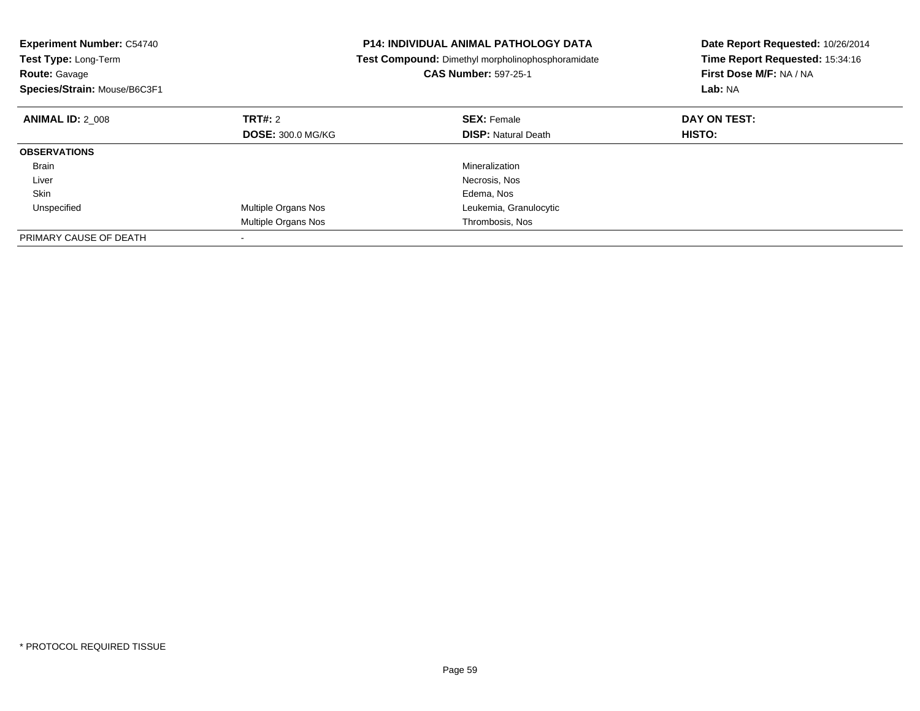| <b>Experiment Number: C54740</b><br><b>Test Type: Long-Term</b><br>Route: Gavage<br>Species/Strain: Mouse/B6C3F1 |                          | P14: INDIVIDUAL ANIMAL PATHOLOGY DATA<br>Test Compound: Dimethyl morpholinophosphoramidate<br><b>CAS Number: 597-25-1</b> | Date Report Requested: 10/26/2014<br>Time Report Requested: 15:34:16<br>First Dose M/F: NA / NA<br>Lab: NA |
|------------------------------------------------------------------------------------------------------------------|--------------------------|---------------------------------------------------------------------------------------------------------------------------|------------------------------------------------------------------------------------------------------------|
| <b>ANIMAL ID: 2 008</b>                                                                                          | TRT#: 2                  | <b>SEX: Female</b>                                                                                                        | DAY ON TEST:                                                                                               |
|                                                                                                                  | <b>DOSE: 300.0 MG/KG</b> | <b>DISP:</b> Natural Death                                                                                                | HISTO:                                                                                                     |
| <b>OBSERVATIONS</b>                                                                                              |                          |                                                                                                                           |                                                                                                            |
| Brain                                                                                                            |                          | Mineralization                                                                                                            |                                                                                                            |
| Liver                                                                                                            |                          | Necrosis, Nos                                                                                                             |                                                                                                            |
| Skin                                                                                                             |                          | Edema, Nos                                                                                                                |                                                                                                            |
| Unspecified                                                                                                      | Multiple Organs Nos      | Leukemia, Granulocytic                                                                                                    |                                                                                                            |
|                                                                                                                  | Multiple Organs Nos      | Thrombosis, Nos                                                                                                           |                                                                                                            |
| PRIMARY CAUSE OF DEATH                                                                                           |                          |                                                                                                                           |                                                                                                            |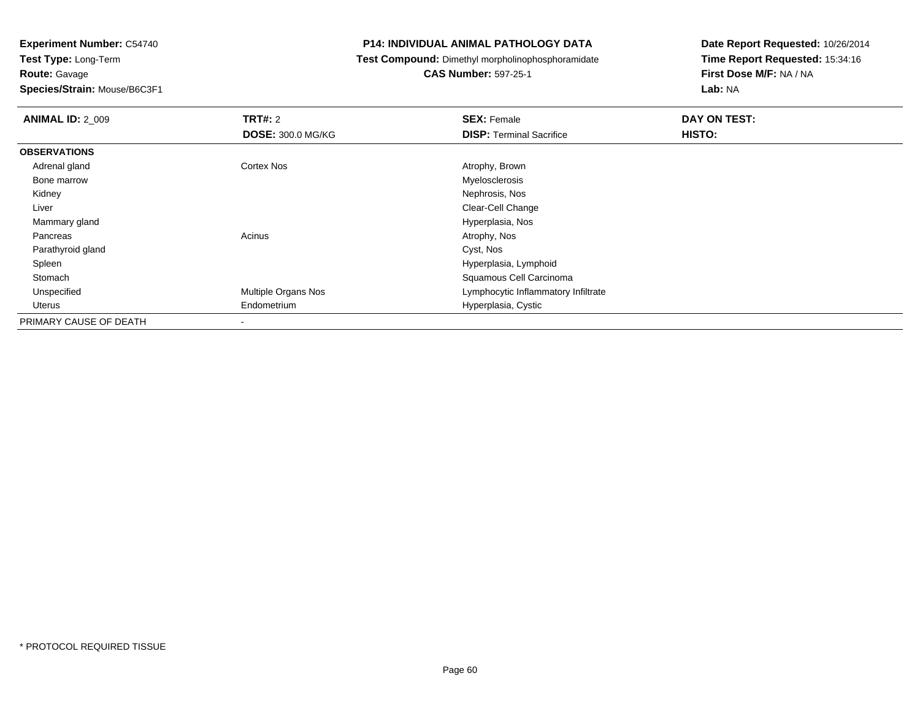## **Route:** Gavage

**Species/Strain:** Mouse/B6C3F1

## **P14: INDIVIDUAL ANIMAL PATHOLOGY DATA**

## **Test Compound:** Dimethyl morpholinophosphoramidate

# **CAS Number:** 597-25-1

| <b>ANIMAL ID: 2 009</b> | <b>TRT#:</b> 2           | <b>SEX: Female</b>                  | DAY ON TEST: |  |
|-------------------------|--------------------------|-------------------------------------|--------------|--|
|                         | <b>DOSE: 300.0 MG/KG</b> | <b>DISP: Terminal Sacrifice</b>     | HISTO:       |  |
| <b>OBSERVATIONS</b>     |                          |                                     |              |  |
| Adrenal gland           | Cortex Nos               | Atrophy, Brown                      |              |  |
| Bone marrow             |                          | Myelosclerosis                      |              |  |
| Kidney                  |                          | Nephrosis, Nos                      |              |  |
| Liver                   |                          | Clear-Cell Change                   |              |  |
| Mammary gland           |                          | Hyperplasia, Nos                    |              |  |
| Pancreas                | Acinus                   | Atrophy, Nos                        |              |  |
| Parathyroid gland       |                          | Cyst, Nos                           |              |  |
| Spleen                  |                          | Hyperplasia, Lymphoid               |              |  |
| Stomach                 |                          | Squamous Cell Carcinoma             |              |  |
| Unspecified             | Multiple Organs Nos      | Lymphocytic Inflammatory Infiltrate |              |  |
| Uterus                  | Endometrium              | Hyperplasia, Cystic                 |              |  |
| PRIMARY CAUSE OF DEATH  | $\blacksquare$           |                                     |              |  |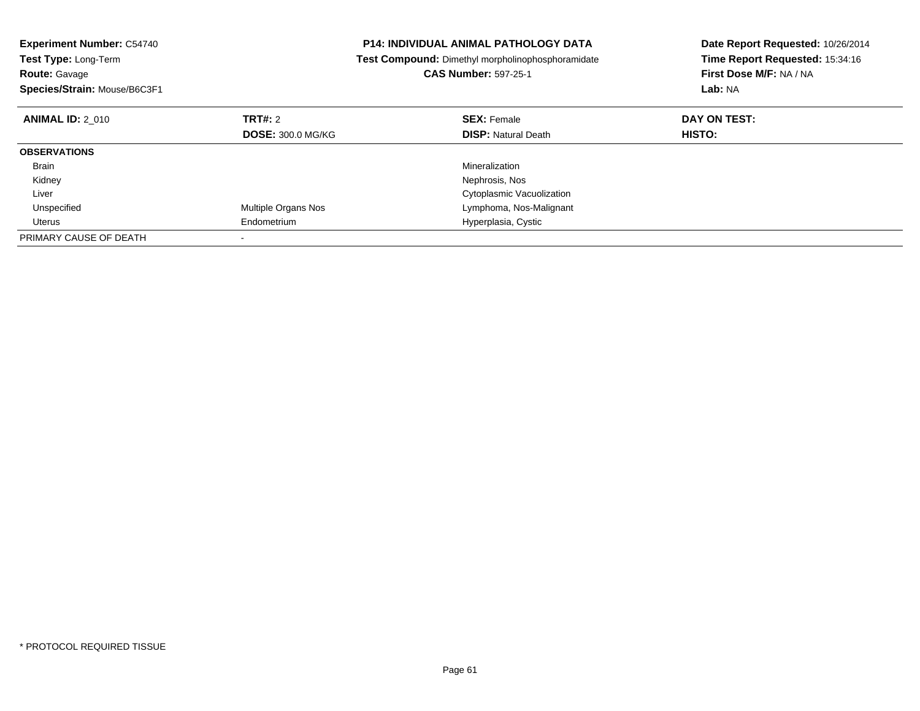| <b>Experiment Number: C54740</b><br><b>Test Type: Long-Term</b><br><b>Route: Gavage</b> |                            | <b>P14: INDIVIDUAL ANIMAL PATHOLOGY DATA</b><br>Test Compound: Dimethyl morpholinophosphoramidate<br><b>CAS Number: 597-25-1</b> | Date Report Requested: 10/26/2014<br>Time Report Requested: 15:34:16<br>First Dose M/F: NA / NA |  |
|-----------------------------------------------------------------------------------------|----------------------------|----------------------------------------------------------------------------------------------------------------------------------|-------------------------------------------------------------------------------------------------|--|
| Species/Strain: Mouse/B6C3F1                                                            |                            |                                                                                                                                  | Lab: NA                                                                                         |  |
| <b>ANIMAL ID: 2 010</b>                                                                 | TRT#: 2                    | <b>SEX: Female</b>                                                                                                               | DAY ON TEST:                                                                                    |  |
|                                                                                         | <b>DOSE: 300.0 MG/KG</b>   | <b>DISP:</b> Natural Death                                                                                                       | <b>HISTO:</b>                                                                                   |  |
| <b>OBSERVATIONS</b>                                                                     |                            |                                                                                                                                  |                                                                                                 |  |
| <b>Brain</b>                                                                            |                            | Mineralization                                                                                                                   |                                                                                                 |  |
| Kidney                                                                                  |                            | Nephrosis, Nos                                                                                                                   |                                                                                                 |  |
| Liver                                                                                   |                            | Cytoplasmic Vacuolization                                                                                                        |                                                                                                 |  |
| Unspecified                                                                             | <b>Multiple Organs Nos</b> | Lymphoma, Nos-Malignant                                                                                                          |                                                                                                 |  |
| Uterus                                                                                  | Endometrium                | Hyperplasia, Cystic                                                                                                              |                                                                                                 |  |
| PRIMARY CAUSE OF DEATH                                                                  |                            |                                                                                                                                  |                                                                                                 |  |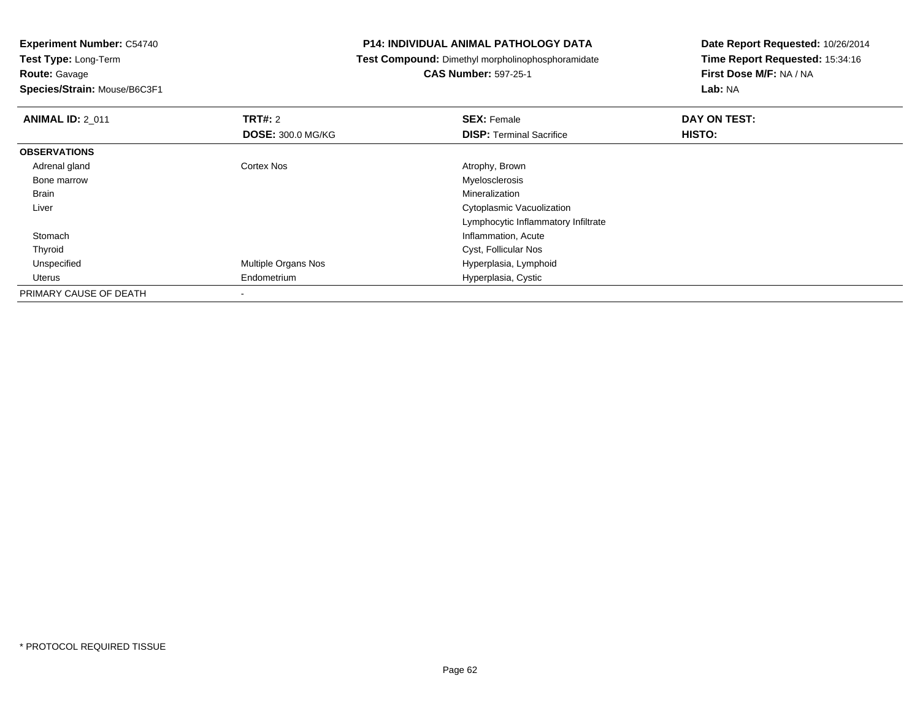**Route:** Gavage

**Species/Strain:** Mouse/B6C3F1

## **P14: INDIVIDUAL ANIMAL PATHOLOGY DATA**

**Test Compound:** Dimethyl morpholinophosphoramidate

**CAS Number:** 597-25-1

| <b>ANIMAL ID: 2_011</b> | TRT#: 2                    | <b>SEX: Female</b>                  | DAY ON TEST: |  |
|-------------------------|----------------------------|-------------------------------------|--------------|--|
|                         | <b>DOSE: 300.0 MG/KG</b>   | <b>DISP: Terminal Sacrifice</b>     | HISTO:       |  |
| <b>OBSERVATIONS</b>     |                            |                                     |              |  |
| Adrenal gland           | <b>Cortex Nos</b>          | Atrophy, Brown                      |              |  |
| Bone marrow             |                            | Myelosclerosis                      |              |  |
| Brain                   |                            | Mineralization                      |              |  |
| Liver                   |                            | Cytoplasmic Vacuolization           |              |  |
|                         |                            | Lymphocytic Inflammatory Infiltrate |              |  |
| Stomach                 |                            | Inflammation, Acute                 |              |  |
| Thyroid                 |                            | Cyst, Follicular Nos                |              |  |
| Unspecified             | <b>Multiple Organs Nos</b> | Hyperplasia, Lymphoid               |              |  |
| Uterus                  | Endometrium                | Hyperplasia, Cystic                 |              |  |
| PRIMARY CAUSE OF DEATH  |                            |                                     |              |  |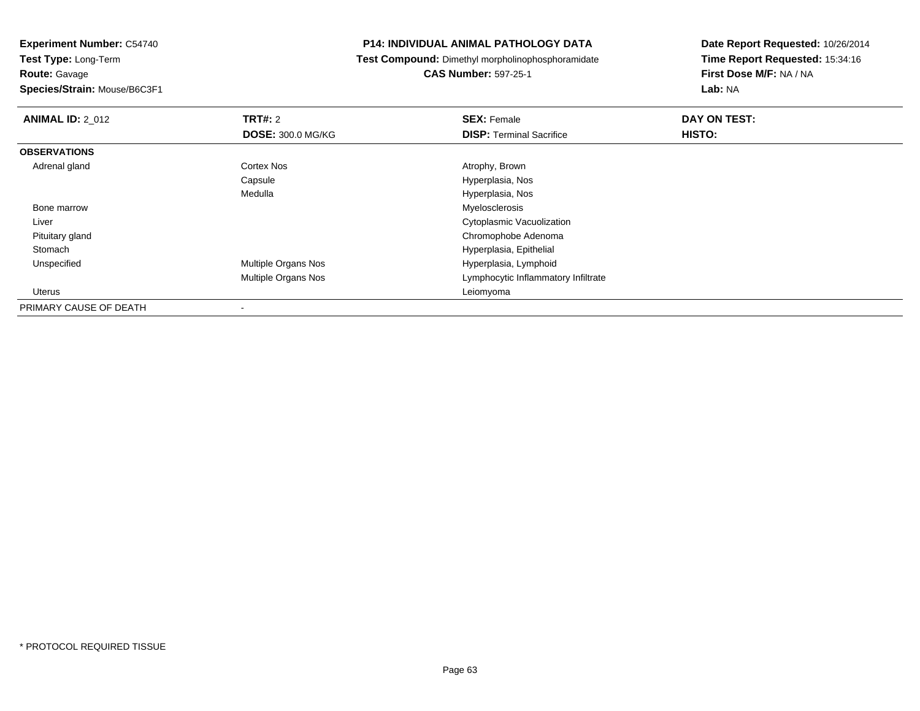# **Route:** Gavage

**Species/Strain:** Mouse/B6C3F1

## **P14: INDIVIDUAL ANIMAL PATHOLOGY DATA**

# **Test Compound:** Dimethyl morpholinophosphoramidate

# **CAS Number:** 597-25-1

| <b>ANIMAL ID: 2_012</b> | TRT#: 2                    | <b>SEX: Female</b>                  | DAY ON TEST: |  |
|-------------------------|----------------------------|-------------------------------------|--------------|--|
|                         | <b>DOSE: 300.0 MG/KG</b>   | <b>DISP: Terminal Sacrifice</b>     | HISTO:       |  |
| <b>OBSERVATIONS</b>     |                            |                                     |              |  |
| Adrenal gland           | <b>Cortex Nos</b>          | Atrophy, Brown                      |              |  |
|                         | Capsule                    | Hyperplasia, Nos                    |              |  |
|                         | Medulla                    | Hyperplasia, Nos                    |              |  |
| Bone marrow             |                            | Myelosclerosis                      |              |  |
| Liver                   |                            | Cytoplasmic Vacuolization           |              |  |
| Pituitary gland         |                            | Chromophobe Adenoma                 |              |  |
| Stomach                 |                            | Hyperplasia, Epithelial             |              |  |
| Unspecified             | <b>Multiple Organs Nos</b> | Hyperplasia, Lymphoid               |              |  |
|                         | <b>Multiple Organs Nos</b> | Lymphocytic Inflammatory Infiltrate |              |  |
| Uterus                  |                            | Leiomyoma                           |              |  |
| PRIMARY CAUSE OF DEATH  |                            |                                     |              |  |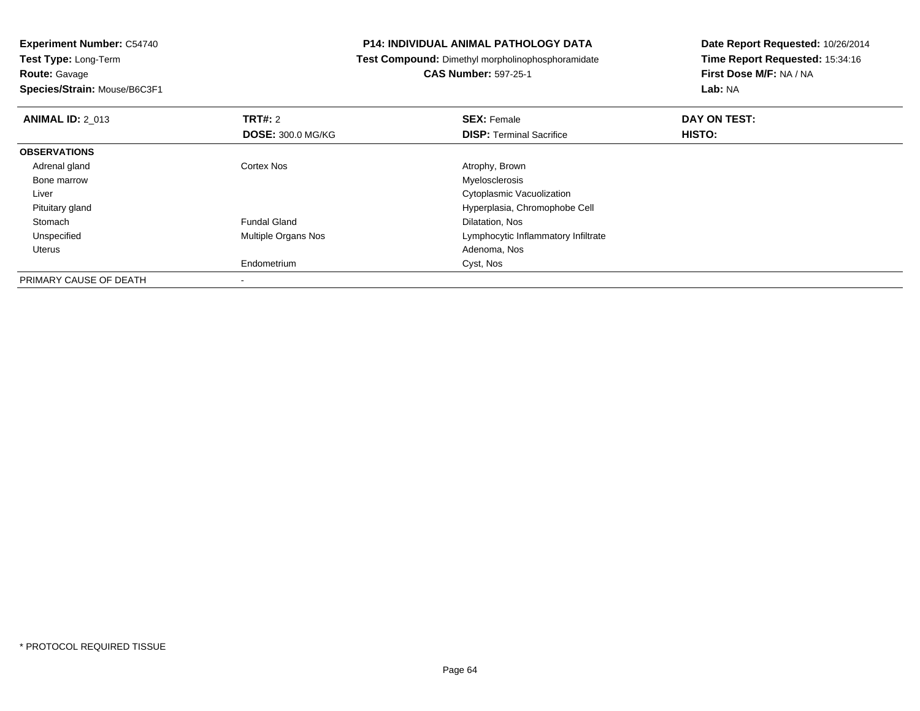**Species/Strain:** Mouse/B6C3F1

## **P14: INDIVIDUAL ANIMAL PATHOLOGY DATA**

**Test Compound:** Dimethyl morpholinophosphoramidate

**CAS Number:** 597-25-1

| <b>ANIMAL ID: 2 013</b> | TRT#: 2                  | <b>SEX: Female</b>                  | DAY ON TEST: |  |
|-------------------------|--------------------------|-------------------------------------|--------------|--|
|                         | <b>DOSE: 300.0 MG/KG</b> | <b>DISP:</b> Terminal Sacrifice     | HISTO:       |  |
| <b>OBSERVATIONS</b>     |                          |                                     |              |  |
| Adrenal gland           | Cortex Nos               | Atrophy, Brown                      |              |  |
| Bone marrow             |                          | Myelosclerosis                      |              |  |
| Liver                   |                          | Cytoplasmic Vacuolization           |              |  |
| Pituitary gland         |                          | Hyperplasia, Chromophobe Cell       |              |  |
| Stomach                 | <b>Fundal Gland</b>      | Dilatation, Nos                     |              |  |
| Unspecified             | Multiple Organs Nos      | Lymphocytic Inflammatory Infiltrate |              |  |
| Uterus                  |                          | Adenoma, Nos                        |              |  |
|                         | Endometrium              | Cyst, Nos                           |              |  |
| PRIMARY CAUSE OF DEATH  |                          |                                     |              |  |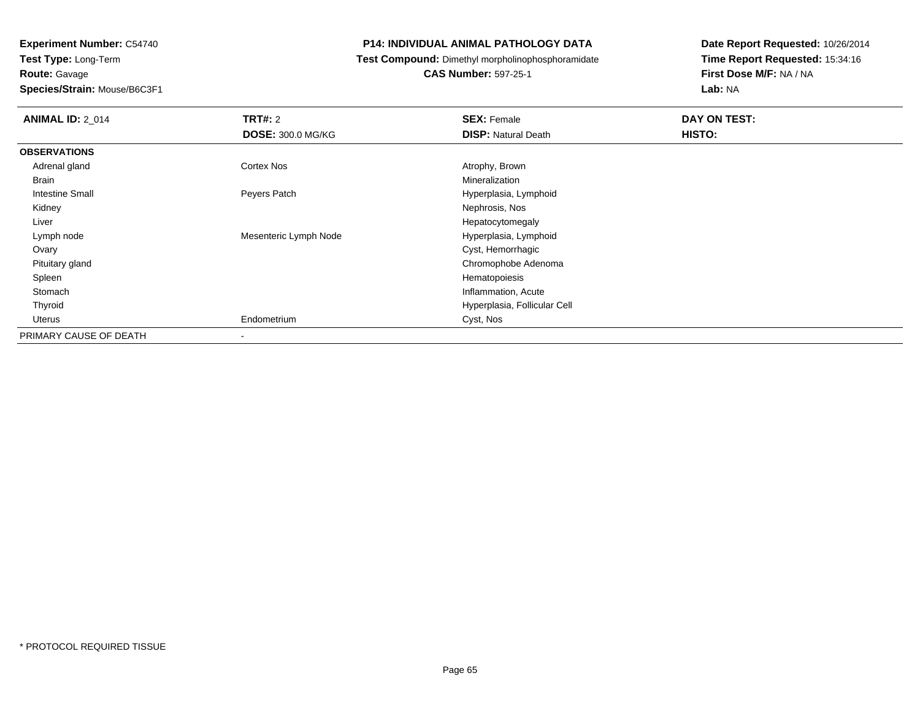**Experiment Number:** C54740**Test Type:** Long-Term**Route:** Gavage**Species/Strain:** Mouse/B6C3F1

## **P14: INDIVIDUAL ANIMAL PATHOLOGY DATA**

## **Test Compound:** Dimethyl morpholinophosphoramidate

## **CAS Number:** 597-25-1

| <b>ANIMAL ID: 2 014</b> | TRT#: 2<br><b>DOSE: 300.0 MG/KG</b> | <b>SEX: Female</b><br><b>DISP: Natural Death</b> | DAY ON TEST:<br>HISTO: |
|-------------------------|-------------------------------------|--------------------------------------------------|------------------------|
| <b>OBSERVATIONS</b>     |                                     |                                                  |                        |
| Adrenal gland           | Cortex Nos                          | Atrophy, Brown                                   |                        |
| <b>Brain</b>            |                                     | Mineralization                                   |                        |
| <b>Intestine Small</b>  | Peyers Patch                        | Hyperplasia, Lymphoid                            |                        |
| Kidney                  |                                     | Nephrosis, Nos                                   |                        |
| Liver                   |                                     | Hepatocytomegaly                                 |                        |
| Lymph node              | Mesenteric Lymph Node               | Hyperplasia, Lymphoid                            |                        |
| Ovary                   |                                     | Cyst, Hemorrhagic                                |                        |
| Pituitary gland         |                                     | Chromophobe Adenoma                              |                        |
| Spleen                  |                                     | Hematopoiesis                                    |                        |
| Stomach                 |                                     | Inflammation, Acute                              |                        |
| Thyroid                 |                                     | Hyperplasia, Follicular Cell                     |                        |
| Uterus                  | Endometrium                         | Cyst, Nos                                        |                        |
| PRIMARY CAUSE OF DEATH  | $\,$                                |                                                  |                        |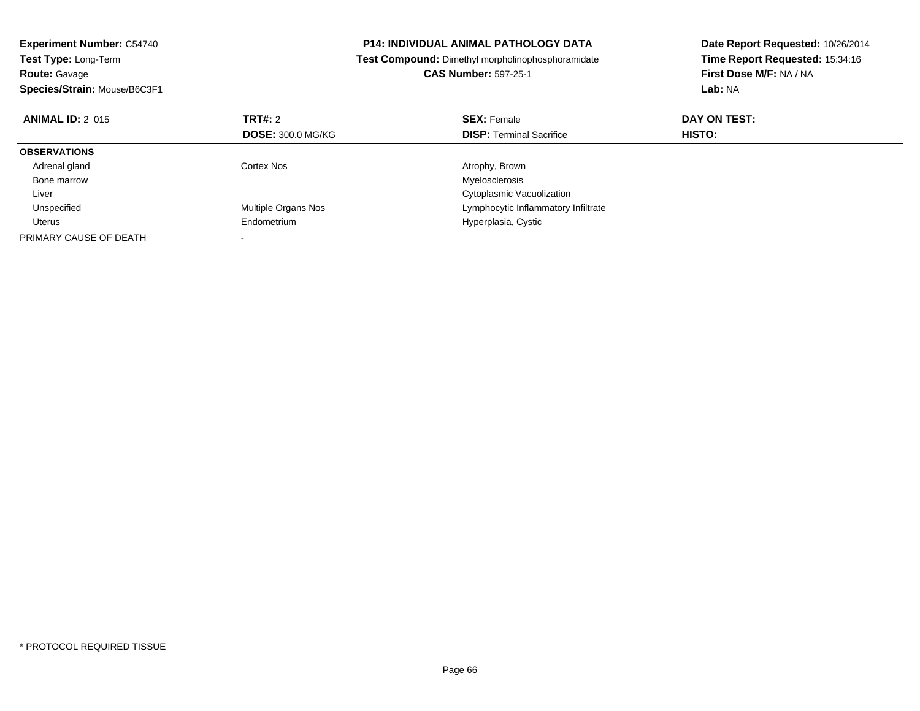| <b>Experiment Number: C54740</b><br>Test Type: Long-Term |                          | <b>P14: INDIVIDUAL ANIMAL PATHOLOGY DATA</b>      | Date Report Requested: 10/26/2014 |
|----------------------------------------------------------|--------------------------|---------------------------------------------------|-----------------------------------|
|                                                          |                          | Test Compound: Dimethyl morpholinophosphoramidate | Time Report Requested: 15:34:16   |
| <b>Route: Gavage</b>                                     |                          | <b>CAS Number: 597-25-1</b>                       | First Dose M/F: NA / NA           |
| Species/Strain: Mouse/B6C3F1                             |                          |                                                   | Lab: NA                           |
| <b>ANIMAL ID: 2 015</b>                                  | TRT#: 2                  | <b>SEX: Female</b>                                | DAY ON TEST:                      |
|                                                          | <b>DOSE: 300.0 MG/KG</b> | <b>DISP:</b> Terminal Sacrifice                   | HISTO:                            |
| <b>OBSERVATIONS</b>                                      |                          |                                                   |                                   |
| Adrenal gland                                            | Cortex Nos               | Atrophy, Brown                                    |                                   |
| Bone marrow                                              |                          | Myelosclerosis                                    |                                   |
| Liver                                                    |                          | Cytoplasmic Vacuolization                         |                                   |
| Unspecified                                              | Multiple Organs Nos      | Lymphocytic Inflammatory Infiltrate               |                                   |
| Uterus                                                   | Endometrium              | Hyperplasia, Cystic                               |                                   |
| PRIMARY CAUSE OF DEATH                                   |                          |                                                   |                                   |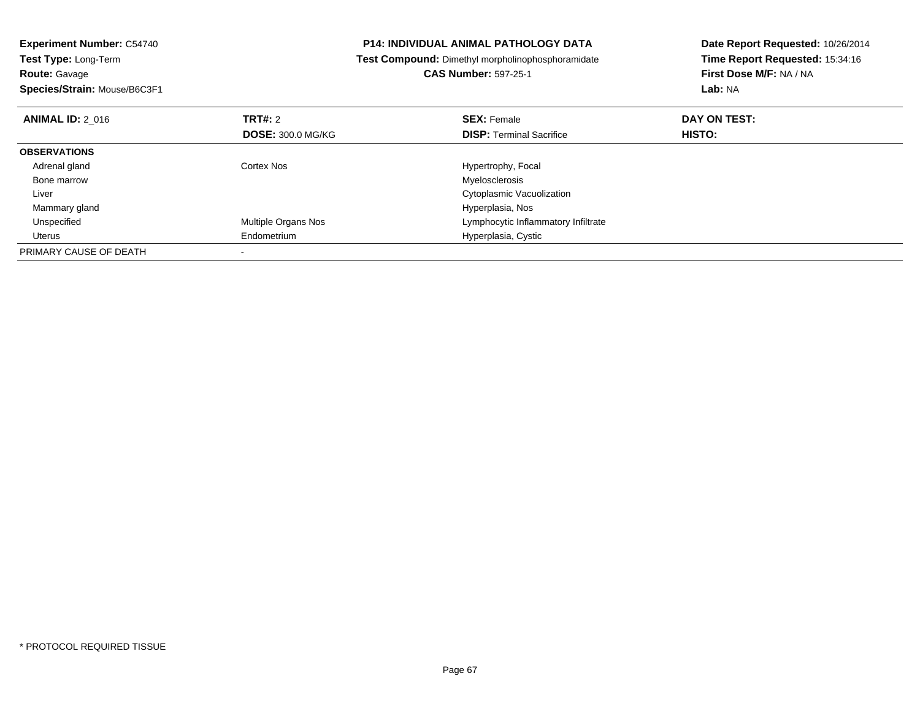| <b>Experiment Number: C54740</b>   |                            | <b>P14: INDIVIDUAL ANIMAL PATHOLOGY DATA</b>             | Date Report Requested: 10/26/2014 |
|------------------------------------|----------------------------|----------------------------------------------------------|-----------------------------------|
| Test Type: Long-Term               |                            | <b>Test Compound:</b> Dimethyl morpholinophosphoramidate | Time Report Requested: 15:34:16   |
| <b>Route: Gavage</b>               |                            | <b>CAS Number: 597-25-1</b>                              | First Dose M/F: NA / NA           |
| Species/Strain: Mouse/B6C3F1       |                            |                                                          | Lab: NA                           |
| TRT#: 2<br><b>ANIMAL ID: 2 016</b> |                            | <b>SEX: Female</b>                                       | DAY ON TEST:                      |
|                                    | <b>DOSE: 300.0 MG/KG</b>   | <b>DISP: Terminal Sacrifice</b>                          | HISTO:                            |
| <b>OBSERVATIONS</b>                |                            |                                                          |                                   |
| Cortex Nos<br>Adrenal gland        |                            | Hypertrophy, Focal                                       |                                   |
| Bone marrow                        |                            | Myelosclerosis                                           |                                   |
| Liver                              |                            | Cytoplasmic Vacuolization                                |                                   |
| Mammary gland                      |                            | Hyperplasia, Nos                                         |                                   |
| Unspecified                        | <b>Multiple Organs Nos</b> | Lymphocytic Inflammatory Infiltrate                      |                                   |
| Uterus                             | Endometrium                | Hyperplasia, Cystic                                      |                                   |
| PRIMARY CAUSE OF DEATH             |                            |                                                          |                                   |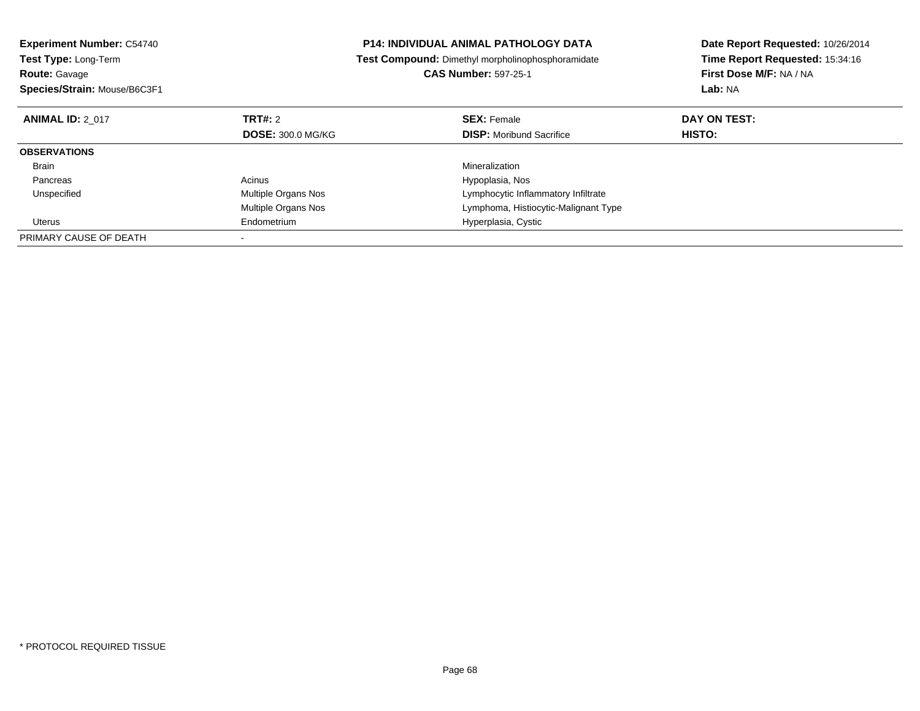| <b>Experiment Number: C54740</b><br>Test Type: Long-Term |                          | <b>P14: INDIVIDUAL ANIMAL PATHOLOGY DATA</b>      | Date Report Requested: 10/26/2014 |
|----------------------------------------------------------|--------------------------|---------------------------------------------------|-----------------------------------|
|                                                          |                          | Test Compound: Dimethyl morpholinophosphoramidate | Time Report Requested: 15:34:16   |
| <b>Route: Gavage</b>                                     |                          | <b>CAS Number: 597-25-1</b>                       | First Dose M/F: NA / NA           |
| Species/Strain: Mouse/B6C3F1                             |                          |                                                   | Lab: NA                           |
| <b>ANIMAL ID: 2 017</b>                                  | TRT#: 2                  | <b>SEX: Female</b>                                | DAY ON TEST:                      |
|                                                          | <b>DOSE: 300.0 MG/KG</b> | <b>DISP:</b> Moribund Sacrifice                   | HISTO:                            |
| <b>OBSERVATIONS</b>                                      |                          |                                                   |                                   |
| <b>Brain</b>                                             |                          | Mineralization                                    |                                   |
| Pancreas                                                 | Acinus                   | Hypoplasia, Nos                                   |                                   |
| Unspecified                                              | Multiple Organs Nos      | Lymphocytic Inflammatory Infiltrate               |                                   |
|                                                          | Multiple Organs Nos      | Lymphoma, Histiocytic-Malignant Type              |                                   |
| Uterus                                                   | Endometrium              | Hyperplasia, Cystic                               |                                   |
| PRIMARY CAUSE OF DEATH                                   |                          |                                                   |                                   |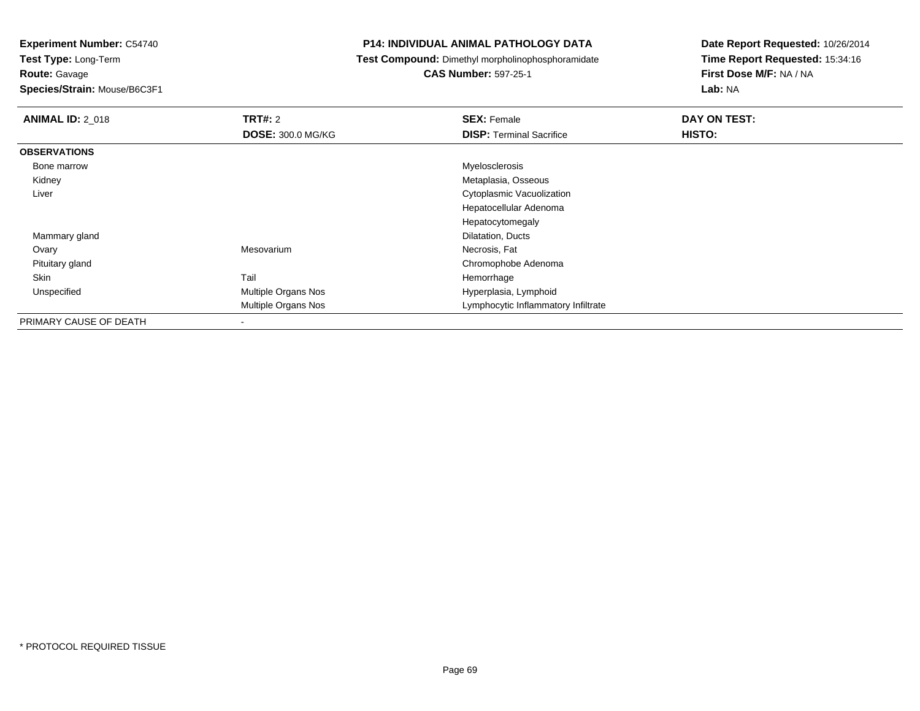**Experiment Number:** C54740

**Test Type:** Long-Term**Route:** Gavage

**Species/Strain:** Mouse/B6C3F1

## **P14: INDIVIDUAL ANIMAL PATHOLOGY DATA**

**Test Compound:** Dimethyl morpholinophosphoramidate

**CAS Number:** 597-25-1

| <b>ANIMAL ID: 2 018</b> | <b>TRT#: 2</b>             | <b>SEX: Female</b>                  | DAY ON TEST: |
|-------------------------|----------------------------|-------------------------------------|--------------|
|                         | DOSE: 300.0 MG/KG          | <b>DISP: Terminal Sacrifice</b>     | HISTO:       |
| <b>OBSERVATIONS</b>     |                            |                                     |              |
| Bone marrow             |                            | Myelosclerosis                      |              |
| Kidney                  |                            | Metaplasia, Osseous                 |              |
| Liver                   |                            | Cytoplasmic Vacuolization           |              |
|                         |                            | Hepatocellular Adenoma              |              |
|                         |                            | Hepatocytomegaly                    |              |
| Mammary gland           |                            | Dilatation, Ducts                   |              |
| Ovary                   | Mesovarium                 | Necrosis, Fat                       |              |
| Pituitary gland         |                            | Chromophobe Adenoma                 |              |
| Skin                    | Tail                       | Hemorrhage                          |              |
| Unspecified             | Multiple Organs Nos        | Hyperplasia, Lymphoid               |              |
|                         | <b>Multiple Organs Nos</b> | Lymphocytic Inflammatory Infiltrate |              |
| PRIMARY CAUSE OF DEATH  |                            |                                     |              |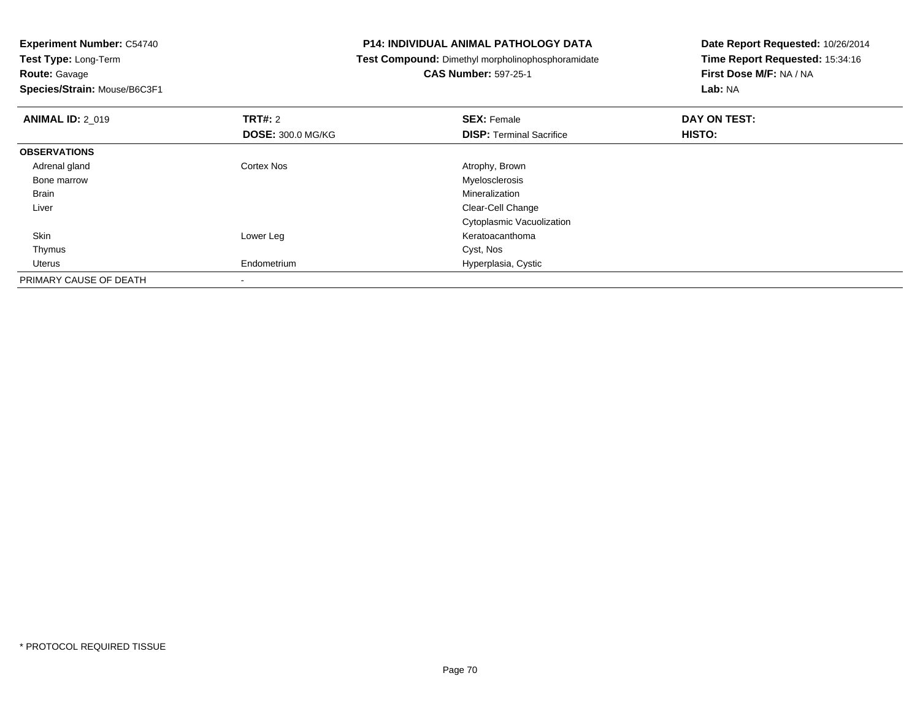**Species/Strain:** Mouse/B6C3F1

## **P14: INDIVIDUAL ANIMAL PATHOLOGY DATA**

**Test Compound:** Dimethyl morpholinophosphoramidate

## **CAS Number:** 597-25-1

| <b>ANIMAL ID: 2 019</b> | TRT#: 2<br><b>DOSE: 300.0 MG/KG</b> | <b>SEX: Female</b><br><b>DISP: Terminal Sacrifice</b> | DAY ON TEST:<br><b>HISTO:</b> |
|-------------------------|-------------------------------------|-------------------------------------------------------|-------------------------------|
| <b>OBSERVATIONS</b>     |                                     |                                                       |                               |
| Adrenal gland           | <b>Cortex Nos</b>                   | Atrophy, Brown                                        |                               |
| Bone marrow             |                                     | Myelosclerosis                                        |                               |
| Brain                   |                                     | Mineralization                                        |                               |
| Liver                   |                                     | Clear-Cell Change                                     |                               |
|                         |                                     | Cytoplasmic Vacuolization                             |                               |
| Skin                    | Lower Leg                           | Keratoacanthoma                                       |                               |
| Thymus                  |                                     | Cyst, Nos                                             |                               |
| Uterus                  | Endometrium                         | Hyperplasia, Cystic                                   |                               |
| PRIMARY CAUSE OF DEATH  |                                     |                                                       |                               |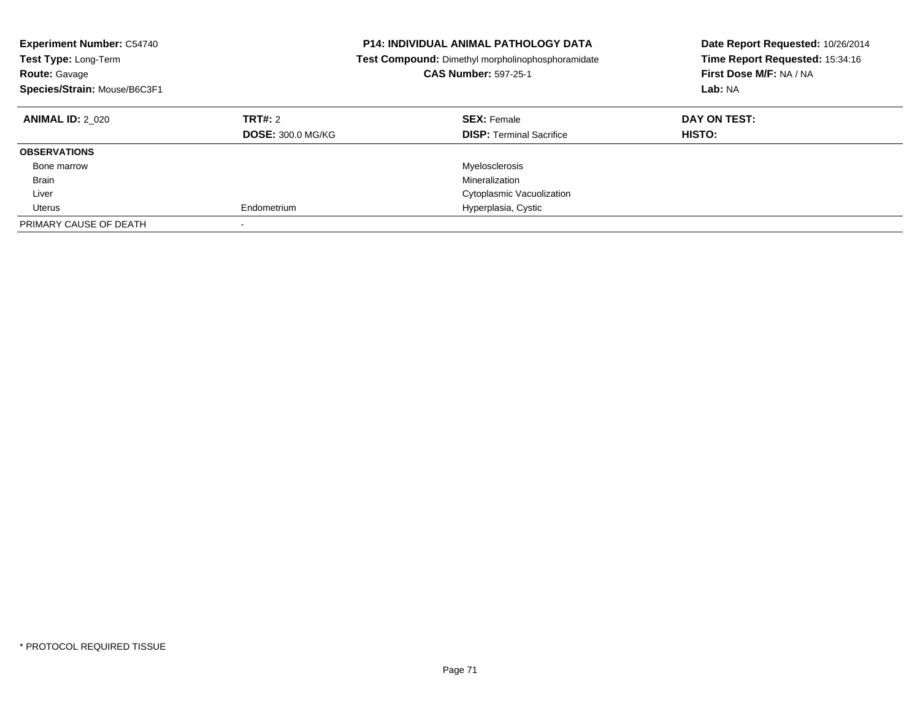| <b>Experiment Number: C54740</b><br><b>Test Type: Long-Term</b><br><b>Route: Gavage</b><br>Species/Strain: Mouse/B6C3F1 |                                     | <b>P14: INDIVIDUAL ANIMAL PATHOLOGY DATA</b><br>Test Compound: Dimethyl morpholinophosphoramidate<br><b>CAS Number: 597-25-1</b> | Date Report Requested: 10/26/2014<br>Time Report Requested: 15:34:16<br>First Dose M/F: NA / NA<br>Lab: NA |
|-------------------------------------------------------------------------------------------------------------------------|-------------------------------------|----------------------------------------------------------------------------------------------------------------------------------|------------------------------------------------------------------------------------------------------------|
| <b>ANIMAL ID: 2 020</b>                                                                                                 | TRT#: 2<br><b>DOSE: 300.0 MG/KG</b> | <b>SEX: Female</b><br><b>DISP:</b> Terminal Sacrifice                                                                            | DAY ON TEST:<br><b>HISTO:</b>                                                                              |
| <b>OBSERVATIONS</b>                                                                                                     |                                     |                                                                                                                                  |                                                                                                            |
| Bone marrow                                                                                                             |                                     | Myelosclerosis                                                                                                                   |                                                                                                            |
| <b>Brain</b>                                                                                                            |                                     | Mineralization                                                                                                                   |                                                                                                            |
| Liver                                                                                                                   |                                     | Cytoplasmic Vacuolization                                                                                                        |                                                                                                            |
| Uterus                                                                                                                  | Endometrium                         | Hyperplasia, Cystic                                                                                                              |                                                                                                            |
| PRIMARY CAUSE OF DEATH                                                                                                  | $\overline{\phantom{a}}$            |                                                                                                                                  |                                                                                                            |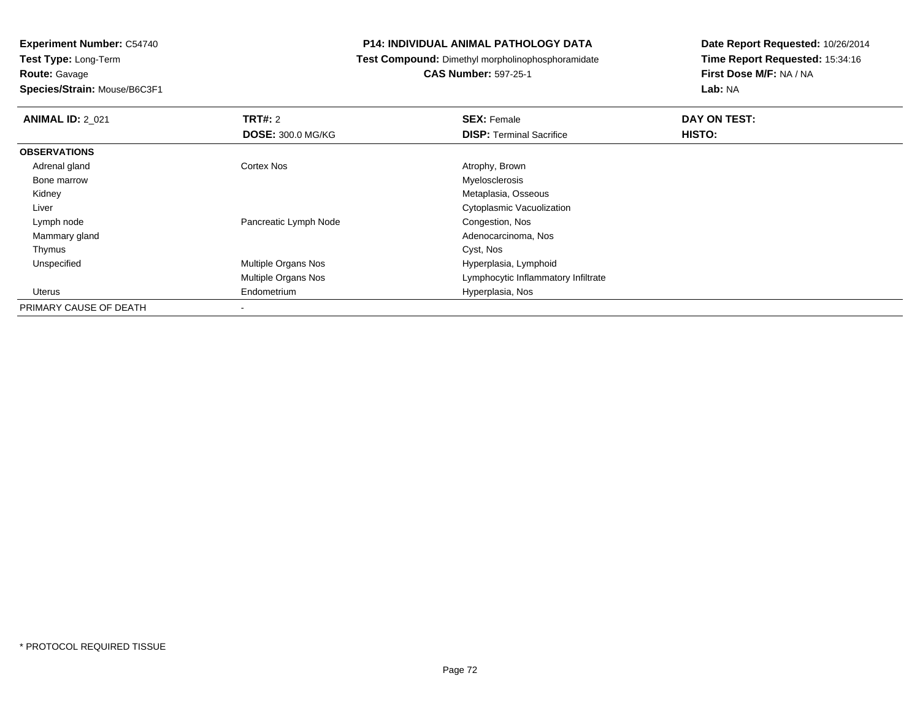## **Species/Strain:** Mouse/B6C3F1

## **P14: INDIVIDUAL ANIMAL PATHOLOGY DATA**

**Test Compound:** Dimethyl morpholinophosphoramidate

## **CAS Number:** 597-25-1

| <b>ANIMAL ID: 2 021</b> | TRT#: 2                  | <b>SEX: Female</b>                  | DAY ON TEST: |  |
|-------------------------|--------------------------|-------------------------------------|--------------|--|
|                         | <b>DOSE: 300.0 MG/KG</b> | <b>DISP:</b> Terminal Sacrifice     | HISTO:       |  |
| <b>OBSERVATIONS</b>     |                          |                                     |              |  |
| Adrenal gland           | <b>Cortex Nos</b>        | Atrophy, Brown                      |              |  |
| Bone marrow             |                          | Myelosclerosis                      |              |  |
| Kidney                  |                          | Metaplasia, Osseous                 |              |  |
| Liver                   |                          | Cytoplasmic Vacuolization           |              |  |
| Lymph node              | Pancreatic Lymph Node    | Congestion, Nos                     |              |  |
| Mammary gland           |                          | Adenocarcinoma, Nos                 |              |  |
| Thymus                  |                          | Cyst, Nos                           |              |  |
| Unspecified             | Multiple Organs Nos      | Hyperplasia, Lymphoid               |              |  |
|                         | Multiple Organs Nos      | Lymphocytic Inflammatory Infiltrate |              |  |
| Uterus                  | Endometrium              | Hyperplasia, Nos                    |              |  |
| PRIMARY CAUSE OF DEATH  | $\blacksquare$           |                                     |              |  |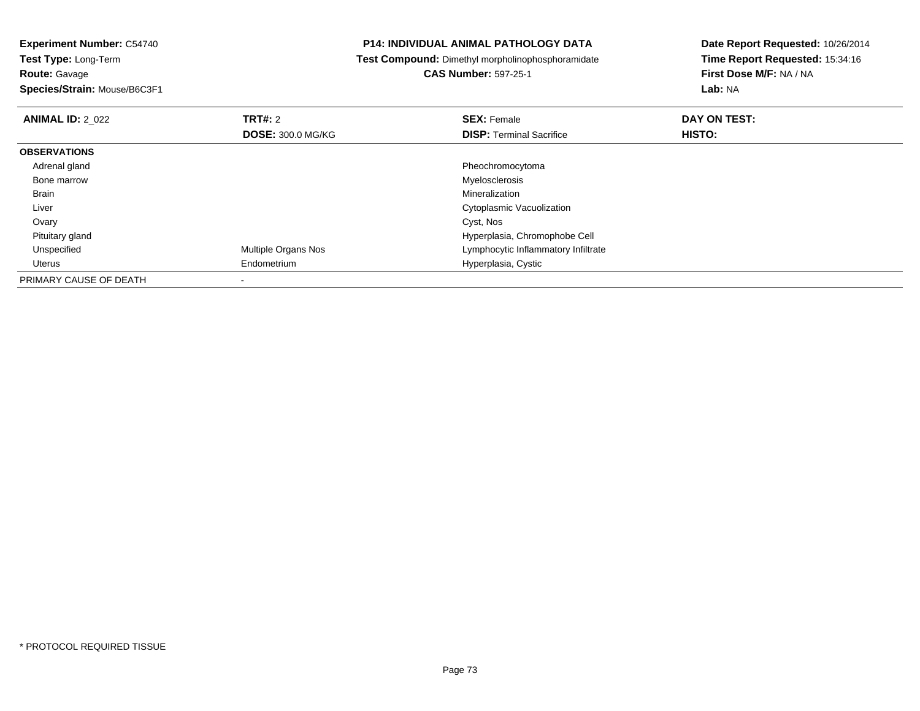**Species/Strain:** Mouse/B6C3F1

## **P14: INDIVIDUAL ANIMAL PATHOLOGY DATA**

**Test Compound:** Dimethyl morpholinophosphoramidate

**CAS Number:** 597-25-1

| <b>ANIMAL ID: 2 022</b> | <b>TRT#: 2</b>             | <b>SEX: Female</b>                  | DAY ON TEST: |  |
|-------------------------|----------------------------|-------------------------------------|--------------|--|
|                         | <b>DOSE: 300.0 MG/KG</b>   | <b>DISP:</b> Terminal Sacrifice     | HISTO:       |  |
| <b>OBSERVATIONS</b>     |                            |                                     |              |  |
| Adrenal gland           |                            | Pheochromocytoma                    |              |  |
| Bone marrow             |                            | Myelosclerosis                      |              |  |
| Brain                   |                            | Mineralization                      |              |  |
| Liver                   |                            | Cytoplasmic Vacuolization           |              |  |
| Ovary                   |                            | Cyst, Nos                           |              |  |
| Pituitary gland         |                            | Hyperplasia, Chromophobe Cell       |              |  |
| Unspecified             | <b>Multiple Organs Nos</b> | Lymphocytic Inflammatory Infiltrate |              |  |
| Uterus                  | Endometrium                | Hyperplasia, Cystic                 |              |  |
| PRIMARY CAUSE OF DEATH  |                            |                                     |              |  |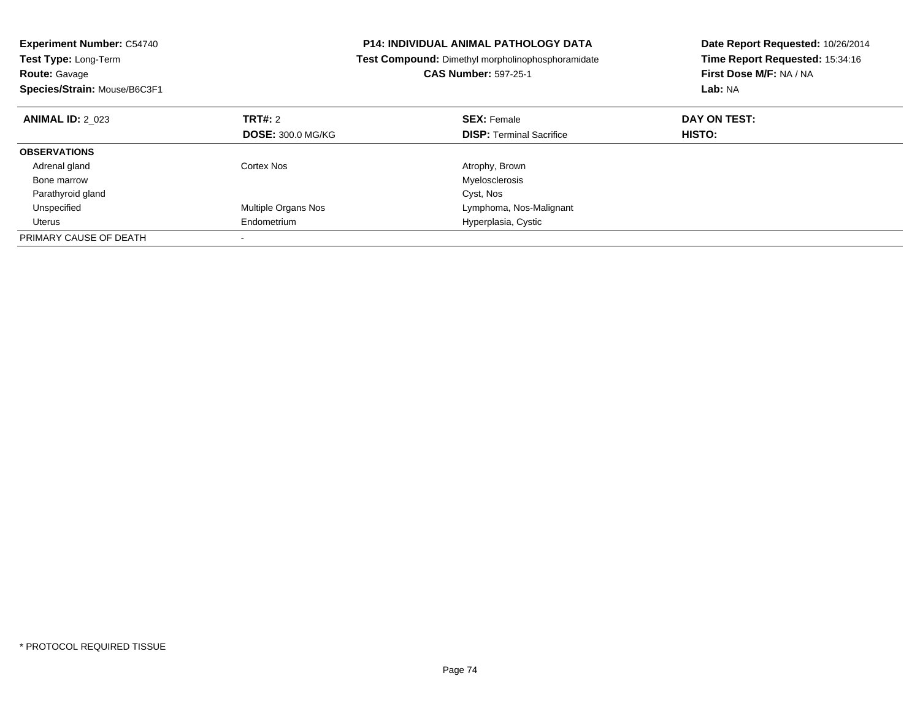| <b>Experiment Number: C54740</b><br><b>Test Type: Long-Term</b><br><b>Route: Gavage</b><br>Species/Strain: Mouse/B6C3F1 |                          | <b>P14: INDIVIDUAL ANIMAL PATHOLOGY DATA</b><br>Test Compound: Dimethyl morpholinophosphoramidate<br><b>CAS Number: 597-25-1</b> | Date Report Requested: 10/26/2014<br>Time Report Requested: 15:34:16<br>First Dose M/F: NA / NA<br>Lab: NA |  |
|-------------------------------------------------------------------------------------------------------------------------|--------------------------|----------------------------------------------------------------------------------------------------------------------------------|------------------------------------------------------------------------------------------------------------|--|
| <b>ANIMAL ID: 2 023</b>                                                                                                 | TRT#: 2                  | <b>SEX: Female</b>                                                                                                               | DAY ON TEST:                                                                                               |  |
|                                                                                                                         | <b>DOSE: 300.0 MG/KG</b> | <b>DISP: Terminal Sacrifice</b>                                                                                                  | HISTO:                                                                                                     |  |
| <b>OBSERVATIONS</b>                                                                                                     |                          |                                                                                                                                  |                                                                                                            |  |
| Adrenal gland                                                                                                           | Cortex Nos               | Atrophy, Brown                                                                                                                   |                                                                                                            |  |
| Bone marrow                                                                                                             |                          | Myelosclerosis                                                                                                                   |                                                                                                            |  |
| Parathyroid gland                                                                                                       |                          | Cyst, Nos                                                                                                                        |                                                                                                            |  |
| Unspecified                                                                                                             | Multiple Organs Nos      | Lymphoma, Nos-Malignant                                                                                                          |                                                                                                            |  |
| Uterus                                                                                                                  | Endometrium              | Hyperplasia, Cystic                                                                                                              |                                                                                                            |  |
| PRIMARY CAUSE OF DEATH                                                                                                  |                          |                                                                                                                                  |                                                                                                            |  |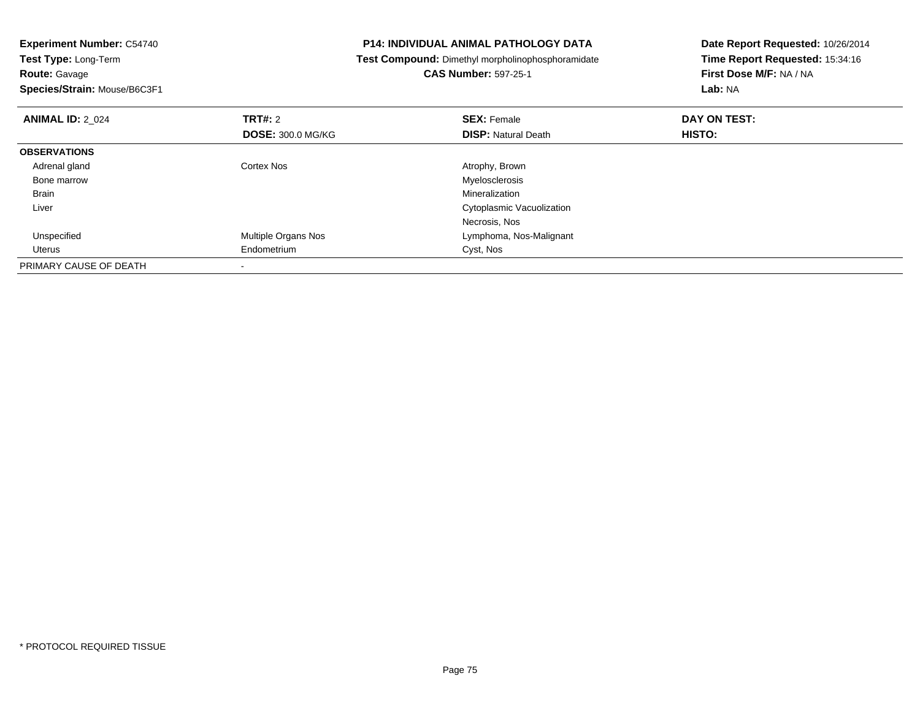| <b>P14: INDIVIDUAL ANIMAL PATHOLOGY DATA</b>             | Date Report Requested: 10/26/2014 |  |
|----------------------------------------------------------|-----------------------------------|--|
| <b>Test Compound:</b> Dimethyl morpholinophosphoramidate | Time Report Requested: 15:34:16   |  |
| <b>CAS Number: 597-25-1</b>                              | First Dose M/F: NA / NA           |  |
|                                                          | Lab: NA                           |  |
| <b>SEX: Female</b>                                       | DAY ON TEST:                      |  |
| <b>DISP:</b> Natural Death                               | <b>HISTO:</b>                     |  |
|                                                          |                                   |  |
| Atrophy, Brown                                           |                                   |  |
| Myelosclerosis                                           |                                   |  |
| Mineralization                                           |                                   |  |
| Cytoplasmic Vacuolization                                |                                   |  |
| Necrosis, Nos                                            |                                   |  |
| Lymphoma, Nos-Malignant                                  |                                   |  |
| Cyst, Nos                                                |                                   |  |
|                                                          |                                   |  |
|                                                          | <b>DOSE: 300.0 MG/KG</b>          |  |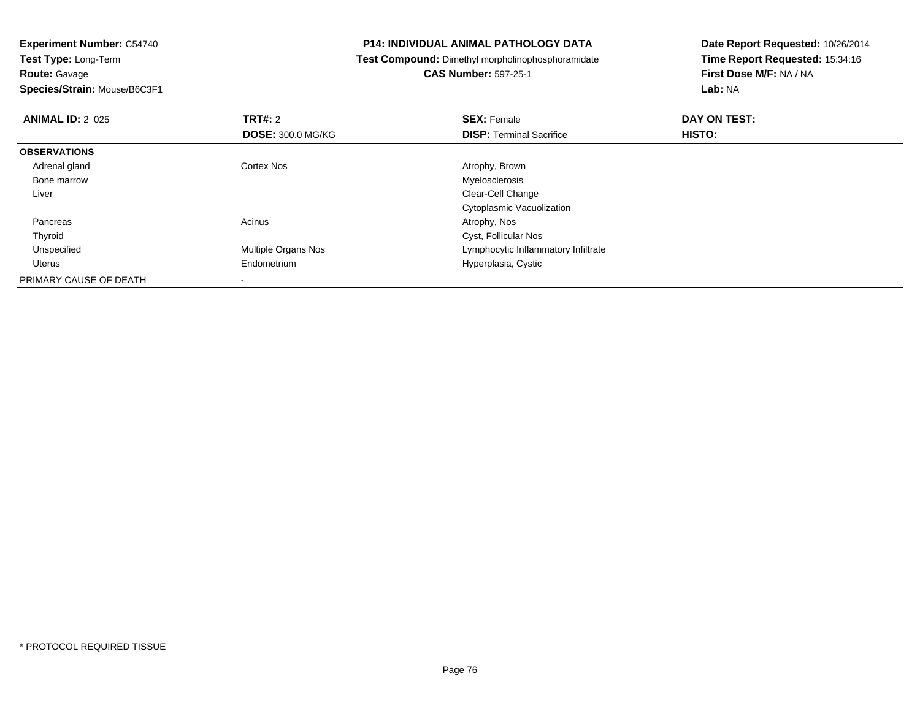**Route:** Gavage

**Species/Strain:** Mouse/B6C3F1

## **P14: INDIVIDUAL ANIMAL PATHOLOGY DATA**

**Test Compound:** Dimethyl morpholinophosphoramidate

**CAS Number:** 597-25-1

| <b>ANIMAL ID: 2 025</b> | TRT#: 2                    | <b>SEX: Female</b>                  | DAY ON TEST: |  |
|-------------------------|----------------------------|-------------------------------------|--------------|--|
|                         | <b>DOSE: 300.0 MG/KG</b>   | <b>DISP: Terminal Sacrifice</b>     | HISTO:       |  |
| <b>OBSERVATIONS</b>     |                            |                                     |              |  |
| Adrenal gland           | <b>Cortex Nos</b>          | Atrophy, Brown                      |              |  |
| Bone marrow             |                            | Myelosclerosis                      |              |  |
| Liver                   |                            | Clear-Cell Change                   |              |  |
|                         |                            | Cytoplasmic Vacuolization           |              |  |
| Pancreas                | Acinus                     | Atrophy, Nos                        |              |  |
| Thyroid                 |                            | Cyst, Follicular Nos                |              |  |
| Unspecified             | <b>Multiple Organs Nos</b> | Lymphocytic Inflammatory Infiltrate |              |  |
| Uterus                  | Endometrium                | Hyperplasia, Cystic                 |              |  |
| PRIMARY CAUSE OF DEATH  |                            |                                     |              |  |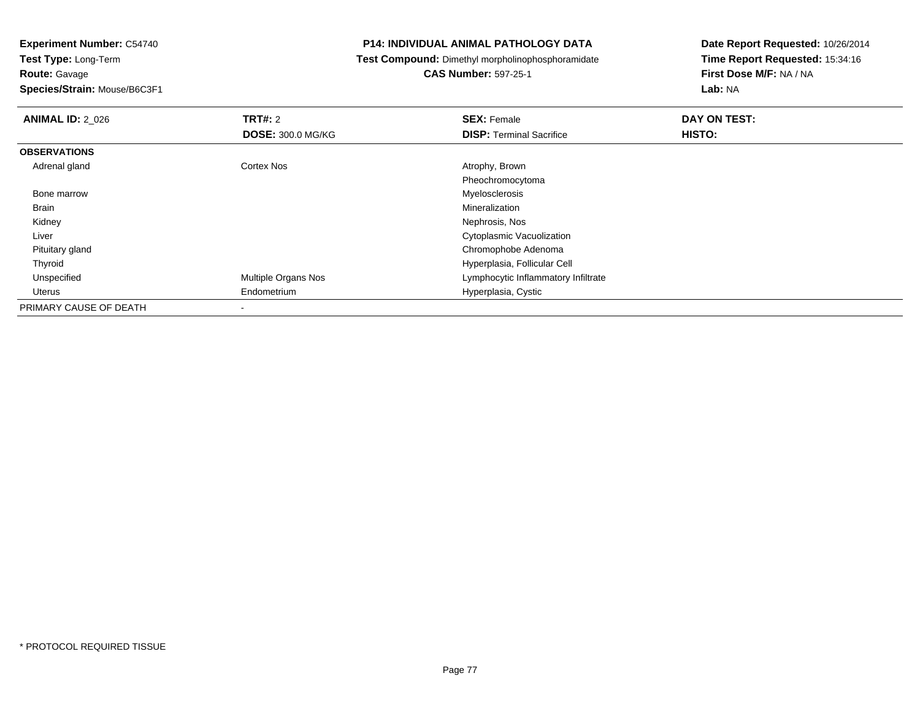**Route:** Gavage

**Species/Strain:** Mouse/B6C3F1

## **P14: INDIVIDUAL ANIMAL PATHOLOGY DATA**

**Test Compound:** Dimethyl morpholinophosphoramidate

# **CAS Number:** 597-25-1

| <b>ANIMAL ID: 2 026</b> | TRT#: 2                  | <b>SEX: Female</b>                  | DAY ON TEST:  |  |
|-------------------------|--------------------------|-------------------------------------|---------------|--|
|                         | <b>DOSE: 300.0 MG/KG</b> | <b>DISP: Terminal Sacrifice</b>     | <b>HISTO:</b> |  |
| <b>OBSERVATIONS</b>     |                          |                                     |               |  |
| Adrenal gland           | <b>Cortex Nos</b>        | Atrophy, Brown                      |               |  |
|                         |                          | Pheochromocytoma                    |               |  |
| Bone marrow             |                          | Myelosclerosis                      |               |  |
| Brain                   |                          | Mineralization                      |               |  |
| Kidney                  |                          | Nephrosis, Nos                      |               |  |
| Liver                   |                          | Cytoplasmic Vacuolization           |               |  |
| Pituitary gland         |                          | Chromophobe Adenoma                 |               |  |
| Thyroid                 |                          | Hyperplasia, Follicular Cell        |               |  |
| Unspecified             | Multiple Organs Nos      | Lymphocytic Inflammatory Infiltrate |               |  |
| Uterus                  | Endometrium              | Hyperplasia, Cystic                 |               |  |
| PRIMARY CAUSE OF DEATH  | $\overline{\phantom{a}}$ |                                     |               |  |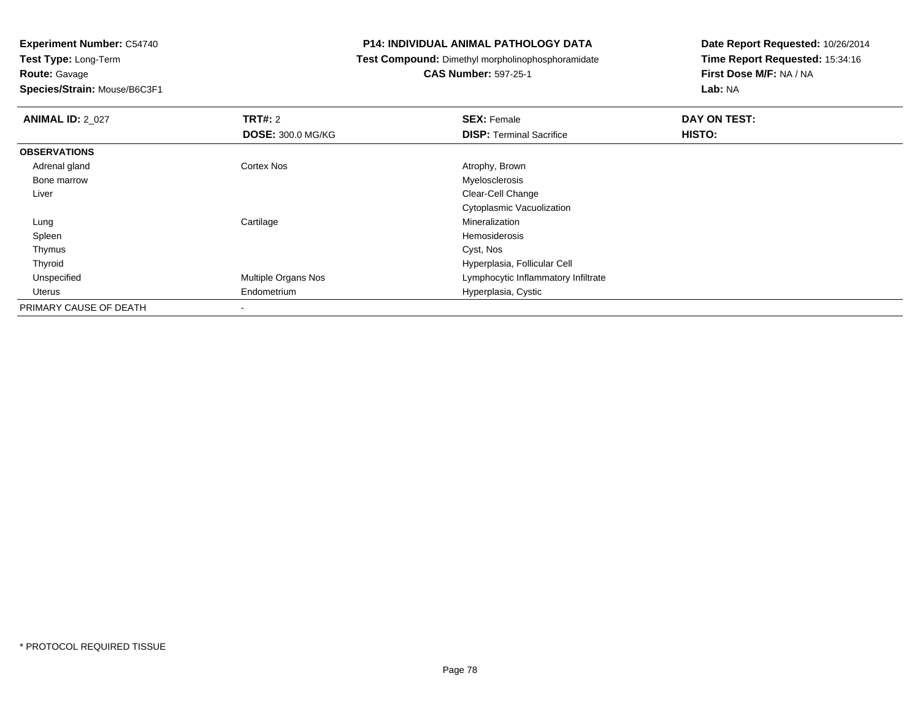**Route:** Gavage

**Species/Strain:** Mouse/B6C3F1

## **P14: INDIVIDUAL ANIMAL PATHOLOGY DATA**

**Test Compound:** Dimethyl morpholinophosphoramidate

# **CAS Number:** 597-25-1

| <b>ANIMAL ID: 2 027</b> | TRT#: 2                  | <b>SEX: Female</b>                  | DAY ON TEST: |  |
|-------------------------|--------------------------|-------------------------------------|--------------|--|
|                         | <b>DOSE: 300.0 MG/KG</b> | <b>DISP: Terminal Sacrifice</b>     | HISTO:       |  |
| <b>OBSERVATIONS</b>     |                          |                                     |              |  |
| Adrenal gland           | Cortex Nos               | Atrophy, Brown                      |              |  |
| Bone marrow             |                          | Myelosclerosis                      |              |  |
| Liver                   |                          | Clear-Cell Change                   |              |  |
|                         |                          | Cytoplasmic Vacuolization           |              |  |
| Lung                    | Cartilage                | Mineralization                      |              |  |
| Spleen                  |                          | Hemosiderosis                       |              |  |
| Thymus                  |                          | Cyst, Nos                           |              |  |
| Thyroid                 |                          | Hyperplasia, Follicular Cell        |              |  |
| Unspecified             | Multiple Organs Nos      | Lymphocytic Inflammatory Infiltrate |              |  |
| Uterus                  | Endometrium              | Hyperplasia, Cystic                 |              |  |
| PRIMARY CAUSE OF DEATH  | ۰                        |                                     |              |  |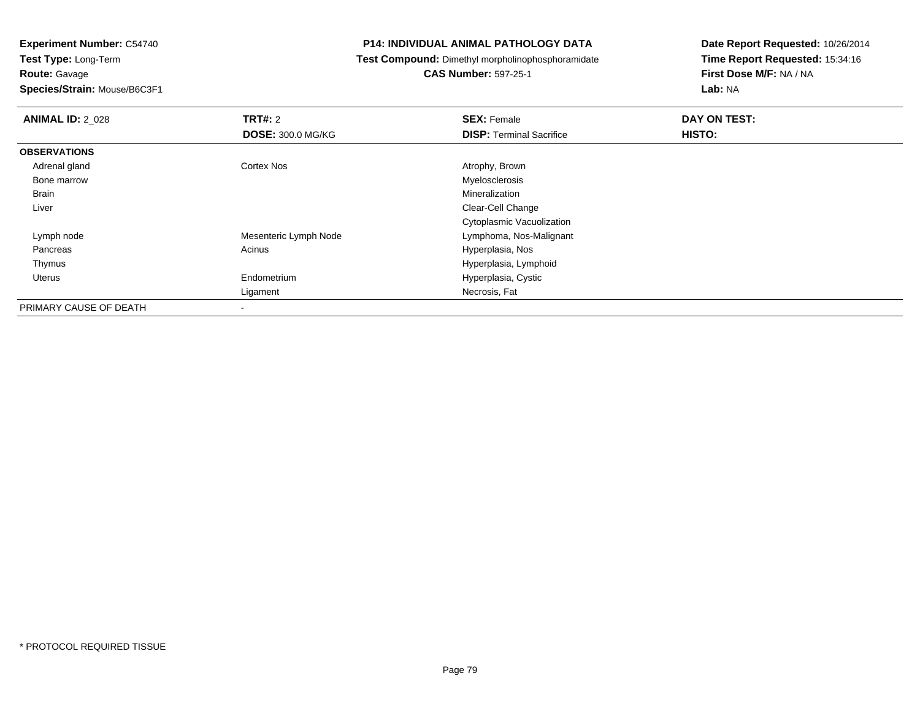**Route:** Gavage

**Species/Strain:** Mouse/B6C3F1

## **P14: INDIVIDUAL ANIMAL PATHOLOGY DATA**

**Test Compound:** Dimethyl morpholinophosphoramidate

**CAS Number:** 597-25-1

| <b>ANIMAL ID: 2_028</b> | <b>TRT#: 2</b>           | <b>SEX: Female</b>              | DAY ON TEST: |  |
|-------------------------|--------------------------|---------------------------------|--------------|--|
|                         | <b>DOSE: 300.0 MG/KG</b> | <b>DISP: Terminal Sacrifice</b> | HISTO:       |  |
| <b>OBSERVATIONS</b>     |                          |                                 |              |  |
| Adrenal gland           | <b>Cortex Nos</b>        | Atrophy, Brown                  |              |  |
| Bone marrow             |                          | Myelosclerosis                  |              |  |
| <b>Brain</b>            |                          | Mineralization                  |              |  |
| Liver                   |                          | Clear-Cell Change               |              |  |
|                         |                          | Cytoplasmic Vacuolization       |              |  |
| Lymph node              | Mesenteric Lymph Node    | Lymphoma, Nos-Malignant         |              |  |
| Pancreas                | Acinus                   | Hyperplasia, Nos                |              |  |
| Thymus                  |                          | Hyperplasia, Lymphoid           |              |  |
| Uterus                  | Endometrium              | Hyperplasia, Cystic             |              |  |
|                         | Ligament                 | Necrosis, Fat                   |              |  |
| PRIMARY CAUSE OF DEATH  |                          |                                 |              |  |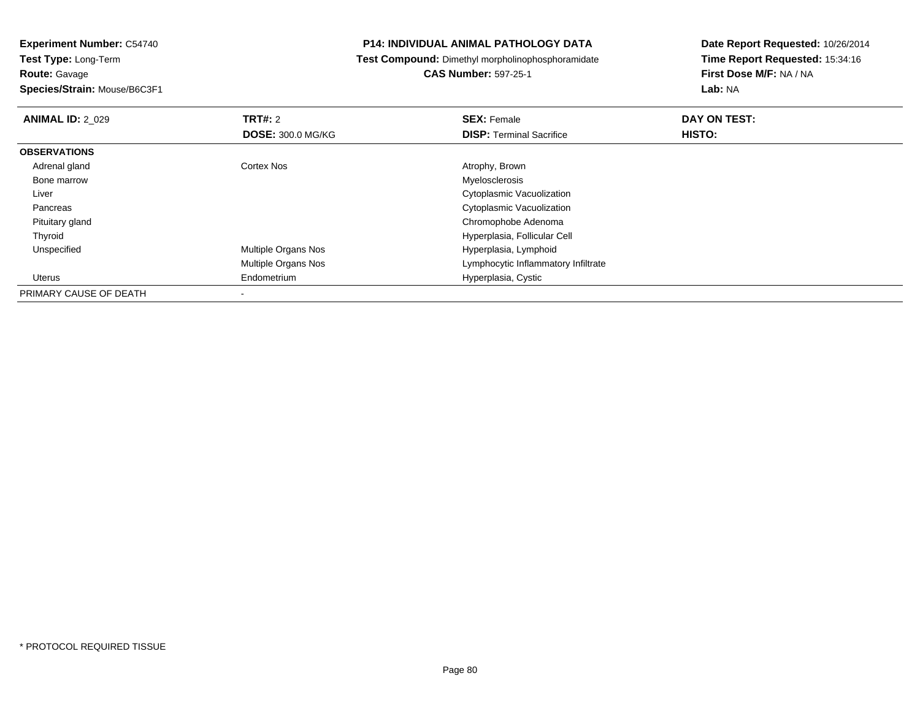**Species/Strain:** Mouse/B6C3F1

## **P14: INDIVIDUAL ANIMAL PATHOLOGY DATA**

**Test Compound:** Dimethyl morpholinophosphoramidate

**CAS Number:** 597-25-1

| <b>ANIMAL ID: 2 029</b> | TRT#: 2                  | <b>SEX: Female</b>                  | DAY ON TEST: |  |
|-------------------------|--------------------------|-------------------------------------|--------------|--|
|                         | <b>DOSE: 300.0 MG/KG</b> | <b>DISP: Terminal Sacrifice</b>     | HISTO:       |  |
| <b>OBSERVATIONS</b>     |                          |                                     |              |  |
| Adrenal gland           | Cortex Nos               | Atrophy, Brown                      |              |  |
| Bone marrow             |                          | Myelosclerosis                      |              |  |
| Liver                   |                          | Cytoplasmic Vacuolization           |              |  |
| Pancreas                |                          | Cytoplasmic Vacuolization           |              |  |
| Pituitary gland         |                          | Chromophobe Adenoma                 |              |  |
| Thyroid                 |                          | Hyperplasia, Follicular Cell        |              |  |
| Unspecified             | Multiple Organs Nos      | Hyperplasia, Lymphoid               |              |  |
|                         | Multiple Organs Nos      | Lymphocytic Inflammatory Infiltrate |              |  |
| <b>Uterus</b>           | Endometrium              | Hyperplasia, Cystic                 |              |  |
| PRIMARY CAUSE OF DEATH  |                          |                                     |              |  |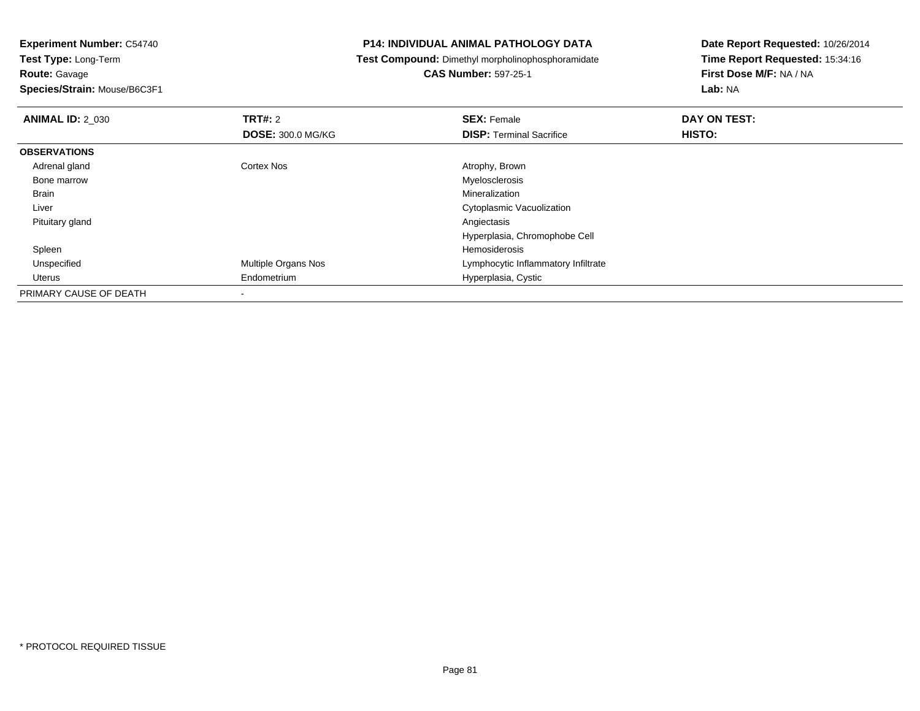**Route:** Gavage

**Species/Strain:** Mouse/B6C3F1

## **P14: INDIVIDUAL ANIMAL PATHOLOGY DATA**

**Test Compound:** Dimethyl morpholinophosphoramidate

# **CAS Number:** 597-25-1

| <b>ANIMAL ID: 2_030</b> | TRT#: 2                  | <b>SEX: Female</b>                  | DAY ON TEST: |  |
|-------------------------|--------------------------|-------------------------------------|--------------|--|
|                         | <b>DOSE: 300.0 MG/KG</b> | <b>DISP: Terminal Sacrifice</b>     | HISTO:       |  |
| <b>OBSERVATIONS</b>     |                          |                                     |              |  |
| Adrenal gland           | <b>Cortex Nos</b>        | Atrophy, Brown                      |              |  |
| Bone marrow             |                          | Myelosclerosis                      |              |  |
| Brain                   |                          | Mineralization                      |              |  |
| Liver                   |                          | Cytoplasmic Vacuolization           |              |  |
| Pituitary gland         |                          | Angiectasis                         |              |  |
|                         |                          | Hyperplasia, Chromophobe Cell       |              |  |
| Spleen                  |                          | Hemosiderosis                       |              |  |
| Unspecified             | Multiple Organs Nos      | Lymphocytic Inflammatory Infiltrate |              |  |
| Uterus                  | Endometrium              | Hyperplasia, Cystic                 |              |  |
| PRIMARY CAUSE OF DEATH  | $\overline{\phantom{a}}$ |                                     |              |  |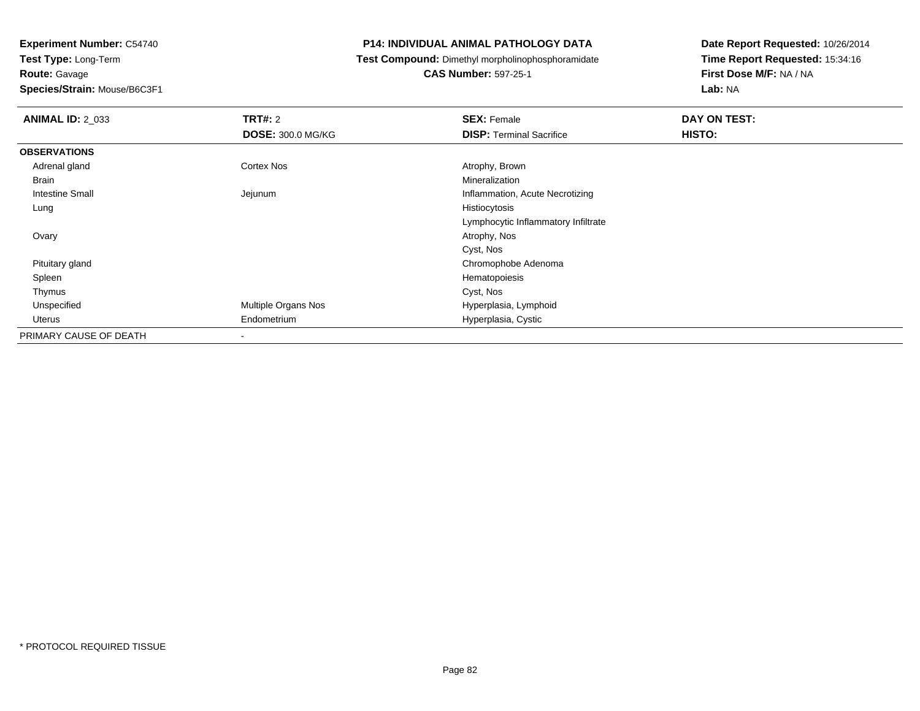**Route:** Gavage

**Species/Strain:** Mouse/B6C3F1

## **P14: INDIVIDUAL ANIMAL PATHOLOGY DATA**

**Test Compound:** Dimethyl morpholinophosphoramidate

**CAS Number:** 597-25-1

| <b>ANIMAL ID: 2_033</b> | <b>TRT#: 2</b>           | <b>SEX: Female</b>                  | DAY ON TEST: |  |
|-------------------------|--------------------------|-------------------------------------|--------------|--|
|                         | <b>DOSE: 300.0 MG/KG</b> | <b>DISP: Terminal Sacrifice</b>     | HISTO:       |  |
| <b>OBSERVATIONS</b>     |                          |                                     |              |  |
| Adrenal gland           | Cortex Nos               | Atrophy, Brown                      |              |  |
| <b>Brain</b>            |                          | Mineralization                      |              |  |
| Intestine Small         | Jejunum                  | Inflammation, Acute Necrotizing     |              |  |
| Lung                    |                          | Histiocytosis                       |              |  |
|                         |                          | Lymphocytic Inflammatory Infiltrate |              |  |
| Ovary                   |                          | Atrophy, Nos                        |              |  |
|                         |                          | Cyst, Nos                           |              |  |
| Pituitary gland         |                          | Chromophobe Adenoma                 |              |  |
| Spleen                  |                          | Hematopoiesis                       |              |  |
| Thymus                  |                          | Cyst, Nos                           |              |  |
| Unspecified             | Multiple Organs Nos      | Hyperplasia, Lymphoid               |              |  |
| Uterus                  | Endometrium              | Hyperplasia, Cystic                 |              |  |
| PRIMARY CAUSE OF DEATH  |                          |                                     |              |  |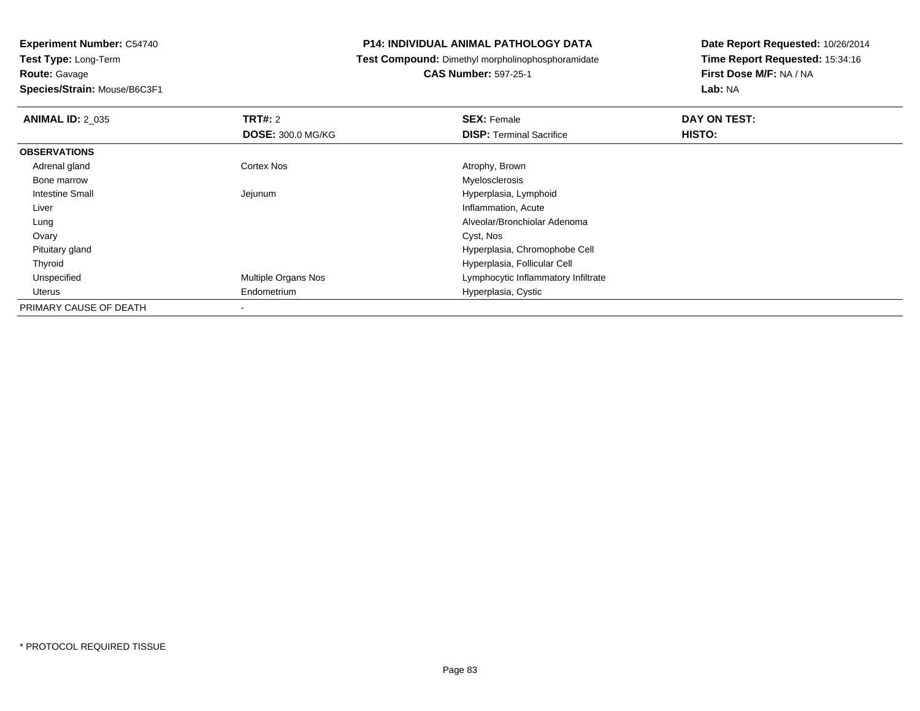**Species/Strain:** Mouse/B6C3F1

## **P14: INDIVIDUAL ANIMAL PATHOLOGY DATA**

**Test Compound:** Dimethyl morpholinophosphoramidate

**CAS Number:** 597-25-1

| <b>ANIMAL ID: 2 035</b> | TRT#: 2                  | <b>SEX: Female</b>                  | DAY ON TEST: |  |
|-------------------------|--------------------------|-------------------------------------|--------------|--|
|                         | <b>DOSE: 300.0 MG/KG</b> | <b>DISP: Terminal Sacrifice</b>     | HISTO:       |  |
| <b>OBSERVATIONS</b>     |                          |                                     |              |  |
| Adrenal gland           | <b>Cortex Nos</b>        | Atrophy, Brown                      |              |  |
| Bone marrow             |                          | Myelosclerosis                      |              |  |
| Intestine Small         | Jejunum                  | Hyperplasia, Lymphoid               |              |  |
| Liver                   |                          | Inflammation, Acute                 |              |  |
| Lung                    |                          | Alveolar/Bronchiolar Adenoma        |              |  |
| Ovary                   |                          | Cyst, Nos                           |              |  |
| Pituitary gland         |                          | Hyperplasia, Chromophobe Cell       |              |  |
| Thyroid                 |                          | Hyperplasia, Follicular Cell        |              |  |
| Unspecified             | Multiple Organs Nos      | Lymphocytic Inflammatory Infiltrate |              |  |
| Uterus                  | Endometrium              | Hyperplasia, Cystic                 |              |  |
| PRIMARY CAUSE OF DEATH  |                          |                                     |              |  |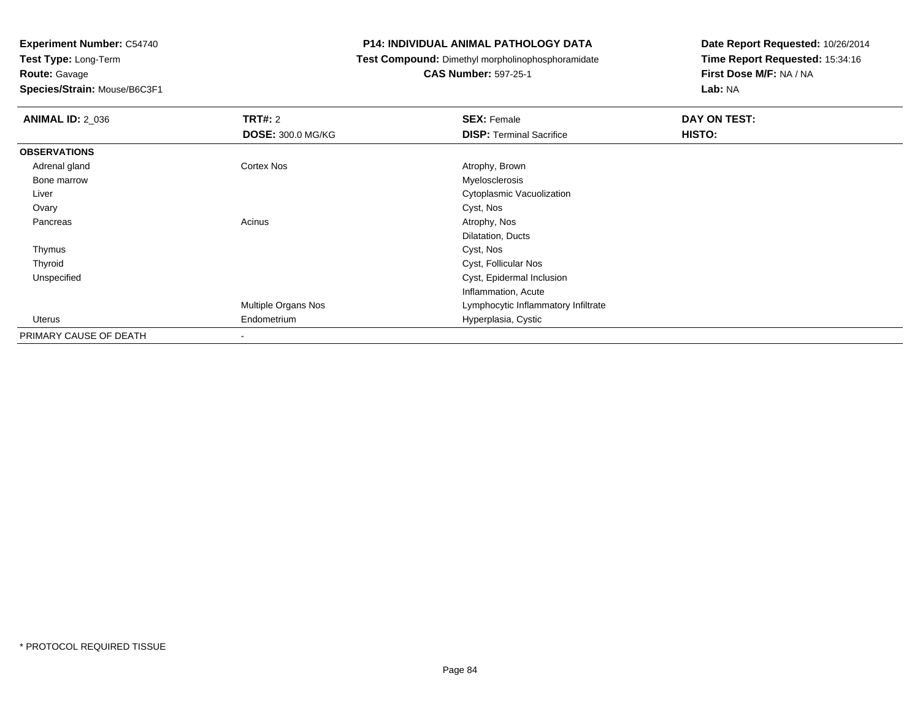**Route:** Gavage

**Species/Strain:** Mouse/B6C3F1

## **P14: INDIVIDUAL ANIMAL PATHOLOGY DATA**

**Test Compound:** Dimethyl morpholinophosphoramidate

**CAS Number:** 597-25-1

| <b>ANIMAL ID: 2_036</b> | <b>TRT#:</b> 2           | <b>SEX: Female</b>                  | DAY ON TEST: |  |
|-------------------------|--------------------------|-------------------------------------|--------------|--|
|                         | <b>DOSE: 300.0 MG/KG</b> | <b>DISP: Terminal Sacrifice</b>     | HISTO:       |  |
| <b>OBSERVATIONS</b>     |                          |                                     |              |  |
| Adrenal gland           | Cortex Nos               | Atrophy, Brown                      |              |  |
| Bone marrow             |                          | Myelosclerosis                      |              |  |
| Liver                   |                          | Cytoplasmic Vacuolization           |              |  |
| Ovary                   |                          | Cyst, Nos                           |              |  |
| Pancreas                | Acinus                   | Atrophy, Nos                        |              |  |
|                         |                          | Dilatation, Ducts                   |              |  |
| Thymus                  |                          | Cyst, Nos                           |              |  |
| Thyroid                 |                          | Cyst, Follicular Nos                |              |  |
| Unspecified             |                          | Cyst, Epidermal Inclusion           |              |  |
|                         |                          | Inflammation, Acute                 |              |  |
|                         | Multiple Organs Nos      | Lymphocytic Inflammatory Infiltrate |              |  |
| Uterus                  | Endometrium              | Hyperplasia, Cystic                 |              |  |
| PRIMARY CAUSE OF DEATH  |                          |                                     |              |  |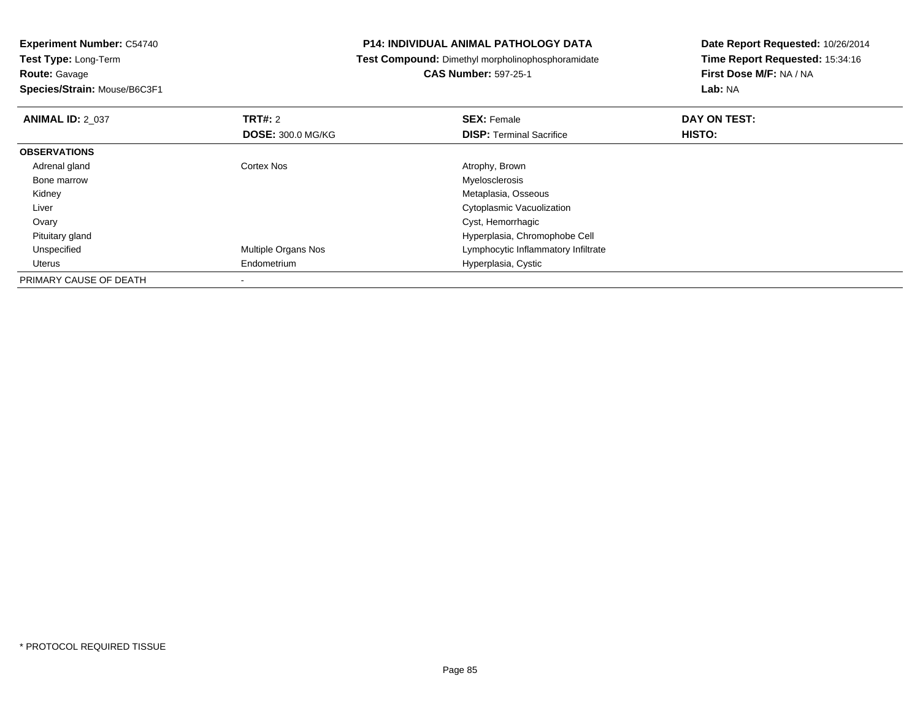**Species/Strain:** Mouse/B6C3F1

## **P14: INDIVIDUAL ANIMAL PATHOLOGY DATA**

**Test Compound:** Dimethyl morpholinophosphoramidate

**CAS Number:** 597-25-1

| <b>ANIMAL ID: 2 037</b> | TRT#: 2                    | <b>SEX: Female</b>                  | DAY ON TEST: |  |
|-------------------------|----------------------------|-------------------------------------|--------------|--|
|                         | <b>DOSE: 300.0 MG/KG</b>   | <b>DISP: Terminal Sacrifice</b>     | HISTO:       |  |
| <b>OBSERVATIONS</b>     |                            |                                     |              |  |
| Adrenal gland           | Cortex Nos                 | Atrophy, Brown                      |              |  |
| Bone marrow             |                            | Myelosclerosis                      |              |  |
| Kidney                  |                            | Metaplasia, Osseous                 |              |  |
| Liver                   |                            | Cytoplasmic Vacuolization           |              |  |
| Ovary                   |                            | Cyst, Hemorrhagic                   |              |  |
| Pituitary gland         |                            | Hyperplasia, Chromophobe Cell       |              |  |
| Unspecified             | <b>Multiple Organs Nos</b> | Lymphocytic Inflammatory Infiltrate |              |  |
| Uterus                  | Endometrium                | Hyperplasia, Cystic                 |              |  |
| PRIMARY CAUSE OF DEATH  |                            |                                     |              |  |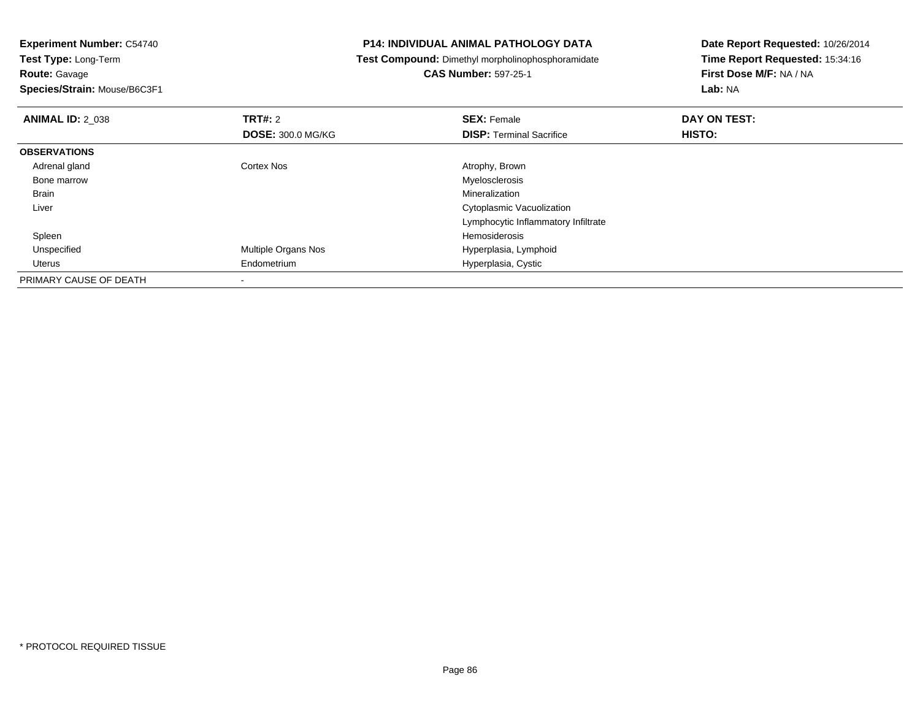**Species/Strain:** Mouse/B6C3F1

## **P14: INDIVIDUAL ANIMAL PATHOLOGY DATA**

**Test Compound:** Dimethyl morpholinophosphoramidate

# **CAS Number:** 597-25-1

| <b>ANIMAL ID: 2 038</b> | <b>TRT#: 2</b>           | <b>SEX: Female</b>                  | DAY ON TEST: |  |
|-------------------------|--------------------------|-------------------------------------|--------------|--|
|                         | <b>DOSE: 300.0 MG/KG</b> | <b>DISP:</b> Terminal Sacrifice     | HISTO:       |  |
| <b>OBSERVATIONS</b>     |                          |                                     |              |  |
| Adrenal gland           | <b>Cortex Nos</b>        | Atrophy, Brown                      |              |  |
| Bone marrow             |                          | Myelosclerosis                      |              |  |
| Brain                   |                          | Mineralization                      |              |  |
| Liver                   |                          | Cytoplasmic Vacuolization           |              |  |
|                         |                          | Lymphocytic Inflammatory Infiltrate |              |  |
| Spleen                  |                          | Hemosiderosis                       |              |  |
| Unspecified             | Multiple Organs Nos      | Hyperplasia, Lymphoid               |              |  |
| Uterus                  | Endometrium              | Hyperplasia, Cystic                 |              |  |
| PRIMARY CAUSE OF DEATH  |                          |                                     |              |  |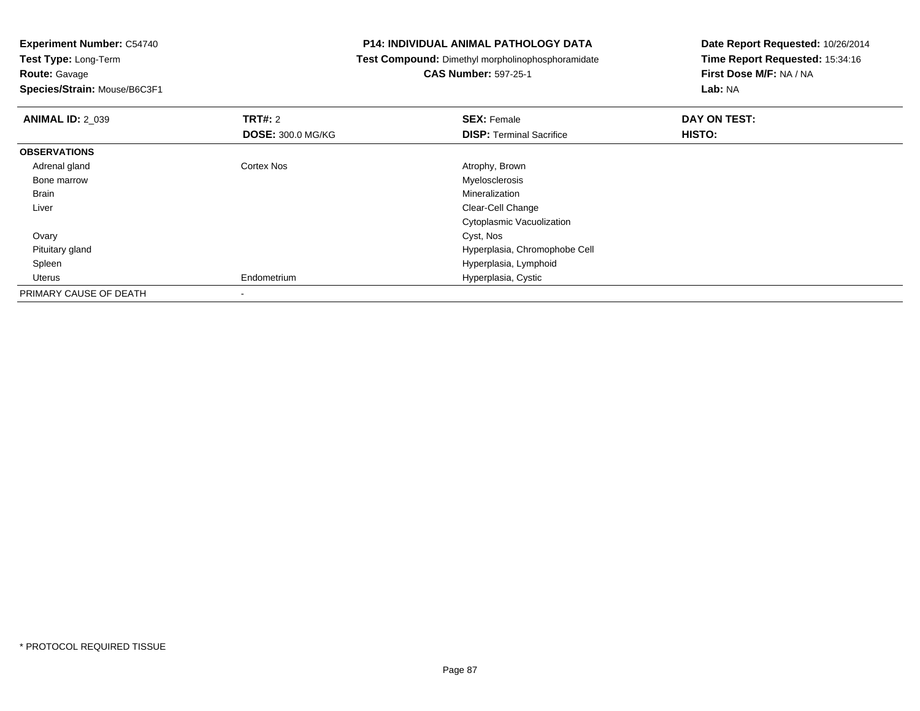**Route:** Gavage

**Species/Strain:** Mouse/B6C3F1

## **P14: INDIVIDUAL ANIMAL PATHOLOGY DATA**

**Test Compound:** Dimethyl morpholinophosphoramidate

**CAS Number:** 597-25-1

| <b>ANIMAL ID: 2_039</b> | TRT#: 2                  | <b>SEX: Female</b>              | DAY ON TEST: |  |
|-------------------------|--------------------------|---------------------------------|--------------|--|
|                         | <b>DOSE: 300.0 MG/KG</b> | <b>DISP: Terminal Sacrifice</b> | HISTO:       |  |
| <b>OBSERVATIONS</b>     |                          |                                 |              |  |
| Adrenal gland           | <b>Cortex Nos</b>        | Atrophy, Brown                  |              |  |
| Bone marrow             |                          | Myelosclerosis                  |              |  |
| Brain                   |                          | Mineralization                  |              |  |
| Liver                   |                          | Clear-Cell Change               |              |  |
|                         |                          | Cytoplasmic Vacuolization       |              |  |
| Ovary                   |                          | Cyst, Nos                       |              |  |
| Pituitary gland         |                          | Hyperplasia, Chromophobe Cell   |              |  |
| Spleen                  |                          | Hyperplasia, Lymphoid           |              |  |
| Uterus                  | Endometrium              | Hyperplasia, Cystic             |              |  |
| PRIMARY CAUSE OF DEATH  |                          |                                 |              |  |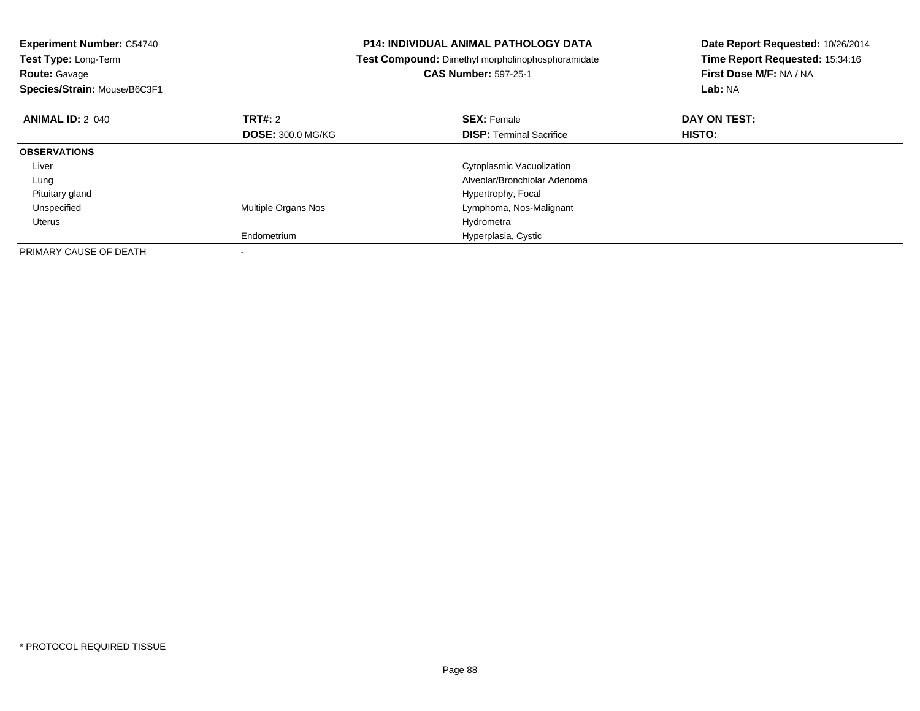| <b>Experiment Number: C54740</b><br>Test Type: Long-Term<br><b>Route: Gavage</b><br>Species/Strain: Mouse/B6C3F1 |                          | <b>P14: INDIVIDUAL ANIMAL PATHOLOGY DATA</b><br>Test Compound: Dimethyl morpholinophosphoramidate<br><b>CAS Number: 597-25-1</b> | Date Report Requested: 10/26/2014<br>Time Report Requested: 15:34:16<br>First Dose M/F: NA / NA<br><b>Lab: NA</b> |
|------------------------------------------------------------------------------------------------------------------|--------------------------|----------------------------------------------------------------------------------------------------------------------------------|-------------------------------------------------------------------------------------------------------------------|
| <b>ANIMAL ID: 2 040</b>                                                                                          | TRT#: 2                  | <b>SEX: Female</b>                                                                                                               | DAY ON TEST:                                                                                                      |
|                                                                                                                  | <b>DOSE: 300.0 MG/KG</b> | <b>DISP:</b> Terminal Sacrifice                                                                                                  | HISTO:                                                                                                            |
| <b>OBSERVATIONS</b>                                                                                              |                          |                                                                                                                                  |                                                                                                                   |
| Liver                                                                                                            |                          | Cytoplasmic Vacuolization                                                                                                        |                                                                                                                   |
| Lung                                                                                                             |                          | Alveolar/Bronchiolar Adenoma                                                                                                     |                                                                                                                   |
| Pituitary gland                                                                                                  |                          | Hypertrophy, Focal                                                                                                               |                                                                                                                   |
| Unspecified                                                                                                      | Multiple Organs Nos      | Lymphoma, Nos-Malignant                                                                                                          |                                                                                                                   |
| Uterus                                                                                                           |                          | Hydrometra                                                                                                                       |                                                                                                                   |
|                                                                                                                  | Endometrium              | Hyperplasia, Cystic                                                                                                              |                                                                                                                   |
| PRIMARY CAUSE OF DEATH                                                                                           |                          |                                                                                                                                  |                                                                                                                   |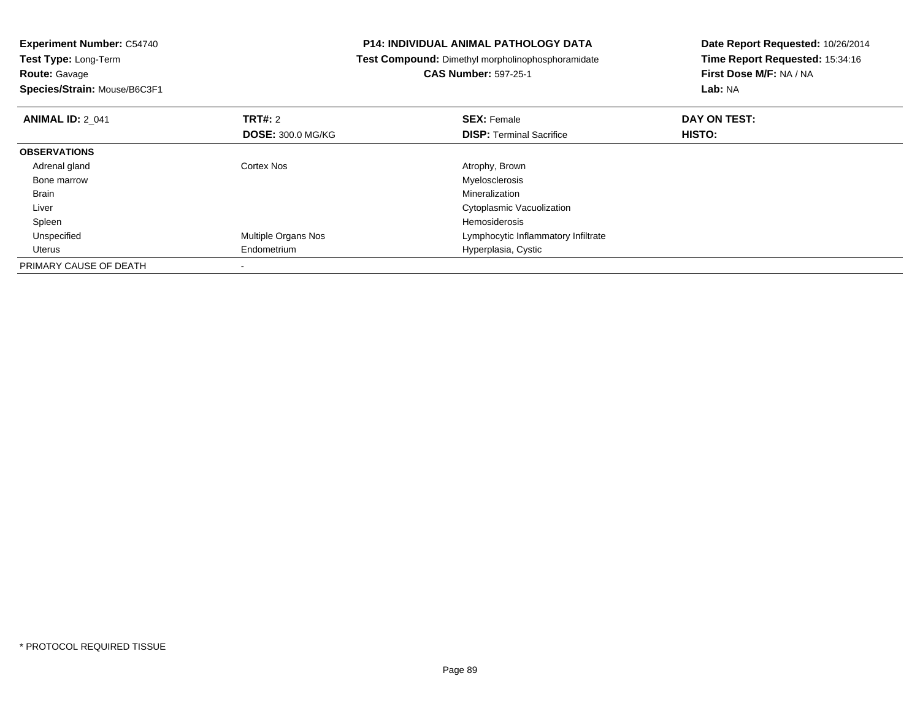| <b>Experiment Number: C54740</b>          | <b>P14: INDIVIDUAL ANIMAL PATHOLOGY DATA</b>      | Date Report Requested: 10/26/2014 |  |
|-------------------------------------------|---------------------------------------------------|-----------------------------------|--|
| Test Type: Long-Term                      | Test Compound: Dimethyl morpholinophosphoramidate | Time Report Requested: 15:34:16   |  |
| <b>Route: Gavage</b>                      | <b>CAS Number: 597-25-1</b>                       | First Dose M/F: NA / NA           |  |
| Species/Strain: Mouse/B6C3F1              |                                                   | Lab: NA                           |  |
| <b>TRT#: 2</b><br><b>ANIMAL ID: 2_041</b> | <b>SEX: Female</b>                                | DAY ON TEST:                      |  |
| <b>DOSE: 300.0 MG/KG</b>                  | <b>DISP:</b> Terminal Sacrifice                   | HISTO:                            |  |
| <b>OBSERVATIONS</b>                       |                                                   |                                   |  |
| Adrenal gland<br>Cortex Nos               | Atrophy, Brown                                    |                                   |  |
| Bone marrow                               | Myelosclerosis                                    |                                   |  |
| Brain                                     | <b>Mineralization</b>                             |                                   |  |
| Liver                                     | Cytoplasmic Vacuolization                         |                                   |  |
| Spleen                                    | Hemosiderosis                                     |                                   |  |
| Multiple Organs Nos<br>Unspecified        | Lymphocytic Inflammatory Infiltrate               |                                   |  |
| Endometrium<br>Uterus                     | Hyperplasia, Cystic                               |                                   |  |
| PRIMARY CAUSE OF DEATH                    |                                                   |                                   |  |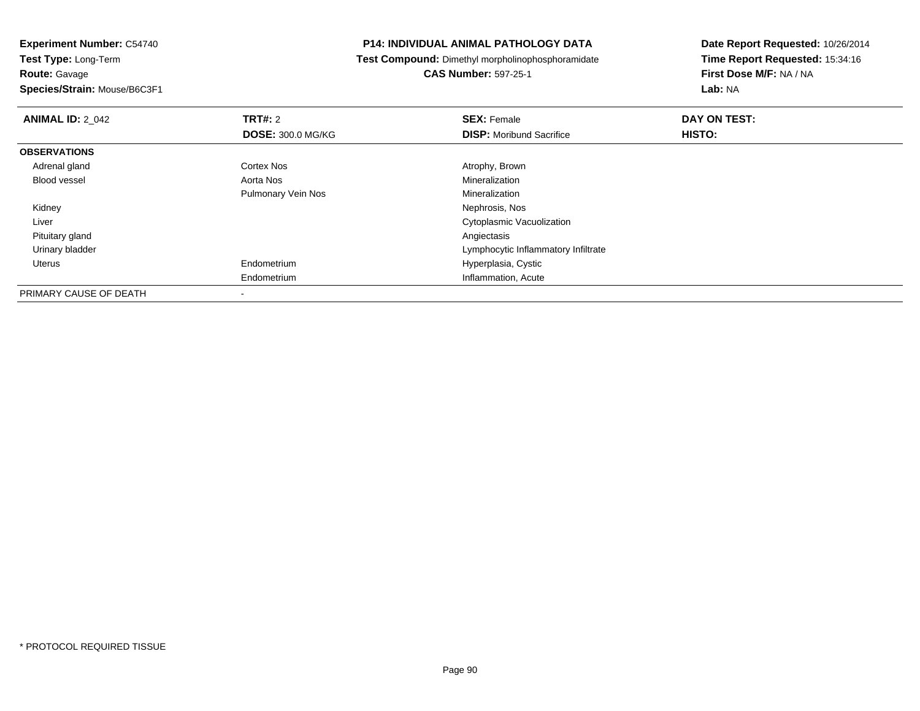**Route:** Gavage

**Species/Strain:** Mouse/B6C3F1

## **P14: INDIVIDUAL ANIMAL PATHOLOGY DATA**

**Test Compound:** Dimethyl morpholinophosphoramidate

**CAS Number:** 597-25-1

| <b>ANIMAL ID: 2 042</b> | TRT#: 2                  | <b>SEX: Female</b>                  | DAY ON TEST: |  |
|-------------------------|--------------------------|-------------------------------------|--------------|--|
|                         | <b>DOSE: 300.0 MG/KG</b> | <b>DISP:</b> Moribund Sacrifice     | HISTO:       |  |
| <b>OBSERVATIONS</b>     |                          |                                     |              |  |
| Adrenal gland           | <b>Cortex Nos</b>        | Atrophy, Brown                      |              |  |
| Blood vessel            | Aorta Nos                | Mineralization                      |              |  |
|                         | Pulmonary Vein Nos       | Mineralization                      |              |  |
| Kidney                  |                          | Nephrosis, Nos                      |              |  |
| Liver                   |                          | <b>Cytoplasmic Vacuolization</b>    |              |  |
| Pituitary gland         |                          | Angiectasis                         |              |  |
| Urinary bladder         |                          | Lymphocytic Inflammatory Infiltrate |              |  |
| Uterus                  | Endometrium              | Hyperplasia, Cystic                 |              |  |
|                         | Endometrium              | Inflammation, Acute                 |              |  |
| PRIMARY CAUSE OF DEATH  | -                        |                                     |              |  |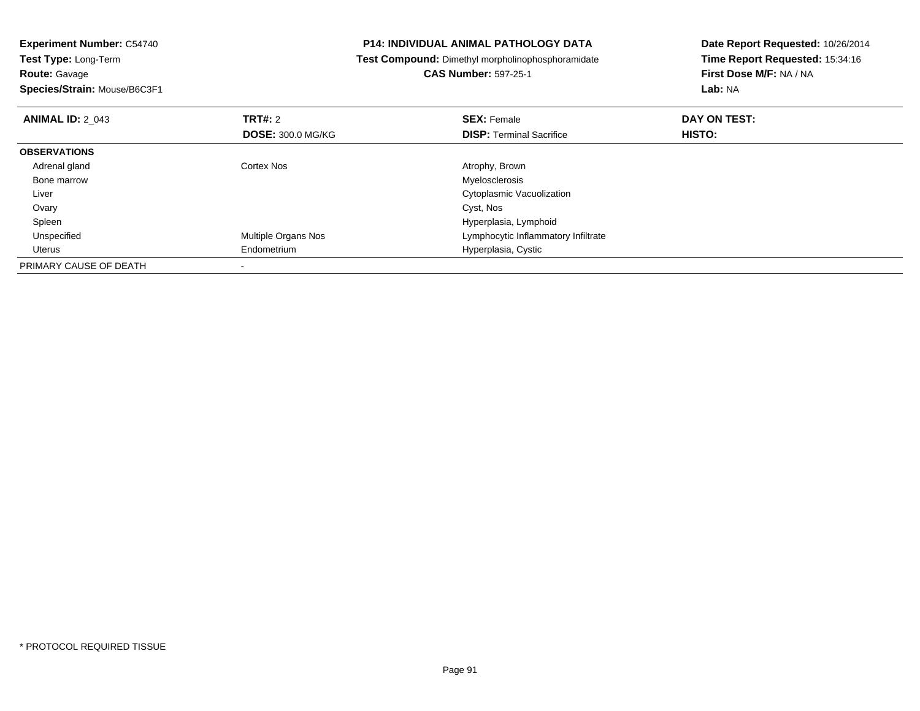| <b>P14: INDIVIDUAL ANIMAL PATHOLOGY DATA</b>      | Date Report Requested: 10/26/2014 |  |
|---------------------------------------------------|-----------------------------------|--|
| Test Compound: Dimethyl morpholinophosphoramidate | Time Report Requested: 15:34:16   |  |
| <b>CAS Number: 597-25-1</b>                       | First Dose M/F: NA / NA           |  |
|                                                   | Lab: NA                           |  |
| <b>SEX: Female</b>                                | DAY ON TEST:                      |  |
| <b>DISP:</b> Terminal Sacrifice                   | <b>HISTO:</b>                     |  |
|                                                   |                                   |  |
| Atrophy, Brown                                    |                                   |  |
| Myelosclerosis                                    |                                   |  |
| Cytoplasmic Vacuolization                         |                                   |  |
| Cyst, Nos                                         |                                   |  |
| Hyperplasia, Lymphoid                             |                                   |  |
| Lymphocytic Inflammatory Infiltrate               |                                   |  |
| Hyperplasia, Cystic                               |                                   |  |
|                                                   |                                   |  |
| <b>DOSE: 300.0 MG/KG</b>                          |                                   |  |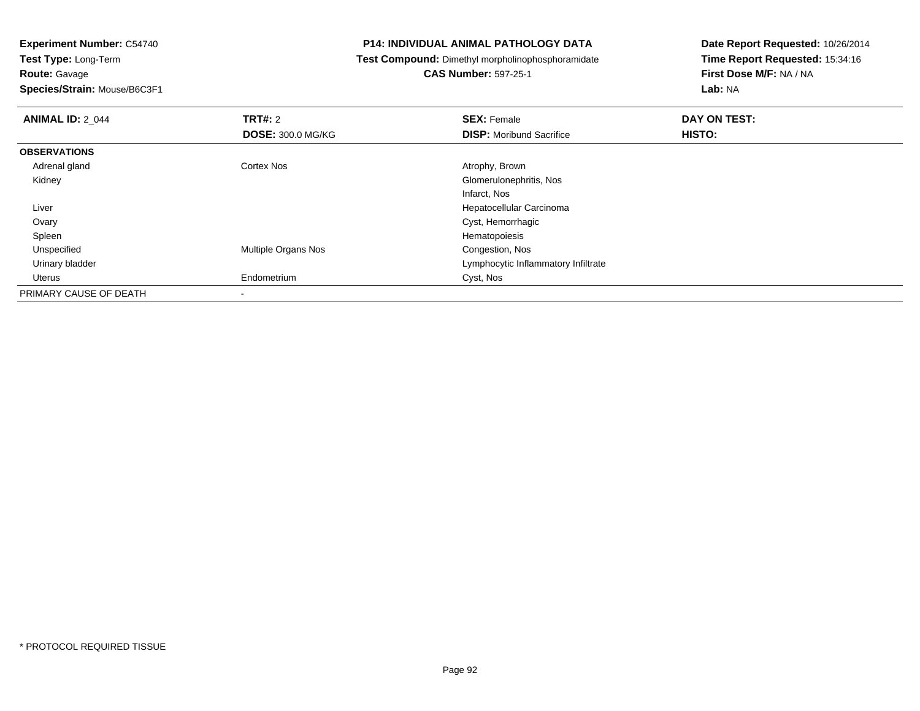**Route:** Gavage

**Species/Strain:** Mouse/B6C3F1

## **P14: INDIVIDUAL ANIMAL PATHOLOGY DATA**

**Test Compound:** Dimethyl morpholinophosphoramidate

# **CAS Number:** 597-25-1

| <b>ANIMAL ID: 2 044</b> | TRT#: 2                    | <b>SEX: Female</b>                  | DAY ON TEST: |  |
|-------------------------|----------------------------|-------------------------------------|--------------|--|
|                         | <b>DOSE: 300.0 MG/KG</b>   | <b>DISP:</b> Moribund Sacrifice     | HISTO:       |  |
| <b>OBSERVATIONS</b>     |                            |                                     |              |  |
| Adrenal gland           | <b>Cortex Nos</b>          | Atrophy, Brown                      |              |  |
| Kidney                  |                            | Glomerulonephritis, Nos             |              |  |
|                         |                            | Infarct, Nos                        |              |  |
| Liver                   |                            | Hepatocellular Carcinoma            |              |  |
| Ovary                   |                            | Cyst, Hemorrhagic                   |              |  |
| Spleen                  |                            | Hematopoiesis                       |              |  |
| Unspecified             | <b>Multiple Organs Nos</b> | Congestion, Nos                     |              |  |
| Urinary bladder         |                            | Lymphocytic Inflammatory Infiltrate |              |  |
| Uterus                  | Endometrium                | Cyst, Nos                           |              |  |
| PRIMARY CAUSE OF DEATH  |                            |                                     |              |  |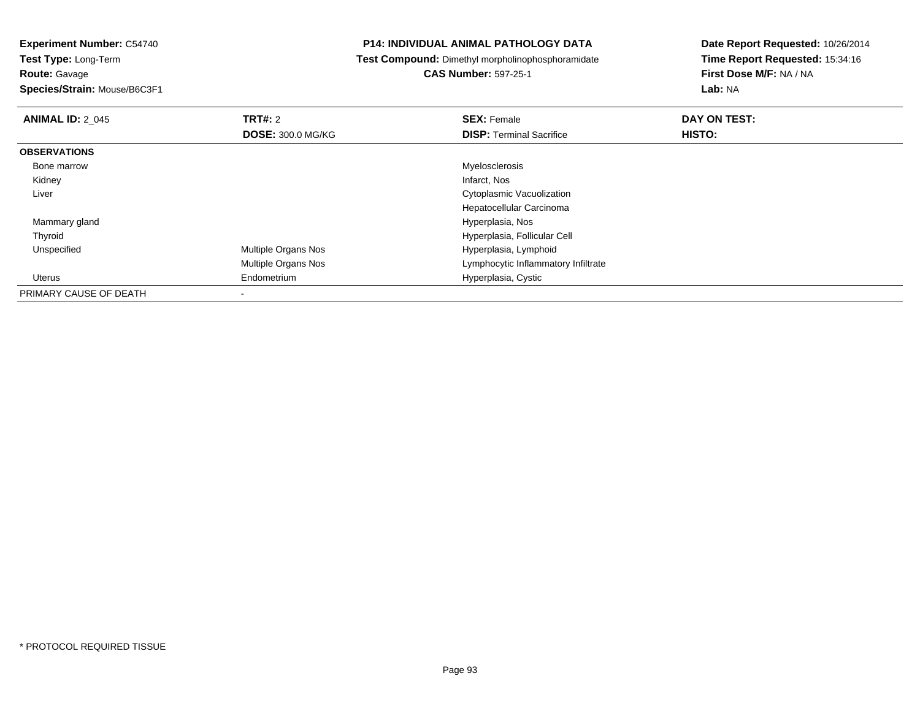**Experiment Number:** C54740

**Test Type:** Long-Term**Route:** Gavage

**Species/Strain:** Mouse/B6C3F1

## **P14: INDIVIDUAL ANIMAL PATHOLOGY DATA**

**Test Compound:** Dimethyl morpholinophosphoramidate

**CAS Number:** 597-25-1

| <b>ANIMAL ID: 2 045</b> | TRT#: 2                    | <b>SEX: Female</b>                  | DAY ON TEST: |
|-------------------------|----------------------------|-------------------------------------|--------------|
|                         | <b>DOSE: 300.0 MG/KG</b>   | <b>DISP: Terminal Sacrifice</b>     | HISTO:       |
| <b>OBSERVATIONS</b>     |                            |                                     |              |
| Bone marrow             |                            | Myelosclerosis                      |              |
| Kidney                  |                            | Infarct, Nos                        |              |
| Liver                   |                            | <b>Cytoplasmic Vacuolization</b>    |              |
|                         |                            | Hepatocellular Carcinoma            |              |
| Mammary gland           |                            | Hyperplasia, Nos                    |              |
| Thyroid                 |                            | Hyperplasia, Follicular Cell        |              |
| Unspecified             | <b>Multiple Organs Nos</b> | Hyperplasia, Lymphoid               |              |
|                         | Multiple Organs Nos        | Lymphocytic Inflammatory Infiltrate |              |
| Uterus                  | Endometrium                | Hyperplasia, Cystic                 |              |
| PRIMARY CAUSE OF DEATH  | $\overline{\phantom{a}}$   |                                     |              |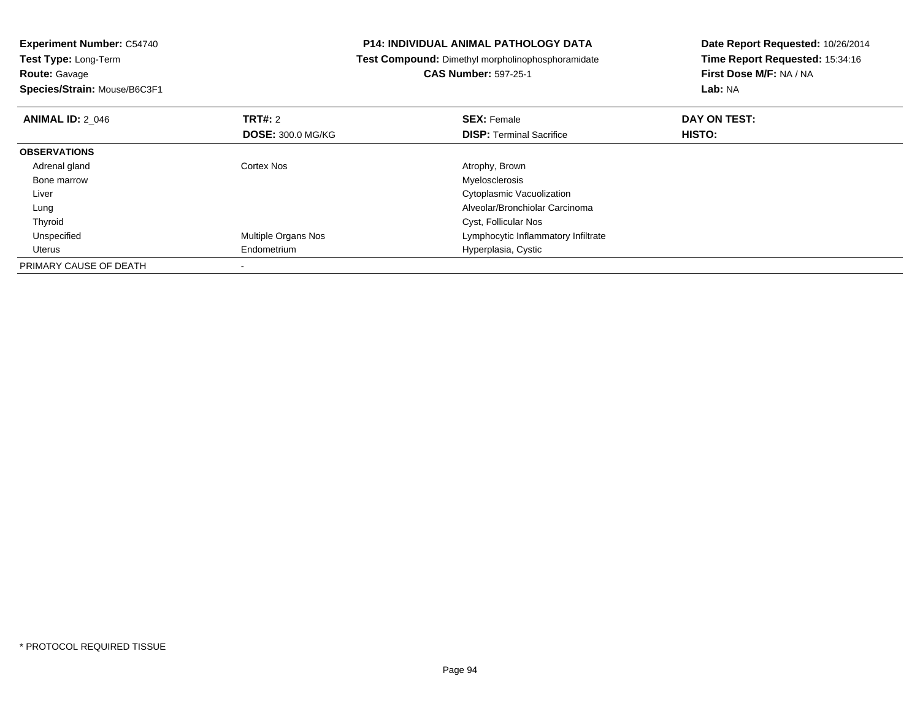| <b>P14: INDIVIDUAL ANIMAL PATHOLOGY DATA</b>             | Date Report Requested: 10/26/2014               |  |
|----------------------------------------------------------|-------------------------------------------------|--|
| <b>Test Compound:</b> Dimethyl morpholinophosphoramidate | Time Report Requested: 15:34:16                 |  |
| <b>CAS Number: 597-25-1</b>                              | First Dose M/F: NA / NA                         |  |
|                                                          | Lab: NA                                         |  |
| <b>SEX: Female</b>                                       | DAY ON TEST:                                    |  |
| <b>DISP: Terminal Sacrifice</b>                          | HISTO:                                          |  |
|                                                          |                                                 |  |
| Atrophy, Brown                                           |                                                 |  |
| Myelosclerosis                                           |                                                 |  |
| Cytoplasmic Vacuolization                                |                                                 |  |
| Alveolar/Bronchiolar Carcinoma                           |                                                 |  |
| Cyst, Follicular Nos                                     |                                                 |  |
| Lymphocytic Inflammatory Infiltrate                      |                                                 |  |
| Hyperplasia, Cystic                                      |                                                 |  |
|                                                          |                                                 |  |
|                                                          | <b>DOSE: 300.0 MG/KG</b><br>Multiple Organs Nos |  |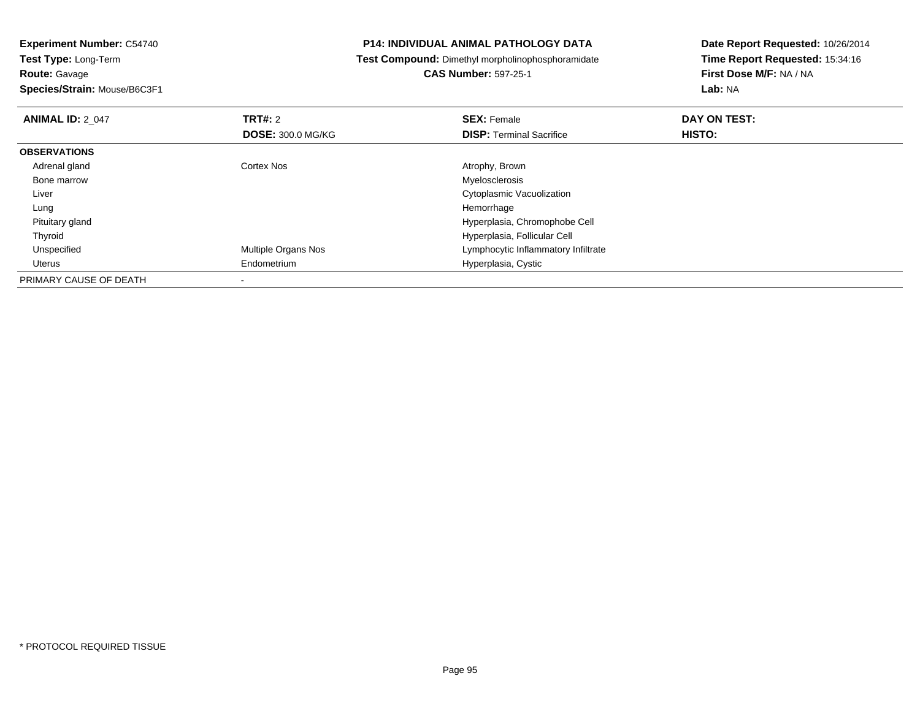**Species/Strain:** Mouse/B6C3F1

## **P14: INDIVIDUAL ANIMAL PATHOLOGY DATA**

**Test Compound:** Dimethyl morpholinophosphoramidate

**CAS Number:** 597-25-1

| <b>ANIMAL ID: 2 047</b> | TRT#: 2                    | <b>SEX: Female</b>                  | DAY ON TEST: |  |
|-------------------------|----------------------------|-------------------------------------|--------------|--|
|                         | <b>DOSE: 300.0 MG/KG</b>   | <b>DISP:</b> Terminal Sacrifice     | HISTO:       |  |
| <b>OBSERVATIONS</b>     |                            |                                     |              |  |
| Adrenal gland           | Cortex Nos                 | Atrophy, Brown                      |              |  |
| Bone marrow             |                            | Myelosclerosis                      |              |  |
| Liver                   |                            | Cytoplasmic Vacuolization           |              |  |
| Lung                    |                            | Hemorrhage                          |              |  |
| Pituitary gland         |                            | Hyperplasia, Chromophobe Cell       |              |  |
| Thyroid                 |                            | Hyperplasia, Follicular Cell        |              |  |
| Unspecified             | <b>Multiple Organs Nos</b> | Lymphocytic Inflammatory Infiltrate |              |  |
| Uterus                  | Endometrium                | Hyperplasia, Cystic                 |              |  |
| PRIMARY CAUSE OF DEATH  |                            |                                     |              |  |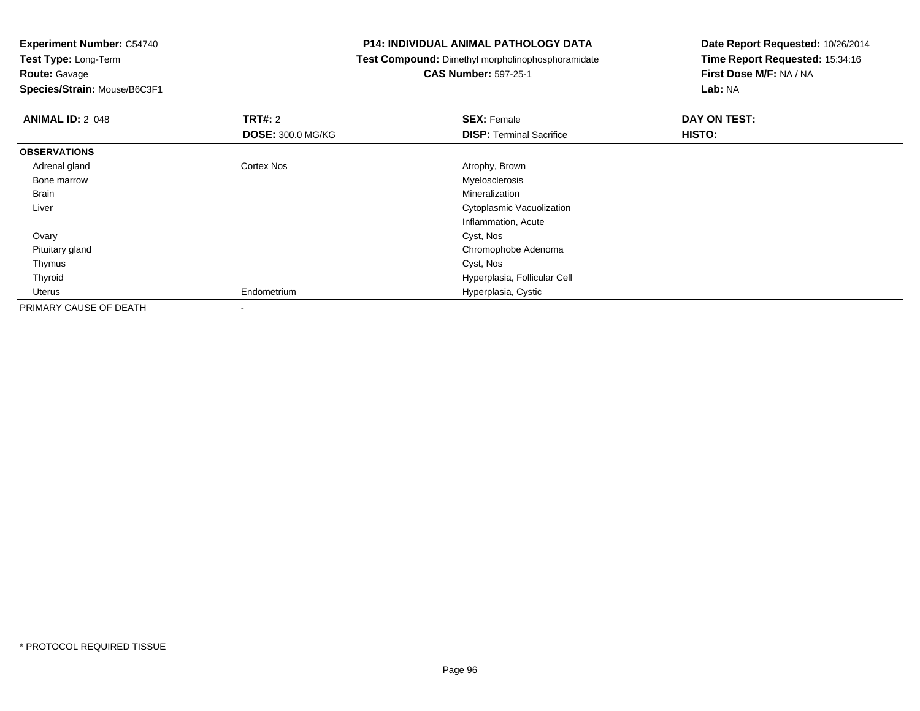**Route:** Gavage

**Species/Strain:** Mouse/B6C3F1

## **P14: INDIVIDUAL ANIMAL PATHOLOGY DATA**

**Test Compound:** Dimethyl morpholinophosphoramidate

# **CAS Number:** 597-25-1

| <b>ANIMAL ID: 2_048</b> | <b>TRT#: 2</b>           | <b>SEX: Female</b>               | DAY ON TEST:  |
|-------------------------|--------------------------|----------------------------------|---------------|
|                         | <b>DOSE: 300.0 MG/KG</b> | <b>DISP: Terminal Sacrifice</b>  | <b>HISTO:</b> |
| <b>OBSERVATIONS</b>     |                          |                                  |               |
| Adrenal gland           | Cortex Nos               | Atrophy, Brown                   |               |
| Bone marrow             |                          | Myelosclerosis                   |               |
| <b>Brain</b>            |                          | Mineralization                   |               |
| Liver                   |                          | <b>Cytoplasmic Vacuolization</b> |               |
|                         |                          | Inflammation, Acute              |               |
| Ovary                   |                          | Cyst, Nos                        |               |
| Pituitary gland         |                          | Chromophobe Adenoma              |               |
| Thymus                  |                          | Cyst, Nos                        |               |
| Thyroid                 |                          | Hyperplasia, Follicular Cell     |               |
| Uterus                  | Endometrium              | Hyperplasia, Cystic              |               |
| PRIMARY CAUSE OF DEATH  | ۰                        |                                  |               |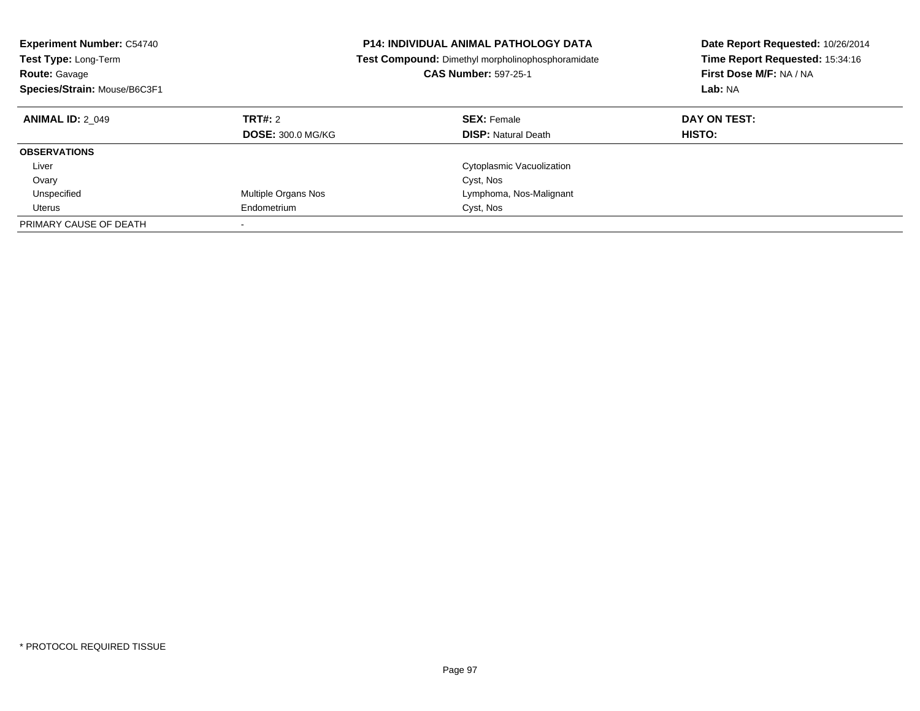| <b>Experiment Number: C54740</b><br><b>Test Type: Long-Term</b><br><b>Route: Gavage</b><br>Species/Strain: Mouse/B6C3F1 | <b>P14: INDIVIDUAL ANIMAL PATHOLOGY DATA</b><br><b>Test Compound:</b> Dimethyl morpholinophosphoramidate<br><b>CAS Number: 597-25-1</b> |                                                  | Date Report Requested: 10/26/2014<br>Time Report Requested: 15:34:16<br>First Dose M/F: NA / NA<br>Lab: NA |
|-------------------------------------------------------------------------------------------------------------------------|-----------------------------------------------------------------------------------------------------------------------------------------|--------------------------------------------------|------------------------------------------------------------------------------------------------------------|
| <b>ANIMAL ID: 2 049</b>                                                                                                 | <b>TRT#: 2</b><br><b>DOSE: 300.0 MG/KG</b>                                                                                              | <b>SEX: Female</b><br><b>DISP:</b> Natural Death | DAY ON TEST:<br><b>HISTO:</b>                                                                              |
| <b>OBSERVATIONS</b>                                                                                                     |                                                                                                                                         |                                                  |                                                                                                            |
| Liver                                                                                                                   |                                                                                                                                         | Cytoplasmic Vacuolization                        |                                                                                                            |
| Ovary                                                                                                                   |                                                                                                                                         | Cyst, Nos                                        |                                                                                                            |
| Unspecified                                                                                                             | Multiple Organs Nos                                                                                                                     | Lymphoma, Nos-Malignant                          |                                                                                                            |
| Uterus                                                                                                                  | Endometrium                                                                                                                             | Cyst, Nos                                        |                                                                                                            |
| PRIMARY CAUSE OF DEATH                                                                                                  |                                                                                                                                         |                                                  |                                                                                                            |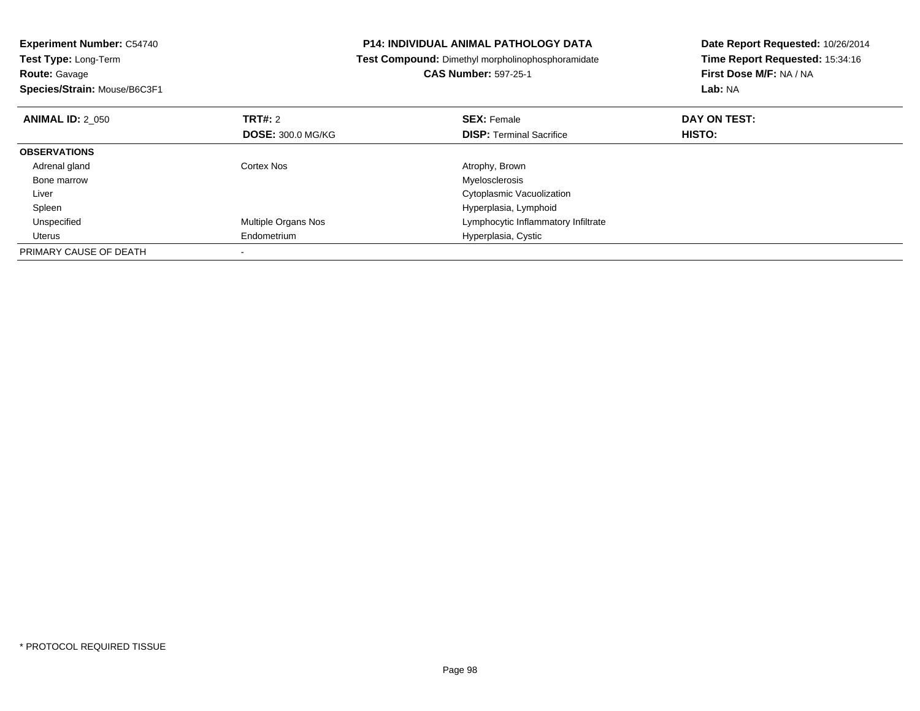| <b>Experiment Number: C54740</b><br>Test Type: Long-Term |                          | <b>P14: INDIVIDUAL ANIMAL PATHOLOGY DATA</b>             | Date Report Requested: 10/26/2014 |
|----------------------------------------------------------|--------------------------|----------------------------------------------------------|-----------------------------------|
|                                                          |                          | <b>Test Compound:</b> Dimethyl morpholinophosphoramidate | Time Report Requested: 15:34:16   |
| <b>Route: Gavage</b>                                     |                          | <b>CAS Number: 597-25-1</b>                              | First Dose M/F: NA / NA           |
| Species/Strain: Mouse/B6C3F1                             |                          |                                                          | Lab: NA                           |
| <b>ANIMAL ID: 2 050</b>                                  | TRT#: 2                  | <b>SEX: Female</b>                                       | DAY ON TEST:                      |
|                                                          | <b>DOSE: 300.0 MG/KG</b> | <b>DISP:</b> Terminal Sacrifice                          | HISTO:                            |
| <b>OBSERVATIONS</b>                                      |                          |                                                          |                                   |
| Adrenal gland                                            | Cortex Nos               | Atrophy, Brown                                           |                                   |
| Bone marrow                                              |                          | Myelosclerosis                                           |                                   |
| Liver                                                    |                          | Cytoplasmic Vacuolization                                |                                   |
| Spleen                                                   |                          | Hyperplasia, Lymphoid                                    |                                   |
| Unspecified                                              | Multiple Organs Nos      | Lymphocytic Inflammatory Infiltrate                      |                                   |
| Uterus                                                   | Endometrium              | Hyperplasia, Cystic                                      |                                   |
| PRIMARY CAUSE OF DEATH                                   |                          |                                                          |                                   |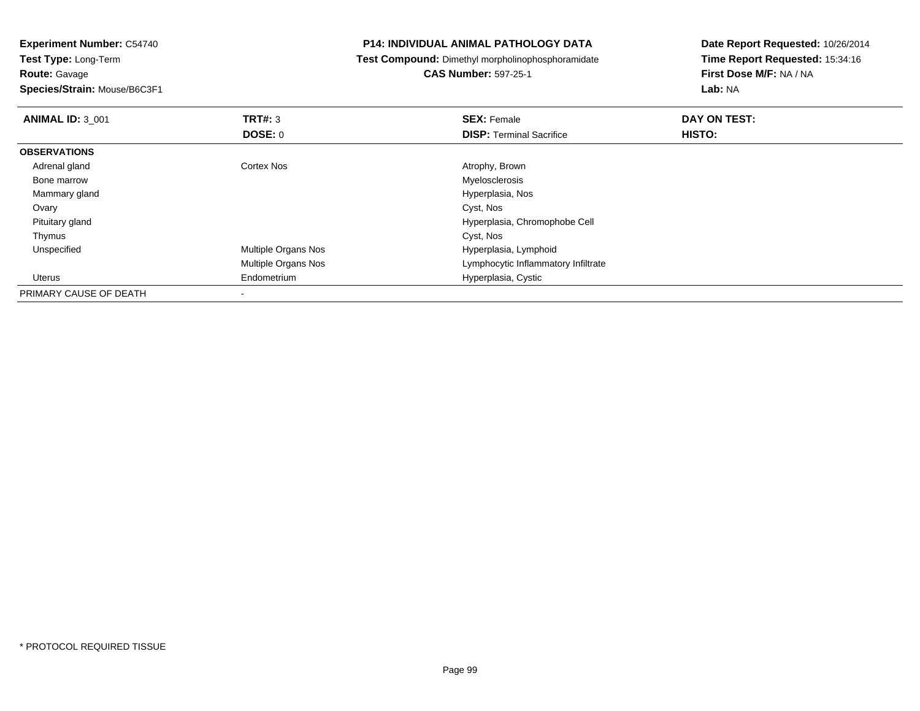**Route:** Gavage

**Species/Strain:** Mouse/B6C3F1

## **P14: INDIVIDUAL ANIMAL PATHOLOGY DATA**

**Test Compound:** Dimethyl morpholinophosphoramidate

**CAS Number:** 597-25-1

| <b>ANIMAL ID: 3_001</b> | TRT#: 3                    | <b>SEX: Female</b>                  | DAY ON TEST: |  |
|-------------------------|----------------------------|-------------------------------------|--------------|--|
|                         | DOSE: 0                    | <b>DISP: Terminal Sacrifice</b>     | HISTO:       |  |
| <b>OBSERVATIONS</b>     |                            |                                     |              |  |
| Adrenal gland           | <b>Cortex Nos</b>          | Atrophy, Brown                      |              |  |
| Bone marrow             |                            | Myelosclerosis                      |              |  |
| Mammary gland           |                            | Hyperplasia, Nos                    |              |  |
| Ovary                   |                            | Cyst, Nos                           |              |  |
| Pituitary gland         |                            | Hyperplasia, Chromophobe Cell       |              |  |
| Thymus                  |                            | Cyst, Nos                           |              |  |
| Unspecified             | Multiple Organs Nos        | Hyperplasia, Lymphoid               |              |  |
|                         | <b>Multiple Organs Nos</b> | Lymphocytic Inflammatory Infiltrate |              |  |
| Uterus                  | Endometrium                | Hyperplasia, Cystic                 |              |  |
| PRIMARY CAUSE OF DEATH  |                            |                                     |              |  |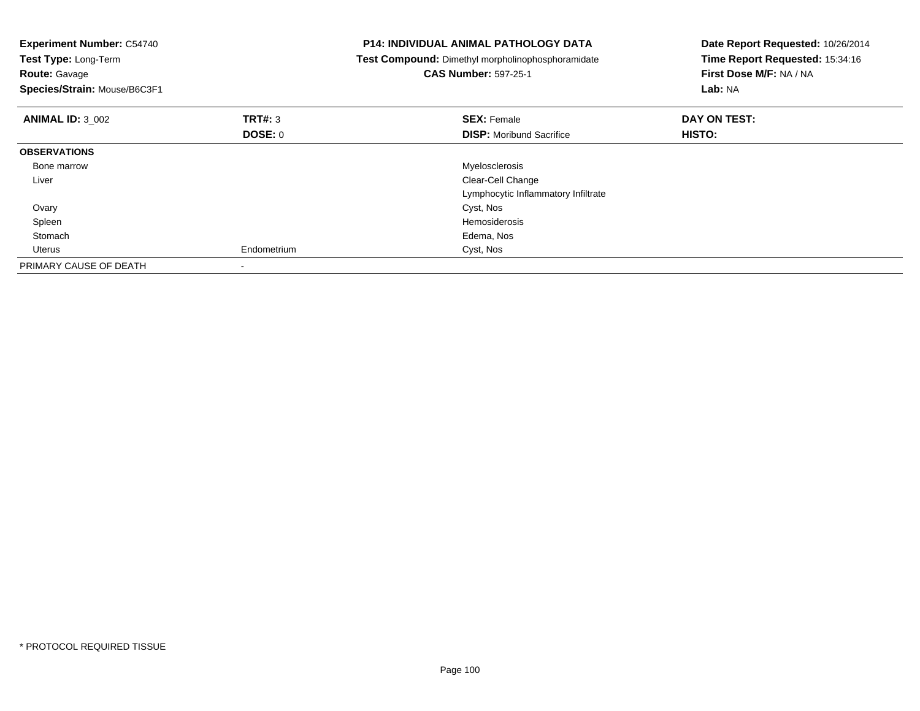| <b>Experiment Number: C54740</b><br>Test Type: Long-Term<br><b>Route: Gavage</b><br>Species/Strain: Mouse/B6C3F1 |                    | <b>P14: INDIVIDUAL ANIMAL PATHOLOGY DATA</b><br>Test Compound: Dimethyl morpholinophosphoramidate<br><b>CAS Number: 597-25-1</b> | Date Report Requested: 10/26/2014<br>Time Report Requested: 15:34:16<br>First Dose M/F: NA / NA<br>Lab: NA |
|------------------------------------------------------------------------------------------------------------------|--------------------|----------------------------------------------------------------------------------------------------------------------------------|------------------------------------------------------------------------------------------------------------|
| <b>ANIMAL ID: 3 002</b>                                                                                          | TRT#: 3<br>DOSE: 0 | <b>SEX: Female</b><br><b>DISP:</b> Moribund Sacrifice                                                                            | DAY ON TEST:<br>HISTO:                                                                                     |
| <b>OBSERVATIONS</b>                                                                                              |                    |                                                                                                                                  |                                                                                                            |
| Bone marrow                                                                                                      |                    | Myelosclerosis                                                                                                                   |                                                                                                            |
| Liver                                                                                                            |                    | Clear-Cell Change                                                                                                                |                                                                                                            |
|                                                                                                                  |                    | Lymphocytic Inflammatory Infiltrate                                                                                              |                                                                                                            |
| Ovary                                                                                                            |                    | Cyst, Nos                                                                                                                        |                                                                                                            |
| Spleen                                                                                                           |                    | Hemosiderosis                                                                                                                    |                                                                                                            |
| Stomach                                                                                                          |                    | Edema, Nos                                                                                                                       |                                                                                                            |
| Uterus                                                                                                           | Endometrium        | Cyst, Nos                                                                                                                        |                                                                                                            |
| PRIMARY CAUSE OF DEATH                                                                                           |                    |                                                                                                                                  |                                                                                                            |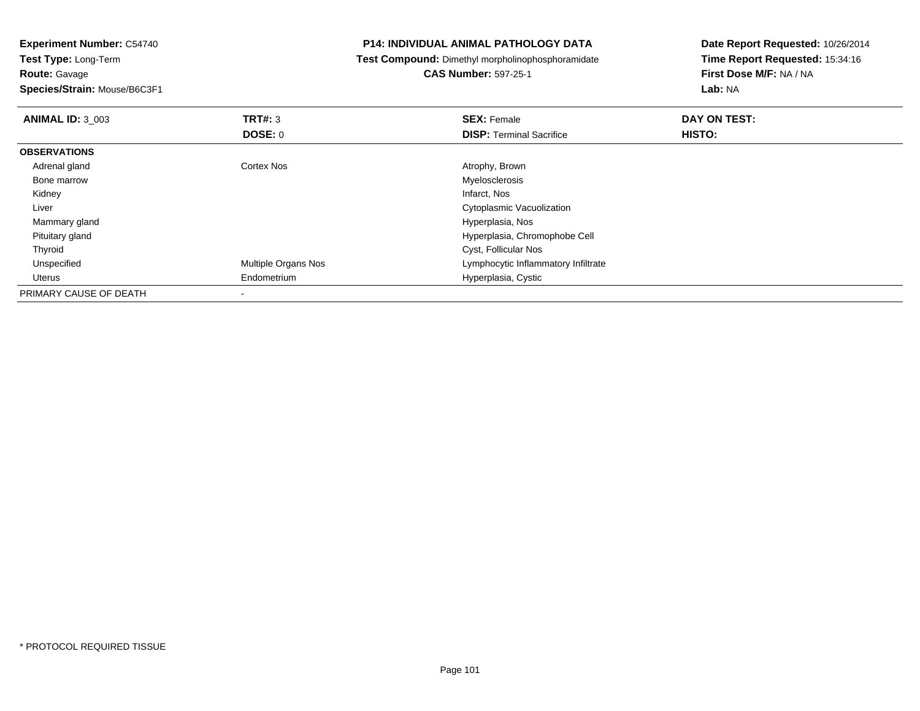**Route:** Gavage

**Species/Strain:** Mouse/B6C3F1

## **P14: INDIVIDUAL ANIMAL PATHOLOGY DATA**

**Test Compound:** Dimethyl morpholinophosphoramidate

# **CAS Number:** 597-25-1

| <b>ANIMAL ID: 3 003</b> | TRT#: 3             | <b>SEX: Female</b>                  | DAY ON TEST: |  |
|-------------------------|---------------------|-------------------------------------|--------------|--|
|                         | <b>DOSE: 0</b>      | <b>DISP: Terminal Sacrifice</b>     | HISTO:       |  |
| <b>OBSERVATIONS</b>     |                     |                                     |              |  |
| Adrenal gland           | Cortex Nos          | Atrophy, Brown                      |              |  |
| Bone marrow             |                     | Myelosclerosis                      |              |  |
| Kidney                  |                     | Infarct, Nos                        |              |  |
| Liver                   |                     | Cytoplasmic Vacuolization           |              |  |
| Mammary gland           |                     | Hyperplasia, Nos                    |              |  |
| Pituitary gland         |                     | Hyperplasia, Chromophobe Cell       |              |  |
| Thyroid                 |                     | Cyst, Follicular Nos                |              |  |
| Unspecified             | Multiple Organs Nos | Lymphocytic Inflammatory Infiltrate |              |  |
| Uterus                  | Endometrium         | Hyperplasia, Cystic                 |              |  |
| PRIMARY CAUSE OF DEATH  |                     |                                     |              |  |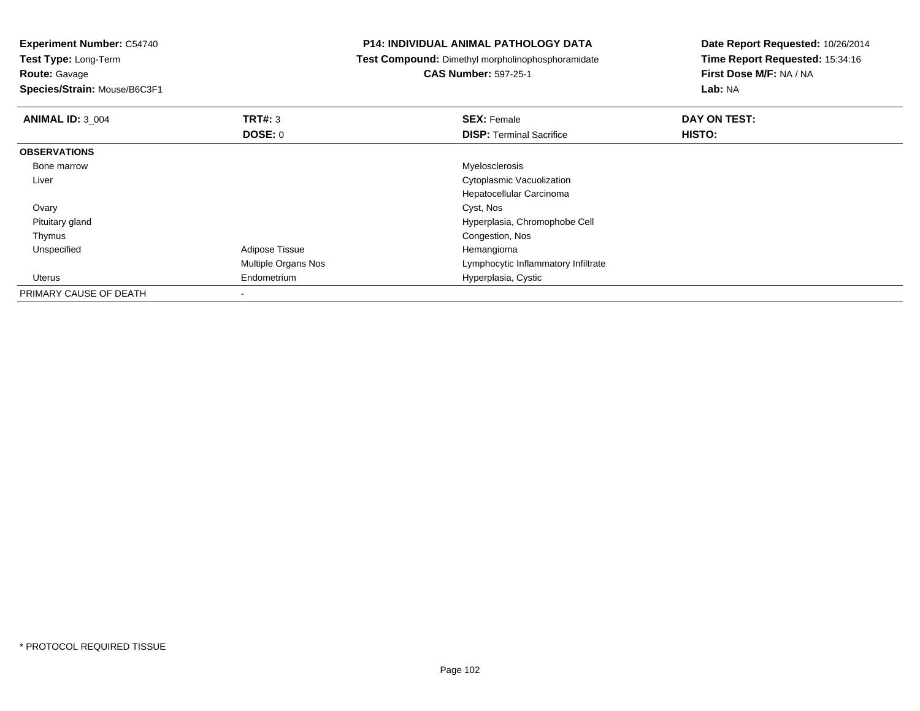**Experiment Number:** C54740**Test Type:** Long-Term**Route:** Gavage **Species/Strain:** Mouse/B6C3F1**P14: INDIVIDUAL ANIMAL PATHOLOGY DATA Test Compound:** Dimethyl morpholinophosphoramidate**CAS Number:** 597-25-1**Date Report Requested:** 10/26/2014**Time Report Requested:** 15:34:16**First Dose M/F:** NA / NA**Lab:** NA**ANIMAL ID:** 3\_004**TRT#:** 3 **SEX:** Female **DAY ON TEST: DOSE:** 0**DISP:** Terminal Sacrifice **HISTO: OBSERVATIONS** Bone marroww when the contract of the contract of the contract of the contract of the contract of the contract of the contract of the contract of the contract of the contract of the contract of the contract of the contract of the con Liver Cytoplasmic Vacuolization Hepatocellular Carcinoma**Ovary** y and the control of the control of the control of the control of the control of the control of the control of the control of the control of the control of the control of the control of the control of the control of the co Pituitary gland Hyperplasia, Chromophobe Cell Thymus Congestion, Nos UnspecifiedAdipose Tissue Multiple Organs Nos Lymphocytic Inflammatory Infiltrate Uterus Endometrium Hyperplasia, Cystic PRIMARY CAUSE OF DEATH-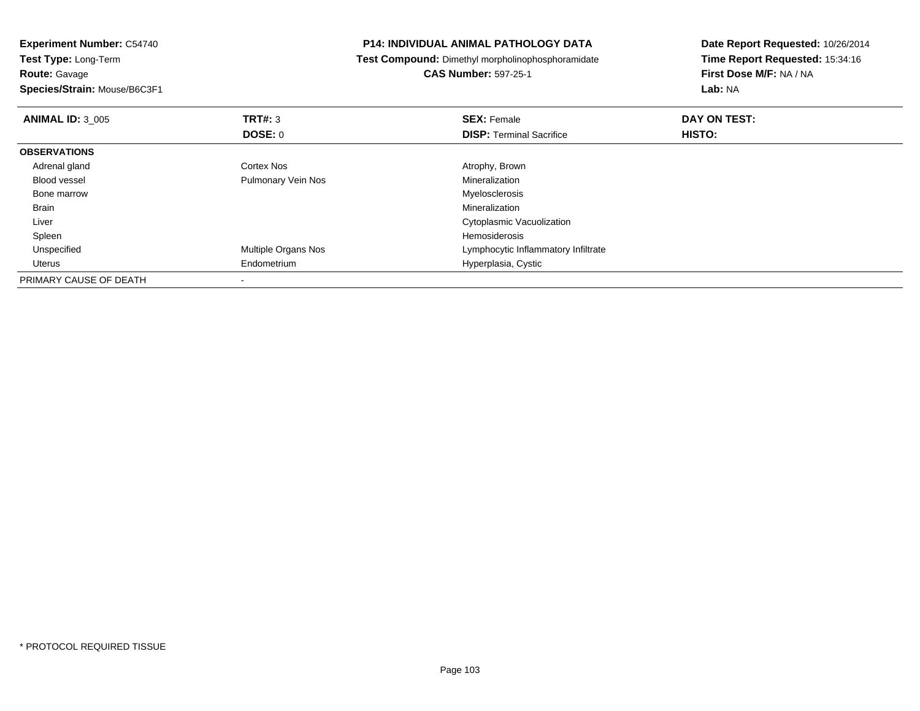|         |                                                                        | Date Report Requested: 10/26/2014                                                                 |  |
|---------|------------------------------------------------------------------------|---------------------------------------------------------------------------------------------------|--|
|         |                                                                        | Time Report Requested: 15:34:16                                                                   |  |
|         | <b>CAS Number: 597-25-1</b>                                            | First Dose M/F: NA / NA                                                                           |  |
|         |                                                                        | Lab: NA                                                                                           |  |
|         | <b>SEX: Female</b>                                                     | DAY ON TEST:                                                                                      |  |
|         | <b>DISP: Terminal Sacrifice</b>                                        | <b>HISTO:</b>                                                                                     |  |
|         |                                                                        |                                                                                                   |  |
|         | Atrophy, Brown                                                         |                                                                                                   |  |
|         | Mineralization                                                         |                                                                                                   |  |
|         | Myelosclerosis                                                         |                                                                                                   |  |
|         | Mineralization                                                         |                                                                                                   |  |
|         | Cytoplasmic Vacuolization                                              |                                                                                                   |  |
|         | <b>Hemosiderosis</b>                                                   |                                                                                                   |  |
|         | Lymphocytic Inflammatory Infiltrate                                    |                                                                                                   |  |
|         | Hyperplasia, Cystic                                                    |                                                                                                   |  |
|         |                                                                        |                                                                                                   |  |
| DOSE: 0 | Cortex Nos<br>Pulmonary Vein Nos<br>Multiple Organs Nos<br>Endometrium | <b>P14: INDIVIDUAL ANIMAL PATHOLOGY DATA</b><br>Test Compound: Dimethyl morpholinophosphoramidate |  |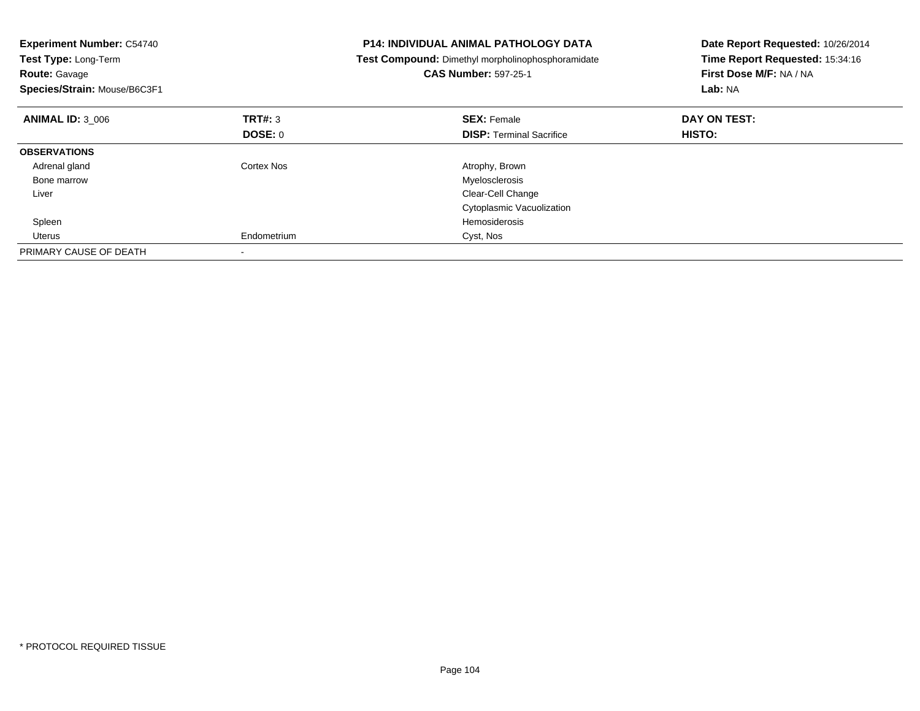| <b>Experiment Number: C54740</b><br>Test Type: Long-Term<br><b>Route: Gavage</b><br>Species/Strain: Mouse/B6C3F1 |             | <b>P14: INDIVIDUAL ANIMAL PATHOLOGY DATA</b><br>Test Compound: Dimethyl morpholinophosphoramidate<br><b>CAS Number: 597-25-1</b> | Date Report Requested: 10/26/2014<br>Time Report Requested: 15:34:16<br>First Dose M/F: NA / NA<br>Lab: NA |
|------------------------------------------------------------------------------------------------------------------|-------------|----------------------------------------------------------------------------------------------------------------------------------|------------------------------------------------------------------------------------------------------------|
| <b>ANIMAL ID: 3 006</b>                                                                                          | TRT#: 3     | <b>SEX: Female</b>                                                                                                               | DAY ON TEST:                                                                                               |
|                                                                                                                  | DOSE: 0     | <b>DISP:</b> Terminal Sacrifice                                                                                                  | HISTO:                                                                                                     |
| <b>OBSERVATIONS</b>                                                                                              |             |                                                                                                                                  |                                                                                                            |
| Adrenal gland                                                                                                    | Cortex Nos  | Atrophy, Brown                                                                                                                   |                                                                                                            |
| Bone marrow                                                                                                      |             | Myelosclerosis                                                                                                                   |                                                                                                            |
| Liver                                                                                                            |             | Clear-Cell Change                                                                                                                |                                                                                                            |
|                                                                                                                  |             | Cytoplasmic Vacuolization                                                                                                        |                                                                                                            |
| Spleen                                                                                                           |             | Hemosiderosis                                                                                                                    |                                                                                                            |
| <b>Uterus</b>                                                                                                    | Endometrium | Cyst, Nos                                                                                                                        |                                                                                                            |
| PRIMARY CAUSE OF DEATH                                                                                           |             |                                                                                                                                  |                                                                                                            |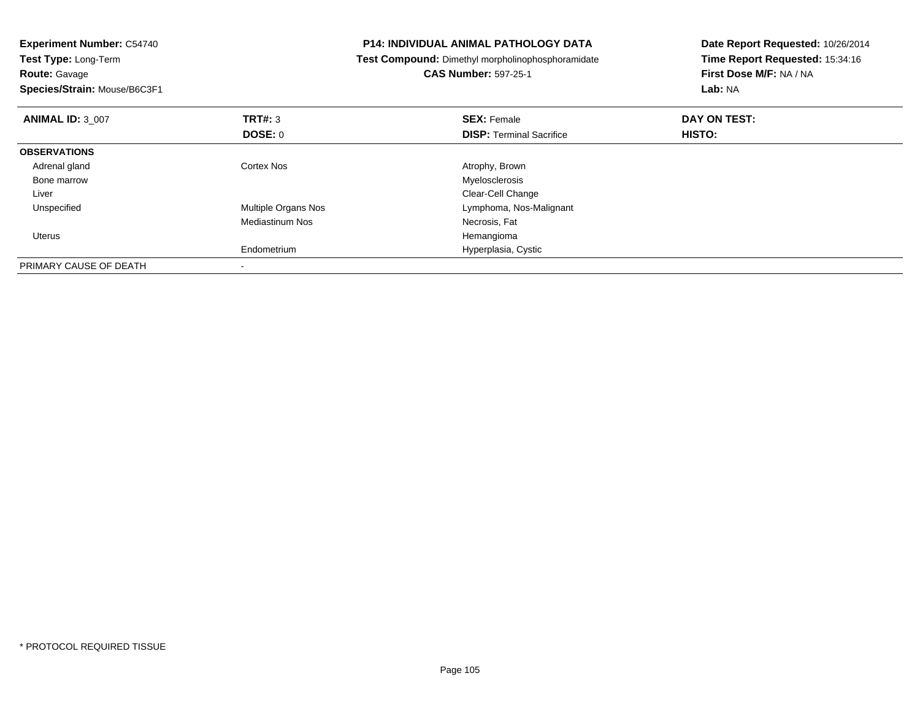| <b>Experiment Number: C54740</b><br>Test Type: Long-Term |                        | P14: INDIVIDUAL ANIMAL PATHOLOGY DATA             | Date Report Requested: 10/26/2014 |
|----------------------------------------------------------|------------------------|---------------------------------------------------|-----------------------------------|
|                                                          |                        | Test Compound: Dimethyl morpholinophosphoramidate | Time Report Requested: 15:34:16   |
| <b>Route: Gavage</b>                                     |                        | <b>CAS Number: 597-25-1</b>                       | First Dose M/F: NA / NA           |
| Species/Strain: Mouse/B6C3F1                             |                        |                                                   | Lab: NA                           |
| <b>ANIMAL ID: 3 007</b>                                  | TRT#: 3                | <b>SEX: Female</b>                                | DAY ON TEST:                      |
|                                                          | <b>DOSE: 0</b>         | <b>DISP:</b> Terminal Sacrifice                   | HISTO:                            |
| <b>OBSERVATIONS</b>                                      |                        |                                                   |                                   |
| Adrenal gland                                            | Cortex Nos             | Atrophy, Brown                                    |                                   |
| Bone marrow                                              |                        | Myelosclerosis                                    |                                   |
| Liver                                                    |                        | Clear-Cell Change                                 |                                   |
| Unspecified                                              | Multiple Organs Nos    | Lymphoma, Nos-Malignant                           |                                   |
|                                                          | <b>Mediastinum Nos</b> | Necrosis, Fat                                     |                                   |
| <b>Uterus</b>                                            |                        | Hemangioma                                        |                                   |
|                                                          | Endometrium            | Hyperplasia, Cystic                               |                                   |
| PRIMARY CAUSE OF DEATH                                   |                        |                                                   |                                   |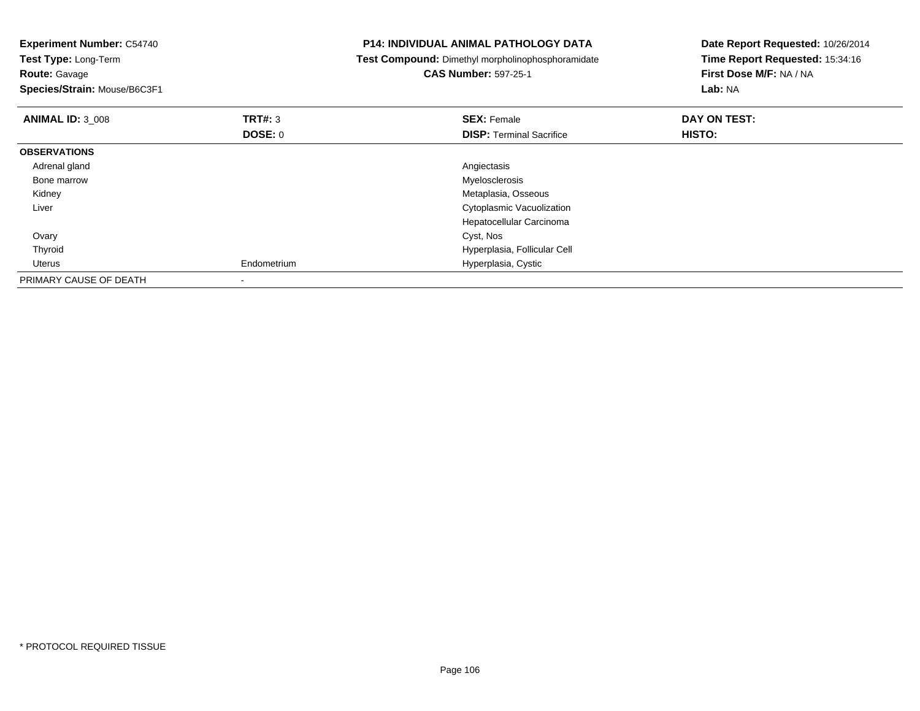| <b>Experiment Number: C54740</b><br>Test Type: Long-Term<br><b>Route: Gavage</b><br>Species/Strain: Mouse/B6C3F1 |             | P14: INDIVIDUAL ANIMAL PATHOLOGY DATA<br>Test Compound: Dimethyl morpholinophosphoramidate<br><b>CAS Number: 597-25-1</b> | Date Report Requested: 10/26/2014<br>Time Report Requested: 15:34:16<br>First Dose M/F: NA / NA<br><b>Lab: NA</b> |
|------------------------------------------------------------------------------------------------------------------|-------------|---------------------------------------------------------------------------------------------------------------------------|-------------------------------------------------------------------------------------------------------------------|
| <b>ANIMAL ID: 3 008</b>                                                                                          | TRT#: 3     | <b>SEX: Female</b>                                                                                                        | DAY ON TEST:                                                                                                      |
|                                                                                                                  | DOSE: 0     | <b>DISP: Terminal Sacrifice</b>                                                                                           | HISTO:                                                                                                            |
| <b>OBSERVATIONS</b>                                                                                              |             |                                                                                                                           |                                                                                                                   |
| Adrenal gland                                                                                                    |             | Angiectasis                                                                                                               |                                                                                                                   |
| Bone marrow                                                                                                      |             | Myelosclerosis                                                                                                            |                                                                                                                   |
| Kidney                                                                                                           |             | Metaplasia, Osseous                                                                                                       |                                                                                                                   |
| Liver                                                                                                            |             | Cytoplasmic Vacuolization                                                                                                 |                                                                                                                   |
|                                                                                                                  |             | Hepatocellular Carcinoma                                                                                                  |                                                                                                                   |
| Ovary                                                                                                            |             | Cyst, Nos                                                                                                                 |                                                                                                                   |
| Thyroid                                                                                                          |             | Hyperplasia, Follicular Cell                                                                                              |                                                                                                                   |
| Uterus                                                                                                           | Endometrium | Hyperplasia, Cystic                                                                                                       |                                                                                                                   |
| PRIMARY CAUSE OF DEATH                                                                                           |             |                                                                                                                           |                                                                                                                   |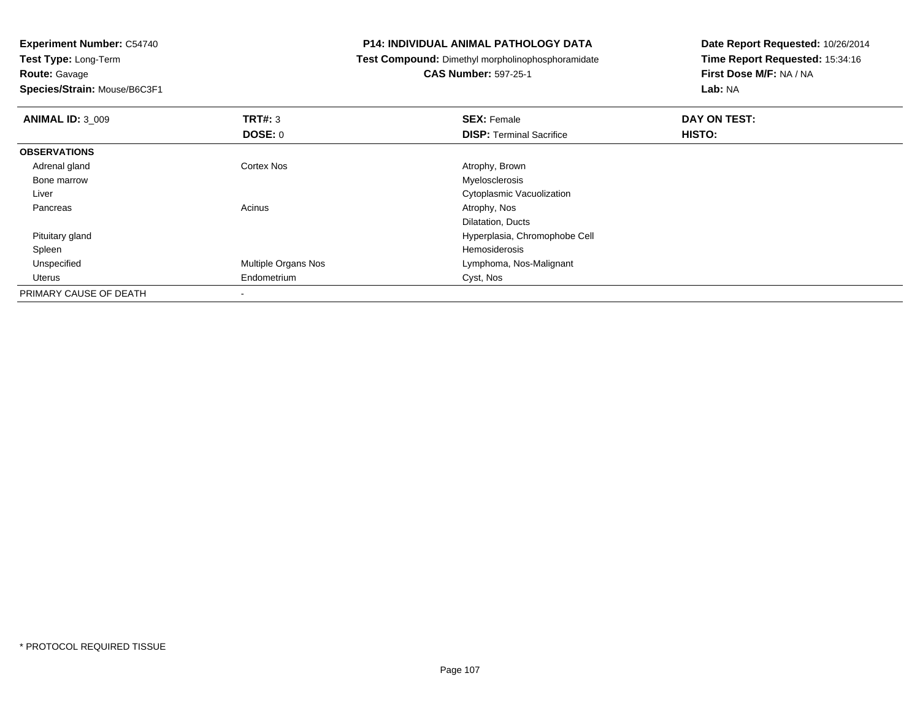**Route:** Gavage

**Species/Strain:** Mouse/B6C3F1

## **P14: INDIVIDUAL ANIMAL PATHOLOGY DATA**

**Test Compound:** Dimethyl morpholinophosphoramidate

**CAS Number:** 597-25-1

| <b>ANIMAL ID: 3_009</b> | TRT#: 3                    | <b>SEX: Female</b>               | DAY ON TEST: |  |
|-------------------------|----------------------------|----------------------------------|--------------|--|
|                         | <b>DOSE: 0</b>             | <b>DISP: Terminal Sacrifice</b>  | HISTO:       |  |
| <b>OBSERVATIONS</b>     |                            |                                  |              |  |
| Adrenal gland           | <b>Cortex Nos</b>          | Atrophy, Brown                   |              |  |
| Bone marrow             |                            | Myelosclerosis                   |              |  |
| Liver                   |                            | <b>Cytoplasmic Vacuolization</b> |              |  |
| Pancreas                | Acinus                     | Atrophy, Nos                     |              |  |
|                         |                            | Dilatation, Ducts                |              |  |
| Pituitary gland         |                            | Hyperplasia, Chromophobe Cell    |              |  |
| Spleen                  |                            | Hemosiderosis                    |              |  |
| Unspecified             | <b>Multiple Organs Nos</b> | Lymphoma, Nos-Malignant          |              |  |
| <b>Uterus</b>           | Endometrium                | Cyst, Nos                        |              |  |
| PRIMARY CAUSE OF DEATH  |                            |                                  |              |  |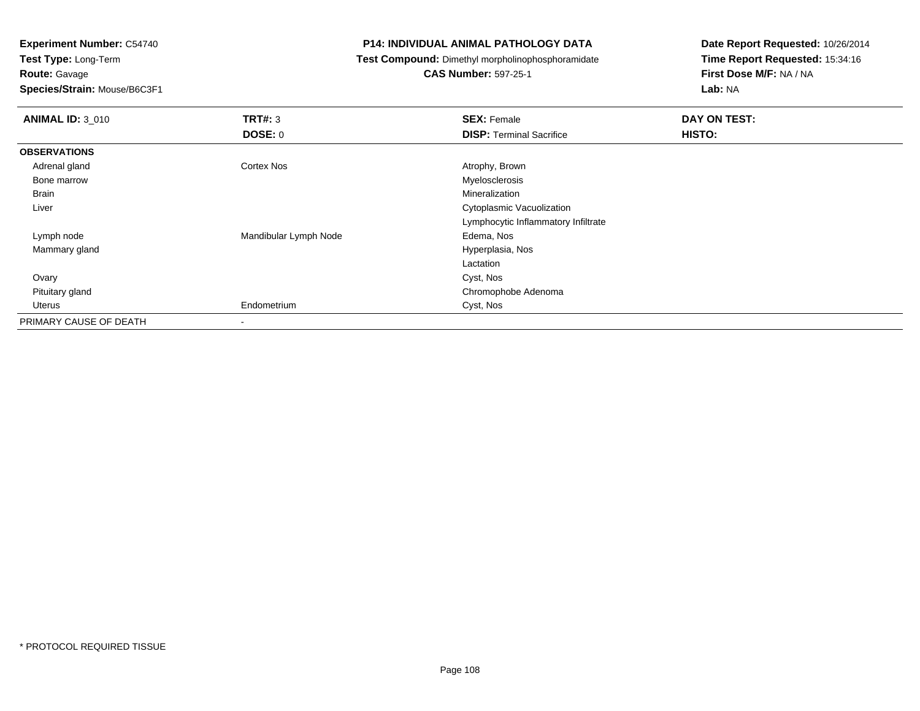**Experiment Number:** C54740

**Test Type:** Long-Term**Route:** Gavage

**Species/Strain:** Mouse/B6C3F1

## **P14: INDIVIDUAL ANIMAL PATHOLOGY DATA**

**Test Compound:** Dimethyl morpholinophosphoramidate

**CAS Number:** 597-25-1

| <b>ANIMAL ID: 3 010</b> | TRT#: 3                  | <b>SEX: Female</b>                  | DAY ON TEST: |  |
|-------------------------|--------------------------|-------------------------------------|--------------|--|
|                         | <b>DOSE: 0</b>           | <b>DISP: Terminal Sacrifice</b>     | HISTO:       |  |
| <b>OBSERVATIONS</b>     |                          |                                     |              |  |
| Adrenal gland           | <b>Cortex Nos</b>        | Atrophy, Brown                      |              |  |
| Bone marrow             |                          | Myelosclerosis                      |              |  |
| Brain                   |                          | Mineralization                      |              |  |
| Liver                   |                          | Cytoplasmic Vacuolization           |              |  |
|                         |                          | Lymphocytic Inflammatory Infiltrate |              |  |
| Lymph node              | Mandibular Lymph Node    | Edema, Nos                          |              |  |
| Mammary gland           |                          | Hyperplasia, Nos                    |              |  |
|                         |                          | Lactation                           |              |  |
| Ovary                   |                          | Cyst, Nos                           |              |  |
| Pituitary gland         |                          | Chromophobe Adenoma                 |              |  |
| Uterus                  | Endometrium              | Cyst, Nos                           |              |  |
| PRIMARY CAUSE OF DEATH  | $\overline{\phantom{a}}$ |                                     |              |  |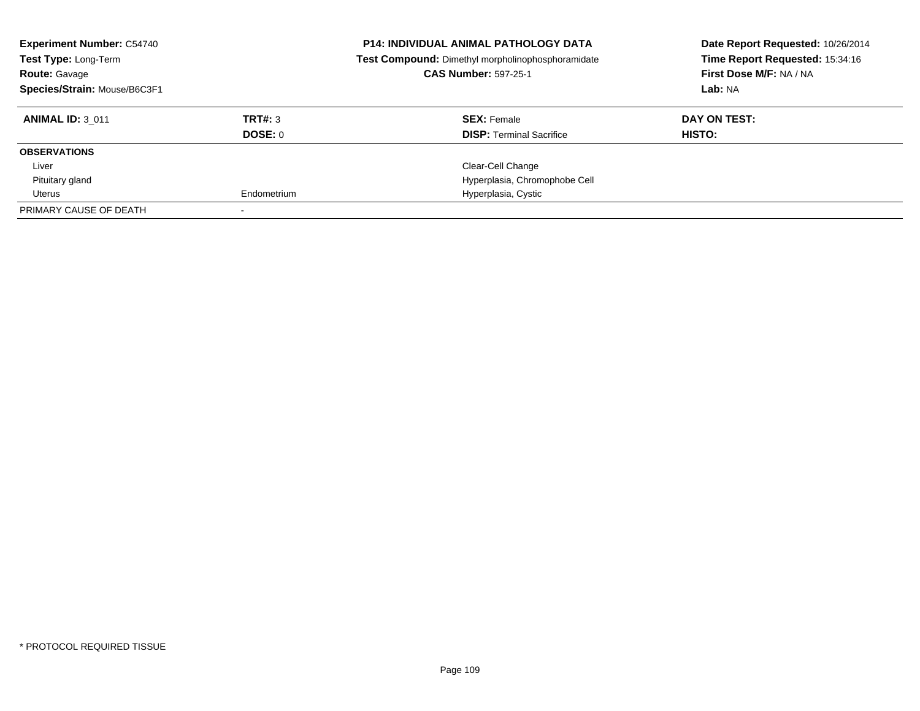| <b>Experiment Number: C54740</b><br>Test Type: Long-Term<br><b>Route: Gavage</b><br>Species/Strain: Mouse/B6C3F1 |                    | <b>P14: INDIVIDUAL ANIMAL PATHOLOGY DATA</b><br>Test Compound: Dimethyl morpholinophosphoramidate<br><b>CAS Number: 597-25-1</b> | Date Report Requested: 10/26/2014<br>Time Report Requested: 15:34:16<br>First Dose M/F: NA / NA<br>Lab: NA |
|------------------------------------------------------------------------------------------------------------------|--------------------|----------------------------------------------------------------------------------------------------------------------------------|------------------------------------------------------------------------------------------------------------|
| <b>ANIMAL ID: 3 011</b>                                                                                          | TRT#: 3<br>DOSE: 0 | <b>SEX: Female</b><br><b>DISP:</b> Terminal Sacrifice                                                                            | DAY ON TEST:<br>HISTO:                                                                                     |
| <b>OBSERVATIONS</b>                                                                                              |                    |                                                                                                                                  |                                                                                                            |
| Liver                                                                                                            |                    | Clear-Cell Change                                                                                                                |                                                                                                            |
| Pituitary gland                                                                                                  |                    | Hyperplasia, Chromophobe Cell                                                                                                    |                                                                                                            |
| Uterus                                                                                                           | Endometrium        | Hyperplasia, Cystic                                                                                                              |                                                                                                            |
| PRIMARY CAUSE OF DEATH                                                                                           |                    |                                                                                                                                  |                                                                                                            |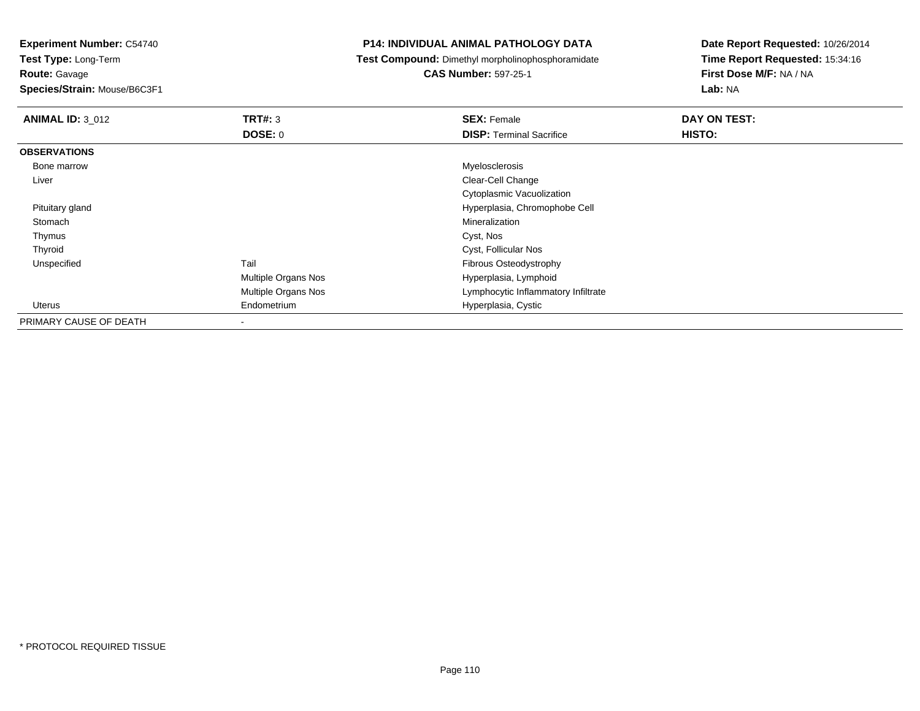**Test Type:** Long-Term

**Route:** Gavage

**Species/Strain:** Mouse/B6C3F1

## **P14: INDIVIDUAL ANIMAL PATHOLOGY DATA**

**Test Compound:** Dimethyl morpholinophosphoramidate

**CAS Number:** 597-25-1

| <b>ANIMAL ID: 3_012</b> | TRT#: 3             | <b>SEX: Female</b>                  | DAY ON TEST: |  |
|-------------------------|---------------------|-------------------------------------|--------------|--|
|                         | <b>DOSE: 0</b>      | <b>DISP: Terminal Sacrifice</b>     | HISTO:       |  |
| <b>OBSERVATIONS</b>     |                     |                                     |              |  |
| Bone marrow             |                     | Myelosclerosis                      |              |  |
| Liver                   |                     | Clear-Cell Change                   |              |  |
|                         |                     | Cytoplasmic Vacuolization           |              |  |
| Pituitary gland         |                     | Hyperplasia, Chromophobe Cell       |              |  |
| Stomach                 |                     | Mineralization                      |              |  |
| Thymus                  |                     | Cyst, Nos                           |              |  |
| Thyroid                 |                     | Cyst, Follicular Nos                |              |  |
| Unspecified             | Tail                | Fibrous Osteodystrophy              |              |  |
|                         | Multiple Organs Nos | Hyperplasia, Lymphoid               |              |  |
|                         | Multiple Organs Nos | Lymphocytic Inflammatory Infiltrate |              |  |
| Uterus                  | Endometrium         | Hyperplasia, Cystic                 |              |  |
| PRIMARY CAUSE OF DEATH  | ۰                   |                                     |              |  |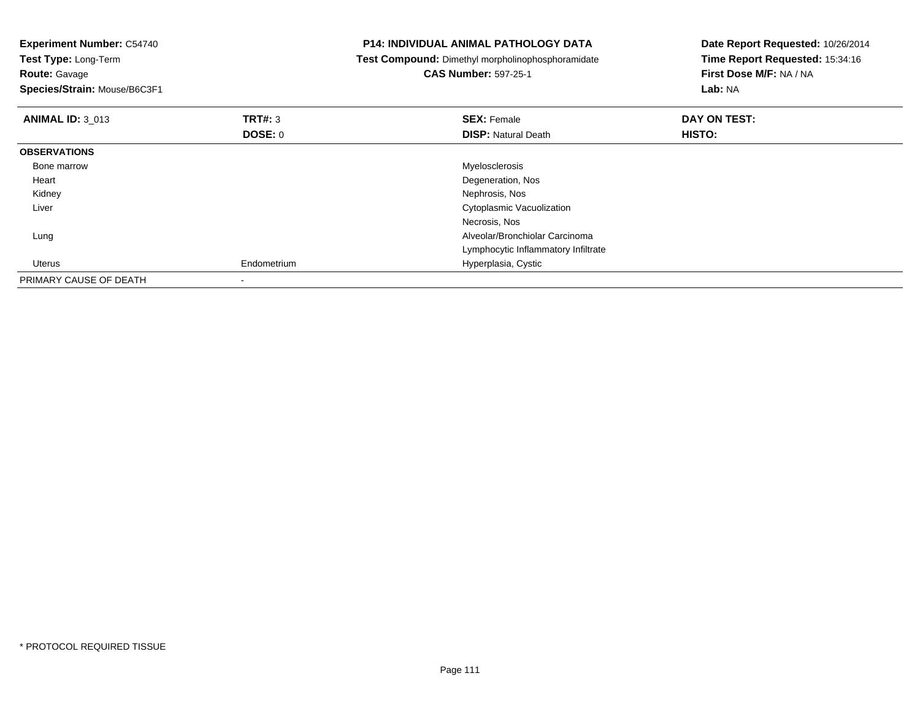| <b>Experiment Number: C54740</b><br>Test Type: Long-Term |                | <b>P14: INDIVIDUAL ANIMAL PATHOLOGY DATA</b>      | Date Report Requested: 10/26/2014 |
|----------------------------------------------------------|----------------|---------------------------------------------------|-----------------------------------|
|                                                          |                | Test Compound: Dimethyl morpholinophosphoramidate | Time Report Requested: 15:34:16   |
| <b>Route: Gavage</b>                                     |                | <b>CAS Number: 597-25-1</b>                       | First Dose M/F: NA / NA           |
| Species/Strain: Mouse/B6C3F1                             |                |                                                   | Lab: NA                           |
| <b>ANIMAL ID: 3 013</b>                                  | <b>TRT#: 3</b> | <b>SEX: Female</b>                                | DAY ON TEST:                      |
|                                                          | DOSE: 0        | <b>DISP: Natural Death</b>                        | HISTO:                            |
| <b>OBSERVATIONS</b>                                      |                |                                                   |                                   |
| Bone marrow                                              |                | Myelosclerosis                                    |                                   |
| Heart                                                    |                | Degeneration, Nos                                 |                                   |
| Kidney                                                   |                | Nephrosis, Nos                                    |                                   |
| Liver                                                    |                | Cytoplasmic Vacuolization                         |                                   |
|                                                          |                | Necrosis, Nos                                     |                                   |
| Lung                                                     |                | Alveolar/Bronchiolar Carcinoma                    |                                   |
|                                                          |                | Lymphocytic Inflammatory Infiltrate               |                                   |
| Uterus                                                   | Endometrium    | Hyperplasia, Cystic                               |                                   |
| PRIMARY CAUSE OF DEATH                                   |                |                                                   |                                   |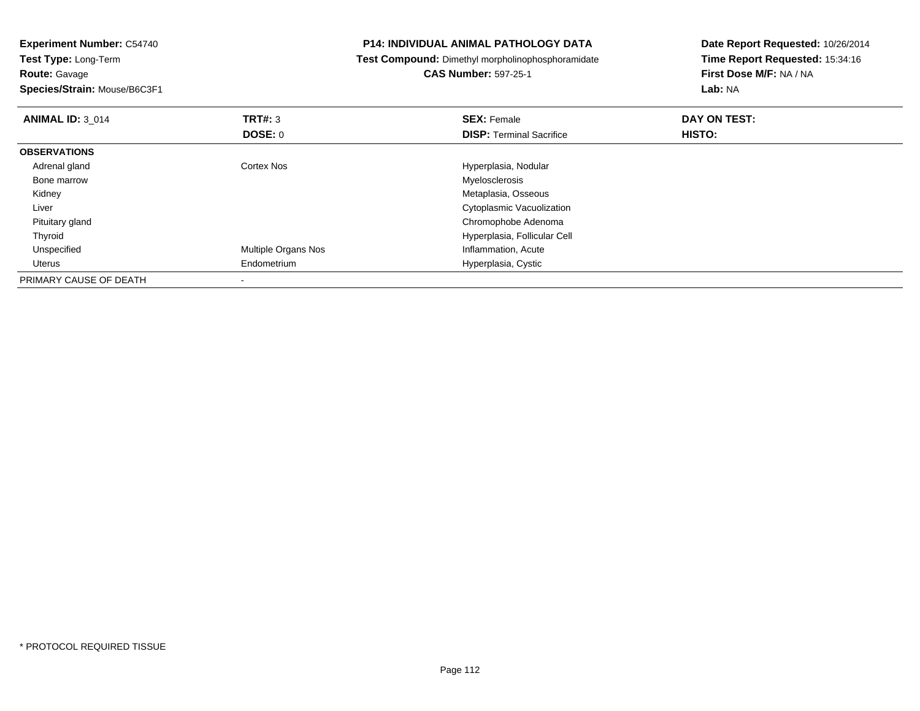| <b>Experiment Number: C54740</b> |                     | <b>P14: INDIVIDUAL ANIMAL PATHOLOGY DATA</b>      | Date Report Requested: 10/26/2014 |
|----------------------------------|---------------------|---------------------------------------------------|-----------------------------------|
| Test Type: Long-Term             |                     | Test Compound: Dimethyl morpholinophosphoramidate | Time Report Requested: 15:34:16   |
| <b>Route: Gavage</b>             |                     | <b>CAS Number: 597-25-1</b>                       | First Dose M/F: NA / NA           |
| Species/Strain: Mouse/B6C3F1     |                     |                                                   | Lab: NA                           |
| <b>ANIMAL ID: 3_014</b>          | TRT#: 3             | <b>SEX: Female</b>                                | DAY ON TEST:                      |
|                                  | <b>DOSE: 0</b>      | <b>DISP:</b> Terminal Sacrifice                   | HISTO:                            |
| <b>OBSERVATIONS</b>              |                     |                                                   |                                   |
| Adrenal gland                    | Cortex Nos          | Hyperplasia, Nodular                              |                                   |
| Bone marrow                      |                     | Myelosclerosis                                    |                                   |
| Kidney                           |                     | Metaplasia, Osseous                               |                                   |
| Liver                            |                     | Cytoplasmic Vacuolization                         |                                   |
| Pituitary gland                  |                     | Chromophobe Adenoma                               |                                   |
| Thyroid                          |                     | Hyperplasia, Follicular Cell                      |                                   |
| Unspecified                      | Multiple Organs Nos | Inflammation, Acute                               |                                   |
| Uterus                           | Endometrium         | Hyperplasia, Cystic                               |                                   |
| PRIMARY CAUSE OF DEATH           |                     |                                                   |                                   |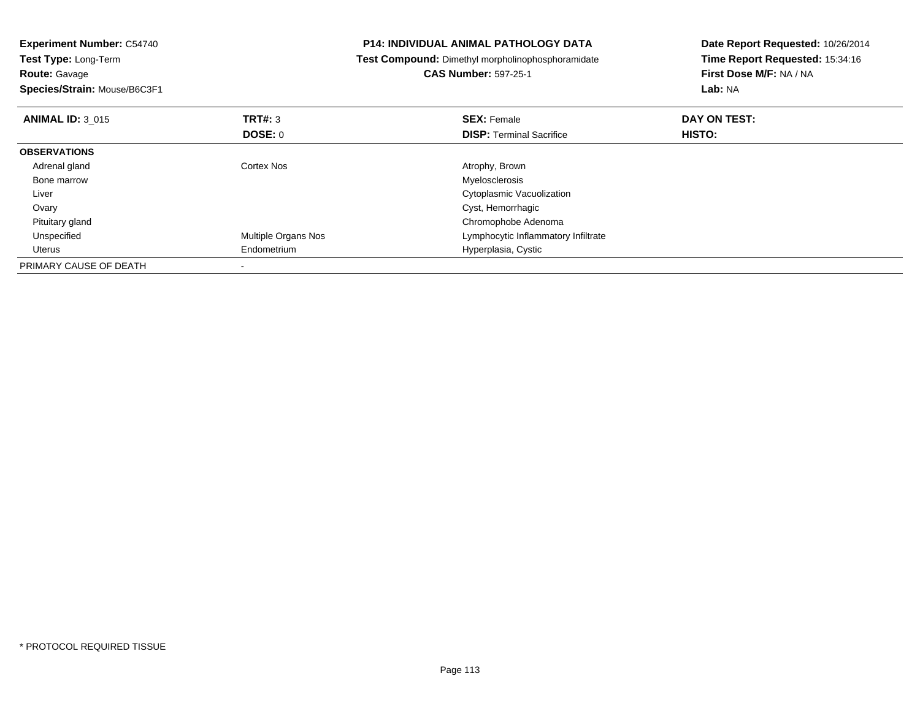| <b>Experiment Number: C54740</b><br><b>Test Type: Long-Term</b><br><b>Route: Gavage</b> | <b>P14: INDIVIDUAL ANIMAL PATHOLOGY DATA</b><br><b>Test Compound:</b> Dimethyl morpholinophosphoramidate<br><b>CAS Number: 597-25-1</b> |                                     | Date Report Requested: 10/26/2014<br>Time Report Requested: 15:34:16<br>First Dose M/F: NA / NA |
|-----------------------------------------------------------------------------------------|-----------------------------------------------------------------------------------------------------------------------------------------|-------------------------------------|-------------------------------------------------------------------------------------------------|
| Species/Strain: Mouse/B6C3F1                                                            |                                                                                                                                         |                                     | Lab: NA                                                                                         |
| <b>ANIMAL ID: 3 015</b>                                                                 | <b>TRT#: 3</b>                                                                                                                          | <b>SEX: Female</b>                  | DAY ON TEST:                                                                                    |
|                                                                                         | DOSE: 0                                                                                                                                 | <b>DISP:</b> Terminal Sacrifice     | HISTO:                                                                                          |
| <b>OBSERVATIONS</b>                                                                     |                                                                                                                                         |                                     |                                                                                                 |
| Adrenal gland                                                                           | Cortex Nos                                                                                                                              | Atrophy, Brown                      |                                                                                                 |
| Bone marrow                                                                             |                                                                                                                                         | Myelosclerosis                      |                                                                                                 |
| Liver                                                                                   |                                                                                                                                         | Cytoplasmic Vacuolization           |                                                                                                 |
| Ovary                                                                                   |                                                                                                                                         | Cyst, Hemorrhagic                   |                                                                                                 |
| Pituitary gland                                                                         |                                                                                                                                         | Chromophobe Adenoma                 |                                                                                                 |
| Unspecified                                                                             | <b>Multiple Organs Nos</b>                                                                                                              | Lymphocytic Inflammatory Infiltrate |                                                                                                 |
| Uterus                                                                                  | Endometrium                                                                                                                             | Hyperplasia, Cystic                 |                                                                                                 |
| PRIMARY CAUSE OF DEATH                                                                  |                                                                                                                                         |                                     |                                                                                                 |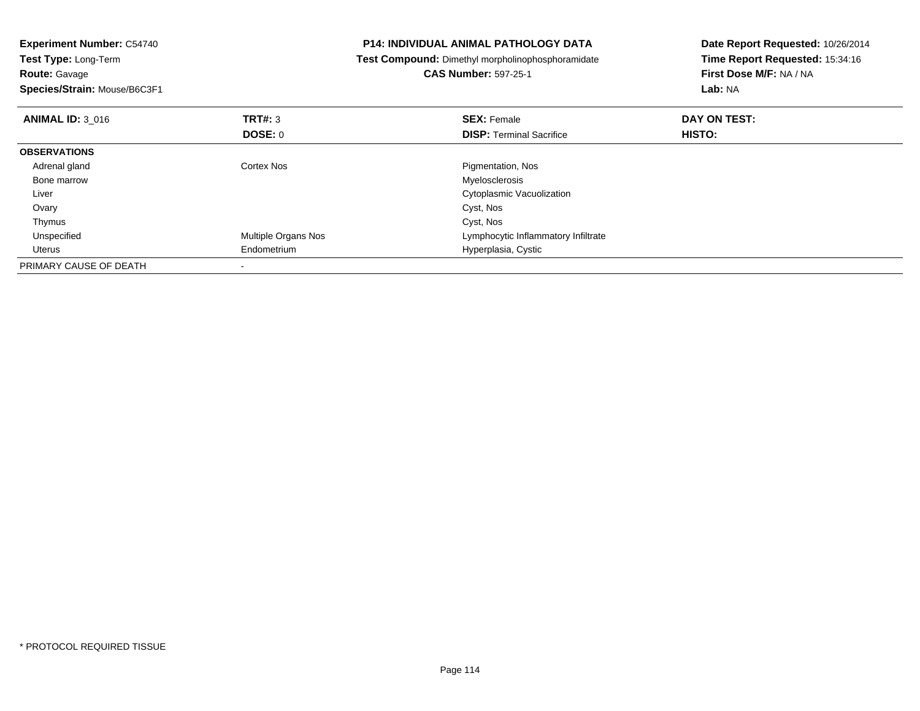| <b>Experiment Number: C54740</b><br>Test Type: Long-Term<br><b>Route: Gavage</b><br>Species/Strain: Mouse/B6C3F1 |                     | <b>P14: INDIVIDUAL ANIMAL PATHOLOGY DATA</b><br>Test Compound: Dimethyl morpholinophosphoramidate<br><b>CAS Number: 597-25-1</b> | Date Report Requested: 10/26/2014<br>Time Report Requested: 15:34:16<br>First Dose M/F: NA / NA<br>Lab: NA |
|------------------------------------------------------------------------------------------------------------------|---------------------|----------------------------------------------------------------------------------------------------------------------------------|------------------------------------------------------------------------------------------------------------|
| <b>ANIMAL ID: 3 016</b>                                                                                          | <b>TRT#: 3</b>      | <b>SEX: Female</b>                                                                                                               | DAY ON TEST:                                                                                               |
|                                                                                                                  | DOSE: 0             | <b>DISP:</b> Terminal Sacrifice                                                                                                  | <b>HISTO:</b>                                                                                              |
| <b>OBSERVATIONS</b>                                                                                              |                     |                                                                                                                                  |                                                                                                            |
| Adrenal gland                                                                                                    | Cortex Nos          | Pigmentation, Nos                                                                                                                |                                                                                                            |
| Bone marrow                                                                                                      |                     | Myelosclerosis                                                                                                                   |                                                                                                            |
| Liver                                                                                                            |                     | Cytoplasmic Vacuolization                                                                                                        |                                                                                                            |
| Ovary                                                                                                            |                     | Cyst, Nos                                                                                                                        |                                                                                                            |
| Thymus                                                                                                           |                     | Cyst, Nos                                                                                                                        |                                                                                                            |
| Unspecified                                                                                                      | Multiple Organs Nos | Lymphocytic Inflammatory Infiltrate                                                                                              |                                                                                                            |
| Uterus                                                                                                           | Endometrium         | Hyperplasia, Cystic                                                                                                              |                                                                                                            |
| PRIMARY CAUSE OF DEATH                                                                                           |                     |                                                                                                                                  |                                                                                                            |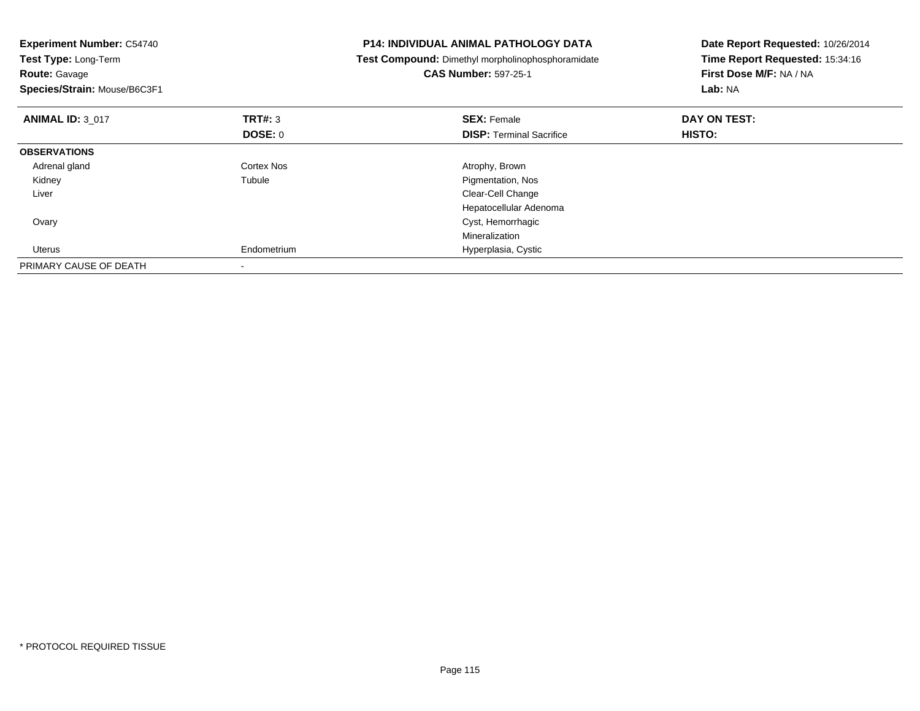| <b>Experiment Number: C54740</b><br>Test Type: Long-Term<br><b>Route: Gavage</b><br>Species/Strain: Mouse/B6C3F1 |                | <b>P14: INDIVIDUAL ANIMAL PATHOLOGY DATA</b><br>Test Compound: Dimethyl morpholinophosphoramidate<br><b>CAS Number: 597-25-1</b> | Date Report Requested: 10/26/2014<br>Time Report Requested: 15:34:16<br>First Dose M/F: NA / NA<br>Lab: NA |
|------------------------------------------------------------------------------------------------------------------|----------------|----------------------------------------------------------------------------------------------------------------------------------|------------------------------------------------------------------------------------------------------------|
| <b>ANIMAL ID: 3 017</b>                                                                                          | <b>TRT#: 3</b> | <b>SEX: Female</b>                                                                                                               | DAY ON TEST:                                                                                               |
|                                                                                                                  | DOSE: 0        | <b>DISP:</b> Terminal Sacrifice                                                                                                  | HISTO:                                                                                                     |
| <b>OBSERVATIONS</b>                                                                                              |                |                                                                                                                                  |                                                                                                            |
| Adrenal gland                                                                                                    | Cortex Nos     | Atrophy, Brown                                                                                                                   |                                                                                                            |
| Kidney                                                                                                           | Tubule         | Pigmentation, Nos                                                                                                                |                                                                                                            |
| Liver                                                                                                            |                | Clear-Cell Change                                                                                                                |                                                                                                            |
|                                                                                                                  |                | Hepatocellular Adenoma                                                                                                           |                                                                                                            |
| Ovary                                                                                                            |                | Cyst, Hemorrhagic                                                                                                                |                                                                                                            |
|                                                                                                                  |                | Mineralization                                                                                                                   |                                                                                                            |
| <b>Uterus</b>                                                                                                    | Endometrium    | Hyperplasia, Cystic                                                                                                              |                                                                                                            |
| PRIMARY CAUSE OF DEATH                                                                                           |                |                                                                                                                                  |                                                                                                            |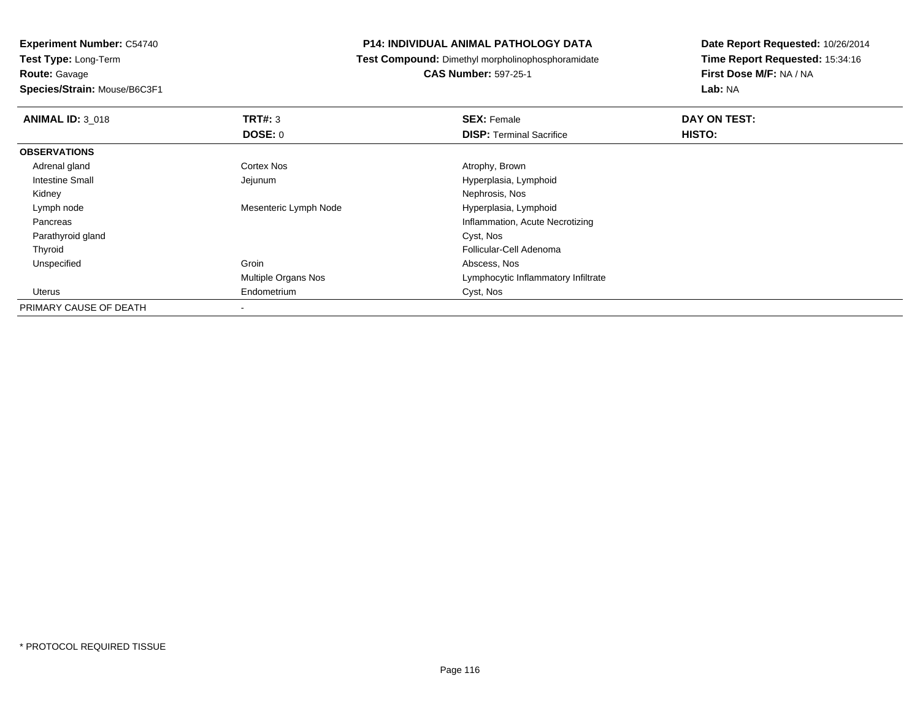## **Route:** Gavage

**Species/Strain:** Mouse/B6C3F1

## **P14: INDIVIDUAL ANIMAL PATHOLOGY DATA**

**Test Compound:** Dimethyl morpholinophosphoramidate

# **CAS Number:** 597-25-1

| <b>ANIMAL ID: 3 018</b> | TRT#: 3                  | <b>SEX: Female</b>                  | DAY ON TEST:  |  |
|-------------------------|--------------------------|-------------------------------------|---------------|--|
|                         | DOSE: 0                  | <b>DISP: Terminal Sacrifice</b>     | <b>HISTO:</b> |  |
| <b>OBSERVATIONS</b>     |                          |                                     |               |  |
| Adrenal gland           | <b>Cortex Nos</b>        | Atrophy, Brown                      |               |  |
| Intestine Small         | Jejunum                  | Hyperplasia, Lymphoid               |               |  |
| Kidney                  |                          | Nephrosis, Nos                      |               |  |
| Lymph node              | Mesenteric Lymph Node    | Hyperplasia, Lymphoid               |               |  |
| Pancreas                |                          | Inflammation, Acute Necrotizing     |               |  |
| Parathyroid gland       |                          | Cyst, Nos                           |               |  |
| Thyroid                 |                          | Follicular-Cell Adenoma             |               |  |
| Unspecified             | Groin                    | Abscess, Nos                        |               |  |
|                         | Multiple Organs Nos      | Lymphocytic Inflammatory Infiltrate |               |  |
| Uterus                  | Endometrium              | Cyst, Nos                           |               |  |
| PRIMARY CAUSE OF DEATH  | $\overline{\phantom{a}}$ |                                     |               |  |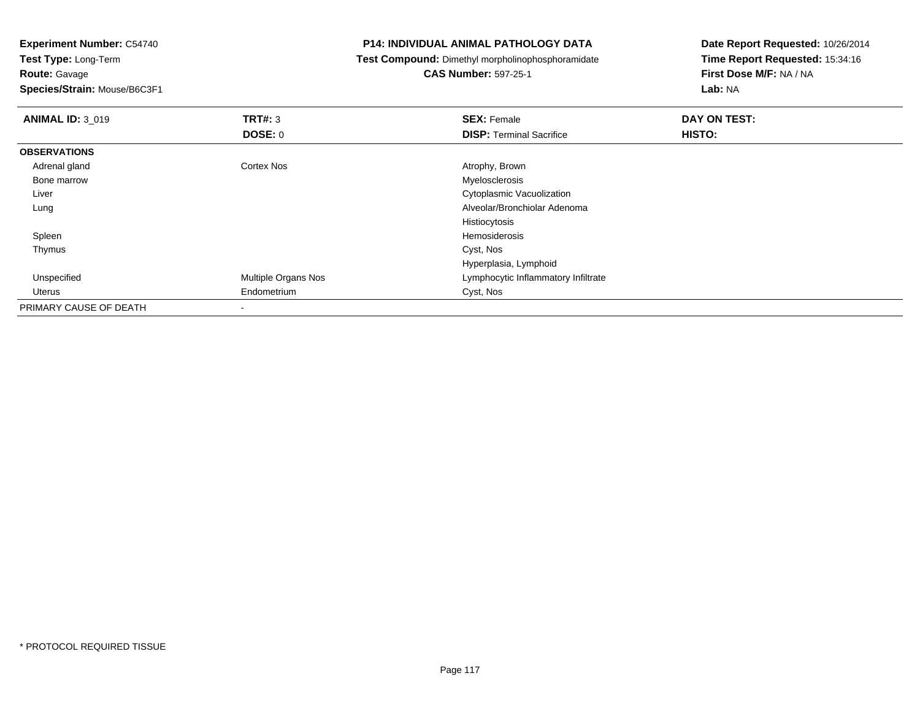**Route:** Gavage

**Species/Strain:** Mouse/B6C3F1

## **P14: INDIVIDUAL ANIMAL PATHOLOGY DATA**

**Test Compound:** Dimethyl morpholinophosphoramidate

**CAS Number:** 597-25-1

| <b>ANIMAL ID: 3_019</b> | <b>TRT#: 3</b>      | <b>SEX: Female</b>                  | DAY ON TEST:  |
|-------------------------|---------------------|-------------------------------------|---------------|
|                         | <b>DOSE: 0</b>      | <b>DISP: Terminal Sacrifice</b>     | <b>HISTO:</b> |
| <b>OBSERVATIONS</b>     |                     |                                     |               |
| Adrenal gland           | Cortex Nos          | Atrophy, Brown                      |               |
| Bone marrow             |                     | Myelosclerosis                      |               |
| Liver                   |                     | <b>Cytoplasmic Vacuolization</b>    |               |
| Lung                    |                     | Alveolar/Bronchiolar Adenoma        |               |
|                         |                     | Histiocytosis                       |               |
| Spleen                  |                     | Hemosiderosis                       |               |
| Thymus                  |                     | Cyst, Nos                           |               |
|                         |                     | Hyperplasia, Lymphoid               |               |
| Unspecified             | Multiple Organs Nos | Lymphocytic Inflammatory Infiltrate |               |
| Uterus                  | Endometrium         | Cyst, Nos                           |               |
| PRIMARY CAUSE OF DEATH  | ۰                   |                                     |               |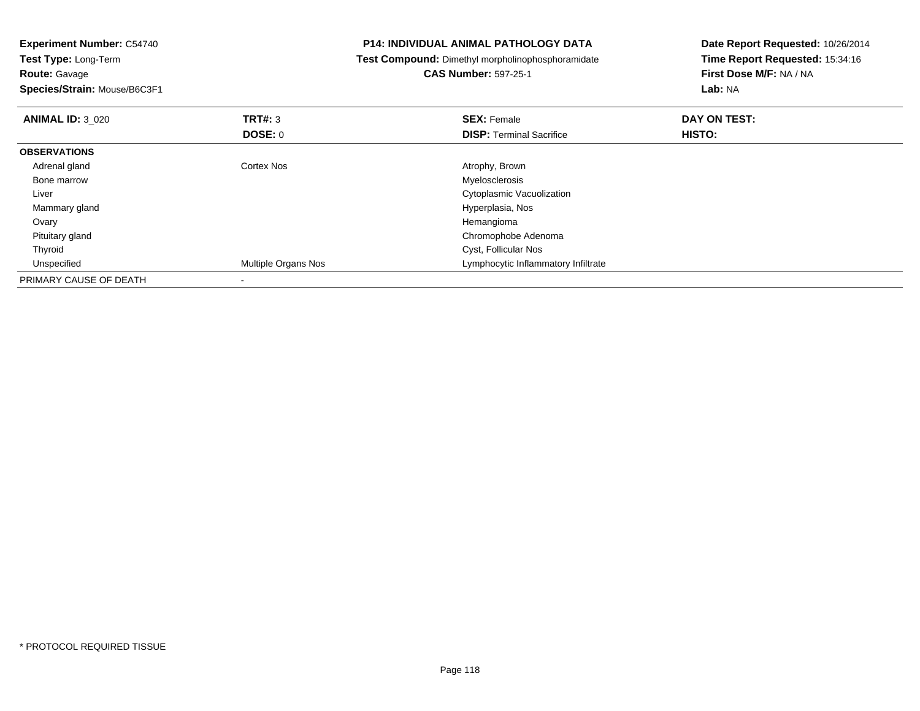| <b>Experiment Number: C54740</b><br><b>Test Type: Long-Term</b> |                     | <b>P14: INDIVIDUAL ANIMAL PATHOLOGY DATA</b>      | Date Report Requested: 10/26/2014<br>Time Report Requested: 15:34:16 |  |
|-----------------------------------------------------------------|---------------------|---------------------------------------------------|----------------------------------------------------------------------|--|
|                                                                 |                     | Test Compound: Dimethyl morpholinophosphoramidate |                                                                      |  |
| <b>Route: Gavage</b>                                            |                     | <b>CAS Number: 597-25-1</b>                       | First Dose M/F: NA / NA                                              |  |
| Species/Strain: Mouse/B6C3F1                                    |                     |                                                   | Lab: NA                                                              |  |
| <b>ANIMAL ID: 3 020</b>                                         | <b>TRT#: 3</b>      | <b>SEX: Female</b>                                | DAY ON TEST:                                                         |  |
|                                                                 | <b>DOSE: 0</b>      | <b>DISP: Terminal Sacrifice</b>                   | HISTO:                                                               |  |
| <b>OBSERVATIONS</b>                                             |                     |                                                   |                                                                      |  |
| Adrenal gland                                                   | Cortex Nos          | Atrophy, Brown                                    |                                                                      |  |
| Bone marrow                                                     |                     | Myelosclerosis                                    |                                                                      |  |
| Liver                                                           |                     | Cytoplasmic Vacuolization                         |                                                                      |  |
| Mammary gland                                                   |                     | Hyperplasia, Nos                                  |                                                                      |  |
| Ovary                                                           |                     | Hemangioma                                        |                                                                      |  |
| Pituitary gland                                                 |                     | Chromophobe Adenoma                               |                                                                      |  |
| Thyroid                                                         |                     | Cyst, Follicular Nos                              |                                                                      |  |
| Unspecified                                                     | Multiple Organs Nos | Lymphocytic Inflammatory Infiltrate               |                                                                      |  |
| PRIMARY CAUSE OF DEATH                                          |                     |                                                   |                                                                      |  |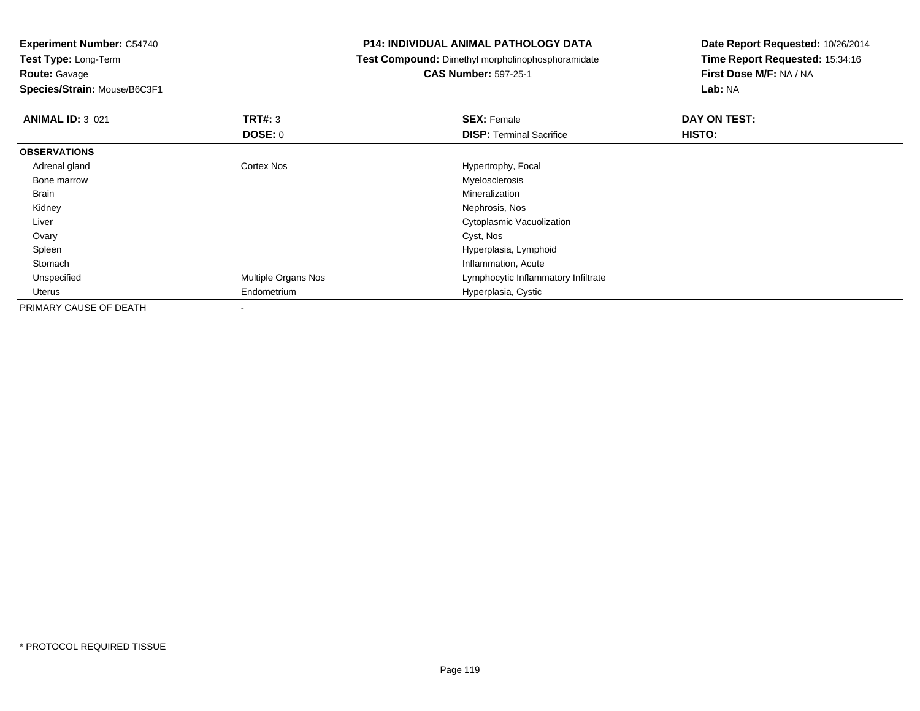**Route:** Gavage

**Species/Strain:** Mouse/B6C3F1

## **P14: INDIVIDUAL ANIMAL PATHOLOGY DATA**

**Test Compound:** Dimethyl morpholinophosphoramidate

**CAS Number:** 597-25-1

| <b>ANIMAL ID: 3_021</b> | TRT#: 3                    | <b>SEX: Female</b>                  | DAY ON TEST:  |  |
|-------------------------|----------------------------|-------------------------------------|---------------|--|
|                         | <b>DOSE: 0</b>             | <b>DISP: Terminal Sacrifice</b>     | <b>HISTO:</b> |  |
| <b>OBSERVATIONS</b>     |                            |                                     |               |  |
| Adrenal gland           | <b>Cortex Nos</b>          | Hypertrophy, Focal                  |               |  |
| Bone marrow             |                            | Myelosclerosis                      |               |  |
| Brain                   |                            | Mineralization                      |               |  |
| Kidney                  |                            | Nephrosis, Nos                      |               |  |
| Liver                   |                            | Cytoplasmic Vacuolization           |               |  |
| Ovary                   |                            | Cyst, Nos                           |               |  |
| Spleen                  |                            | Hyperplasia, Lymphoid               |               |  |
| Stomach                 |                            | Inflammation, Acute                 |               |  |
| Unspecified             | <b>Multiple Organs Nos</b> | Lymphocytic Inflammatory Infiltrate |               |  |
| Uterus                  | Endometrium                | Hyperplasia, Cystic                 |               |  |
| PRIMARY CAUSE OF DEATH  | $\overline{\phantom{a}}$   |                                     |               |  |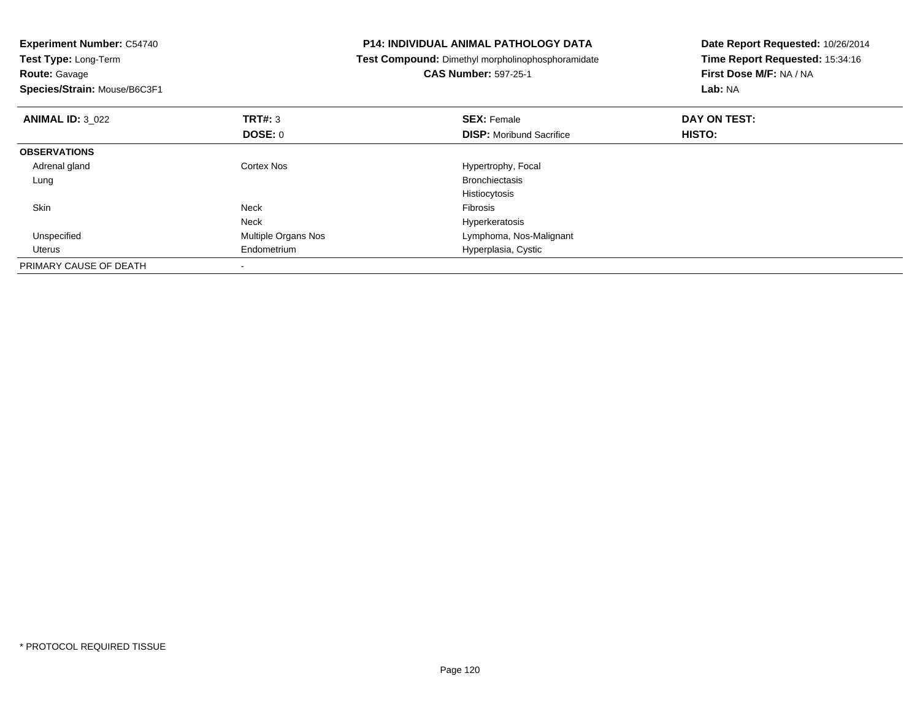| <b>Experiment Number: C54740</b><br>Test Type: Long-Term<br><b>Route: Gavage</b><br>Species/Strain: Mouse/B6C3F1 |                     | <b>P14: INDIVIDUAL ANIMAL PATHOLOGY DATA</b><br>Test Compound: Dimethyl morpholinophosphoramidate<br><b>CAS Number: 597-25-1</b> | Date Report Requested: 10/26/2014<br>Time Report Requested: 15:34:16<br>First Dose M/F: NA / NA<br>Lab: NA |
|------------------------------------------------------------------------------------------------------------------|---------------------|----------------------------------------------------------------------------------------------------------------------------------|------------------------------------------------------------------------------------------------------------|
| <b>ANIMAL ID: 3 022</b>                                                                                          | <b>TRT#: 3</b>      | <b>SEX: Female</b>                                                                                                               | DAY ON TEST:                                                                                               |
|                                                                                                                  | DOSE: 0             | <b>DISP:</b> Moribund Sacrifice                                                                                                  | <b>HISTO:</b>                                                                                              |
| <b>OBSERVATIONS</b>                                                                                              |                     |                                                                                                                                  |                                                                                                            |
| Adrenal gland                                                                                                    | Cortex Nos          | Hypertrophy, Focal                                                                                                               |                                                                                                            |
| Lung                                                                                                             |                     | <b>Bronchiectasis</b>                                                                                                            |                                                                                                            |
|                                                                                                                  |                     | Histiocytosis                                                                                                                    |                                                                                                            |
| <b>Skin</b>                                                                                                      | <b>Neck</b>         | <b>Fibrosis</b>                                                                                                                  |                                                                                                            |
|                                                                                                                  | <b>Neck</b>         | Hyperkeratosis                                                                                                                   |                                                                                                            |
| Unspecified                                                                                                      | Multiple Organs Nos | Lymphoma, Nos-Malignant                                                                                                          |                                                                                                            |
| Uterus                                                                                                           | Endometrium         | Hyperplasia, Cystic                                                                                                              |                                                                                                            |
| PRIMARY CAUSE OF DEATH                                                                                           |                     |                                                                                                                                  |                                                                                                            |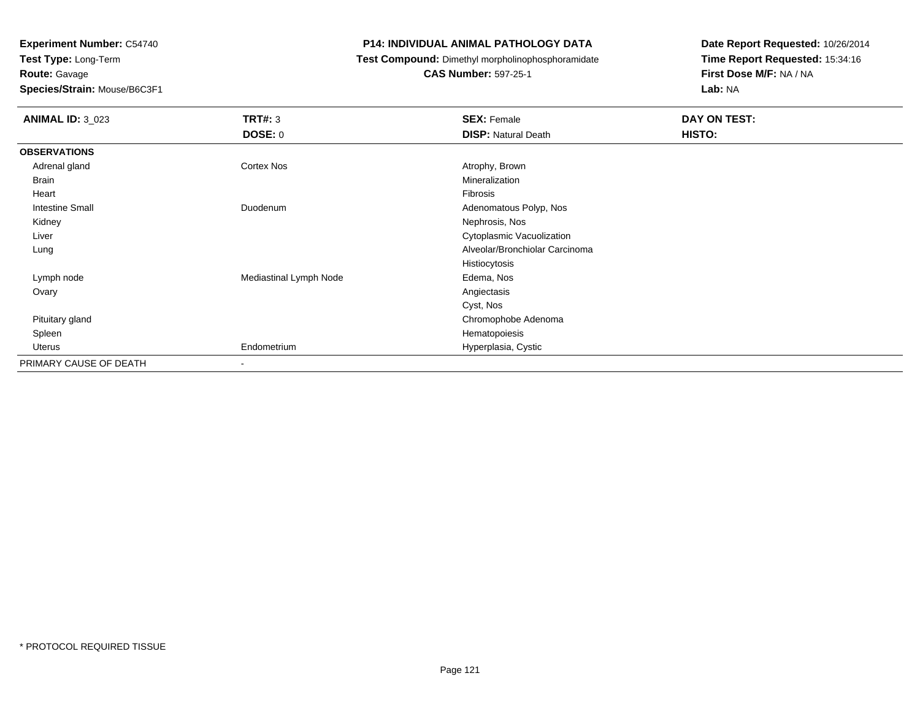**Route:** Gavage

**Species/Strain:** Mouse/B6C3F1

## **P14: INDIVIDUAL ANIMAL PATHOLOGY DATA**

**Test Compound:** Dimethyl morpholinophosphoramidate

**CAS Number:** 597-25-1

| <b>ANIMAL ID: 3_023</b> | <b>TRT#: 3</b>           | <b>SEX: Female</b>             | DAY ON TEST: |  |
|-------------------------|--------------------------|--------------------------------|--------------|--|
|                         | DOSE: 0                  | <b>DISP: Natural Death</b>     | HISTO:       |  |
| <b>OBSERVATIONS</b>     |                          |                                |              |  |
| Adrenal gland           | Cortex Nos               | Atrophy, Brown                 |              |  |
| Brain                   |                          | Mineralization                 |              |  |
| Heart                   |                          | Fibrosis                       |              |  |
| <b>Intestine Small</b>  | Duodenum                 | Adenomatous Polyp, Nos         |              |  |
| Kidney                  |                          | Nephrosis, Nos                 |              |  |
| Liver                   |                          | Cytoplasmic Vacuolization      |              |  |
| Lung                    |                          | Alveolar/Bronchiolar Carcinoma |              |  |
|                         |                          | Histiocytosis                  |              |  |
| Lymph node              | Mediastinal Lymph Node   | Edema, Nos                     |              |  |
| Ovary                   |                          | Angiectasis                    |              |  |
|                         |                          | Cyst, Nos                      |              |  |
| Pituitary gland         |                          | Chromophobe Adenoma            |              |  |
| Spleen                  |                          | Hematopoiesis                  |              |  |
| Uterus                  | Endometrium              | Hyperplasia, Cystic            |              |  |
| PRIMARY CAUSE OF DEATH  | $\overline{\phantom{a}}$ |                                |              |  |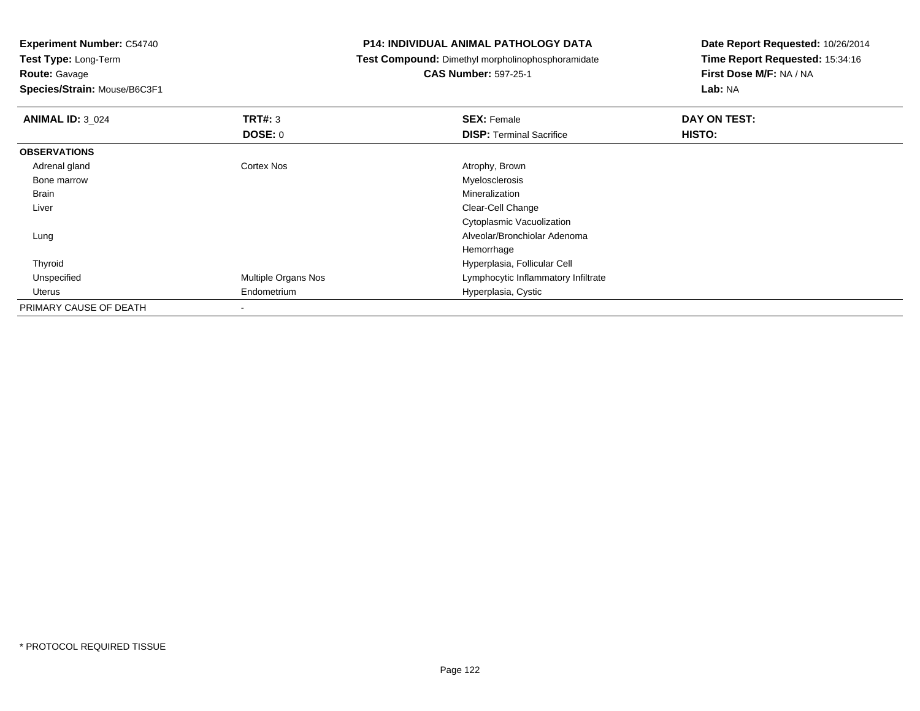**Route:** Gavage

**Species/Strain:** Mouse/B6C3F1

## **P14: INDIVIDUAL ANIMAL PATHOLOGY DATA**

**Test Compound:** Dimethyl morpholinophosphoramidate

**CAS Number:** 597-25-1

| <b>ANIMAL ID: 3 024</b> | <b>TRT#: 3</b>      | <b>SEX: Female</b>                  | DAY ON TEST: |
|-------------------------|---------------------|-------------------------------------|--------------|
|                         | DOSE: 0             | <b>DISP: Terminal Sacrifice</b>     | HISTO:       |
| <b>OBSERVATIONS</b>     |                     |                                     |              |
| Adrenal gland           | Cortex Nos          | Atrophy, Brown                      |              |
| Bone marrow             |                     | Myelosclerosis                      |              |
| Brain                   |                     | Mineralization                      |              |
| Liver                   |                     | Clear-Cell Change                   |              |
|                         |                     | Cytoplasmic Vacuolization           |              |
| Lung                    |                     | Alveolar/Bronchiolar Adenoma        |              |
|                         |                     | Hemorrhage                          |              |
| Thyroid                 |                     | Hyperplasia, Follicular Cell        |              |
| Unspecified             | Multiple Organs Nos | Lymphocytic Inflammatory Infiltrate |              |
| Uterus                  | Endometrium         | Hyperplasia, Cystic                 |              |
| PRIMARY CAUSE OF DEATH  | ۰                   |                                     |              |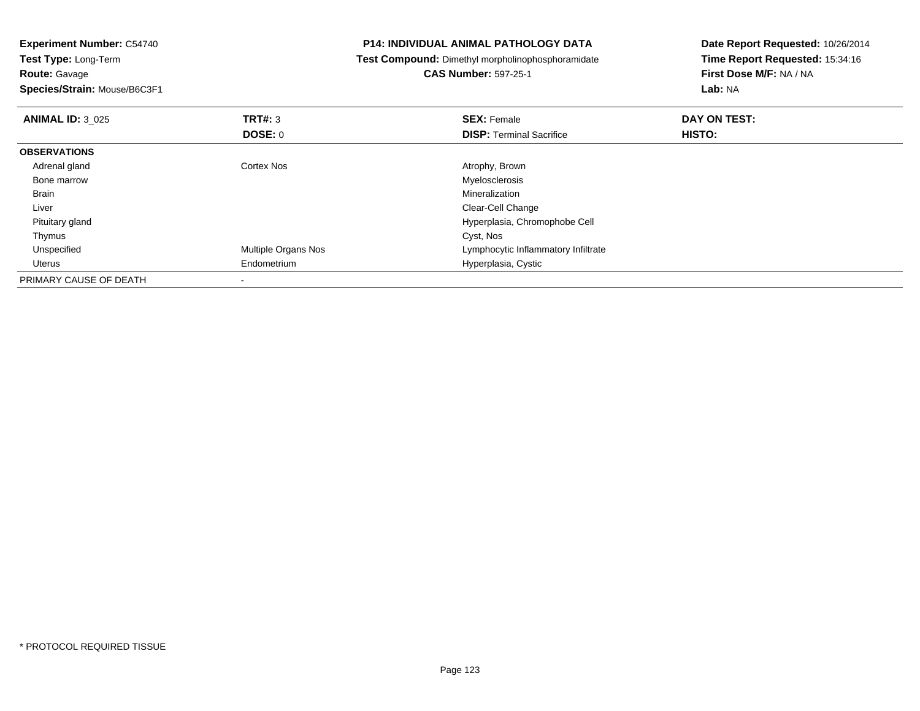|                |                                                  | Date Report Requested: 10/26/2014                                                                 |  |
|----------------|--------------------------------------------------|---------------------------------------------------------------------------------------------------|--|
|                |                                                  | Time Report Requested: 15:34:16                                                                   |  |
|                | <b>CAS Number: 597-25-1</b>                      | First Dose M/F: NA / NA                                                                           |  |
|                |                                                  | Lab: NA                                                                                           |  |
| <b>TRT#: 3</b> | <b>SEX: Female</b>                               | DAY ON TEST:                                                                                      |  |
| DOSE: 0        | <b>DISP:</b> Terminal Sacrifice                  | HISTO:                                                                                            |  |
|                |                                                  |                                                                                                   |  |
|                | Atrophy, Brown                                   |                                                                                                   |  |
|                | Myelosclerosis                                   |                                                                                                   |  |
|                | Mineralization                                   |                                                                                                   |  |
|                | Clear-Cell Change                                |                                                                                                   |  |
|                | Hyperplasia, Chromophobe Cell                    |                                                                                                   |  |
|                | Cyst, Nos                                        |                                                                                                   |  |
|                | Lymphocytic Inflammatory Infiltrate              |                                                                                                   |  |
|                | Hyperplasia, Cystic                              |                                                                                                   |  |
|                |                                                  |                                                                                                   |  |
|                | Cortex Nos<br>Multiple Organs Nos<br>Endometrium | <b>P14: INDIVIDUAL ANIMAL PATHOLOGY DATA</b><br>Test Compound: Dimethyl morpholinophosphoramidate |  |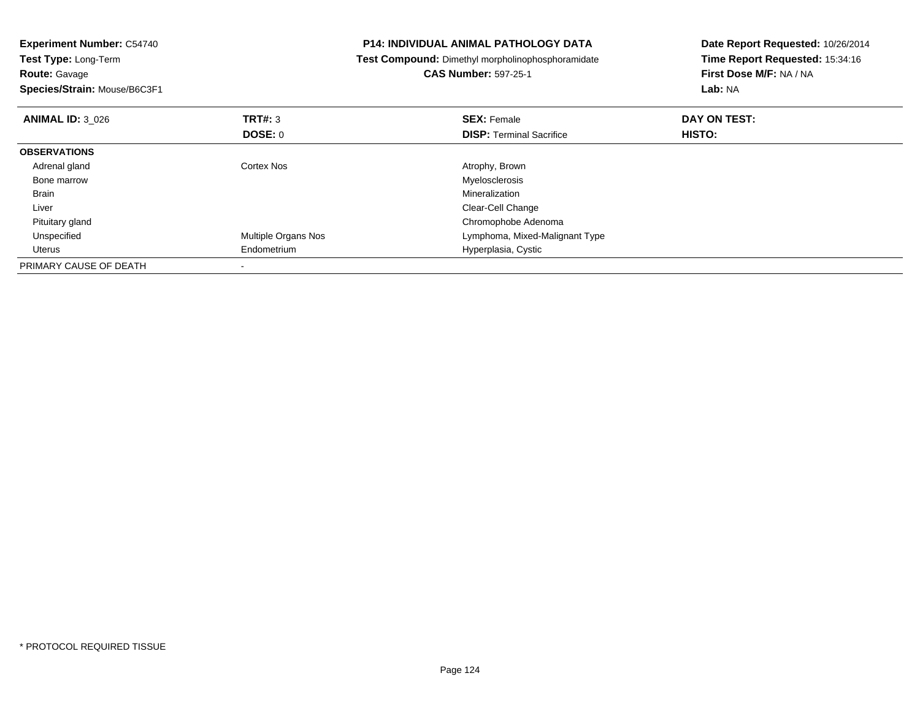| <b>Experiment Number: C54740</b><br>Test Type: Long-Term<br><b>Route: Gavage</b><br>Species/Strain: Mouse/B6C3F1 |                     | <b>P14: INDIVIDUAL ANIMAL PATHOLOGY DATA</b><br><b>Test Compound: Dimethyl morpholinophosphoramidate</b><br><b>CAS Number: 597-25-1</b> | Date Report Requested: 10/26/2014<br>Time Report Requested: 15:34:16<br>First Dose M/F: NA / NA<br>Lab: NA |
|------------------------------------------------------------------------------------------------------------------|---------------------|-----------------------------------------------------------------------------------------------------------------------------------------|------------------------------------------------------------------------------------------------------------|
|                                                                                                                  |                     |                                                                                                                                         |                                                                                                            |
| <b>ANIMAL ID: 3 026</b>                                                                                          | <b>TRT#: 3</b>      | <b>SEX: Female</b>                                                                                                                      | DAY ON TEST:                                                                                               |
|                                                                                                                  | DOSE: 0             | <b>DISP:</b> Terminal Sacrifice                                                                                                         | HISTO:                                                                                                     |
| <b>OBSERVATIONS</b>                                                                                              |                     |                                                                                                                                         |                                                                                                            |
| Adrenal gland                                                                                                    | Cortex Nos          | Atrophy, Brown                                                                                                                          |                                                                                                            |
| Bone marrow                                                                                                      |                     | Myelosclerosis                                                                                                                          |                                                                                                            |
| Brain                                                                                                            |                     | Mineralization                                                                                                                          |                                                                                                            |
| Liver                                                                                                            |                     | Clear-Cell Change                                                                                                                       |                                                                                                            |
| Pituitary gland                                                                                                  |                     | Chromophobe Adenoma                                                                                                                     |                                                                                                            |
| Unspecified                                                                                                      | Multiple Organs Nos | Lymphoma, Mixed-Malignant Type                                                                                                          |                                                                                                            |
| Uterus                                                                                                           | Endometrium         | Hyperplasia, Cystic                                                                                                                     |                                                                                                            |
| PRIMARY CAUSE OF DEATH                                                                                           |                     |                                                                                                                                         |                                                                                                            |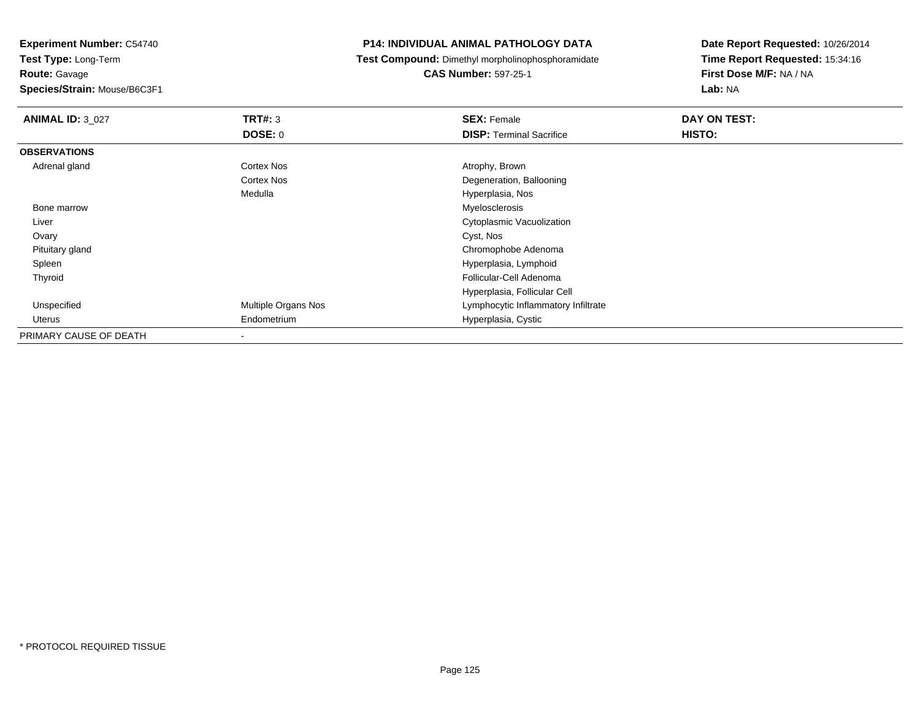**Test Type:** Long-Term**Route:** Gavage

**Species/Strain:** Mouse/B6C3F1

## **P14: INDIVIDUAL ANIMAL PATHOLOGY DATA**

**Test Compound:** Dimethyl morpholinophosphoramidate

**CAS Number:** 597-25-1

| <b>ANIMAL ID: 3 027</b> | TRT#: 3             | <b>SEX: Female</b>                  | DAY ON TEST: |  |
|-------------------------|---------------------|-------------------------------------|--------------|--|
|                         | DOSE: 0             | <b>DISP: Terminal Sacrifice</b>     | HISTO:       |  |
| <b>OBSERVATIONS</b>     |                     |                                     |              |  |
| Adrenal gland           | Cortex Nos          | Atrophy, Brown                      |              |  |
|                         | Cortex Nos          | Degeneration, Ballooning            |              |  |
|                         | Medulla             | Hyperplasia, Nos                    |              |  |
| Bone marrow             |                     | Myelosclerosis                      |              |  |
| Liver                   |                     | Cytoplasmic Vacuolization           |              |  |
| Ovary                   |                     | Cyst, Nos                           |              |  |
| Pituitary gland         |                     | Chromophobe Adenoma                 |              |  |
| Spleen                  |                     | Hyperplasia, Lymphoid               |              |  |
| Thyroid                 |                     | Follicular-Cell Adenoma             |              |  |
|                         |                     | Hyperplasia, Follicular Cell        |              |  |
| Unspecified             | Multiple Organs Nos | Lymphocytic Inflammatory Infiltrate |              |  |
| Uterus                  | Endometrium         | Hyperplasia, Cystic                 |              |  |
| PRIMARY CAUSE OF DEATH  |                     |                                     |              |  |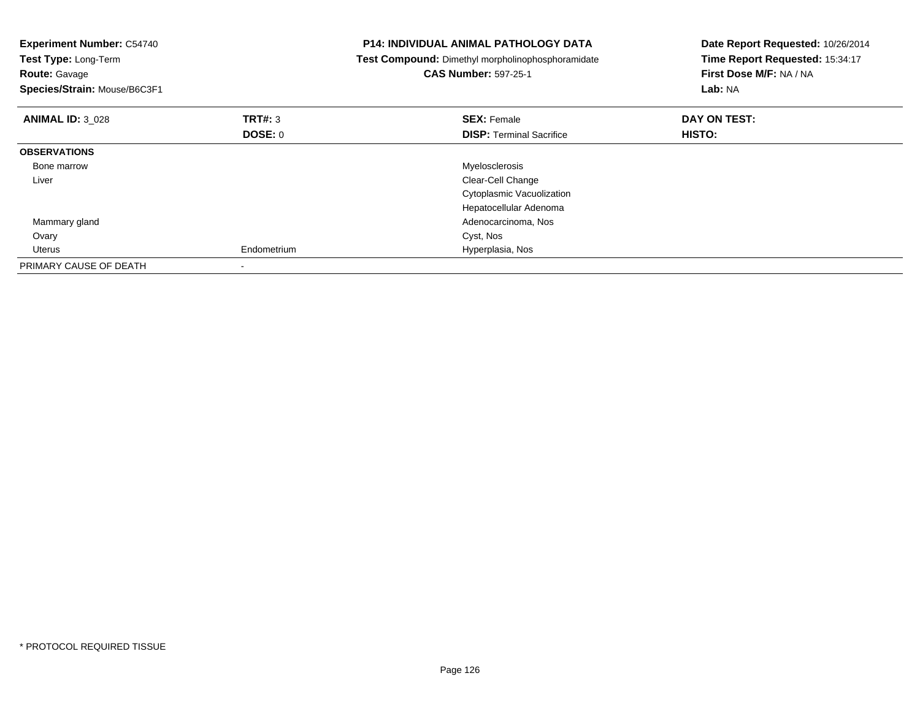| <b>Experiment Number: C54740</b><br>Test Type: Long-Term<br><b>Route: Gavage</b><br>Species/Strain: Mouse/B6C3F1 |                | <b>P14: INDIVIDUAL ANIMAL PATHOLOGY DATA</b><br>Test Compound: Dimethyl morpholinophosphoramidate<br><b>CAS Number: 597-25-1</b> | Date Report Requested: 10/26/2014<br>Time Report Requested: 15:34:17<br>First Dose M/F: NA / NA<br>Lab: NA |
|------------------------------------------------------------------------------------------------------------------|----------------|----------------------------------------------------------------------------------------------------------------------------------|------------------------------------------------------------------------------------------------------------|
| <b>ANIMAL ID: 3 028</b>                                                                                          | <b>TRT#: 3</b> | <b>SEX: Female</b>                                                                                                               | DAY ON TEST:                                                                                               |
|                                                                                                                  | DOSE: 0        | <b>DISP:</b> Terminal Sacrifice                                                                                                  | HISTO:                                                                                                     |
| <b>OBSERVATIONS</b>                                                                                              |                |                                                                                                                                  |                                                                                                            |
| Bone marrow                                                                                                      |                | Myelosclerosis                                                                                                                   |                                                                                                            |
| Liver                                                                                                            |                | Clear-Cell Change                                                                                                                |                                                                                                            |
|                                                                                                                  |                | Cytoplasmic Vacuolization                                                                                                        |                                                                                                            |
|                                                                                                                  |                | Hepatocellular Adenoma                                                                                                           |                                                                                                            |
| Mammary gland                                                                                                    |                | Adenocarcinoma, Nos                                                                                                              |                                                                                                            |
| Ovary                                                                                                            |                | Cyst, Nos                                                                                                                        |                                                                                                            |
| Uterus                                                                                                           | Endometrium    | Hyperplasia, Nos                                                                                                                 |                                                                                                            |
| PRIMARY CAUSE OF DEATH                                                                                           |                |                                                                                                                                  |                                                                                                            |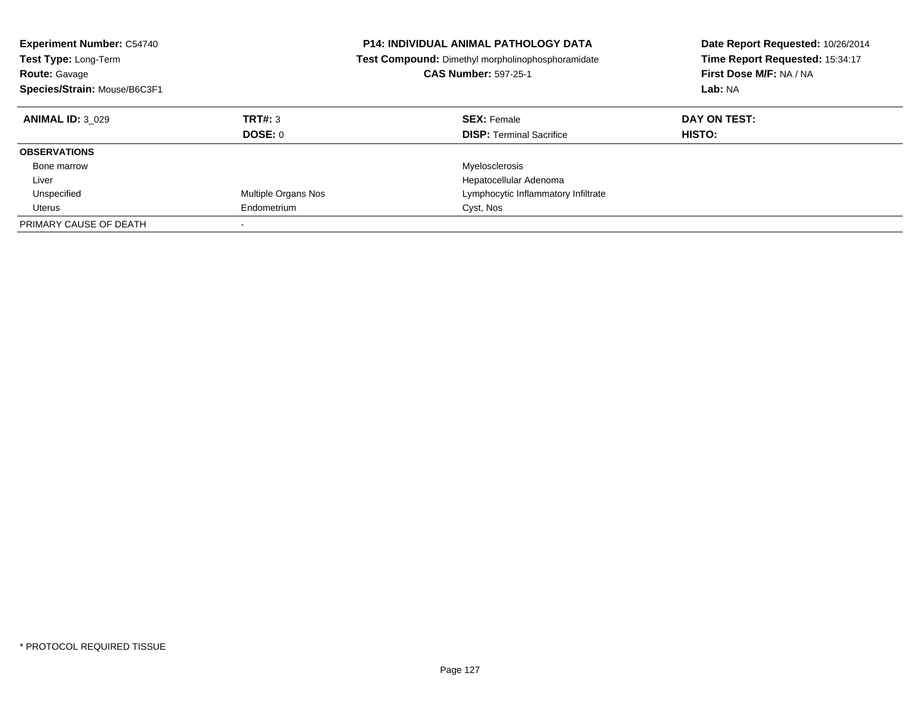| <b>Experiment Number: C54740</b><br><b>Test Type: Long-Term</b><br><b>Route: Gavage</b><br>Species/Strain: Mouse/B6C3F1 |                            | <b>P14: INDIVIDUAL ANIMAL PATHOLOGY DATA</b><br>Test Compound: Dimethyl morpholinophosphoramidate<br><b>CAS Number: 597-25-1</b> | Date Report Requested: 10/26/2014<br>Time Report Requested: 15:34:17<br>First Dose M/F: NA / NA<br>Lab: NA |
|-------------------------------------------------------------------------------------------------------------------------|----------------------------|----------------------------------------------------------------------------------------------------------------------------------|------------------------------------------------------------------------------------------------------------|
| <b>ANIMAL ID: 3 029</b>                                                                                                 | TRT#: 3<br>DOSE: 0         | <b>SEX: Female</b><br><b>DISP:</b> Terminal Sacrifice                                                                            | DAY ON TEST:<br>HISTO:                                                                                     |
| <b>OBSERVATIONS</b>                                                                                                     |                            |                                                                                                                                  |                                                                                                            |
| Bone marrow                                                                                                             |                            | Myelosclerosis                                                                                                                   |                                                                                                            |
| Liver                                                                                                                   |                            | Hepatocellular Adenoma                                                                                                           |                                                                                                            |
| Unspecified                                                                                                             | <b>Multiple Organs Nos</b> | Lymphocytic Inflammatory Infiltrate                                                                                              |                                                                                                            |
| Uterus                                                                                                                  | Endometrium                | Cyst, Nos                                                                                                                        |                                                                                                            |
| PRIMARY CAUSE OF DEATH                                                                                                  |                            |                                                                                                                                  |                                                                                                            |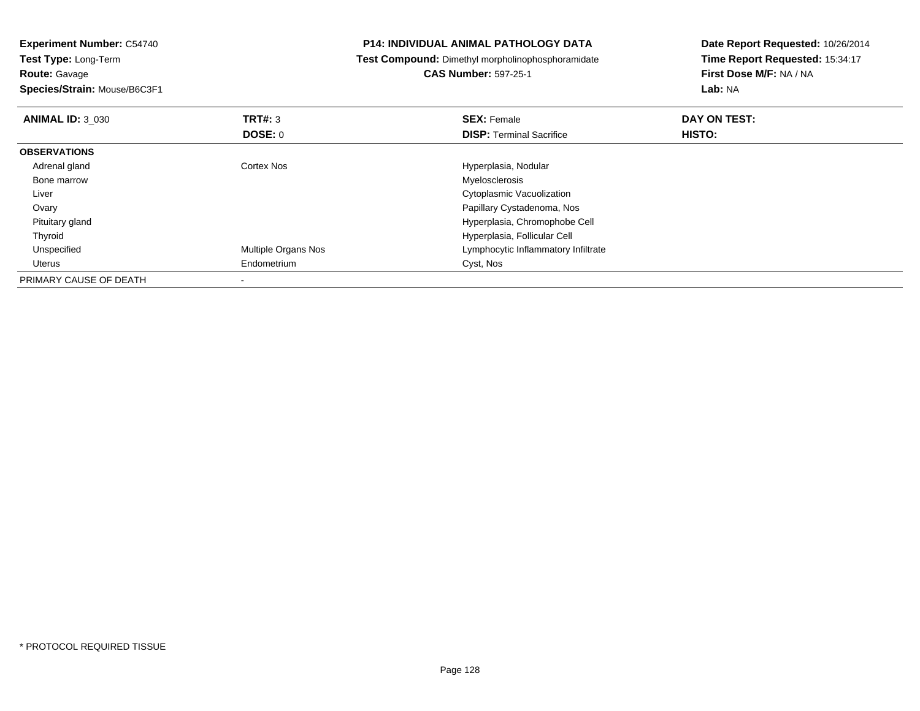| <b>Experiment Number: C54740</b> |                     | <b>P14: INDIVIDUAL ANIMAL PATHOLOGY DATA</b>      | Date Report Requested: 10/26/2014 |  |
|----------------------------------|---------------------|---------------------------------------------------|-----------------------------------|--|
| Test Type: Long-Term             |                     | Test Compound: Dimethyl morpholinophosphoramidate | Time Report Requested: 15:34:17   |  |
| <b>Route: Gavage</b>             |                     | <b>CAS Number: 597-25-1</b>                       | First Dose M/F: NA / NA           |  |
| Species/Strain: Mouse/B6C3F1     |                     |                                                   | Lab: NA                           |  |
| <b>ANIMAL ID: 3 030</b>          | <b>TRT#: 3</b>      | <b>SEX: Female</b>                                | DAY ON TEST:                      |  |
|                                  | DOSE: 0             | <b>DISP:</b> Terminal Sacrifice                   | HISTO:                            |  |
| <b>OBSERVATIONS</b>              |                     |                                                   |                                   |  |
| Adrenal gland                    | Cortex Nos          | Hyperplasia, Nodular                              |                                   |  |
| Bone marrow                      |                     | Myelosclerosis                                    |                                   |  |
| Liver                            |                     | Cytoplasmic Vacuolization                         |                                   |  |
| Ovary                            |                     | Papillary Cystadenoma, Nos                        |                                   |  |
| Pituitary gland                  |                     | Hyperplasia, Chromophobe Cell                     |                                   |  |
| Thyroid                          |                     | Hyperplasia, Follicular Cell                      |                                   |  |
| Unspecified                      | Multiple Organs Nos | Lymphocytic Inflammatory Infiltrate               |                                   |  |
| Uterus                           | Endometrium         | Cyst, Nos                                         |                                   |  |
| PRIMARY CAUSE OF DEATH           |                     |                                                   |                                   |  |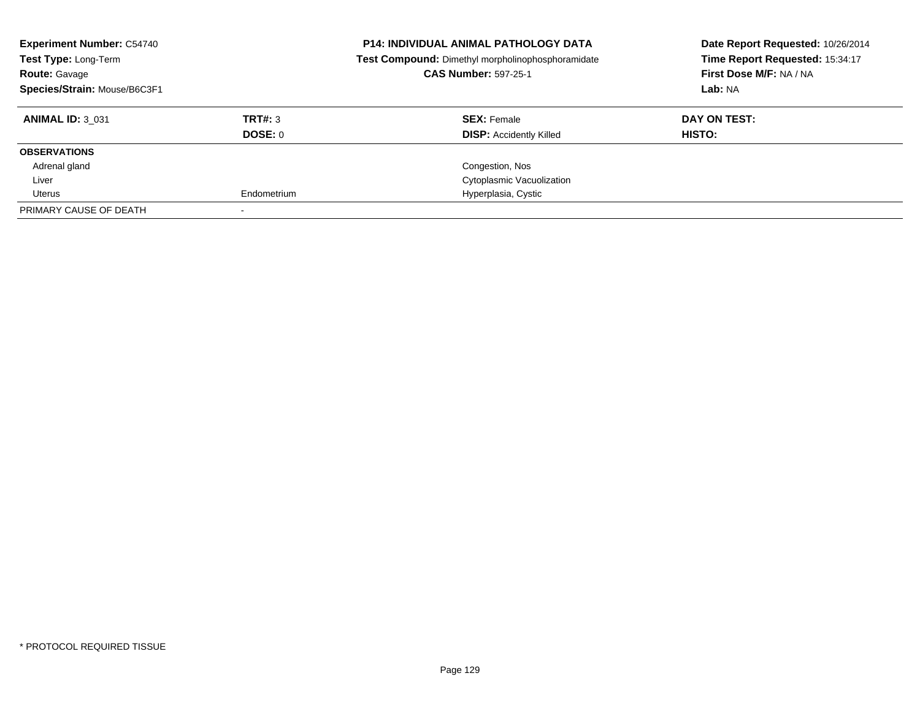| <b>Experiment Number: C54740</b><br>Test Type: Long-Term<br><b>Route: Gavage</b><br>Species/Strain: Mouse/B6C3F1 |             | <b>P14: INDIVIDUAL ANIMAL PATHOLOGY DATA</b><br>Test Compound: Dimethyl morpholinophosphoramidate<br><b>CAS Number: 597-25-1</b> | Date Report Requested: 10/26/2014<br>Time Report Requested: 15:34:17<br>First Dose M/F: NA / NA<br>Lab: NA |
|------------------------------------------------------------------------------------------------------------------|-------------|----------------------------------------------------------------------------------------------------------------------------------|------------------------------------------------------------------------------------------------------------|
| <b>ANIMAL ID: 3 031</b>                                                                                          | TRT#: 3     | <b>SEX: Female</b>                                                                                                               | DAY ON TEST:                                                                                               |
|                                                                                                                  | DOSE: 0     | <b>DISP:</b> Accidently Killed                                                                                                   | HISTO:                                                                                                     |
| <b>OBSERVATIONS</b>                                                                                              |             |                                                                                                                                  |                                                                                                            |
| Adrenal gland                                                                                                    |             | Congestion, Nos                                                                                                                  |                                                                                                            |
| Liver                                                                                                            |             | Cytoplasmic Vacuolization                                                                                                        |                                                                                                            |
| Uterus                                                                                                           | Endometrium | Hyperplasia, Cystic                                                                                                              |                                                                                                            |
| PRIMARY CAUSE OF DEATH                                                                                           |             |                                                                                                                                  |                                                                                                            |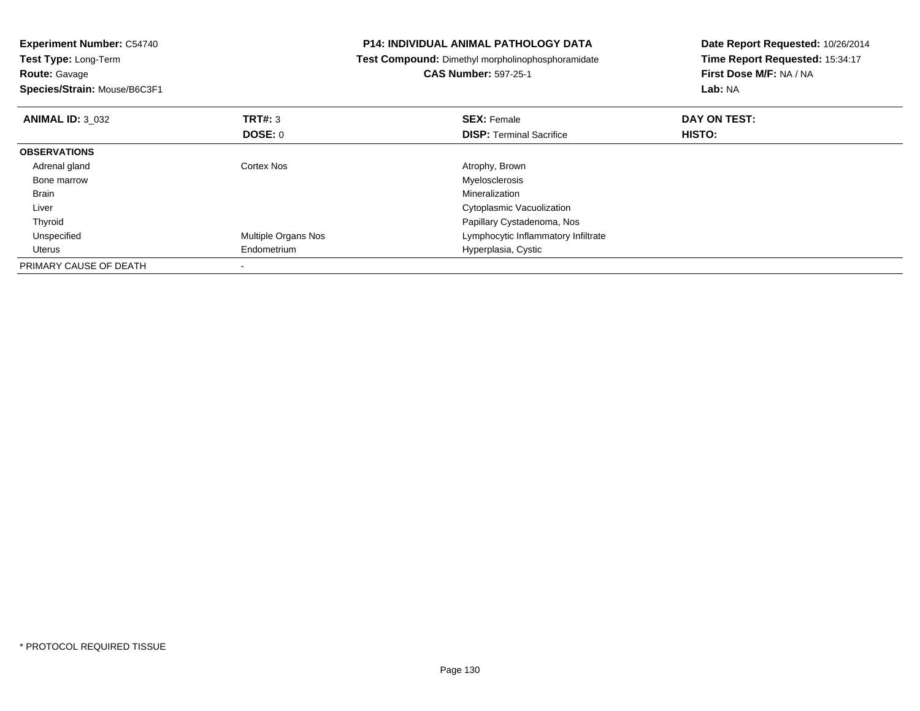| <b>Experiment Number: C54740</b><br><b>Test Type: Long-Term</b><br><b>Route: Gavage</b><br>Species/Strain: Mouse/B6C3F1 |                            | <b>P14: INDIVIDUAL ANIMAL PATHOLOGY DATA</b><br>Test Compound: Dimethyl morpholinophosphoramidate<br><b>CAS Number: 597-25-1</b> | Date Report Requested: 10/26/2014<br>Time Report Requested: 15:34:17<br>First Dose M/F: NA / NA<br>Lab: NA |
|-------------------------------------------------------------------------------------------------------------------------|----------------------------|----------------------------------------------------------------------------------------------------------------------------------|------------------------------------------------------------------------------------------------------------|
|                                                                                                                         |                            |                                                                                                                                  |                                                                                                            |
| <b>ANIMAL ID: 3 032</b>                                                                                                 | <b>TRT#: 3</b>             | <b>SEX: Female</b>                                                                                                               | DAY ON TEST:                                                                                               |
|                                                                                                                         | DOSE: 0                    | <b>DISP:</b> Terminal Sacrifice                                                                                                  | HISTO:                                                                                                     |
| <b>OBSERVATIONS</b>                                                                                                     |                            |                                                                                                                                  |                                                                                                            |
| Adrenal gland                                                                                                           | Cortex Nos                 | Atrophy, Brown                                                                                                                   |                                                                                                            |
| Bone marrow                                                                                                             |                            | Myelosclerosis                                                                                                                   |                                                                                                            |
| Brain                                                                                                                   |                            | Mineralization                                                                                                                   |                                                                                                            |
| Liver                                                                                                                   |                            | Cytoplasmic Vacuolization                                                                                                        |                                                                                                            |
| Thyroid                                                                                                                 |                            | Papillary Cystadenoma, Nos                                                                                                       |                                                                                                            |
| Unspecified                                                                                                             | <b>Multiple Organs Nos</b> | Lymphocytic Inflammatory Infiltrate                                                                                              |                                                                                                            |
| Uterus                                                                                                                  | Endometrium                | Hyperplasia, Cystic                                                                                                              |                                                                                                            |
| PRIMARY CAUSE OF DEATH                                                                                                  |                            |                                                                                                                                  |                                                                                                            |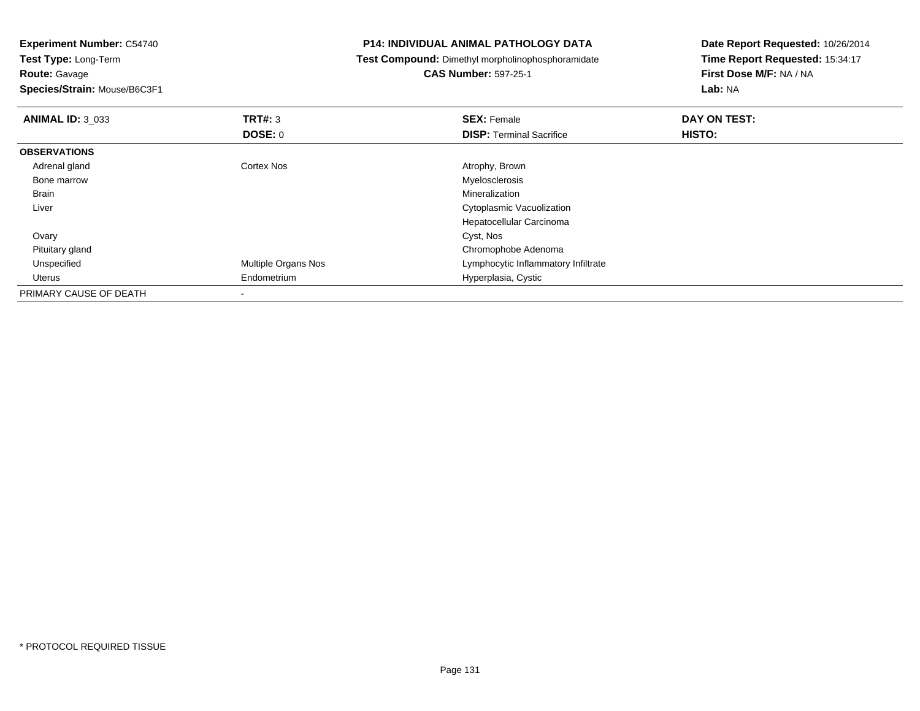**Experiment Number:** C54740**Test Type:** Long-Term**Route:** Gavage **Species/Strain:** Mouse/B6C3F1**P14: INDIVIDUAL ANIMAL PATHOLOGY DATA Test Compound:** Dimethyl morpholinophosphoramidate**CAS Number:** 597-25-1**Date Report Requested:** 10/26/2014**Time Report Requested:** 15:34:17**First Dose M/F:** NA / NA**Lab:** NA**ANIMAL ID:** 3\_033**TRT#:** 3 **SEX:** Female **DAY ON TEST: DOSE:** 0**DISP:** Terminal Sacrifice **HISTO: OBSERVATIONS** Adrenal glandCortex Nos **Atrophy, Brown**<br>
Myelosclerosis Bone marroww when the contract of the contract of the contract of the contract of the contract of the contract of the contract of the contract of the contract of the contract of the contract of the contract of the contract of the con Brainn and the control of the control of the control of the control of the control of the control of the control of the control of the control of the control of the control of the control of the control of the control of the co Liver Cytoplasmic Vacuolization Hepatocellular Carcinoma**Ovary** y and the control of the control of the control of the control of the control of the control of the control of the control of the control of the control of the control of the control of the control of the control of the co Pituitary glandChromophobe Adenoma<br>Multiple Organs Nos **Exercía Express Chromophobe Adenoma**<br>Lymphocytic Inflammator UnspecifiedLymphocytic Inflammatory Infiltrate Uterus Endometrium Hyperplasia, Cystic PRIMARY CAUSE OF DEATH-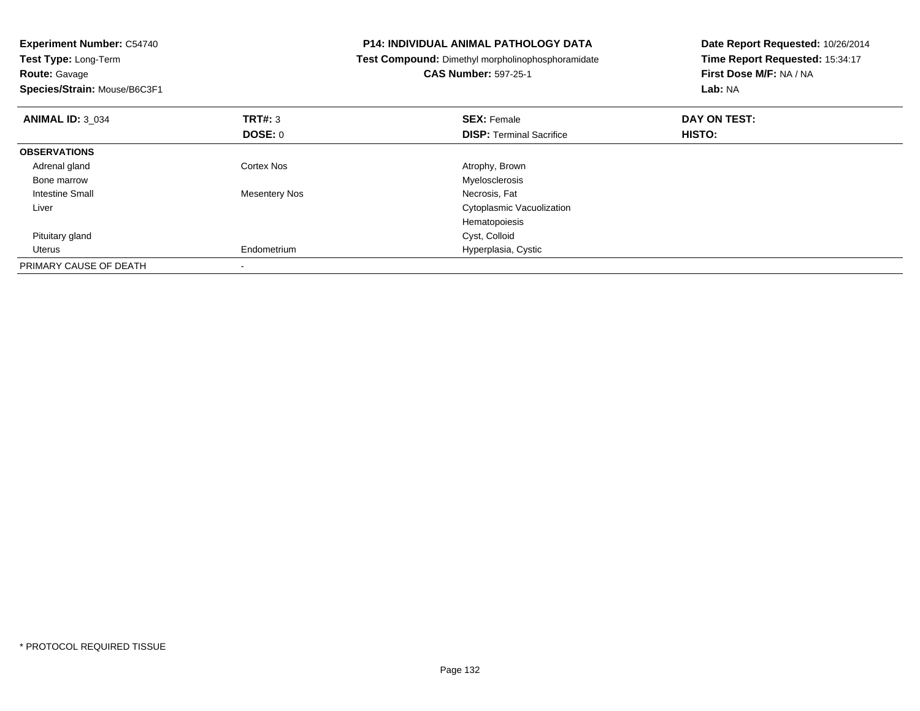| <b>Experiment Number: C54740</b><br>Test Type: Long-Term<br><b>Route: Gavage</b><br>Species/Strain: Mouse/B6C3F1 |                          | <b>P14: INDIVIDUAL ANIMAL PATHOLOGY DATA</b><br>Test Compound: Dimethyl morpholinophosphoramidate<br><b>CAS Number: 597-25-1</b> | Date Report Requested: 10/26/2014<br>Time Report Requested: 15:34:17<br>First Dose M/F: NA / NA<br>Lab: NA |
|------------------------------------------------------------------------------------------------------------------|--------------------------|----------------------------------------------------------------------------------------------------------------------------------|------------------------------------------------------------------------------------------------------------|
| <b>ANIMAL ID: 3 034</b>                                                                                          | <b>TRT#: 3</b>           | <b>SEX: Female</b>                                                                                                               | DAY ON TEST:                                                                                               |
|                                                                                                                  | DOSE: 0                  | <b>DISP:</b> Terminal Sacrifice                                                                                                  | <b>HISTO:</b>                                                                                              |
| <b>OBSERVATIONS</b>                                                                                              |                          |                                                                                                                                  |                                                                                                            |
| Adrenal gland                                                                                                    | Cortex Nos               | Atrophy, Brown                                                                                                                   |                                                                                                            |
| Bone marrow                                                                                                      |                          | Myelosclerosis                                                                                                                   |                                                                                                            |
| Intestine Small                                                                                                  | Mesentery Nos            | Necrosis, Fat                                                                                                                    |                                                                                                            |
| Liver                                                                                                            |                          | Cytoplasmic Vacuolization                                                                                                        |                                                                                                            |
|                                                                                                                  |                          | Hematopoiesis                                                                                                                    |                                                                                                            |
| Pituitary gland                                                                                                  |                          | Cyst, Colloid                                                                                                                    |                                                                                                            |
| Uterus                                                                                                           | Endometrium              | Hyperplasia, Cystic                                                                                                              |                                                                                                            |
| PRIMARY CAUSE OF DEATH                                                                                           | $\overline{\phantom{a}}$ |                                                                                                                                  |                                                                                                            |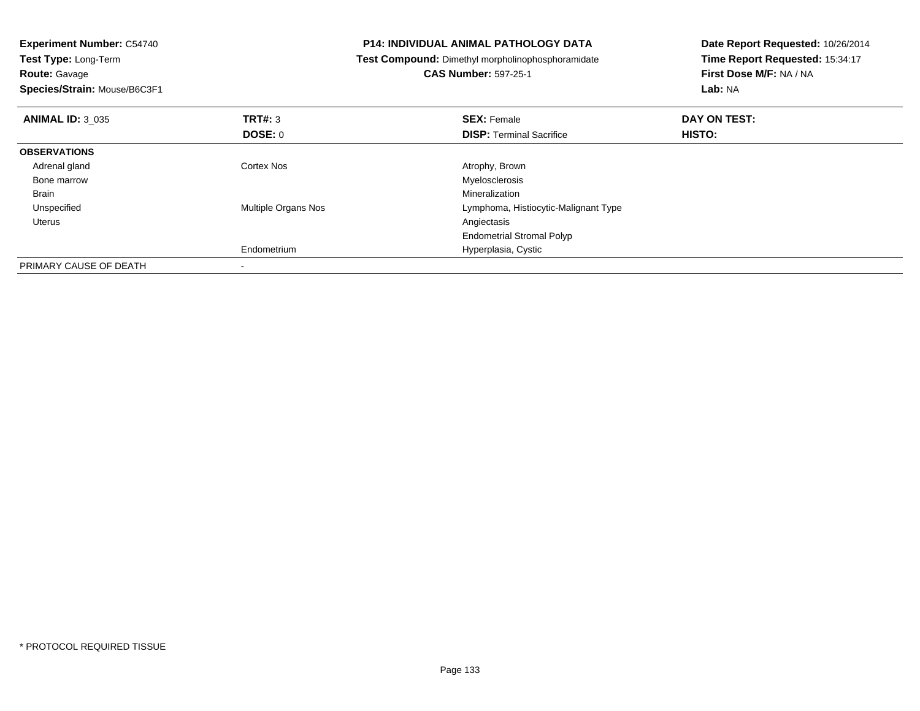| <b>Experiment Number: C54740</b><br>Test Type: Long-Term<br><b>Route: Gavage</b> |                            | <b>P14: INDIVIDUAL ANIMAL PATHOLOGY DATA</b><br>Test Compound: Dimethyl morpholinophosphoramidate<br><b>CAS Number: 597-25-1</b> | Date Report Requested: 10/26/2014<br>Time Report Requested: 15:34:17<br>First Dose M/F: NA / NA |
|----------------------------------------------------------------------------------|----------------------------|----------------------------------------------------------------------------------------------------------------------------------|-------------------------------------------------------------------------------------------------|
| Species/Strain: Mouse/B6C3F1                                                     |                            |                                                                                                                                  | Lab: NA                                                                                         |
| <b>ANIMAL ID: 3 035</b>                                                          | TRT#: 3                    | <b>SEX: Female</b>                                                                                                               | DAY ON TEST:                                                                                    |
|                                                                                  | <b>DOSE: 0</b>             | <b>DISP:</b> Terminal Sacrifice                                                                                                  | HISTO:                                                                                          |
| <b>OBSERVATIONS</b>                                                              |                            |                                                                                                                                  |                                                                                                 |
| Adrenal gland                                                                    | Cortex Nos                 | Atrophy, Brown                                                                                                                   |                                                                                                 |
| Bone marrow                                                                      |                            | Myelosclerosis                                                                                                                   |                                                                                                 |
| Brain                                                                            |                            | Mineralization                                                                                                                   |                                                                                                 |
| Unspecified                                                                      | <b>Multiple Organs Nos</b> | Lymphoma, Histiocytic-Malignant Type                                                                                             |                                                                                                 |
| Uterus                                                                           |                            | Angiectasis                                                                                                                      |                                                                                                 |
|                                                                                  |                            | <b>Endometrial Stromal Polyp</b>                                                                                                 |                                                                                                 |
|                                                                                  | Endometrium                | Hyperplasia, Cystic                                                                                                              |                                                                                                 |
| PRIMARY CAUSE OF DEATH                                                           |                            |                                                                                                                                  |                                                                                                 |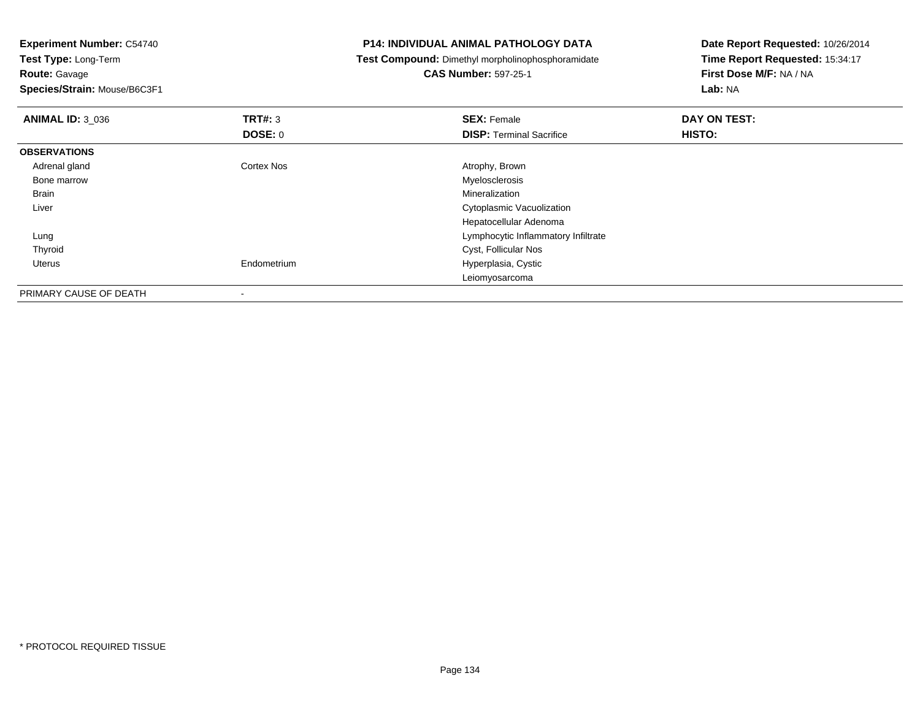**Experiment Number:** C54740**Test Type:** Long-Term**Route:** Gavage **Species/Strain:** Mouse/B6C3F1**P14: INDIVIDUAL ANIMAL PATHOLOGY DATA Test Compound:** Dimethyl morpholinophosphoramidate**CAS Number:** 597-25-1**Date Report Requested:** 10/26/2014**Time Report Requested:** 15:34:17**First Dose M/F:** NA / NA**Lab:** NA**ANIMAL ID:** 3\_036**6 DAY ON TEST: TRT#:** 3 **SEX: Female SEX: Female DAY ON TEST: DOSE:** 0**DISP:** Terminal Sacrifice **HISTO: OBSERVATIONS** Adrenal glandCortex Nos **Atrophy, Brown**<br>
Myelosclerosis Bone marroww when the contract of the contract of the contract of the contract of the contract of the contract of the contract of the contract of the contract of the contract of the contract of the contract of the contract of the con Brainn and the control of the control of the control of the control of the control of the control of the control of the control of the control of the control of the control of the control of the control of the control of the co Liver Cytoplasmic Vacuolization Hepatocellular Adenomag and the state of the state of the state of the state of the state of the Lymphocytic Inflammatory Infiltrate Lung Thyroid Cyst, Follicular Nos Uterus Endometrium Hyperplasia, Cystic LeiomyosarcomaPRIMARY CAUSE OF DEATH

-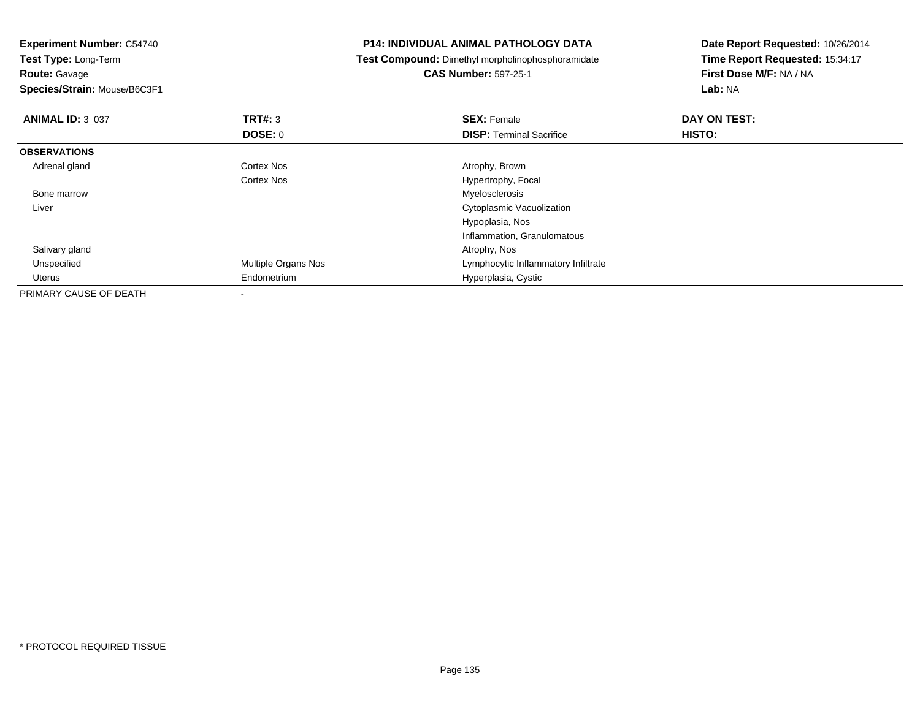**Experiment Number:** C54740**Test Type:** Long-Term**Route:** Gavage **Species/Strain:** Mouse/B6C3F1**P14: INDIVIDUAL ANIMAL PATHOLOGY DATA Test Compound:** Dimethyl morpholinophosphoramidate**CAS Number:** 597-25-1**Date Report Requested:** 10/26/2014**Time Report Requested:** 15:34:17**First Dose M/F:** NA / NA**Lab:** NA**ANIMAL ID:** 3\_037 **TRT#:** <sup>3</sup> **SEX:** Female **DAY ON TEST: DOSE:** 0**DISP:** Terminal Sacrifice **HISTO: OBSERVATIONS** Adrenal glandCortex Nos **Atrophy, Brown** Cortex Nos Hypertrophy, Focal Bone marroww when the contract of the contract of the contract of the contract of the contract of the contract of the contract of the contract of the contract of the contract of the contract of the contract of the contract of the con Liver Cytoplasmic VacuolizationHypoplasia, Nos Inflammation, Granulomatous Salivary glandd and the control of the control of the control of the control of the control of the control of the control of the control of the control of the control of the control of the control of the control of the control of the co UnspecifiedMultiple Organs Nos **Multiple Organs Nos** Lymphocytic Inflammatory Infiltrate Uterus Endometrium Hyperplasia, Cystic PRIMARY CAUSE OF DEATH-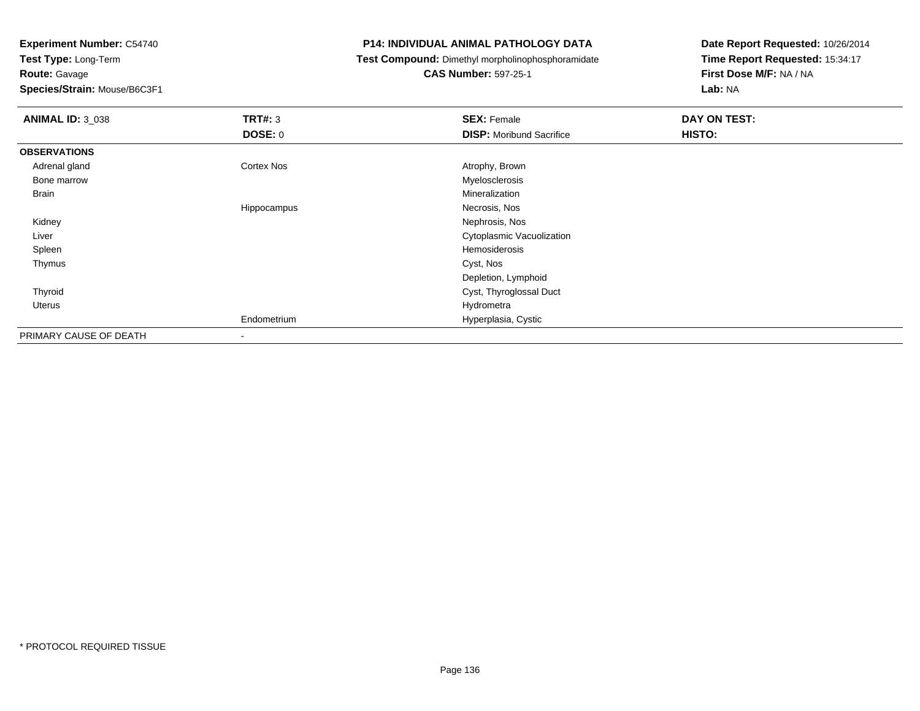**Test Type:** Long-Term

**Route:** Gavage

**Species/Strain:** Mouse/B6C3F1

## **P14: INDIVIDUAL ANIMAL PATHOLOGY DATA**

**Test Compound:** Dimethyl morpholinophosphoramidate

# **CAS Number:** 597-25-1

| <b>ANIMAL ID: 3_038</b> | TRT#: 3                  | <b>SEX: Female</b>              | DAY ON TEST: |  |
|-------------------------|--------------------------|---------------------------------|--------------|--|
|                         | <b>DOSE: 0</b>           | <b>DISP:</b> Moribund Sacrifice | HISTO:       |  |
| <b>OBSERVATIONS</b>     |                          |                                 |              |  |
| Adrenal gland           | Cortex Nos               | Atrophy, Brown                  |              |  |
| Bone marrow             |                          | Myelosclerosis                  |              |  |
| Brain                   |                          | Mineralization                  |              |  |
|                         | Hippocampus              | Necrosis, Nos                   |              |  |
| Kidney                  |                          | Nephrosis, Nos                  |              |  |
| Liver                   |                          | Cytoplasmic Vacuolization       |              |  |
| Spleen                  |                          | Hemosiderosis                   |              |  |
| Thymus                  |                          | Cyst, Nos                       |              |  |
|                         |                          | Depletion, Lymphoid             |              |  |
| Thyroid                 |                          | Cyst, Thyroglossal Duct         |              |  |
| Uterus                  |                          | Hydrometra                      |              |  |
|                         | Endometrium              | Hyperplasia, Cystic             |              |  |
| PRIMARY CAUSE OF DEATH  | $\overline{\phantom{a}}$ |                                 |              |  |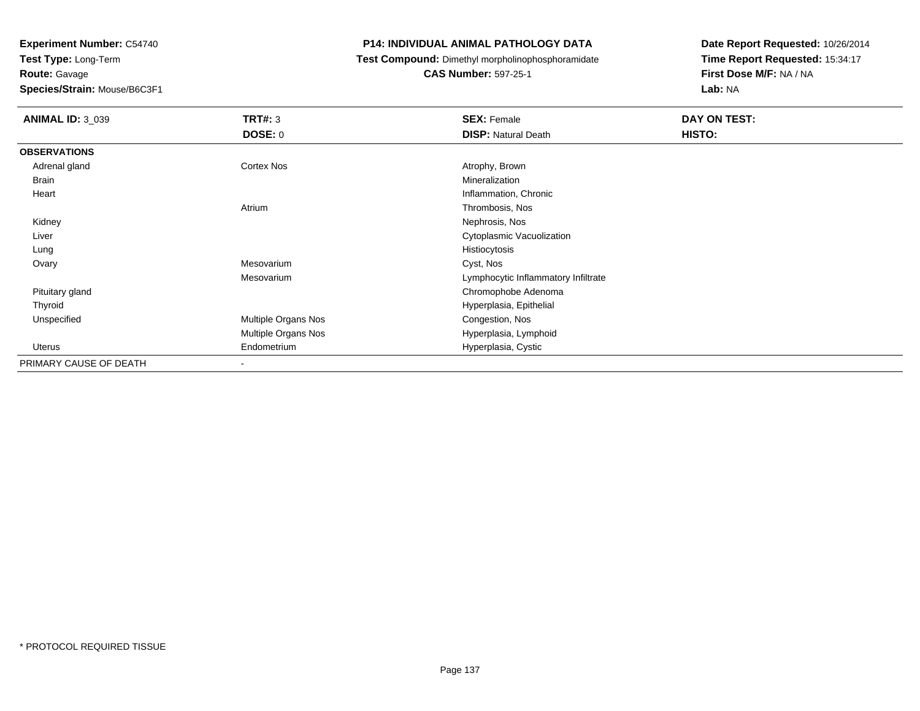**Test Type:** Long-Term**Route:** Gavage

**Species/Strain:** Mouse/B6C3F1

## **P14: INDIVIDUAL ANIMAL PATHOLOGY DATA**

**Test Compound:** Dimethyl morpholinophosphoramidate

**CAS Number:** 597-25-1

| <b>ANIMAL ID: 3_039</b> | <b>TRT#: 3</b>           | <b>SEX: Female</b>                  | DAY ON TEST: |
|-------------------------|--------------------------|-------------------------------------|--------------|
|                         | <b>DOSE: 0</b>           | <b>DISP: Natural Death</b>          | HISTO:       |
| <b>OBSERVATIONS</b>     |                          |                                     |              |
| Adrenal gland           | Cortex Nos               | Atrophy, Brown                      |              |
| Brain                   |                          | Mineralization                      |              |
| Heart                   |                          | Inflammation, Chronic               |              |
|                         | Atrium                   | Thrombosis, Nos                     |              |
| Kidney                  |                          | Nephrosis, Nos                      |              |
| Liver                   |                          | Cytoplasmic Vacuolization           |              |
| Lung                    |                          | Histiocytosis                       |              |
| Ovary                   | Mesovarium               | Cyst, Nos                           |              |
|                         | Mesovarium               | Lymphocytic Inflammatory Infiltrate |              |
| Pituitary gland         |                          | Chromophobe Adenoma                 |              |
| Thyroid                 |                          | Hyperplasia, Epithelial             |              |
| Unspecified             | Multiple Organs Nos      | Congestion, Nos                     |              |
|                         | Multiple Organs Nos      | Hyperplasia, Lymphoid               |              |
| Uterus                  | Endometrium              | Hyperplasia, Cystic                 |              |
| PRIMARY CAUSE OF DEATH  | $\overline{\phantom{a}}$ |                                     |              |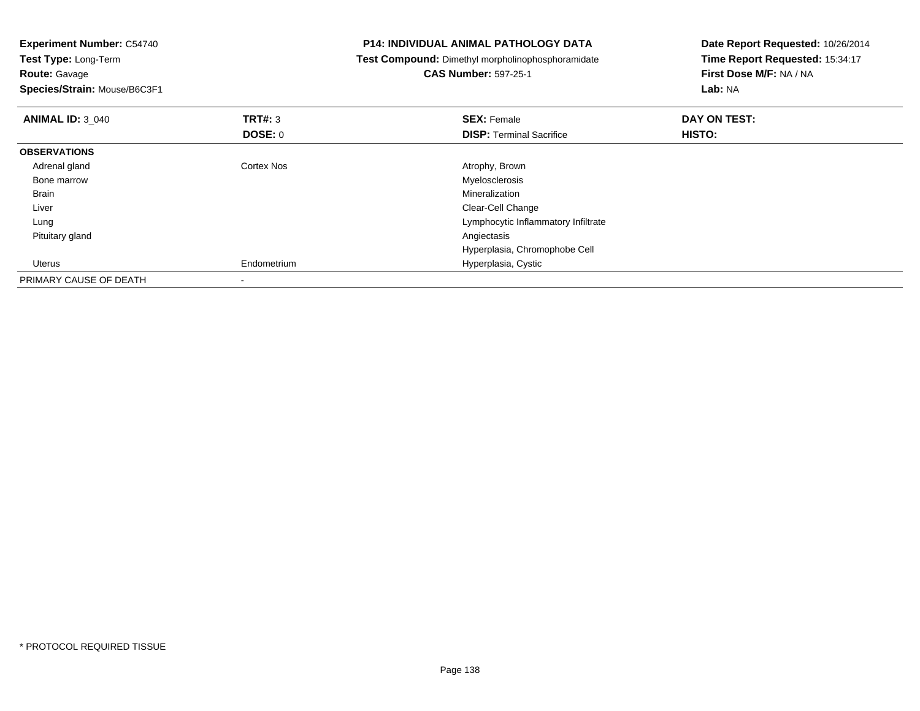| <b>Experiment Number: C54740</b> |                | <b>P14: INDIVIDUAL ANIMAL PATHOLOGY DATA</b>      | Date Report Requested: 10/26/2014 |  |
|----------------------------------|----------------|---------------------------------------------------|-----------------------------------|--|
| Test Type: Long-Term             |                | Test Compound: Dimethyl morpholinophosphoramidate | Time Report Requested: 15:34:17   |  |
| <b>Route: Gavage</b>             |                | <b>CAS Number: 597-25-1</b>                       | First Dose M/F: NA / NA           |  |
| Species/Strain: Mouse/B6C3F1     |                |                                                   | Lab: NA                           |  |
| <b>ANIMAL ID: 3 040</b>          | <b>TRT#:</b> 3 | <b>SEX: Female</b>                                | DAY ON TEST:                      |  |
|                                  | <b>DOSE: 0</b> | <b>DISP:</b> Terminal Sacrifice                   | HISTO:                            |  |
| <b>OBSERVATIONS</b>              |                |                                                   |                                   |  |
| Adrenal gland                    | Cortex Nos     | Atrophy, Brown                                    |                                   |  |
| Bone marrow                      |                | Myelosclerosis                                    |                                   |  |
| Brain                            |                | Mineralization                                    |                                   |  |
| Liver                            |                | Clear-Cell Change                                 |                                   |  |
| Lung                             |                | Lymphocytic Inflammatory Infiltrate               |                                   |  |
| Pituitary gland                  |                | Angiectasis                                       |                                   |  |
|                                  |                | Hyperplasia, Chromophobe Cell                     |                                   |  |
| Uterus                           | Endometrium    | Hyperplasia, Cystic                               |                                   |  |
| PRIMARY CAUSE OF DEATH           |                |                                                   |                                   |  |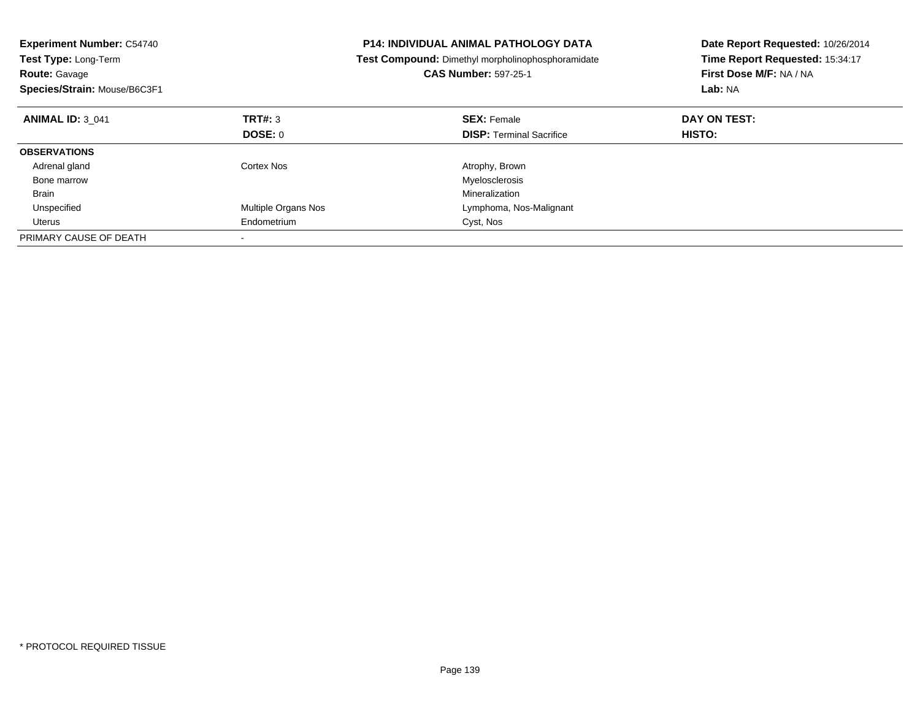| <b>Experiment Number: C54740</b><br>Test Type: Long-Term<br><b>Route: Gavage</b><br>Species/Strain: Mouse/B6C3F1 |                     | <b>P14: INDIVIDUAL ANIMAL PATHOLOGY DATA</b><br>Test Compound: Dimethyl morpholinophosphoramidate<br><b>CAS Number: 597-25-1</b> | Date Report Requested: 10/26/2014<br>Time Report Requested: 15:34:17<br>First Dose M/F: NA / NA<br>Lab: NA |
|------------------------------------------------------------------------------------------------------------------|---------------------|----------------------------------------------------------------------------------------------------------------------------------|------------------------------------------------------------------------------------------------------------|
| <b>ANIMAL ID: 3 041</b>                                                                                          | TRT#: 3             | <b>SEX: Female</b>                                                                                                               | DAY ON TEST:                                                                                               |
|                                                                                                                  | DOSE: 0             | <b>DISP: Terminal Sacrifice</b>                                                                                                  | HISTO:                                                                                                     |
| <b>OBSERVATIONS</b>                                                                                              |                     |                                                                                                                                  |                                                                                                            |
| Adrenal gland                                                                                                    | Cortex Nos          | Atrophy, Brown                                                                                                                   |                                                                                                            |
| Bone marrow                                                                                                      |                     | Myelosclerosis                                                                                                                   |                                                                                                            |
| <b>Brain</b>                                                                                                     |                     | Mineralization                                                                                                                   |                                                                                                            |
| Unspecified                                                                                                      | Multiple Organs Nos | Lymphoma, Nos-Malignant                                                                                                          |                                                                                                            |
| Uterus                                                                                                           | Endometrium         | Cyst, Nos                                                                                                                        |                                                                                                            |
| PRIMARY CAUSE OF DEATH                                                                                           |                     |                                                                                                                                  |                                                                                                            |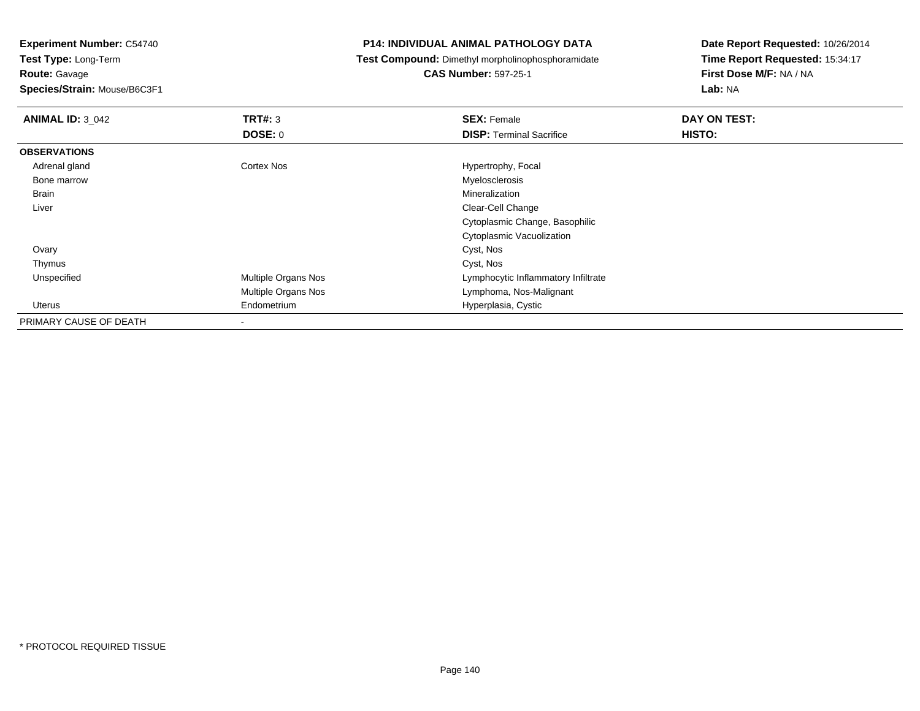**Test Type:** Long-Term**Route:** Gavage

**Species/Strain:** Mouse/B6C3F1

## **P14: INDIVIDUAL ANIMAL PATHOLOGY DATA**

**Test Compound:** Dimethyl morpholinophosphoramidate

**CAS Number:** 597-25-1

| <b>ANIMAL ID: 3_042</b> | TRT#: 3             | <b>SEX: Female</b>                  | DAY ON TEST: |  |
|-------------------------|---------------------|-------------------------------------|--------------|--|
|                         | DOSE: 0             | <b>DISP: Terminal Sacrifice</b>     | HISTO:       |  |
| <b>OBSERVATIONS</b>     |                     |                                     |              |  |
| Adrenal gland           | Cortex Nos          | Hypertrophy, Focal                  |              |  |
| Bone marrow             |                     | Myelosclerosis                      |              |  |
| Brain                   |                     | Mineralization                      |              |  |
| Liver                   |                     | Clear-Cell Change                   |              |  |
|                         |                     | Cytoplasmic Change, Basophilic      |              |  |
|                         |                     | Cytoplasmic Vacuolization           |              |  |
| Ovary                   |                     | Cyst, Nos                           |              |  |
| Thymus                  |                     | Cyst, Nos                           |              |  |
| Unspecified             | Multiple Organs Nos | Lymphocytic Inflammatory Infiltrate |              |  |
|                         | Multiple Organs Nos | Lymphoma, Nos-Malignant             |              |  |
| Uterus                  | Endometrium         | Hyperplasia, Cystic                 |              |  |
| PRIMARY CAUSE OF DEATH  |                     |                                     |              |  |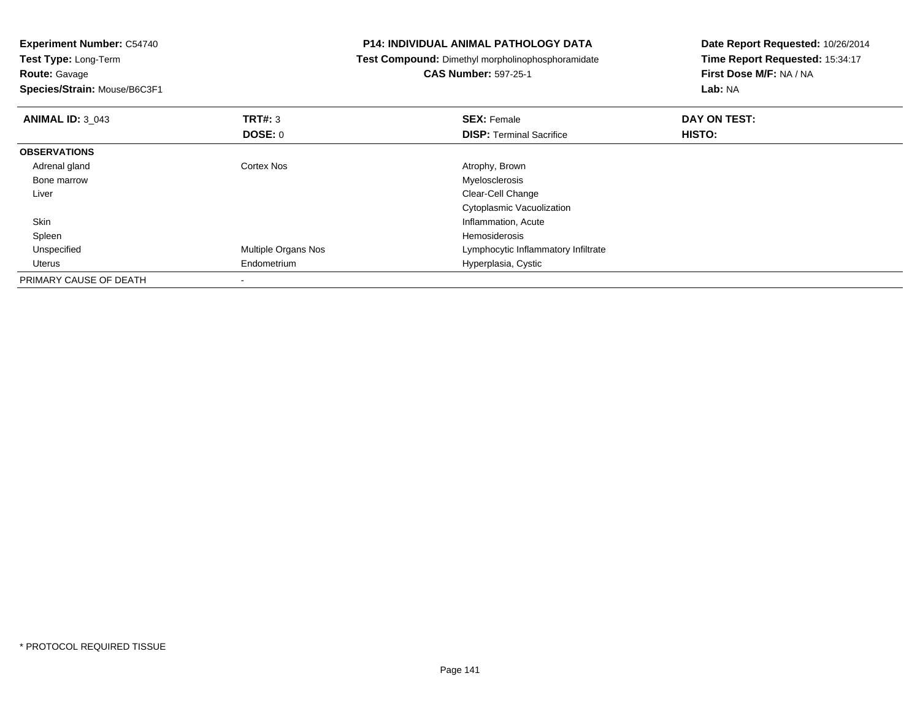| <b>Experiment Number: C54740</b>                                             |                     | <b>P14: INDIVIDUAL ANIMAL PATHOLOGY DATA</b>      | Date Report Requested: 10/26/2014 |  |
|------------------------------------------------------------------------------|---------------------|---------------------------------------------------|-----------------------------------|--|
| Test Type: Long-Term<br><b>Route: Gavage</b><br>Species/Strain: Mouse/B6C3F1 |                     | Test Compound: Dimethyl morpholinophosphoramidate | Time Report Requested: 15:34:17   |  |
|                                                                              |                     | <b>CAS Number: 597-25-1</b>                       | First Dose M/F: NA / NA           |  |
|                                                                              |                     |                                                   | Lab: NA                           |  |
| <b>ANIMAL ID: 3 043</b>                                                      | <b>TRT#: 3</b>      | <b>SEX: Female</b>                                | DAY ON TEST:                      |  |
|                                                                              | DOSE: 0             | <b>DISP: Terminal Sacrifice</b>                   | HISTO:                            |  |
| <b>OBSERVATIONS</b>                                                          |                     |                                                   |                                   |  |
| Adrenal gland                                                                | Cortex Nos          | Atrophy, Brown                                    |                                   |  |
| Bone marrow                                                                  |                     | Myelosclerosis                                    |                                   |  |
| Liver                                                                        |                     | Clear-Cell Change                                 |                                   |  |
|                                                                              |                     | Cytoplasmic Vacuolization                         |                                   |  |
| Skin                                                                         |                     | Inflammation, Acute                               |                                   |  |
| Spleen                                                                       |                     | <b>Hemosiderosis</b>                              |                                   |  |
| Unspecified                                                                  | Multiple Organs Nos | Lymphocytic Inflammatory Infiltrate               |                                   |  |
| Uterus                                                                       | Endometrium         | Hyperplasia, Cystic                               |                                   |  |
| PRIMARY CAUSE OF DEATH                                                       |                     |                                                   |                                   |  |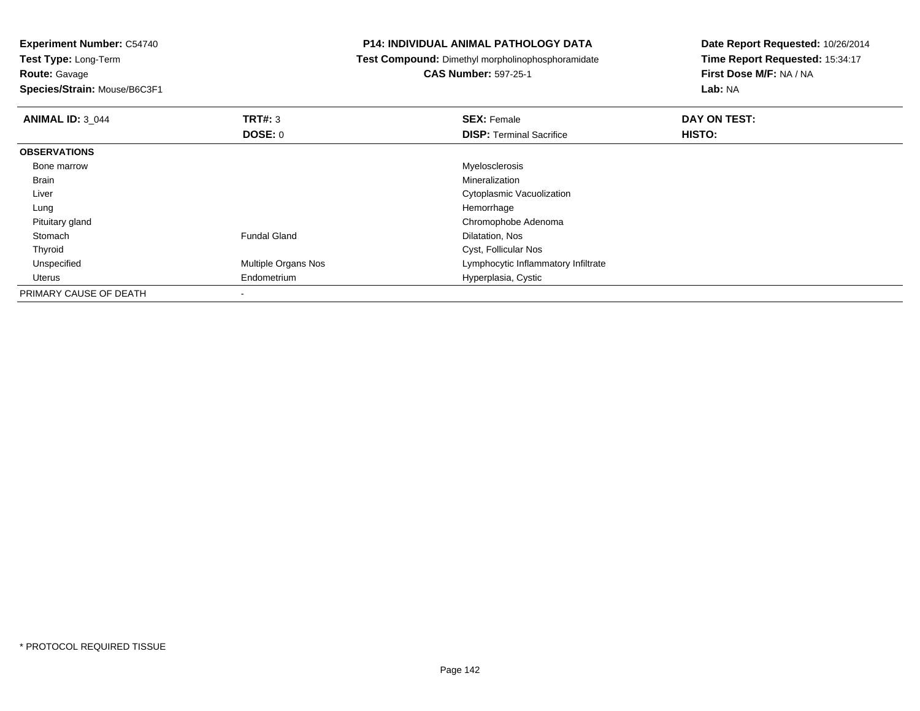**Test Type:** Long-Term**Route:** Gavage

**Species/Strain:** Mouse/B6C3F1

## **P14: INDIVIDUAL ANIMAL PATHOLOGY DATA**

**Test Compound:** Dimethyl morpholinophosphoramidate

**CAS Number:** 597-25-1

| <b>ANIMAL ID: 3 044</b> | TRT#: 3                    | <b>SEX: Female</b>                  | DAY ON TEST: |  |
|-------------------------|----------------------------|-------------------------------------|--------------|--|
|                         | <b>DOSE: 0</b>             | <b>DISP: Terminal Sacrifice</b>     | HISTO:       |  |
| <b>OBSERVATIONS</b>     |                            |                                     |              |  |
| Bone marrow             |                            | Myelosclerosis                      |              |  |
| Brain                   |                            | Mineralization                      |              |  |
| Liver                   |                            | Cytoplasmic Vacuolization           |              |  |
| Lung                    |                            | Hemorrhage                          |              |  |
| Pituitary gland         |                            | Chromophobe Adenoma                 |              |  |
| Stomach                 | <b>Fundal Gland</b>        | Dilatation, Nos                     |              |  |
| Thyroid                 |                            | Cyst, Follicular Nos                |              |  |
| Unspecified             | <b>Multiple Organs Nos</b> | Lymphocytic Inflammatory Infiltrate |              |  |
| Uterus                  | Endometrium                | Hyperplasia, Cystic                 |              |  |
| PRIMARY CAUSE OF DEATH  |                            |                                     |              |  |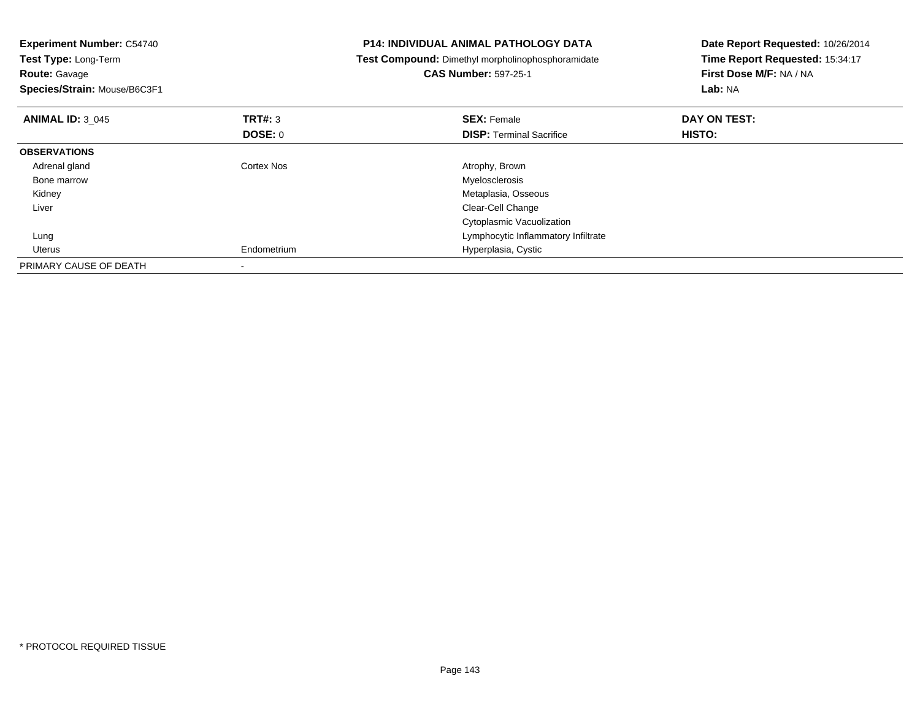| <b>Experiment Number: C54740</b><br>Test Type: Long-Term<br><b>Route:</b> Gavage<br>Species/Strain: Mouse/B6C3F1 |                | <b>P14: INDIVIDUAL ANIMAL PATHOLOGY DATA</b><br>Test Compound: Dimethyl morpholinophosphoramidate<br><b>CAS Number: 597-25-1</b> | Date Report Requested: 10/26/2014<br>Time Report Requested: 15:34:17<br>First Dose M/F: NA / NA<br>Lab: NA |  |
|------------------------------------------------------------------------------------------------------------------|----------------|----------------------------------------------------------------------------------------------------------------------------------|------------------------------------------------------------------------------------------------------------|--|
| <b>ANIMAL ID: 3 045</b>                                                                                          | TRT#: 3        | <b>SEX: Female</b>                                                                                                               | DAY ON TEST:                                                                                               |  |
|                                                                                                                  | <b>DOSE: 0</b> | <b>DISP:</b> Terminal Sacrifice                                                                                                  | HISTO:                                                                                                     |  |
| <b>OBSERVATIONS</b>                                                                                              |                |                                                                                                                                  |                                                                                                            |  |
| Adrenal gland                                                                                                    | Cortex Nos     | Atrophy, Brown                                                                                                                   |                                                                                                            |  |
| Bone marrow                                                                                                      |                | Myelosclerosis                                                                                                                   |                                                                                                            |  |
| Kidney                                                                                                           |                | Metaplasia, Osseous                                                                                                              |                                                                                                            |  |
| Liver                                                                                                            |                | Clear-Cell Change                                                                                                                |                                                                                                            |  |
|                                                                                                                  |                | Cytoplasmic Vacuolization                                                                                                        |                                                                                                            |  |
| Lung                                                                                                             |                | Lymphocytic Inflammatory Infiltrate                                                                                              |                                                                                                            |  |
| Uterus                                                                                                           | Endometrium    | Hyperplasia, Cystic                                                                                                              |                                                                                                            |  |
| PRIMARY CAUSE OF DEATH                                                                                           |                |                                                                                                                                  |                                                                                                            |  |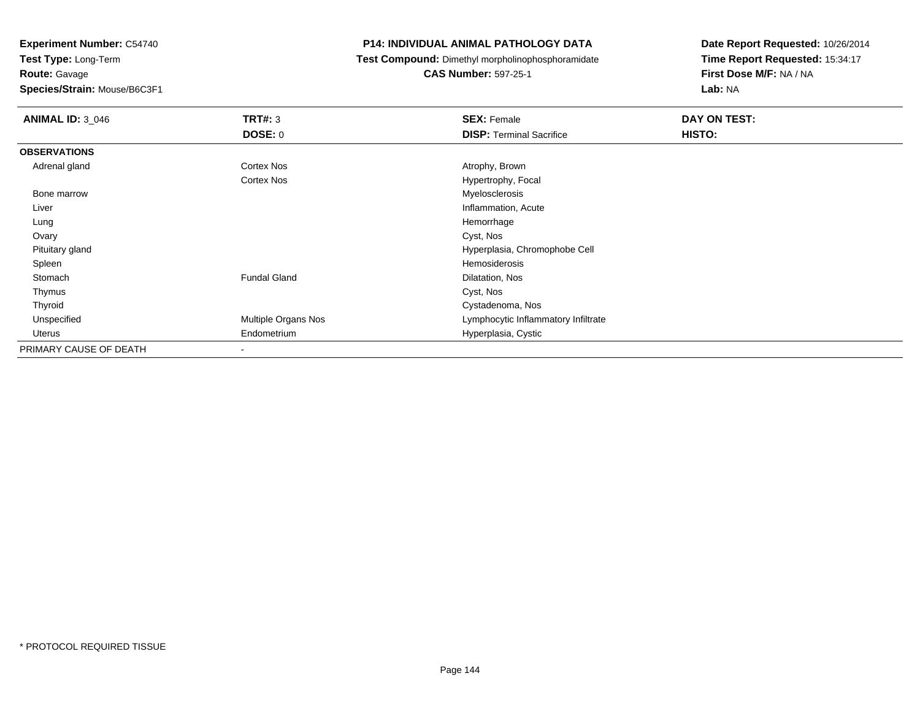**Test Type:** Long-Term**Route:** Gavage

**Species/Strain:** Mouse/B6C3F1

## **P14: INDIVIDUAL ANIMAL PATHOLOGY DATA**

**Test Compound:** Dimethyl morpholinophosphoramidate

**CAS Number:** 597-25-1

| <b>ANIMAL ID: 3_046</b> | TRT#: 3                  | <b>SEX: Female</b>                  | DAY ON TEST: |  |
|-------------------------|--------------------------|-------------------------------------|--------------|--|
|                         | <b>DOSE: 0</b>           | <b>DISP: Terminal Sacrifice</b>     | HISTO:       |  |
| <b>OBSERVATIONS</b>     |                          |                                     |              |  |
| Adrenal gland           | Cortex Nos               | Atrophy, Brown                      |              |  |
|                         | <b>Cortex Nos</b>        | Hypertrophy, Focal                  |              |  |
| Bone marrow             |                          | Myelosclerosis                      |              |  |
| Liver                   |                          | Inflammation, Acute                 |              |  |
| Lung                    |                          | Hemorrhage                          |              |  |
| Ovary                   |                          | Cyst, Nos                           |              |  |
| Pituitary gland         |                          | Hyperplasia, Chromophobe Cell       |              |  |
| Spleen                  |                          | Hemosiderosis                       |              |  |
| Stomach                 | <b>Fundal Gland</b>      | Dilatation, Nos                     |              |  |
| Thymus                  |                          | Cyst, Nos                           |              |  |
| Thyroid                 |                          | Cystadenoma, Nos                    |              |  |
| Unspecified             | Multiple Organs Nos      | Lymphocytic Inflammatory Infiltrate |              |  |
| Uterus                  | Endometrium              | Hyperplasia, Cystic                 |              |  |
| PRIMARY CAUSE OF DEATH  | $\overline{\phantom{a}}$ |                                     |              |  |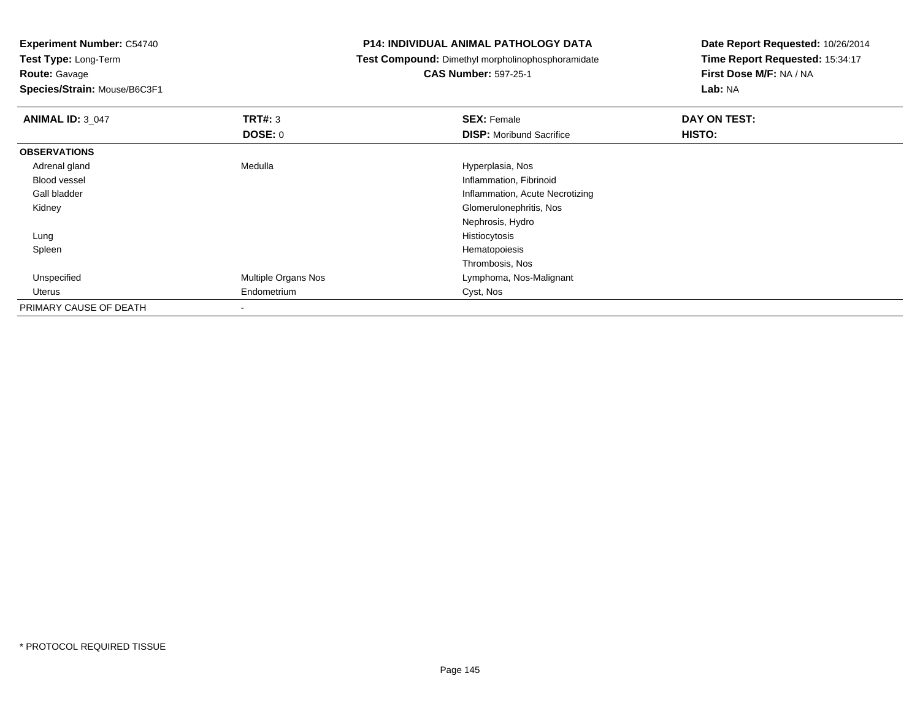**Experiment Number:** C54740

**Test Type:** Long-Term**Route:** Gavage

**Species/Strain:** Mouse/B6C3F1

## **P14: INDIVIDUAL ANIMAL PATHOLOGY DATA**

**Test Compound:** Dimethyl morpholinophosphoramidate

## **CAS Number:** 597-25-1

**Date Report Requested:** 10/26/2014**Time Report Requested:** 15:34:17**First Dose M/F:** NA / NA**Lab:** NA

| <b>ANIMAL ID: 3 047</b> | TRT#: 3             | <b>SEX: Female</b>              | DAY ON TEST: |  |
|-------------------------|---------------------|---------------------------------|--------------|--|
|                         | DOSE: 0             | <b>DISP:</b> Moribund Sacrifice | HISTO:       |  |
| <b>OBSERVATIONS</b>     |                     |                                 |              |  |
| Adrenal gland           | Medulla             | Hyperplasia, Nos                |              |  |
| Blood vessel            |                     | Inflammation, Fibrinoid         |              |  |
| Gall bladder            |                     | Inflammation, Acute Necrotizing |              |  |
| Kidney                  |                     | Glomerulonephritis, Nos         |              |  |
|                         |                     | Nephrosis, Hydro                |              |  |
| Lung                    |                     | Histiocytosis                   |              |  |
| Spleen                  |                     | Hematopoiesis                   |              |  |
|                         |                     | Thrombosis, Nos                 |              |  |
| Unspecified             | Multiple Organs Nos | Lymphoma, Nos-Malignant         |              |  |
| Uterus                  | Endometrium         | Cyst, Nos                       |              |  |
| PRIMARY CAUSE OF DEATH  |                     |                                 |              |  |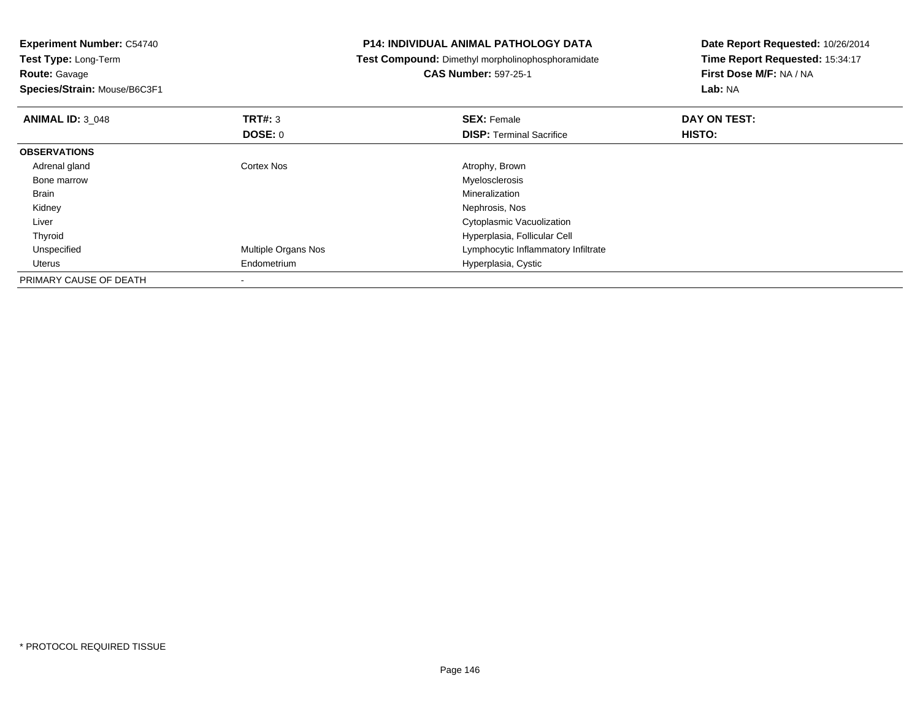| <b>Experiment Number: C54740</b><br>Test Type: Long-Term<br><b>Route: Gavage</b><br>Species/Strain: Mouse/B6C3F1 |                     | <b>P14: INDIVIDUAL ANIMAL PATHOLOGY DATA</b>      | Date Report Requested: 10/26/2014<br>Time Report Requested: 15:34:17<br>First Dose M/F: NA / NA<br>Lab: NA |  |
|------------------------------------------------------------------------------------------------------------------|---------------------|---------------------------------------------------|------------------------------------------------------------------------------------------------------------|--|
|                                                                                                                  |                     | Test Compound: Dimethyl morpholinophosphoramidate |                                                                                                            |  |
|                                                                                                                  |                     | <b>CAS Number: 597-25-1</b>                       |                                                                                                            |  |
|                                                                                                                  |                     |                                                   |                                                                                                            |  |
| <b>ANIMAL ID: 3_048</b>                                                                                          | <b>TRT#: 3</b>      | <b>SEX: Female</b>                                | DAY ON TEST:                                                                                               |  |
|                                                                                                                  | DOSE: 0             | <b>DISP:</b> Terminal Sacrifice                   | HISTO:                                                                                                     |  |
| <b>OBSERVATIONS</b>                                                                                              |                     |                                                   |                                                                                                            |  |
| Adrenal gland                                                                                                    | Cortex Nos          | Atrophy, Brown                                    |                                                                                                            |  |
| Bone marrow                                                                                                      |                     | Myelosclerosis                                    |                                                                                                            |  |
| Brain                                                                                                            |                     | Mineralization                                    |                                                                                                            |  |
| Kidney                                                                                                           |                     | Nephrosis, Nos                                    |                                                                                                            |  |
| Liver                                                                                                            |                     | Cytoplasmic Vacuolization                         |                                                                                                            |  |
| Thyroid                                                                                                          |                     | Hyperplasia, Follicular Cell                      |                                                                                                            |  |
| Unspecified                                                                                                      | Multiple Organs Nos | Lymphocytic Inflammatory Infiltrate               |                                                                                                            |  |
| Uterus                                                                                                           | Endometrium         | Hyperplasia, Cystic                               |                                                                                                            |  |
| PRIMARY CAUSE OF DEATH                                                                                           |                     |                                                   |                                                                                                            |  |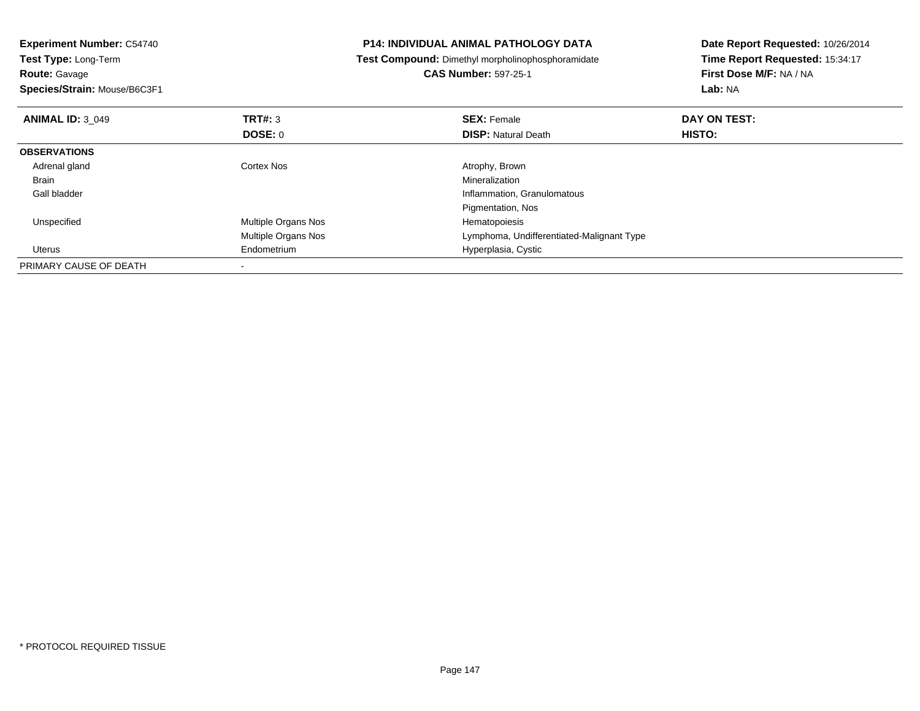| <b>Experiment Number: C54740</b>   |                            | P14: INDIVIDUAL ANIMAL PATHOLOGY DATA             | Date Report Requested: 10/26/2014<br>Time Report Requested: 15:34:17<br>First Dose M/F: NA / NA<br><b>Lab: NA</b> |  |
|------------------------------------|----------------------------|---------------------------------------------------|-------------------------------------------------------------------------------------------------------------------|--|
| <b>Test Type: Long-Term</b>        |                            | Test Compound: Dimethyl morpholinophosphoramidate |                                                                                                                   |  |
| <b>Route: Gavage</b>               |                            | <b>CAS Number: 597-25-1</b>                       |                                                                                                                   |  |
| Species/Strain: Mouse/B6C3F1       |                            |                                                   |                                                                                                                   |  |
| TRT#: 3<br><b>ANIMAL ID: 3 049</b> |                            | <b>SEX: Female</b>                                | DAY ON TEST:                                                                                                      |  |
| DOSE: 0                            |                            | <b>DISP: Natural Death</b>                        | HISTO:                                                                                                            |  |
| <b>OBSERVATIONS</b>                |                            |                                                   |                                                                                                                   |  |
| Adrenal gland<br><b>Cortex Nos</b> |                            | Atrophy, Brown                                    |                                                                                                                   |  |
| Brain                              |                            | Mineralization                                    |                                                                                                                   |  |
| Gall bladder                       |                            | Inflammation, Granulomatous                       |                                                                                                                   |  |
|                                    |                            | Pigmentation, Nos                                 |                                                                                                                   |  |
| Unspecified                        | <b>Multiple Organs Nos</b> | Hematopoiesis                                     |                                                                                                                   |  |
|                                    | Multiple Organs Nos        | Lymphoma, Undifferentiated-Malignant Type         |                                                                                                                   |  |
| Endometrium<br>Uterus              |                            | Hyperplasia, Cystic                               |                                                                                                                   |  |
| PRIMARY CAUSE OF DEATH             |                            |                                                   |                                                                                                                   |  |